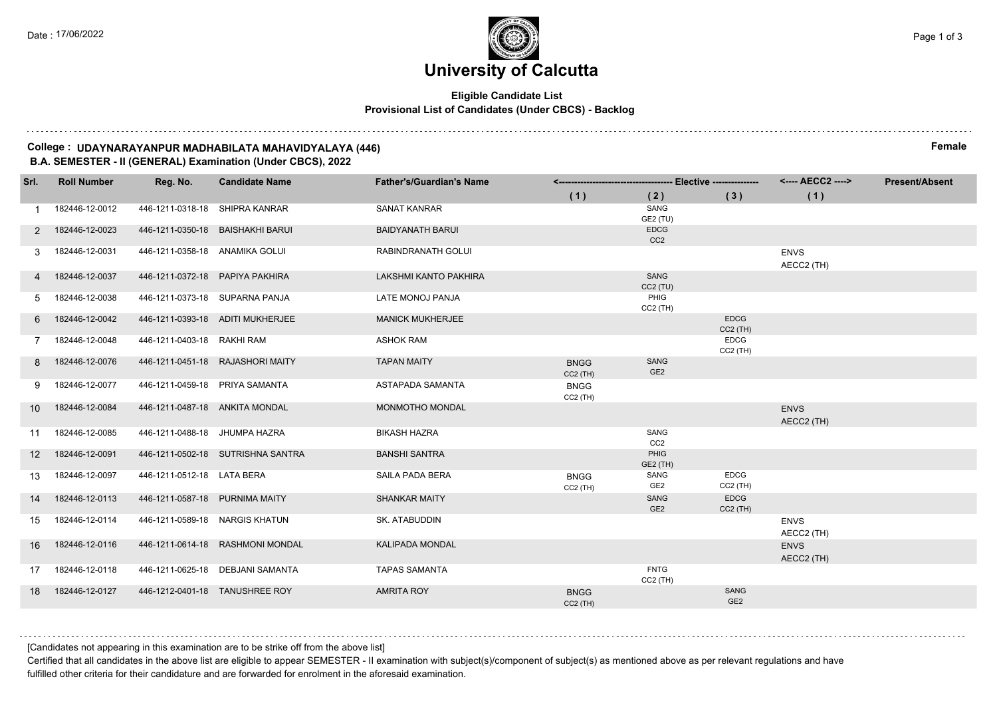### **Eligible Candidate List Provisional List of Candidates (Under CBCS) - Backlog**

**College : UDAYNARAYANPUR MADHABILATA MAHAVIDYALAYA (446) Female B.A. SEMESTER - II (GENERAL) Examination (Under CBCS), 2022**

| Srl. | <b>Roll Number</b> | Reg. No.                        | <b>Candidate Name</b>             | <b>Father's/Guardian's Name</b> |                           |                                |                           |                           | <b>Present/Absent</b> |
|------|--------------------|---------------------------------|-----------------------------------|---------------------------------|---------------------------|--------------------------------|---------------------------|---------------------------|-----------------------|
|      |                    |                                 |                                   |                                 | (1)                       | (2)                            | (3)                       | (1)                       |                       |
|      | 182446-12-0012     | 446-1211-0318-18 SHIPRA KANRAR  |                                   | <b>SANAT KANRAR</b>             |                           | SANG<br>GE2 (TU)               |                           |                           |                       |
| 2    | 182446-12-0023     |                                 | 446-1211-0350-18 BAISHAKHI BARUI  | <b>BAIDYANATH BARUI</b>         |                           | <b>EDCG</b><br>CC <sub>2</sub> |                           |                           |                       |
| 3.   | 182446-12-0031     | 446-1211-0358-18 ANAMIKA GOLUI  |                                   | RABINDRANATH GOLUI              |                           |                                |                           | <b>ENVS</b><br>AECC2 (TH) |                       |
|      | 182446-12-0037     | 446-1211-0372-18 PAPIYA PAKHIRA |                                   | LAKSHMI KANTO PAKHIRA           |                           | SANG<br>$CC2$ (TU)             |                           |                           |                       |
| 5.   | 182446-12-0038     | 446-1211-0373-18 SUPARNA PANJA  |                                   | LATE MONOJ PANJA                |                           | PHIG<br>$CC2$ (TH)             |                           |                           |                       |
| 6    | 182446-12-0042     |                                 | 446-1211-0393-18 ADITI MUKHERJEE  | <b>MANICK MUKHERJEE</b>         |                           |                                | <b>EDCG</b><br>$CC2$ (TH) |                           |                       |
|      | 182446-12-0048     | 446-1211-0403-18 RAKHI RAM      |                                   | <b>ASHOK RAM</b>                |                           |                                | <b>EDCG</b><br>$CC2$ (TH) |                           |                       |
| 8    | 182446-12-0076     |                                 | 446-1211-0451-18 RAJASHORI MAITY  | <b>TAPAN MAITY</b>              | <b>BNGG</b><br>$CC2$ (TH) | SANG<br>GE <sub>2</sub>        |                           |                           |                       |
| 9    | 182446-12-0077     | 446-1211-0459-18 PRIYA SAMANTA  |                                   | ASTAPADA SAMANTA                | <b>BNGG</b><br>$CC2$ (TH) |                                |                           |                           |                       |
| 10   | 182446-12-0084     | 446-1211-0487-18 ANKITA MONDAL  |                                   | MONMOTHO MONDAL                 |                           |                                |                           | <b>ENVS</b><br>AECC2 (TH) |                       |
| 11   | 182446-12-0085     | 446-1211-0488-18 JHUMPA HAZRA   |                                   | <b>BIKASH HAZRA</b>             |                           | SANG<br>CC <sub>2</sub>        |                           |                           |                       |
| 12   | 182446-12-0091     |                                 | 446-1211-0502-18 SUTRISHNA SANTRA | <b>BANSHI SANTRA</b>            |                           | PHIG<br>GE2 (TH)               |                           |                           |                       |
| 13   | 182446-12-0097     | 446-1211-0512-18 LATA BERA      |                                   | SAILA PADA BERA                 | <b>BNGG</b><br>$CC2$ (TH) | SANG<br>GE <sub>2</sub>        | <b>EDCG</b><br>$CC2$ (TH) |                           |                       |
| 14   | 182446-12-0113     | 446-1211-0587-18 PURNIMA MAITY  |                                   | <b>SHANKAR MAITY</b>            |                           | SANG<br>GE <sub>2</sub>        | <b>EDCG</b><br>$CC2$ (TH) |                           |                       |
| 15   | 182446-12-0114     | 446-1211-0589-18 NARGIS KHATUN  |                                   | SK. ATABUDDIN                   |                           |                                |                           | <b>ENVS</b><br>AECC2 (TH) |                       |
| 16   | 182446-12-0116     |                                 | 446-1211-0614-18 RASHMONI MONDAL  | <b>KALIPADA MONDAL</b>          |                           |                                |                           | <b>ENVS</b><br>AECC2 (TH) |                       |
| 17   | 182446-12-0118     |                                 | 446-1211-0625-18 DEBJANI SAMANTA  | <b>TAPAS SAMANTA</b>            |                           | <b>FNTG</b><br>$CC2$ (TH)      |                           |                           |                       |
| 18   | 182446-12-0127     |                                 | 446-1212-0401-18 TANUSHREE ROY    | <b>AMRITA ROY</b>               | <b>BNGG</b><br>$CC2$ (TH) |                                | SANG<br>GE <sub>2</sub>   |                           |                       |

[Candidates not appearing in this examination are to be strike off from the above list]

Certified that all candidates in the above list are eligible to appear SEMESTER - II examination with subject(s)/component of subject(s) as mentioned above as per relevant regulations and have fulfilled other criteria for their candidature and are forwarded for enrolment in the aforesaid examination.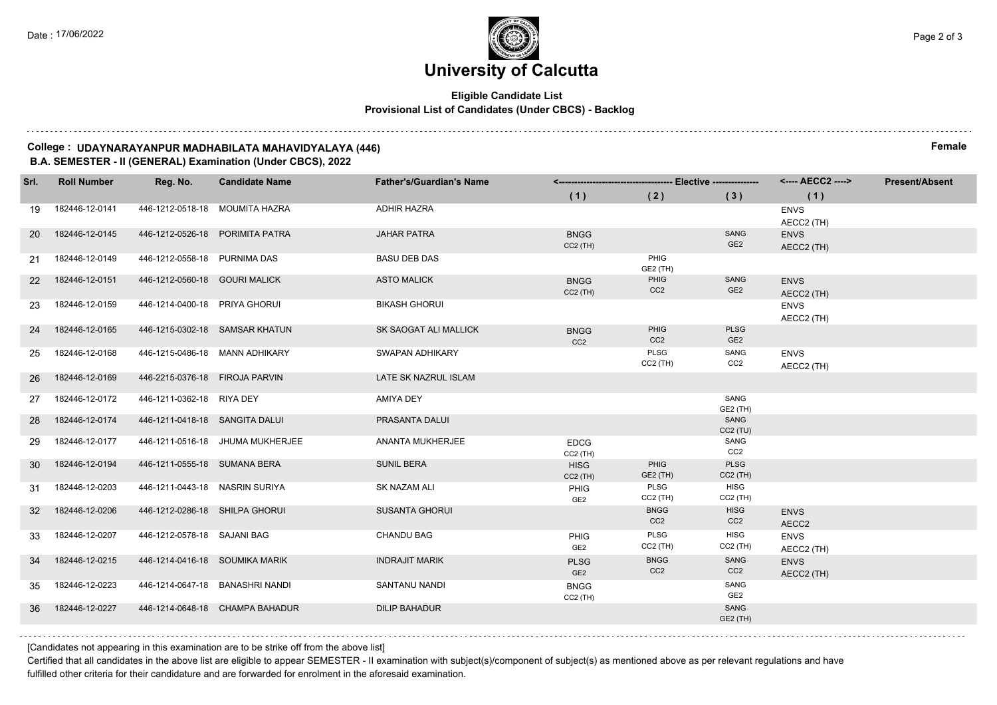### **Eligible Candidate List Provisional List of Candidates (Under CBCS) - Backlog**

**College : UDAYNARAYANPUR MADHABILATA MAHAVIDYALAYA (446) Female B.A. SEMESTER - II (GENERAL) Examination (Under CBCS), 2022**

| Srl.              | <b>Roll Number</b> | Reg. No.                       | <b>Candidate Name</b>            | <b>Father's/Guardian's Name</b> |                                |                                |                                | <---- AECC2 ---->         | <b>Present/Absent</b> |
|-------------------|--------------------|--------------------------------|----------------------------------|---------------------------------|--------------------------------|--------------------------------|--------------------------------|---------------------------|-----------------------|
|                   |                    |                                |                                  |                                 | (1)                            | (2)                            | (3)                            | (1)                       |                       |
| 19                | 182446-12-0141     |                                | 446-1212-0518-18 MOUMITA HAZRA   | <b>ADHIR HAZRA</b>              |                                |                                |                                | <b>ENVS</b><br>AECC2 (TH) |                       |
| <b>20</b>         | 182446-12-0145     |                                | 446-1212-0526-18 PORIMITA PATRA  | <b>JAHAR PATRA</b>              | <b>BNGG</b><br>$CC2$ (TH)      |                                | SANG<br>GE <sub>2</sub>        | <b>ENVS</b><br>AECC2 (TH) |                       |
| 21                | 182446-12-0149     | 446-1212-0558-18 PURNIMA DAS   |                                  | <b>BASU DEB DAS</b>             |                                | PHIG<br>GE2 (TH)               |                                |                           |                       |
| $22 \overline{ }$ | 182446-12-0151     | 446-1212-0560-18 GOURI MALICK  |                                  | <b>ASTO MALICK</b>              | <b>BNGG</b><br>$CC2$ (TH)      | PHIG<br>CC <sub>2</sub>        | SANG<br>GE <sub>2</sub>        | <b>ENVS</b><br>AECC2 (TH) |                       |
| 23                | 182446-12-0159     | 446-1214-0400-18 PRIYA GHORUI  |                                  | <b>BIKASH GHORUI</b>            |                                |                                |                                | <b>ENVS</b><br>AECC2 (TH) |                       |
| 24                | 182446-12-0165     |                                | 446-1215-0302-18 SAMSAR KHATUN   | SK SAOGAT ALI MALLICK           | <b>BNGG</b><br>CC <sub>2</sub> | PHIG<br>CC <sub>2</sub>        | <b>PLSG</b><br>GE <sub>2</sub> |                           |                       |
| 25                | 182446-12-0168     | 446-1215-0486-18 MANN ADHIKARY |                                  | SWAPAN ADHIKARY                 |                                | PLSG<br>$CC2$ (TH)             | SANG<br>CC2                    | <b>ENVS</b><br>AECC2 (TH) |                       |
| 26                | 182446-12-0169     | 446-2215-0376-18 FIROJA PARVIN |                                  | LATE SK NAZRUL ISLAM            |                                |                                |                                |                           |                       |
| 27                | 182446-12-0172     | 446-1211-0362-18 RIYA DEY      |                                  | <b>AMIYA DEY</b>                |                                |                                | SANG<br>GE2 (TH)               |                           |                       |
| 28                | 182446-12-0174     | 446-1211-0418-18 SANGITA DALUI |                                  | PRASANTA DALUI                  |                                |                                | SANG<br>CC2(TU)                |                           |                       |
| 29                | 182446-12-0177     |                                | 446-1211-0516-18 JHUMA MUKHERJEE | ANANTA MUKHERJEE                | <b>EDCG</b><br>$CC2$ (TH)      |                                | SANG<br>CC <sub>2</sub>        |                           |                       |
| 30 <sup>°</sup>   | 182446-12-0194     | 446-1211-0555-18 SUMANA BERA   |                                  | <b>SUNIL BERA</b>               | <b>HISG</b><br>$CC2$ (TH)      | PHIG<br>GE2 (TH)               | <b>PLSG</b><br>$CC2$ (TH)      |                           |                       |
| 31                | 182446-12-0203     | 446-1211-0443-18 NASRIN SURIYA |                                  | SK NAZAM ALI                    | PHIG<br>GE <sub>2</sub>        | PLSG<br>$CC2$ (TH)             | <b>HISG</b><br>$CC2$ (TH)      |                           |                       |
| 32 <sup>2</sup>   | 182446-12-0206     | 446-1212-0286-18 SHILPA GHORUI |                                  | <b>SUSANTA GHORUI</b>           |                                | <b>BNGG</b><br>CC <sub>2</sub> | <b>HISG</b><br>CC <sub>2</sub> | <b>ENVS</b><br>AECC2      |                       |
| 33                | 182446-12-0207     | 446-1212-0578-18 SAJANI BAG    |                                  | <b>CHANDU BAG</b>               | PHIG<br>GE <sub>2</sub>        | PLSG<br>$CC2$ (TH)             | <b>HISG</b><br>$CC2$ (TH)      | <b>ENVS</b><br>AECC2 (TH) |                       |
| 34                | 182446-12-0215     | 446-1214-0416-18 SOUMIKA MARIK |                                  | <b>INDRAJIT MARIK</b>           | <b>PLSG</b><br>GE <sub>2</sub> | <b>BNGG</b><br>CC <sub>2</sub> | SANG<br>CC <sub>2</sub>        | <b>ENVS</b><br>AECC2 (TH) |                       |
| 35                | 182446-12-0223     |                                | 446-1214-0647-18 BANASHRI NANDI  | SANTANU NANDI                   | <b>BNGG</b><br>$CC2$ (TH)      |                                | SANG<br>GE <sub>2</sub>        |                           |                       |
| 36                | 182446-12-0227     |                                | 446-1214-0648-18 CHAMPA BAHADUR  | <b>DILIP BAHADUR</b>            |                                |                                | SANG<br>GE2 (TH)               |                           |                       |
|                   |                    |                                |                                  |                                 |                                |                                |                                |                           |                       |

[Candidates not appearing in this examination are to be strike off from the above list]

Certified that all candidates in the above list are eligible to appear SEMESTER - II examination with subject(s)/component of subject(s) as mentioned above as per relevant regulations and have fulfilled other criteria for their candidature and are forwarded for enrolment in the aforesaid examination.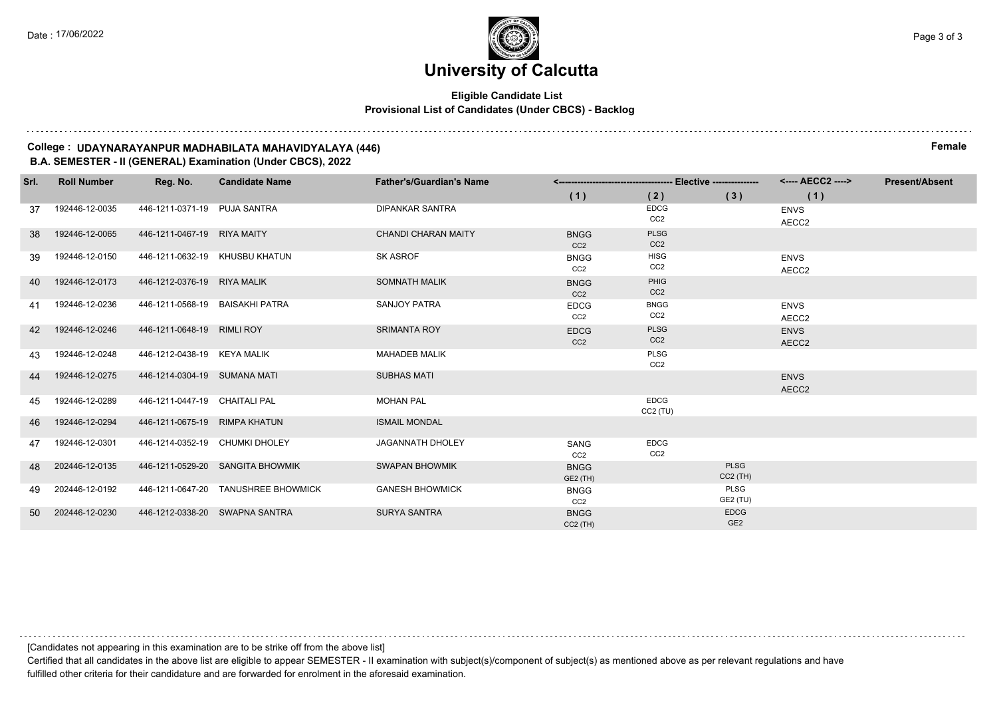### **Eligible Candidate List Provisional List of Candidates (Under CBCS) - Backlog**

**College : UDAYNARAYANPUR MADHABILATA MAHAVIDYALAYA (446) Female B.A. SEMESTER - II (GENERAL) Examination (Under CBCS), 2022**

| Srl. | <b>Roll Number</b> | Reg. No.                        | <b>Candidate Name</b>               | <b>Father's/Guardian's Name</b> |                                |                                |                 | <---- AECC2 ----> | <b>Present/Absent</b> |
|------|--------------------|---------------------------------|-------------------------------------|---------------------------------|--------------------------------|--------------------------------|-----------------|-------------------|-----------------------|
|      |                    |                                 |                                     |                                 | (1)                            | (2)                            | (3)             | (1)               |                       |
| 37   | 192446-12-0035     | 446-1211-0371-19 PUJA SANTRA    |                                     | <b>DIPANKAR SANTRA</b>          |                                | <b>EDCG</b>                    |                 | <b>ENVS</b>       |                       |
|      |                    |                                 |                                     |                                 |                                | CC <sub>2</sub>                |                 | AECC2             |                       |
| 38   | 192446-12-0065     | 446-1211-0467-19 RIYA MAITY     |                                     | <b>CHANDI CHARAN MAITY</b>      | <b>BNGG</b><br>CC <sub>2</sub> | <b>PLSG</b><br>CC <sub>2</sub> |                 |                   |                       |
| -39  | 192446-12-0150     |                                 | 446-1211-0632-19 KHUSBU KHATUN      | <b>SK ASROF</b>                 | <b>BNGG</b>                    | <b>HISG</b>                    |                 | <b>ENVS</b>       |                       |
|      |                    |                                 |                                     |                                 | CC <sub>2</sub>                | CC <sub>2</sub>                |                 | AECC2             |                       |
| 40   | 192446-12-0173     | 446-1212-0376-19 RIYA MALIK     |                                     | <b>SOMNATH MALIK</b>            | <b>BNGG</b>                    | <b>PHIG</b>                    |                 |                   |                       |
|      |                    |                                 |                                     |                                 | CC <sub>2</sub>                | CC <sub>2</sub>                |                 |                   |                       |
| -41  | 192446-12-0236     | 446-1211-0568-19 BAISAKHI PATRA |                                     | SANJOY PATRA                    | <b>EDCG</b>                    | <b>BNGG</b>                    |                 | <b>ENVS</b>       |                       |
|      |                    |                                 |                                     |                                 | CC <sub>2</sub>                | CC <sub>2</sub>                |                 | AECC2             |                       |
| 42   | 192446-12-0246     | 446-1211-0648-19 RIMLI ROY      |                                     | <b>SRIMANTA ROY</b>             | <b>EDCG</b>                    | <b>PLSG</b>                    |                 | <b>ENVS</b>       |                       |
|      |                    |                                 |                                     |                                 | CC <sub>2</sub>                | CC <sub>2</sub>                |                 | AECC2             |                       |
| 43   | 192446-12-0248     | 446-1212-0438-19 KEYA MALIK     |                                     | <b>MAHADEB MALIK</b>            |                                | <b>PLSG</b><br>CC <sub>2</sub> |                 |                   |                       |
| 44   | 192446-12-0275     | 446-1214-0304-19 SUMANA MATI    |                                     | <b>SUBHAS MATI</b>              |                                |                                |                 | <b>ENVS</b>       |                       |
|      |                    |                                 |                                     |                                 |                                |                                |                 | AECC2             |                       |
| 45   | 192446-12-0289     | 446-1211-0447-19 CHAITALI PAL   |                                     | <b>MOHAN PAL</b>                |                                | <b>EDCG</b>                    |                 |                   |                       |
|      |                    |                                 |                                     |                                 |                                | CC2(TU)                        |                 |                   |                       |
| 46   | 192446-12-0294     | 446-1211-0675-19 RIMPA KHATUN   |                                     | <b>ISMAIL MONDAL</b>            |                                |                                |                 |                   |                       |
| 47   | 192446-12-0301     | 446-1214-0352-19 CHUMKI DHOLEY  |                                     | <b>JAGANNATH DHOLEY</b>         | SANG                           | <b>EDCG</b>                    |                 |                   |                       |
|      |                    |                                 |                                     |                                 | CC <sub>2</sub>                | CC <sub>2</sub>                |                 |                   |                       |
| 48   | 202446-12-0135     |                                 | 446-1211-0529-20 SANGITA BHOWMIK    | <b>SWAPAN BHOWMIK</b>           | <b>BNGG</b>                    |                                | <b>PLSG</b>     |                   |                       |
|      |                    |                                 |                                     |                                 | GE2 (TH)                       |                                | $CC2$ (TH)      |                   |                       |
| 49   | 202446-12-0192     |                                 | 446-1211-0647-20 TANUSHREE BHOWMICK | <b>GANESH BHOWMICK</b>          | <b>BNGG</b>                    |                                | PLSG            |                   |                       |
|      |                    |                                 |                                     |                                 | CC <sub>2</sub>                |                                | GE2 (TU)        |                   |                       |
| 50   | 202446-12-0230     |                                 | 446-1212-0338-20 SWAPNA SANTRA      | <b>SURYA SANTRA</b>             | <b>BNGG</b>                    |                                | <b>EDCG</b>     |                   |                       |
|      |                    |                                 |                                     |                                 | $CC2$ (TH)                     |                                | GE <sub>2</sub> |                   |                       |

[Candidates not appearing in this examination are to be strike off from the above list]

Certified that all candidates in the above list are eligible to appear SEMESTER - II examination with subject(s)/component of subject(s) as mentioned above as per relevant regulations and have fulfilled other criteria for their candidature and are forwarded for enrolment in the aforesaid examination.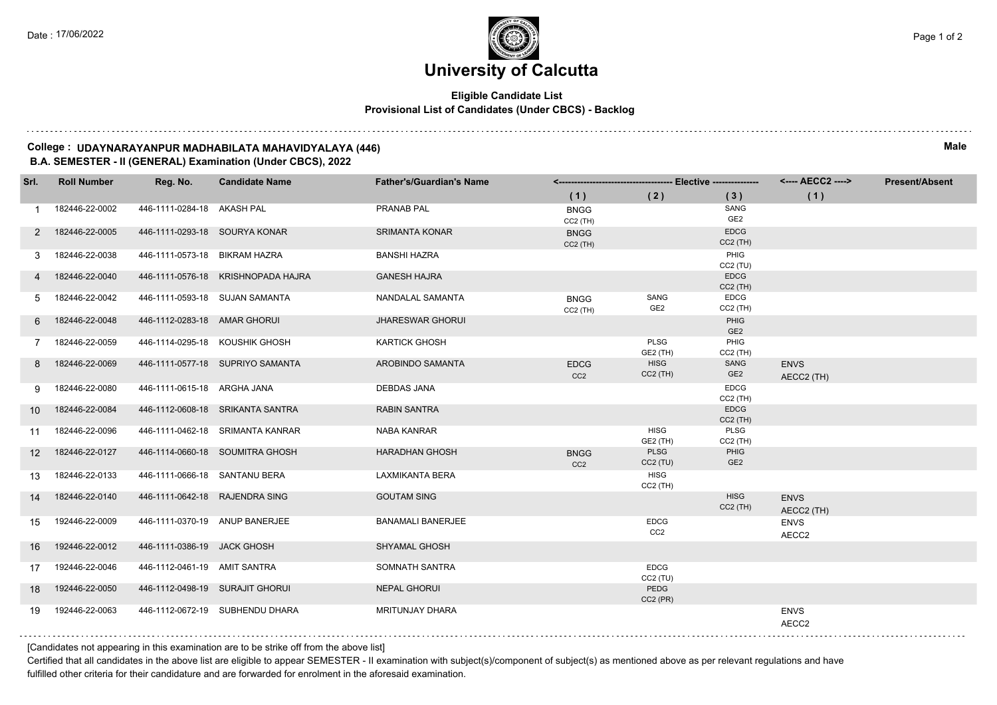### **Eligible Candidate List Provisional List of Candidates (Under CBCS) - Backlog**

**College : UDAYNARAYANPUR MADHABILATA MAHAVIDYALAYA (446) Male B.A. SEMESTER - II (GENERAL) Examination (Under CBCS), 2022**

| Srl.            | <b>Roll Number</b> | Reg. No.                       | <b>Candidate Name</b>              | <b>Father's/Guardian's Name</b> |                                |                                |                           | <---- AECC2 ---->         | <b>Present/Absent</b> |
|-----------------|--------------------|--------------------------------|------------------------------------|---------------------------------|--------------------------------|--------------------------------|---------------------------|---------------------------|-----------------------|
|                 |                    |                                |                                    |                                 | (1)                            | (2)                            | (3)                       | (1)                       |                       |
|                 | 182446-22-0002     | 446-1111-0284-18 AKASH PAL     |                                    | PRANAB PAL                      | <b>BNGG</b><br>$CC2$ (TH)      |                                | SANG<br>GE <sub>2</sub>   |                           |                       |
| 2               | 182446-22-0005     | 446-1111-0293-18 SOURYA KONAR  |                                    | <b>SRIMANTA KONAR</b>           | <b>BNGG</b><br>$CC2$ (TH)      |                                | <b>EDCG</b><br>$CC2$ (TH) |                           |                       |
| 3               | 182446-22-0038     | 446-1111-0573-18 BIKRAM HAZRA  |                                    | <b>BANSHI HAZRA</b>             |                                |                                | PHIG<br>CC2(TU)           |                           |                       |
|                 | 182446-22-0040     |                                | 446-1111-0576-18 KRISHNOPADA HAJRA | <b>GANESH HAJRA</b>             |                                |                                | <b>EDCG</b><br>$CC2$ (TH) |                           |                       |
| 5               | 182446-22-0042     | 446-1111-0593-18 SUJAN SAMANTA |                                    | NANDALAL SAMANTA                | <b>BNGG</b><br>$CC2$ (TH)      | SANG<br>GE <sub>2</sub>        | <b>EDCG</b><br>$CC2$ (TH) |                           |                       |
| 6               | 182446-22-0048     | 446-1112-0283-18 AMAR GHORUI   |                                    | <b>JHARESWAR GHORUI</b>         |                                |                                | PHIG<br>GE <sub>2</sub>   |                           |                       |
|                 | 182446-22-0059     |                                | 446-1114-0295-18 KOUSHIK GHOSH     | <b>KARTICK GHOSH</b>            |                                | PLSG<br>GE2 (TH)               | PHIG<br>$CC2$ (TH)        |                           |                       |
| 8               | 182446-22-0069     |                                | 446-1111-0577-18 SUPRIYO SAMANTA   | AROBINDO SAMANTA                | <b>EDCG</b><br>CC <sub>2</sub> | <b>HISG</b><br>$CC2$ (TH)      | SANG<br>GE <sub>2</sub>   | <b>ENVS</b><br>AECC2 (TH) |                       |
| 9               | 182446-22-0080     | 446-1111-0615-18 ARGHA JANA    |                                    | <b>DEBDAS JANA</b>              |                                |                                | <b>EDCG</b><br>$CC2$ (TH) |                           |                       |
| 10 <sup>°</sup> | 182446-22-0084     |                                | 446-1112-0608-18 SRIKANTA SANTRA   | <b>RABIN SANTRA</b>             |                                |                                | <b>EDCG</b><br>$CC2$ (TH) |                           |                       |
| 11              | 182446-22-0096     |                                | 446-1111-0462-18 SRIMANTA KANRAR   | NABA KANRAR                     |                                | <b>HISG</b><br>GE2 (TH)        | PLSG<br>$CC2$ (TH)        |                           |                       |
| 12 <sup>2</sup> | 182446-22-0127     |                                | 446-1114-0660-18 SOUMITRA GHOSH    | <b>HARADHAN GHOSH</b>           | <b>BNGG</b><br>CC <sub>2</sub> | <b>PLSG</b><br>$CC2$ (TU)      | PHIG<br>GE <sub>2</sub>   |                           |                       |
| 13              | 182446-22-0133     | 446-1111-0666-18 SANTANU BERA  |                                    | LAXMIKANTA BERA                 |                                | <b>HISG</b><br>$CC2$ (TH)      |                           |                           |                       |
| 14              | 182446-22-0140     | 446-1111-0642-18 RAJENDRA SING |                                    | <b>GOUTAM SING</b>              |                                |                                | <b>HISG</b><br>$CC2$ (TH) | <b>ENVS</b><br>AECC2 (TH) |                       |
| 15              | 192446-22-0009     | 446-1111-0370-19 ANUP BANERJEE |                                    | <b>BANAMALI BANERJEE</b>        |                                | <b>EDCG</b><br>CC <sub>2</sub> |                           | <b>ENVS</b><br>AECC2      |                       |
| 16              | 192446-22-0012     | 446-1111-0386-19 JACK GHOSH    |                                    | <b>SHYAMAL GHOSH</b>            |                                |                                |                           |                           |                       |
| 17              | 192446-22-0046     | 446-1112-0461-19 AMIT SANTRA   |                                    | SOMNATH SANTRA                  |                                | <b>EDCG</b><br>CC2 (TU)        |                           |                           |                       |
| 18              | 192446-22-0050     |                                | 446-1112-0498-19 SURAJIT GHORUI    | <b>NEPAL GHORUI</b>             |                                | PEDG<br>$CC2$ (PR)             |                           |                           |                       |
| 19              | 192446-22-0063     |                                | 446-1112-0672-19 SUBHENDU DHARA    | <b>MRITUNJAY DHARA</b>          |                                |                                |                           | <b>ENVS</b><br>AECC2      |                       |

[Candidates not appearing in this examination are to be strike off from the above list]

Certified that all candidates in the above list are eligible to appear SEMESTER - II examination with subject(s)/component of subject(s) as mentioned above as per relevant regulations and have fulfilled other criteria for their candidature and are forwarded for enrolment in the aforesaid examination.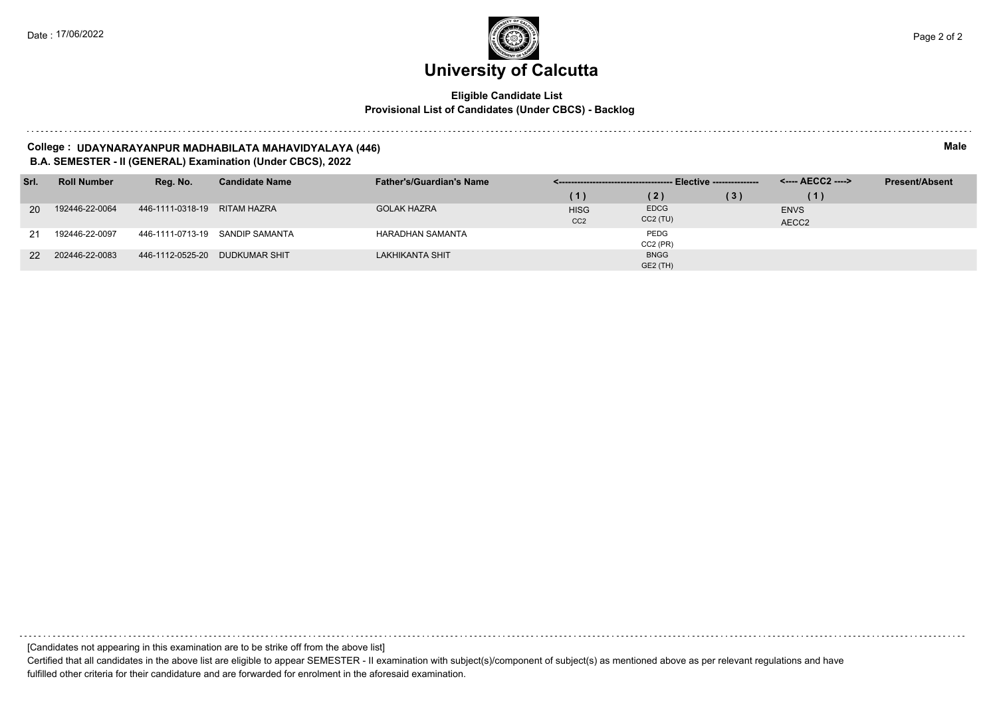### **Eligible Candidate List Provisional List of Candidates (Under CBCS) - Backlog**

**College : UDAYNARAYANPUR MADHABILATA MAHAVIDYALAYA (446) Male B.A. SEMESTER - II (GENERAL) Examination (Under CBCS), 2022**

| Srl.      | <b>Roll Number</b> | Reg. No.                       | <b>Candidate Name</b>           | <b>Father's/Guardian's Name</b> |                 |             |     | <---- AECC2 ----> | <b>Present/Absent</b> |
|-----------|--------------------|--------------------------------|---------------------------------|---------------------------------|-----------------|-------------|-----|-------------------|-----------------------|
|           |                    |                                |                                 |                                 | (1)             | (2)         | (3) | $\left( 1\right)$ |                       |
| <b>20</b> | 192446-22-0064     | 446-1111-0318-19 RITAM HAZRA   |                                 | <b>GOLAK HAZRA</b>              | <b>HISG</b>     | <b>EDCG</b> |     | <b>ENVS</b>       |                       |
|           |                    |                                |                                 |                                 | CC <sub>2</sub> | $CC2$ (TU)  |     | AECC2             |                       |
| 21        | 192446-22-0097     |                                | 446-1111-0713-19 SANDIP SAMANTA | <b>HARADHAN SAMANTA</b>         |                 | PEDG        |     |                   |                       |
|           |                    |                                |                                 |                                 |                 | $CC2$ (PR)  |     |                   |                       |
| <b>22</b> | 202446-22-0083     | 446-1112-0525-20 DUDKUMAR SHIT |                                 | <b>LAKHIKANTA SHIT</b>          |                 | <b>BNGG</b> |     |                   |                       |
|           |                    |                                |                                 |                                 |                 | GE2 (TH)    |     |                   |                       |

[Candidates not appearing in this examination are to be strike off from the above list] Certified that all candidates in the above list are eligible to appear SEMESTER - II examination with subject(s)/component of subject(s) as mentioned above as per relevant regulations and have fulfilled other criteria for their candidature and are forwarded for enrolment in the aforesaid examination.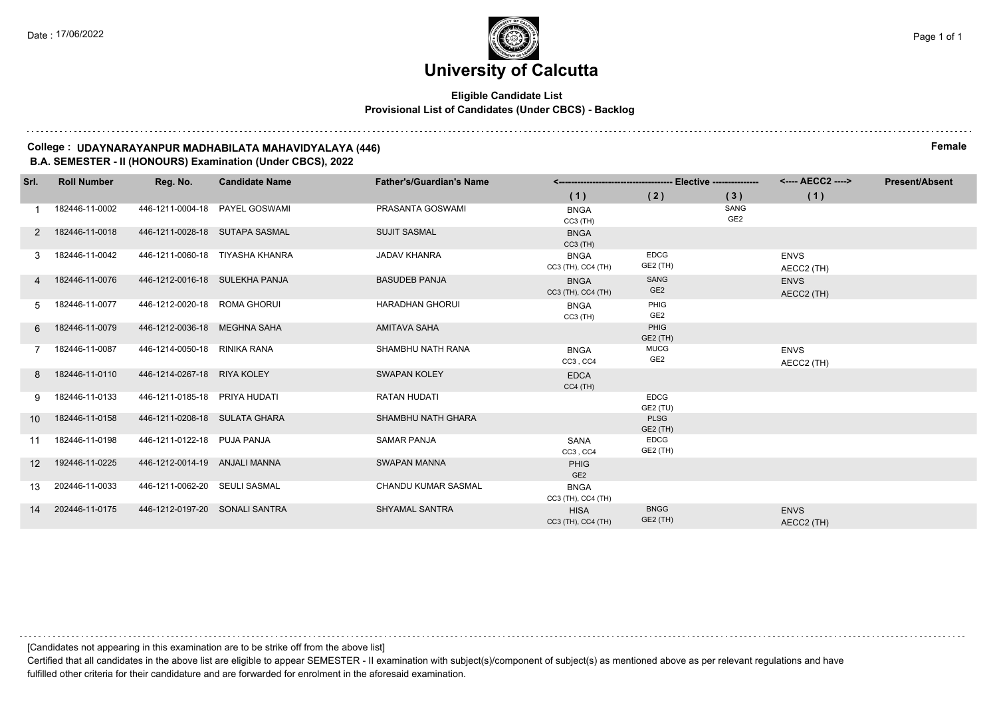#### **Eligible Candidate List Provisional List of Candidates (Under CBCS) - Backlog**

**College : UDAYNARAYANPUR MADHABILATA MAHAVIDYALAYA (446) Female B.A. SEMESTER - II (HONOURS) Examination (Under CBCS), 2022**

| Srl.            | <b>Roll Number</b> | Reg. No.                       | <b>Candidate Name</b>           | <b>Father's/Guardian's Name</b> |                                   |                                |                         | <---- AECC2 ---->         | <b>Present/Absent</b> |
|-----------------|--------------------|--------------------------------|---------------------------------|---------------------------------|-----------------------------------|--------------------------------|-------------------------|---------------------------|-----------------------|
|                 |                    |                                |                                 |                                 | (1)                               | (2)                            | (3)                     | (1)                       |                       |
|                 | 182446-11-0002     |                                | 446-1211-0004-18 PAYEL GOSWAMI  | PRASANTA GOSWAMI                | <b>BNGA</b><br>$CC3$ (TH)         |                                | SANG<br>GE <sub>2</sub> |                           |                       |
|                 | 182446-11-0018     | 446-1211-0028-18 SUTAPA SASMAL |                                 | <b>SUJIT SASMAL</b>             | <b>BNGA</b><br>$CC3$ (TH)         |                                |                         |                           |                       |
|                 | 182446-11-0042     |                                | 446-1211-0060-18 TIYASHA KHANRA | <b>JADAV KHANRA</b>             | <b>BNGA</b><br>CC3 (TH), CC4 (TH) | <b>EDCG</b><br>GE2 (TH)        |                         | <b>ENVS</b><br>AECC2 (TH) |                       |
|                 | 182446-11-0076     | 446-1212-0016-18 SULEKHA PANJA |                                 | <b>BASUDEB PANJA</b>            | <b>BNGA</b><br>CC3 (TH), CC4 (TH) | SANG<br>GE <sub>2</sub>        |                         | <b>ENVS</b><br>AECC2 (TH) |                       |
| 5               | 182446-11-0077     | 446-1212-0020-18 ROMA GHORUI   |                                 | <b>HARADHAN GHORUI</b>          | <b>BNGA</b><br>$CC3$ (TH)         | PHIG<br>GE2                    |                         |                           |                       |
| 6               | 182446-11-0079     | 446-1212-0036-18 MEGHNA SAHA   |                                 | AMITAVA SAHA                    |                                   | PHIG<br>GE2 (TH)               |                         |                           |                       |
|                 | 182446-11-0087     | 446-1214-0050-18 RINIKA RANA   |                                 | SHAMBHU NATH RANA               | <b>BNGA</b><br>CC3, CC4           | <b>MUCG</b><br>GE <sub>2</sub> |                         | <b>ENVS</b><br>AECC2 (TH) |                       |
| 8               | 182446-11-0110     | 446-1214-0267-18 RIYA KOLEY    |                                 | <b>SWAPAN KOLEY</b>             | <b>EDCA</b><br>$CC4$ (TH)         |                                |                         |                           |                       |
| 9               | 182446-11-0133     | 446-1211-0185-18 PRIYA HUDATI  |                                 | <b>RATAN HUDATI</b>             |                                   | <b>EDCG</b><br>GE2 (TU)        |                         |                           |                       |
| 10 <sup>°</sup> | 182446-11-0158     | 446-1211-0208-18 SULATA GHARA  |                                 | <b>SHAMBHU NATH GHARA</b>       |                                   | <b>PLSG</b><br>GE2 (TH)        |                         |                           |                       |
| 11              | 182446-11-0198     | 446-1211-0122-18 PUJA PANJA    |                                 | <b>SAMAR PANJA</b>              | <b>SANA</b><br>CC3, CC4           | <b>EDCG</b><br>GE2 (TH)        |                         |                           |                       |
| 12 <sup>°</sup> | 192446-11-0225     | 446-1212-0014-19 ANJALI MANNA  |                                 | SWAPAN MANNA                    | <b>PHIG</b><br>GE <sub>2</sub>    |                                |                         |                           |                       |
| 13              | 202446-11-0033     | 446-1211-0062-20 SEULI SASMAL  |                                 | <b>CHANDU KUMAR SASMAL</b>      | <b>BNGA</b><br>CC3 (TH), CC4 (TH) |                                |                         |                           |                       |
| 14              | 202446-11-0175     | 446-1212-0197-20 SONALI SANTRA |                                 | <b>SHYAMAL SANTRA</b>           | <b>HISA</b><br>CC3 (TH), CC4 (TH) | <b>BNGG</b><br>GE2 (TH)        |                         | <b>ENVS</b><br>AECC2 (TH) |                       |

[Candidates not appearing in this examination are to be strike off from the above list]

Certified that all candidates in the above list are eligible to appear SEMESTER - II examination with subject(s)/component of subject(s) as mentioned above as per relevant regulations and have fulfilled other criteria for their candidature and are forwarded for enrolment in the aforesaid examination.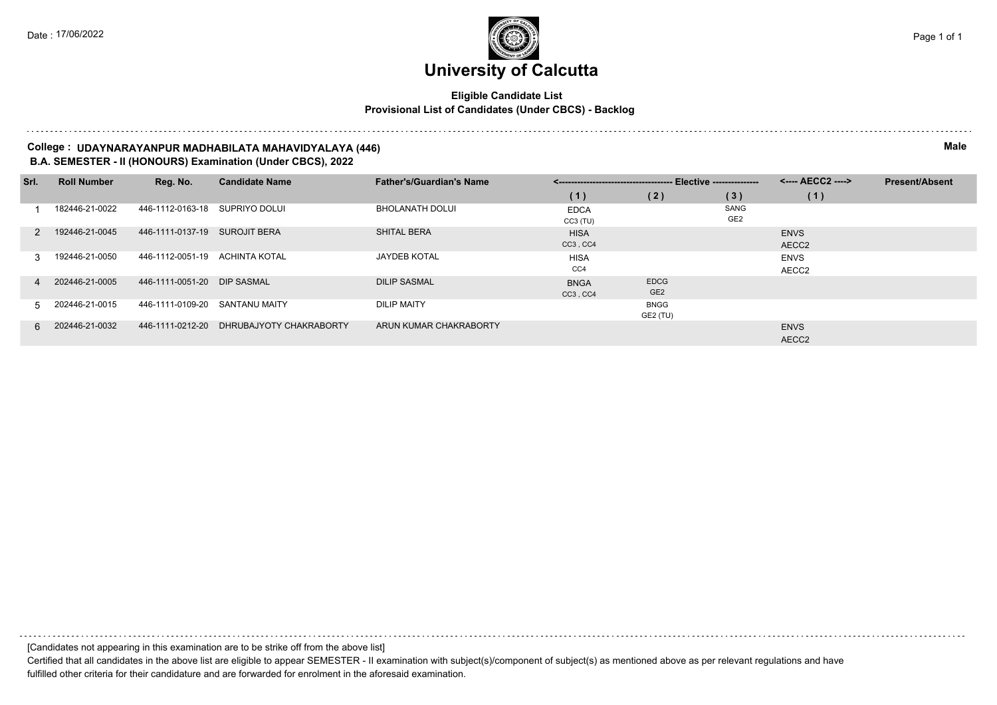### **Eligible Candidate List Provisional List of Candidates (Under CBCS) - Backlog**

**College : UDAYNARAYANPUR MADHABILATA MAHAVIDYALAYA (446) Male B.A. SEMESTER - II (HONOURS) Examination (Under CBCS), 2022**

| Srl.          | <b>Roll Number</b> | Reg. No.                    | <b>Candidate Name</b>   | <b>Father's/Guardian's Name</b> |                           |                                |                         | <---- AECC2 ---->    | <b>Present/Absent</b> |
|---------------|--------------------|-----------------------------|-------------------------|---------------------------------|---------------------------|--------------------------------|-------------------------|----------------------|-----------------------|
|               |                    |                             |                         |                                 | (1)                       | (2)                            | (3)                     | (1)                  |                       |
|               | 182446-21-0022     | 446-1112-0163-18            | SUPRIYO DOLUI           | <b>BHOLANATH DOLUI</b>          | <b>EDCA</b><br>$CC3$ (TU) |                                | SANG<br>GE <sub>2</sub> |                      |                       |
| $\mathcal{P}$ | 192446-21-0045     | 446-1111-0137-19            | <b>SUROJIT BERA</b>     | <b>SHITAL BERA</b>              | <b>HISA</b><br>CC3, CC4   |                                |                         | <b>ENVS</b><br>AECC2 |                       |
| 3             | 192446-21-0050     | 446-1112-0051-19            | ACHINTA KOTAL           | <b>JAYDEB KOTAL</b>             | <b>HISA</b><br>CC4        |                                |                         | <b>ENVS</b><br>AECC2 |                       |
| 4             | 202446-21-0005     | 446-1111-0051-20 DIP SASMAL |                         | <b>DILIP SASMAL</b>             | <b>BNGA</b><br>CC3, CC4   | <b>EDCG</b><br>GE <sub>2</sub> |                         |                      |                       |
| 5             | 202446-21-0015     | 446-1111-0109-20            | SANTANU MAITY           | <b>DILIP MAITY</b>              |                           | <b>BNGG</b><br>GE2 (TU)        |                         |                      |                       |
| 6.            | 202446-21-0032     | 446-1111-0212-20            | DHRUBAJYOTY CHAKRABORTY | ARUN KUMAR CHAKRABORTY          |                           |                                |                         | <b>ENVS</b><br>AECC2 |                       |

[Candidates not appearing in this examination are to be strike off from the above list]

Certified that all candidates in the above list are eligible to appear SEMESTER - II examination with subject(s)/component of subject(s) as mentioned above as per relevant regulations and have fulfilled other criteria for their candidature and are forwarded for enrolment in the aforesaid examination.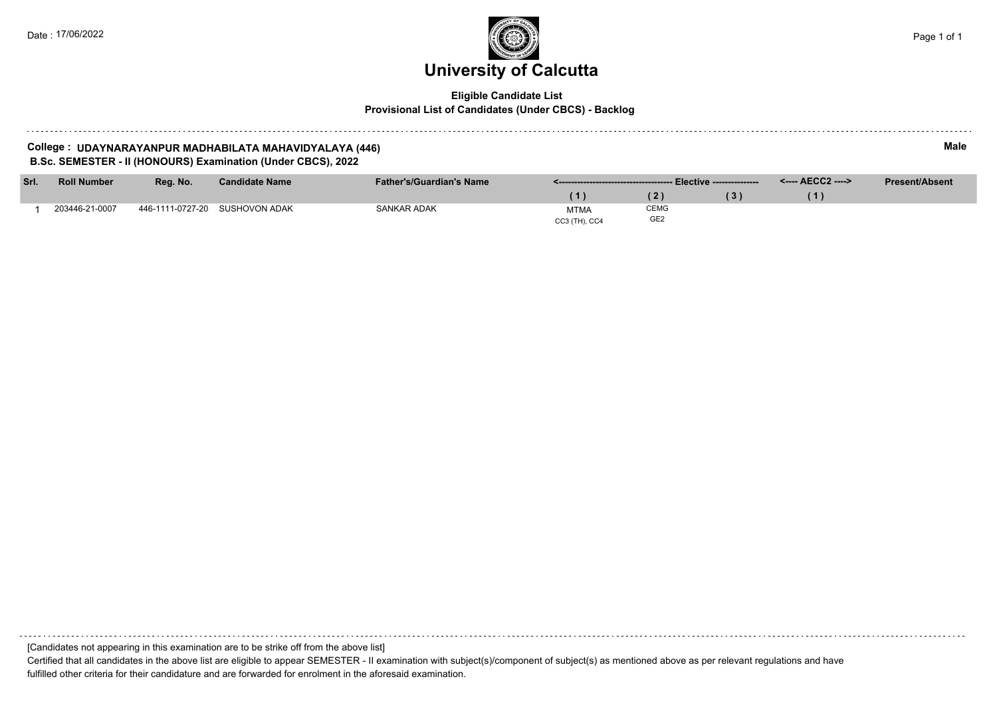#### **Eligible Candidate List Provisional List of Candidates (Under CBCS) - Backlog**

#### **College : UDAYNARAYANPUR MADHABILATA MAHAVIDYALAYA (446) Male B.Sc. SEMESTER - II (HONOURS) Examination (Under CBCS), 2022**

**Srl. Roll Number Reg. No. Candidate Name Father's/Guardian's Name <------------------------------------- Elective --------------- <---- AECC2 ----> ( 1 ) ( 2 ) ( 3 ) ( 1 ) Present/Absent** 1 203446-21-0007 446-1111-0727-20 SUSHOVON ADAK SANKAR ADAK SANKAR ADAK CC3 (TH), CC4 CEMG GE2

[Candidates not appearing in this examination are to be strike off from the above list] Certified that all candidates in the above list are eligible to appear SEMESTER - II examination with subject(s)/component of subject(s) as mentioned above as per relevant regulations and have

fulfilled other criteria for their candidature and are forwarded for enrolment in the aforesaid examination.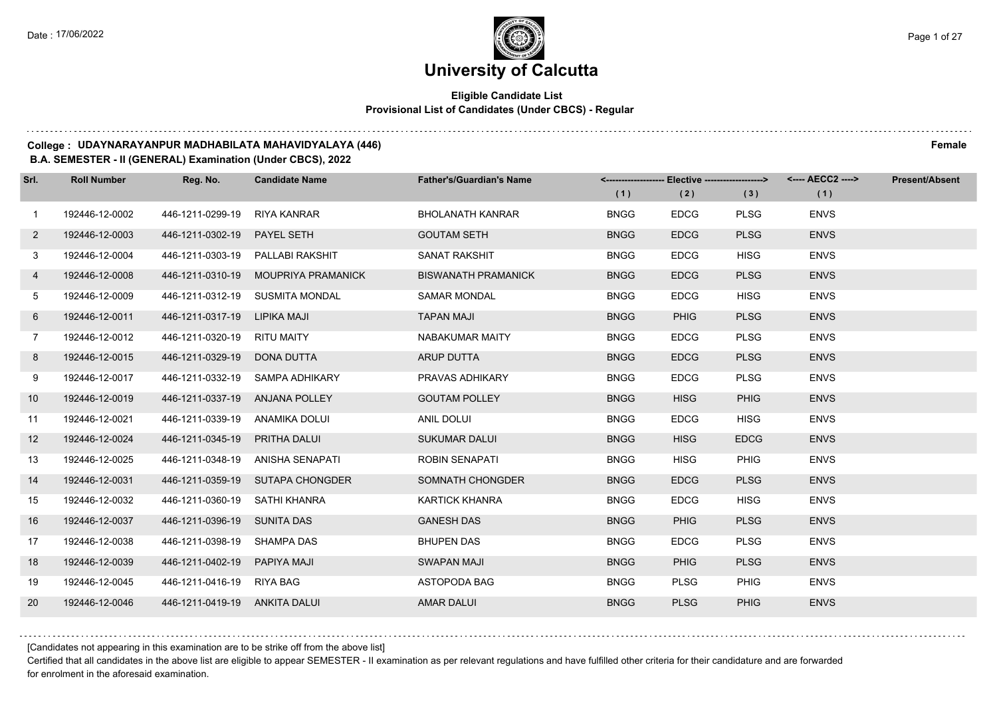### **Eligible Candidate List Provisional List of Candidates (Under CBCS) - Regular**

#### **College : UDAYNARAYANPUR MADHABILATA MAHAVIDYALAYA (446) Female**

#### **B.A. SEMESTER - II (GENERAL) Examination (Under CBCS), 2022**

| Srl.            | <b>Roll Number</b> | Reg. No.                       | <b>Candidate Name</b>               | <b>Father's/Guardian's Name</b> |             | <------------------- Elective -------------------> |             | <---- AECC2 ----> | <b>Present/Absent</b> |
|-----------------|--------------------|--------------------------------|-------------------------------------|---------------------------------|-------------|----------------------------------------------------|-------------|-------------------|-----------------------|
|                 |                    |                                |                                     |                                 | (1)         | (2)                                                | (3)         | (1)               |                       |
| $\mathbf{1}$    | 192446-12-0002     | 446-1211-0299-19 RIYA KANRAR   |                                     | <b>BHOLANATH KANRAR</b>         | <b>BNGG</b> | <b>EDCG</b>                                        | <b>PLSG</b> | <b>ENVS</b>       |                       |
| $\overline{2}$  | 192446-12-0003     | 446-1211-0302-19 PAYEL SETH    |                                     | <b>GOUTAM SETH</b>              | <b>BNGG</b> | <b>EDCG</b>                                        | <b>PLSG</b> | <b>ENVS</b>       |                       |
| 3               | 192446-12-0004     |                                | 446-1211-0303-19 PALLABI RAKSHIT    | <b>SANAT RAKSHIT</b>            | <b>BNGG</b> | <b>EDCG</b>                                        | <b>HISG</b> | <b>ENVS</b>       |                       |
| $\overline{4}$  | 192446-12-0008     |                                | 446-1211-0310-19 MOUPRIYA PRAMANICK | <b>BISWANATH PRAMANICK</b>      | <b>BNGG</b> | <b>EDCG</b>                                        | <b>PLSG</b> | <b>ENVS</b>       |                       |
| 5               | 192446-12-0009     |                                | 446-1211-0312-19 SUSMITA MONDAL     | <b>SAMAR MONDAL</b>             | <b>BNGG</b> | <b>EDCG</b>                                        | <b>HISG</b> | <b>ENVS</b>       |                       |
| 6               | 192446-12-0011     | 446-1211-0317-19 LIPIKA MAJI   |                                     | <b>TAPAN MAJI</b>               | <b>BNGG</b> | <b>PHIG</b>                                        | <b>PLSG</b> | <b>ENVS</b>       |                       |
| $7^{\circ}$     | 192446-12-0012     | 446-1211-0320-19 RITU MAITY    |                                     | NABAKUMAR MAITY                 | <b>BNGG</b> | <b>EDCG</b>                                        | <b>PLSG</b> | <b>ENVS</b>       |                       |
| 8               | 192446-12-0015     | 446-1211-0329-19 DONA DUTTA    |                                     | <b>ARUP DUTTA</b>               | <b>BNGG</b> | <b>EDCG</b>                                        | <b>PLSG</b> | <b>ENVS</b>       |                       |
| 9               | 192446-12-0017     |                                | 446-1211-0332-19 SAMPA ADHIKARY     | PRAVAS ADHIKARY                 | <b>BNGG</b> | <b>EDCG</b>                                        | <b>PLSG</b> | <b>ENVS</b>       |                       |
| 10 <sup>°</sup> | 192446-12-0019     | 446-1211-0337-19 ANJANA POLLEY |                                     | <b>GOUTAM POLLEY</b>            | <b>BNGG</b> | <b>HISG</b>                                        | <b>PHIG</b> | <b>ENVS</b>       |                       |
| 11              | 192446-12-0021     | 446-1211-0339-19 ANAMIKA DOLUI |                                     | ANIL DOLUI                      | <b>BNGG</b> | <b>EDCG</b>                                        | <b>HISG</b> | <b>ENVS</b>       |                       |
| 12              | 192446-12-0024     | 446-1211-0345-19 PRITHA DALUI  |                                     | <b>SUKUMAR DALUI</b>            | <b>BNGG</b> | <b>HISG</b>                                        | <b>EDCG</b> | <b>ENVS</b>       |                       |
| 13              | 192446-12-0025     |                                | 446-1211-0348-19 ANISHA SENAPATI    | <b>ROBIN SENAPATI</b>           | <b>BNGG</b> | <b>HISG</b>                                        | PHIG        | <b>ENVS</b>       |                       |
| 14              | 192446-12-0031     |                                | 446-1211-0359-19 SUTAPA CHONGDER    | SOMNATH CHONGDER                | <b>BNGG</b> | <b>EDCG</b>                                        | <b>PLSG</b> | <b>ENVS</b>       |                       |
| 15              | 192446-12-0032     | 446-1211-0360-19 SATHI KHANRA  |                                     | <b>KARTICK KHANRA</b>           | <b>BNGG</b> | <b>EDCG</b>                                        | <b>HISG</b> | <b>ENVS</b>       |                       |
| 16              | 192446-12-0037     | 446-1211-0396-19 SUNITA DAS    |                                     | <b>GANESH DAS</b>               | <b>BNGG</b> | <b>PHIG</b>                                        | <b>PLSG</b> | <b>ENVS</b>       |                       |
| 17              | 192446-12-0038     | 446-1211-0398-19 SHAMPA DAS    |                                     | <b>BHUPEN DAS</b>               | <b>BNGG</b> | <b>EDCG</b>                                        | <b>PLSG</b> | <b>ENVS</b>       |                       |
| 18              | 192446-12-0039     | 446-1211-0402-19 PAPIYA MAJI   |                                     | <b>SWAPAN MAJI</b>              | <b>BNGG</b> | <b>PHIG</b>                                        | <b>PLSG</b> | <b>ENVS</b>       |                       |
| 19              | 192446-12-0045     | 446-1211-0416-19 RIYA BAG      |                                     | ASTOPODA BAG                    | <b>BNGG</b> | <b>PLSG</b>                                        | PHIG        | <b>ENVS</b>       |                       |
| 20              | 192446-12-0046     | 446-1211-0419-19 ANKITA DALUI  |                                     | <b>AMAR DALUI</b>               | <b>BNGG</b> | <b>PLSG</b>                                        | <b>PHIG</b> | <b>ENVS</b>       |                       |

[Candidates not appearing in this examination are to be strike off from the above list]

Certified that all candidates in the above list are eligible to appear SEMESTER - II examination as per relevant regulations and have fulfilled other criteria for their candidature and are forwarded for enrolment in the aforesaid examination.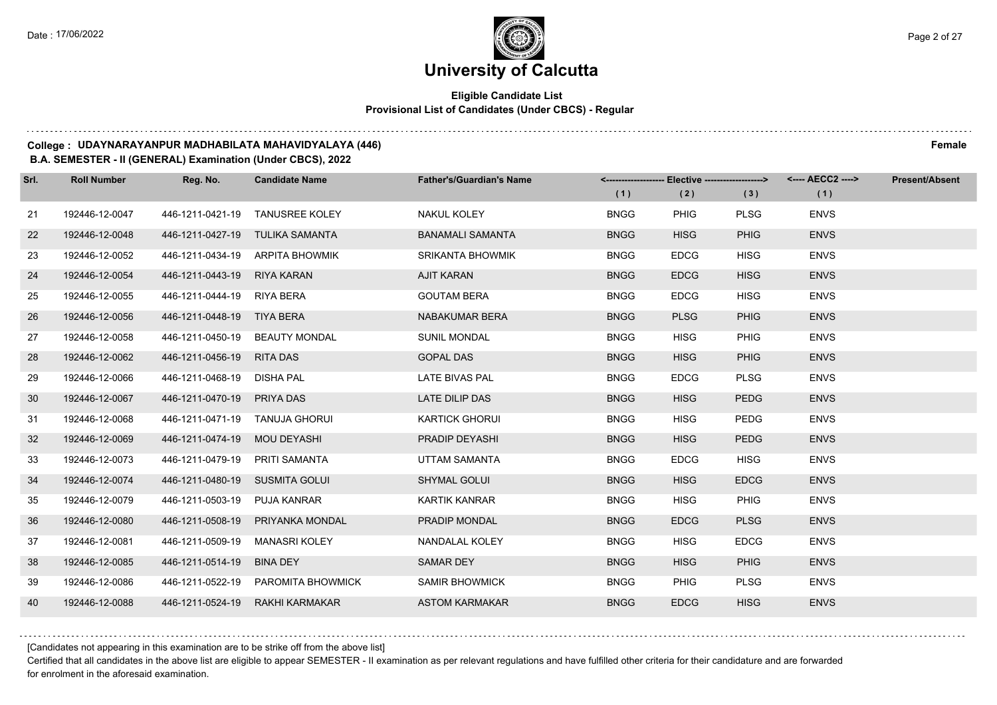### **Eligible Candidate List Provisional List of Candidates (Under CBCS) - Regular**

#### **College : UDAYNARAYANPUR MADHABILATA MAHAVIDYALAYA (446) Female**

#### **B.A. SEMESTER - II (GENERAL) Examination (Under CBCS), 2022**

| Srl. | <b>Roll Number</b> | Reg. No.                       | <b>Candidate Name</b>              | <b>Father's/Guardian's Name</b> |             | <------------------- Elective ------------------> |             | <---- AECC2 ----> | <b>Present/Absent</b> |
|------|--------------------|--------------------------------|------------------------------------|---------------------------------|-------------|---------------------------------------------------|-------------|-------------------|-----------------------|
|      |                    |                                |                                    |                                 | (1)         | (2)                                               | (3)         | (1)               |                       |
| 21   | 192446-12-0047     |                                | 446-1211-0421-19 TANUSREE KOLEY    | <b>NAKUL KOLEY</b>              | <b>BNGG</b> | <b>PHIG</b>                                       | <b>PLSG</b> | <b>ENVS</b>       |                       |
| 22   | 192446-12-0048     |                                | 446-1211-0427-19 TULIKA SAMANTA    | <b>BANAMALI SAMANTA</b>         | <b>BNGG</b> | <b>HISG</b>                                       | <b>PHIG</b> | <b>ENVS</b>       |                       |
| 23   | 192446-12-0052     |                                | 446-1211-0434-19 ARPITA BHOWMIK    | <b>SRIKANTA BHOWMIK</b>         | <b>BNGG</b> | <b>EDCG</b>                                       | <b>HISG</b> | <b>ENVS</b>       |                       |
| 24   | 192446-12-0054     | 446-1211-0443-19 RIYA KARAN    |                                    | <b>AJIT KARAN</b>               | <b>BNGG</b> | <b>EDCG</b>                                       | <b>HISG</b> | <b>ENVS</b>       |                       |
| 25   | 192446-12-0055     | 446-1211-0444-19 RIYA BERA     |                                    | <b>GOUTAM BERA</b>              | <b>BNGG</b> | <b>EDCG</b>                                       | <b>HISG</b> | <b>ENVS</b>       |                       |
| 26   | 192446-12-0056     | 446-1211-0448-19 TIYA BERA     |                                    | NABAKUMAR BERA                  | <b>BNGG</b> | <b>PLSG</b>                                       | <b>PHIG</b> | <b>ENVS</b>       |                       |
| 27   | 192446-12-0058     |                                | 446-1211-0450-19 BEAUTY MONDAL     | <b>SUNIL MONDAL</b>             | <b>BNGG</b> | <b>HISG</b>                                       | <b>PHIG</b> | <b>ENVS</b>       |                       |
| 28   | 192446-12-0062     | 446-1211-0456-19 RITA DAS      |                                    | <b>GOPAL DAS</b>                | <b>BNGG</b> | <b>HISG</b>                                       | <b>PHIG</b> | <b>ENVS</b>       |                       |
| 29   | 192446-12-0066     | 446-1211-0468-19 DISHA PAL     |                                    | <b>LATE BIVAS PAL</b>           | <b>BNGG</b> | <b>EDCG</b>                                       | <b>PLSG</b> | <b>ENVS</b>       |                       |
| 30   | 192446-12-0067     | 446-1211-0470-19               | PRIYA DAS                          | LATE DILIP DAS                  | <b>BNGG</b> | <b>HISG</b>                                       | <b>PEDG</b> | <b>ENVS</b>       |                       |
| 31   | 192446-12-0068     | 446-1211-0471-19 TANUJA GHORUI |                                    | <b>KARTICK GHORUI</b>           | <b>BNGG</b> | <b>HISG</b>                                       | <b>PEDG</b> | <b>ENVS</b>       |                       |
| 32   | 192446-12-0069     | 446-1211-0474-19 MOU DEYASHI   |                                    | PRADIP DEYASHI                  | <b>BNGG</b> | <b>HISG</b>                                       | <b>PEDG</b> | <b>ENVS</b>       |                       |
| 33   | 192446-12-0073     | 446-1211-0479-19 PRITI SAMANTA |                                    | UTTAM SAMANTA                   | <b>BNGG</b> | <b>EDCG</b>                                       | <b>HISG</b> | <b>ENVS</b>       |                       |
| 34   | 192446-12-0074     | 446-1211-0480-19 SUSMITA GOLUI |                                    | <b>SHYMAL GOLUI</b>             | <b>BNGG</b> | <b>HISG</b>                                       | <b>EDCG</b> | <b>ENVS</b>       |                       |
| 35   | 192446-12-0079     | 446-1211-0503-19 PUJA KANRAR   |                                    | <b>KARTIK KANRAR</b>            | <b>BNGG</b> | <b>HISG</b>                                       | <b>PHIG</b> | <b>ENVS</b>       |                       |
| 36   | 192446-12-0080     |                                | 446-1211-0508-19 PRIYANKA MONDAL   | PRADIP MONDAL                   | <b>BNGG</b> | <b>EDCG</b>                                       | <b>PLSG</b> | <b>ENVS</b>       |                       |
| 37   | 192446-12-0081     | 446-1211-0509-19 MANASRI KOLEY |                                    | NANDALAL KOLEY                  | <b>BNGG</b> | <b>HISG</b>                                       | <b>EDCG</b> | <b>ENVS</b>       |                       |
| 38   | 192446-12-0085     | 446-1211-0514-19               | BINA DEY                           | <b>SAMAR DEY</b>                | <b>BNGG</b> | <b>HISG</b>                                       | <b>PHIG</b> | <b>ENVS</b>       |                       |
| 39   | 192446-12-0086     |                                | 446-1211-0522-19 PAROMITA BHOWMICK | <b>SAMIR BHOWMICK</b>           | <b>BNGG</b> | <b>PHIG</b>                                       | <b>PLSG</b> | <b>ENVS</b>       |                       |
| 40   | 192446-12-0088     |                                | 446-1211-0524-19 RAKHI KARMAKAR    | <b>ASTOM KARMAKAR</b>           | <b>BNGG</b> | <b>EDCG</b>                                       | <b>HISG</b> | <b>ENVS</b>       |                       |

[Candidates not appearing in this examination are to be strike off from the above list]

Certified that all candidates in the above list are eligible to appear SEMESTER - II examination as per relevant regulations and have fulfilled other criteria for their candidature and are forwarded for enrolment in the aforesaid examination.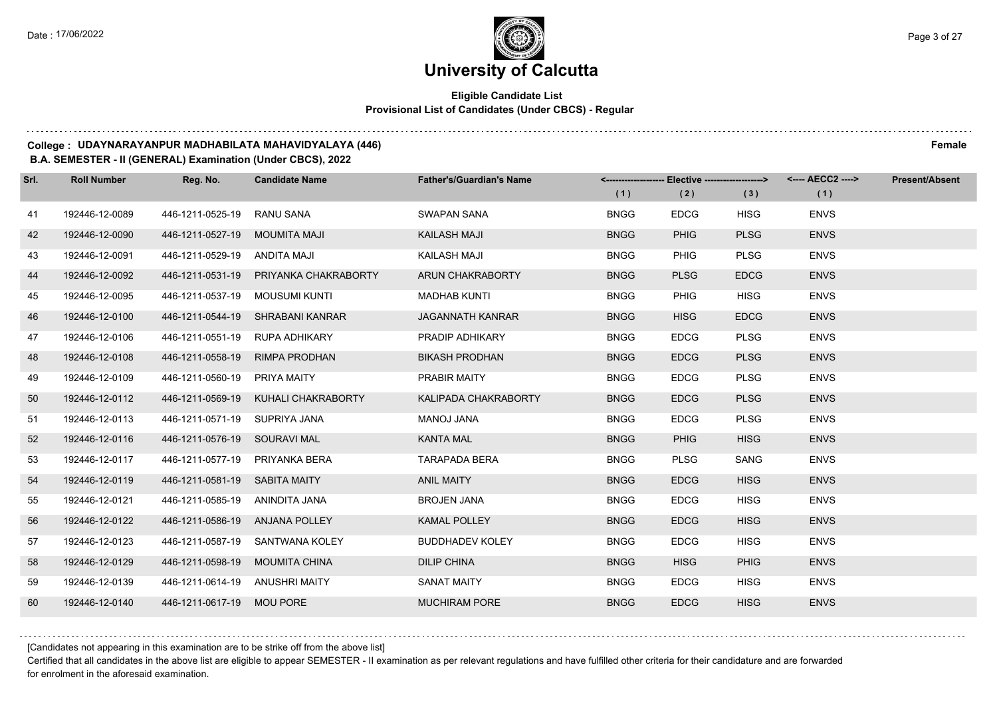### **Eligible Candidate List Provisional List of Candidates (Under CBCS) - Regular**

#### **College : UDAYNARAYANPUR MADHABILATA MAHAVIDYALAYA (446) Female**

#### **B.A. SEMESTER - II (GENERAL) Examination (Under CBCS), 2022**

| Srl. | <b>Roll Number</b> | Reg. No.                       | <b>Candidate Name</b>                 | <b>Father's/Guardian's Name</b> |             | <------------------- Elective -------------------> |             | <---- AECC2 ----> | <b>Present/Absent</b> |
|------|--------------------|--------------------------------|---------------------------------------|---------------------------------|-------------|----------------------------------------------------|-------------|-------------------|-----------------------|
|      |                    |                                |                                       |                                 | (1)         | (2)                                                | (3)         | (1)               |                       |
| 41   | 192446-12-0089     | 446-1211-0525-19               | RANU SANA                             | SWAPAN SANA                     | <b>BNGG</b> | <b>EDCG</b>                                        | <b>HISG</b> | <b>ENVS</b>       |                       |
| 42   | 192446-12-0090     | 446-1211-0527-19               | MOUMITA MAJI                          | <b>KAILASH MAJI</b>             | <b>BNGG</b> | <b>PHIG</b>                                        | <b>PLSG</b> | <b>ENVS</b>       |                       |
| 43   | 192446-12-0091     | 446-1211-0529-19 ANDITA MAJI   |                                       | KAILASH MAJI                    | <b>BNGG</b> | PHIG                                               | <b>PLSG</b> | <b>ENVS</b>       |                       |
| 44   | 192446-12-0092     |                                | 446-1211-0531-19 PRIYANKA CHAKRABORTY | ARUN CHAKRABORTY                | <b>BNGG</b> | <b>PLSG</b>                                        | <b>EDCG</b> | <b>ENVS</b>       |                       |
| 45   | 192446-12-0095     | 446-1211-0537-19               | MOUSUMI KUNTI                         | <b>MADHAB KUNTI</b>             | <b>BNGG</b> | <b>PHIG</b>                                        | <b>HISG</b> | <b>ENVS</b>       |                       |
| 46   | 192446-12-0100     | 446-1211-0544-19               | SHRABANI KANRAR                       | <b>JAGANNATH KANRAR</b>         | <b>BNGG</b> | <b>HISG</b>                                        | <b>EDCG</b> | <b>ENVS</b>       |                       |
| 47   | 192446-12-0106     | 446-1211-0551-19 RUPA ADHIKARY |                                       | PRADIP ADHIKARY                 | <b>BNGG</b> | <b>EDCG</b>                                        | <b>PLSG</b> | <b>ENVS</b>       |                       |
| 48   | 192446-12-0108     | 446-1211-0558-19               | <b>RIMPA PRODHAN</b>                  | <b>BIKASH PRODHAN</b>           | <b>BNGG</b> | <b>EDCG</b>                                        | <b>PLSG</b> | <b>ENVS</b>       |                       |
| 49   | 192446-12-0109     | 446-1211-0560-19               | PRIYA MAITY                           | PRABIR MAITY                    | <b>BNGG</b> | <b>EDCG</b>                                        | <b>PLSG</b> | <b>ENVS</b>       |                       |
| 50   | 192446-12-0112     | 446-1211-0569-19               | KUHALI CHAKRABORTY                    | <b>KALIPADA CHAKRABORTY</b>     | <b>BNGG</b> | <b>EDCG</b>                                        | <b>PLSG</b> | <b>ENVS</b>       |                       |
| 51   | 192446-12-0113     | 446-1211-0571-19 SUPRIYA JANA  |                                       | MANOJ JANA                      | <b>BNGG</b> | <b>EDCG</b>                                        | <b>PLSG</b> | <b>ENVS</b>       |                       |
| 52   | 192446-12-0116     | 446-1211-0576-19 SOURAVI MAL   |                                       | <b>KANTA MAL</b>                | <b>BNGG</b> | <b>PHIG</b>                                        | <b>HISG</b> | <b>ENVS</b>       |                       |
| 53   | 192446-12-0117     | 446-1211-0577-19 PRIYANKA BERA |                                       | <b>TARAPADA BERA</b>            | <b>BNGG</b> | <b>PLSG</b>                                        | SANG        | <b>ENVS</b>       |                       |
| 54   | 192446-12-0119     | 446-1211-0581-19 SABITA MAITY  |                                       | <b>ANIL MAITY</b>               | <b>BNGG</b> | <b>EDCG</b>                                        | <b>HISG</b> | <b>ENVS</b>       |                       |
| 55   | 192446-12-0121     | 446-1211-0585-19 ANINDITA JANA |                                       | <b>BROJEN JANA</b>              | <b>BNGG</b> | <b>EDCG</b>                                        | <b>HISG</b> | <b>ENVS</b>       |                       |
| 56   | 192446-12-0122     | 446-1211-0586-19 ANJANA POLLEY |                                       | <b>KAMAL POLLEY</b>             | <b>BNGG</b> | <b>EDCG</b>                                        | <b>HISG</b> | <b>ENVS</b>       |                       |
| 57   | 192446-12-0123     |                                | 446-1211-0587-19 SANTWANA KOLEY       | <b>BUDDHADEV KOLEY</b>          | <b>BNGG</b> | <b>EDCG</b>                                        | <b>HISG</b> | <b>ENVS</b>       |                       |
| 58   | 192446-12-0129     | 446-1211-0598-19 MOUMITA CHINA |                                       | <b>DILIP CHINA</b>              | <b>BNGG</b> | <b>HISG</b>                                        | <b>PHIG</b> | <b>ENVS</b>       |                       |
| 59   | 192446-12-0139     | 446-1211-0614-19 ANUSHRI MAITY |                                       | <b>SANAT MAITY</b>              | <b>BNGG</b> | <b>EDCG</b>                                        | <b>HISG</b> | <b>ENVS</b>       |                       |
| 60   | 192446-12-0140     | 446-1211-0617-19 MOU PORE      |                                       | <b>MUCHIRAM PORE</b>            | <b>BNGG</b> | <b>EDCG</b>                                        | <b>HISG</b> | <b>ENVS</b>       |                       |

[Candidates not appearing in this examination are to be strike off from the above list]

Certified that all candidates in the above list are eligible to appear SEMESTER - II examination as per relevant regulations and have fulfilled other criteria for their candidature and are forwarded for enrolment in the aforesaid examination.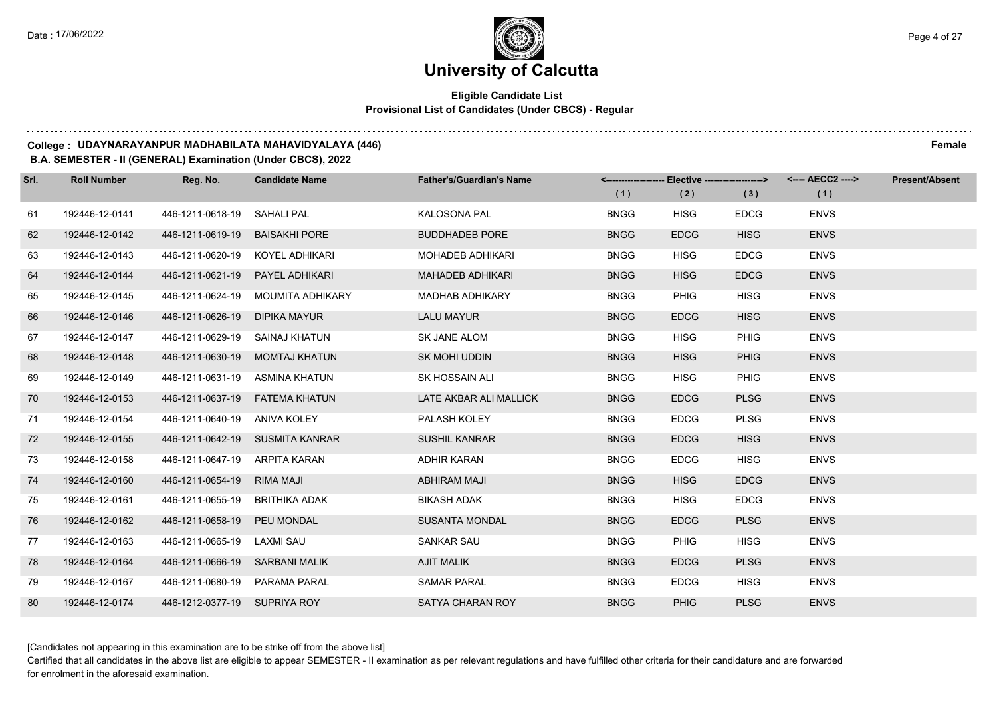### **Eligible Candidate List Provisional List of Candidates (Under CBCS) - Regular**

#### **College : UDAYNARAYANPUR MADHABILATA MAHAVIDYALAYA (446) Female**

#### **B.A. SEMESTER - II (GENERAL) Examination (Under CBCS), 2022**

| Srl. | <b>Roll Number</b> | Reg. No.                        | <b>Candidate Name</b>           | <b>Father's/Guardian's Name</b> |             | <-------------------- Elective -------------------> |             | <---- AECC2 ----> | <b>Present/Absent</b> |
|------|--------------------|---------------------------------|---------------------------------|---------------------------------|-------------|-----------------------------------------------------|-------------|-------------------|-----------------------|
|      |                    |                                 |                                 |                                 | (1)         | (2)                                                 | (3)         | (1)               |                       |
| 61   | 192446-12-0141     | 446-1211-0618-19                | SAHALI PAL                      | KALOSONA PAL                    | <b>BNGG</b> | <b>HISG</b>                                         | <b>EDCG</b> | <b>ENVS</b>       |                       |
| 62   | 192446-12-0142     | 446-1211-0619-19                | <b>BAISAKHI PORE</b>            | <b>BUDDHADEB PORE</b>           | <b>BNGG</b> | <b>EDCG</b>                                         | <b>HISG</b> | <b>ENVS</b>       |                       |
| 63   | 192446-12-0143     | 446-1211-0620-19 KOYEL ADHIKARI |                                 | MOHADEB ADHIKARI                | <b>BNGG</b> | <b>HISG</b>                                         | <b>EDCG</b> | <b>ENVS</b>       |                       |
| 64   | 192446-12-0144     | 446-1211-0621-19                | PAYEL ADHIKARI                  | <b>MAHADEB ADHIKARI</b>         | <b>BNGG</b> | <b>HISG</b>                                         | <b>EDCG</b> | <b>ENVS</b>       |                       |
| 65   | 192446-12-0145     | 446-1211-0624-19                | MOUMITA ADHIKARY                | <b>MADHAB ADHIKARY</b>          | <b>BNGG</b> | <b>PHIG</b>                                         | <b>HISG</b> | <b>ENVS</b>       |                       |
| 66   | 192446-12-0146     | 446-1211-0626-19                | <b>DIPIKA MAYUR</b>             | <b>LALU MAYUR</b>               | <b>BNGG</b> | <b>EDCG</b>                                         | <b>HISG</b> | <b>ENVS</b>       |                       |
| 67   | 192446-12-0147     | 446-1211-0629-19                | SAINAJ KHATUN                   | SK JANE ALOM                    | <b>BNGG</b> | <b>HISG</b>                                         | PHIG        | <b>ENVS</b>       |                       |
| 68   | 192446-12-0148     | 446-1211-0630-19                | <b>MOMTAJ KHATUN</b>            | <b>SK MOHI UDDIN</b>            | <b>BNGG</b> | <b>HISG</b>                                         | <b>PHIG</b> | <b>ENVS</b>       |                       |
| 69   | 192446-12-0149     | 446-1211-0631-19                | ASMINA KHATUN                   | SK HOSSAIN ALI                  | <b>BNGG</b> | <b>HISG</b>                                         | <b>PHIG</b> | <b>ENVS</b>       |                       |
| 70   | 192446-12-0153     | 446-1211-0637-19                | <b>FATEMA KHATUN</b>            | LATE AKBAR ALI MALLICK          | <b>BNGG</b> | <b>EDCG</b>                                         | <b>PLSG</b> | <b>ENVS</b>       |                       |
| 71   | 192446-12-0154     | 446-1211-0640-19 ANIVA KOLEY    |                                 | PALASH KOLEY                    | <b>BNGG</b> | <b>EDCG</b>                                         | <b>PLSG</b> | <b>ENVS</b>       |                       |
| 72   | 192446-12-0155     |                                 | 446-1211-0642-19 SUSMITA KANRAR | <b>SUSHIL KANRAR</b>            | <b>BNGG</b> | <b>EDCG</b>                                         | <b>HISG</b> | <b>ENVS</b>       |                       |
| 73   | 192446-12-0158     | 446-1211-0647-19 ARPITA KARAN   |                                 | <b>ADHIR KARAN</b>              | <b>BNGG</b> | <b>EDCG</b>                                         | <b>HISG</b> | <b>ENVS</b>       |                       |
| 74   | 192446-12-0160     | 446-1211-0654-19                | <b>RIMA MAJI</b>                | <b>ABHIRAM MAJI</b>             | <b>BNGG</b> | <b>HISG</b>                                         | <b>EDCG</b> | <b>ENVS</b>       |                       |
| 75   | 192446-12-0161     | 446-1211-0655-19                | BRITHIKA ADAK                   | <b>BIKASH ADAK</b>              | <b>BNGG</b> | <b>HISG</b>                                         | <b>EDCG</b> | <b>ENVS</b>       |                       |
| 76   | 192446-12-0162     | 446-1211-0658-19                | PEU MONDAL                      | <b>SUSANTA MONDAL</b>           | <b>BNGG</b> | <b>EDCG</b>                                         | <b>PLSG</b> | <b>ENVS</b>       |                       |
| 77   | 192446-12-0163     | 446-1211-0665-19                | LAXMI SAU                       | <b>SANKAR SAU</b>               | <b>BNGG</b> | <b>PHIG</b>                                         | <b>HISG</b> | <b>ENVS</b>       |                       |
| 78   | 192446-12-0164     | 446-1211-0666-19 SARBANI MALIK  |                                 | <b>AJIT MALIK</b>               | <b>BNGG</b> | <b>EDCG</b>                                         | <b>PLSG</b> | <b>ENVS</b>       |                       |
| 79   | 192446-12-0167     | 446-1211-0680-19                | PARAMA PARAL                    | <b>SAMAR PARAL</b>              | <b>BNGG</b> | <b>EDCG</b>                                         | <b>HISG</b> | <b>ENVS</b>       |                       |
| 80   | 192446-12-0174     | 446-1212-0377-19 SUPRIYA ROY    |                                 | SATYA CHARAN ROY                | <b>BNGG</b> | <b>PHIG</b>                                         | <b>PLSG</b> | <b>ENVS</b>       |                       |

[Candidates not appearing in this examination are to be strike off from the above list]

Certified that all candidates in the above list are eligible to appear SEMESTER - II examination as per relevant regulations and have fulfilled other criteria for their candidature and are forwarded for enrolment in the aforesaid examination.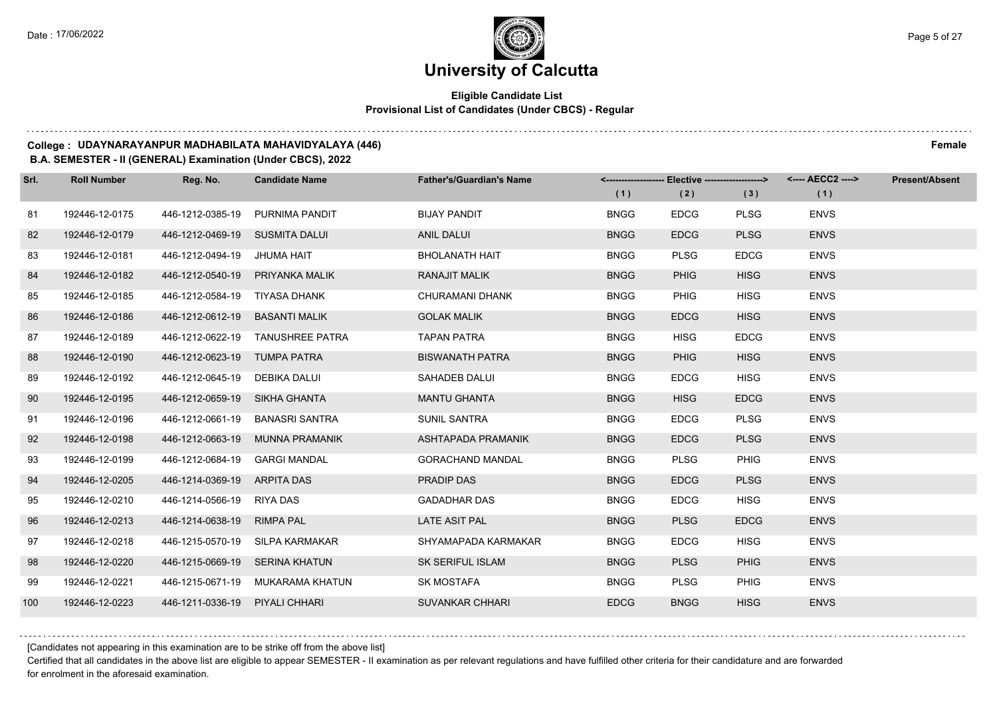### **Eligible Candidate List Provisional List of Candidates (Under CBCS) - Regular**

#### **College : UDAYNARAYANPUR MADHABILATA MAHAVIDYALAYA (446) Female**

#### **B.A. SEMESTER - II (GENERAL) Examination (Under CBCS), 2022**

| Srl. | <b>Roll Number</b> | Reg. No.                       | <b>Candidate Name</b>            | <b>Father's/Guardian's Name</b> |             | <-------------------- Elective -------------------> |             | <---- AECC2 ----> | <b>Present/Absent</b> |
|------|--------------------|--------------------------------|----------------------------------|---------------------------------|-------------|-----------------------------------------------------|-------------|-------------------|-----------------------|
|      |                    |                                |                                  |                                 | (1)         | (2)                                                 | (3)         | (1)               |                       |
| 81   | 192446-12-0175     |                                | 446-1212-0385-19 PURNIMA PANDIT  | <b>BIJAY PANDIT</b>             | <b>BNGG</b> | <b>EDCG</b>                                         | <b>PLSG</b> | <b>ENVS</b>       |                       |
| 82   | 192446-12-0179     | 446-1212-0469-19 SUSMITA DALUI |                                  | ANIL DALUI                      | <b>BNGG</b> | <b>EDCG</b>                                         | <b>PLSG</b> | <b>ENVS</b>       |                       |
| 83   | 192446-12-0181     | 446-1212-0494-19 JHUMA HAIT    |                                  | <b>BHOLANATH HAIT</b>           | <b>BNGG</b> | <b>PLSG</b>                                         | <b>EDCG</b> | <b>ENVS</b>       |                       |
| 84   | 192446-12-0182     |                                | 446-1212-0540-19 PRIYANKA MALIK  | <b>RANAJIT MALIK</b>            | <b>BNGG</b> | <b>PHIG</b>                                         | <b>HISG</b> | <b>ENVS</b>       |                       |
| 85   | 192446-12-0185     | 446-1212-0584-19 TIYASA DHANK  |                                  | <b>CHURAMANI DHANK</b>          | <b>BNGG</b> | <b>PHIG</b>                                         | <b>HISG</b> | <b>ENVS</b>       |                       |
| 86   | 192446-12-0186     | 446-1212-0612-19               | <b>BASANTI MALIK</b>             | <b>GOLAK MALIK</b>              | <b>BNGG</b> | <b>EDCG</b>                                         | <b>HISG</b> | <b>ENVS</b>       |                       |
| 87   | 192446-12-0189     |                                | 446-1212-0622-19 TANUSHREE PATRA | <b>TAPAN PATRA</b>              | <b>BNGG</b> | <b>HISG</b>                                         | <b>EDCG</b> | <b>ENVS</b>       |                       |
| 88   | 192446-12-0190     | 446-1212-0623-19 TUMPA PATRA   |                                  | <b>BISWANATH PATRA</b>          | <b>BNGG</b> | <b>PHIG</b>                                         | <b>HISG</b> | <b>ENVS</b>       |                       |
| 89   | 192446-12-0192     | 446-1212-0645-19 DEBIKA DALUI  |                                  | SAHADEB DALUI                   | <b>BNGG</b> | <b>EDCG</b>                                         | <b>HISG</b> | <b>ENVS</b>       |                       |
| 90   | 192446-12-0195     | 446-1212-0659-19 SIKHA GHANTA  |                                  | <b>MANTU GHANTA</b>             | <b>BNGG</b> | <b>HISG</b>                                         | <b>EDCG</b> | <b>ENVS</b>       |                       |
| 91   | 192446-12-0196     |                                | 446-1212-0661-19 BANASRI SANTRA  | <b>SUNIL SANTRA</b>             | <b>BNGG</b> | <b>EDCG</b>                                         | <b>PLSG</b> | <b>ENVS</b>       |                       |
| 92   | 192446-12-0198     | 446-1212-0663-19               | MUNNA PRAMANIK                   | ASHTAPADA PRAMANIK              | <b>BNGG</b> | <b>EDCG</b>                                         | <b>PLSG</b> | <b>ENVS</b>       |                       |
| 93   | 192446-12-0199     | 446-1212-0684-19               | <b>GARGI MANDAL</b>              | <b>GORACHAND MANDAL</b>         | <b>BNGG</b> | <b>PLSG</b>                                         | <b>PHIG</b> | <b>ENVS</b>       |                       |
| 94   | 192446-12-0205     | 446-1214-0369-19 ARPITA DAS    |                                  | PRADIP DAS                      | <b>BNGG</b> | <b>EDCG</b>                                         | <b>PLSG</b> | <b>ENVS</b>       |                       |
| 95   | 192446-12-0210     | 446-1214-0566-19 RIYA DAS      |                                  | <b>GADADHAR DAS</b>             | <b>BNGG</b> | <b>EDCG</b>                                         | <b>HISG</b> | <b>ENVS</b>       |                       |
| 96   | 192446-12-0213     | 446-1214-0638-19 RIMPA PAL     |                                  | LATE ASIT PAL                   | <b>BNGG</b> | <b>PLSG</b>                                         | <b>EDCG</b> | <b>ENVS</b>       |                       |
| 97   | 192446-12-0218     |                                | 446-1215-0570-19 SILPA KARMAKAR  | SHYAMAPADA KARMAKAR             | <b>BNGG</b> | <b>EDCG</b>                                         | <b>HISG</b> | <b>ENVS</b>       |                       |
| 98   | 192446-12-0220     | 446-1215-0669-19 SERINA KHATUN |                                  | <b>SK SERIFUL ISLAM</b>         | <b>BNGG</b> | <b>PLSG</b>                                         | <b>PHIG</b> | <b>ENVS</b>       |                       |
| 99   | 192446-12-0221     |                                | 446-1215-0671-19 MUKARAMA KHATUN | <b>SK MOSTAFA</b>               | <b>BNGG</b> | <b>PLSG</b>                                         | <b>PHIG</b> | <b>ENVS</b>       |                       |
| 100  | 192446-12-0223     | 446-1211-0336-19 PIYALI CHHARI |                                  | <b>SUVANKAR CHHARI</b>          | <b>EDCG</b> | <b>BNGG</b>                                         | <b>HISG</b> | <b>ENVS</b>       |                       |

[Candidates not appearing in this examination are to be strike off from the above list]

Certified that all candidates in the above list are eligible to appear SEMESTER - II examination as per relevant regulations and have fulfilled other criteria for their candidature and are forwarded for enrolment in the aforesaid examination.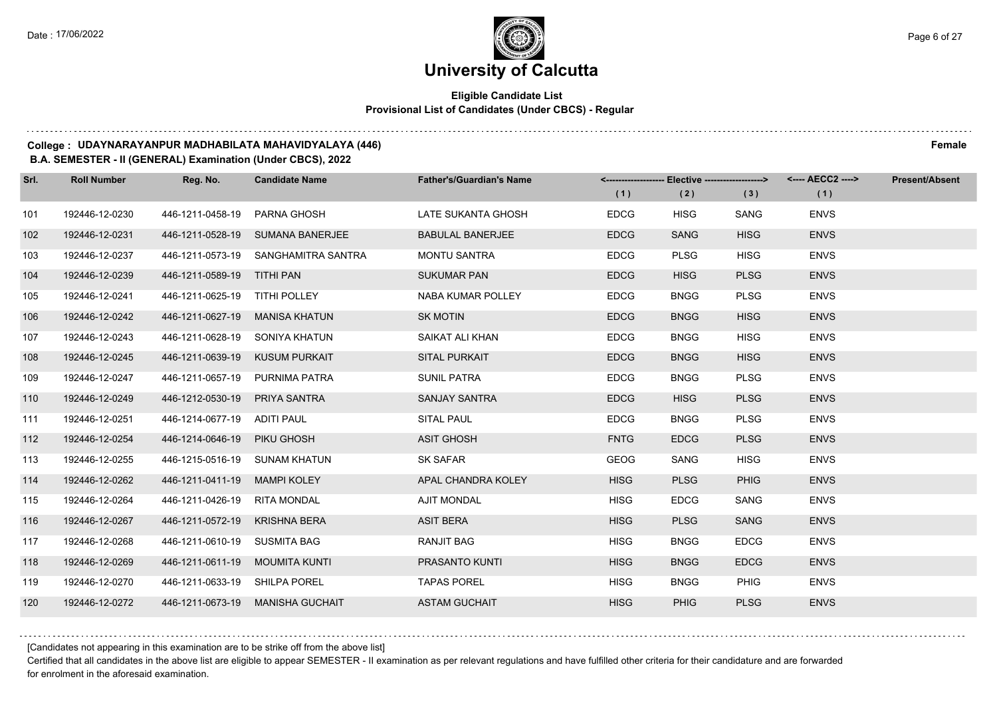### **Eligible Candidate List Provisional List of Candidates (Under CBCS) - Regular**

#### **College : UDAYNARAYANPUR MADHABILATA MAHAVIDYALAYA (446) Female**

#### **B.A. SEMESTER - II (GENERAL) Examination (Under CBCS), 2022**

| Srl. | <b>Roll Number</b> | Reg. No.                       | <b>Candidate Name</b>               | <b>Father's/Guardian's Name</b> |             | <-------------------- Elective -------------------> |             | <---- AECC2 ----> | <b>Present/Absent</b> |
|------|--------------------|--------------------------------|-------------------------------------|---------------------------------|-------------|-----------------------------------------------------|-------------|-------------------|-----------------------|
|      |                    |                                |                                     |                                 | (1)         | (2)                                                 | (3)         | (1)               |                       |
| 101  | 192446-12-0230     | 446-1211-0458-19 PARNA GHOSH   |                                     | LATE SUKANTA GHOSH              | <b>EDCG</b> | <b>HISG</b>                                         | SANG        | <b>ENVS</b>       |                       |
| 102  | 192446-12-0231     |                                | 446-1211-0528-19 SUMANA BANERJEE    | <b>BABULAL BANERJEE</b>         | <b>EDCG</b> | <b>SANG</b>                                         | <b>HISG</b> | <b>ENVS</b>       |                       |
| 103  | 192446-12-0237     |                                | 446-1211-0573-19 SANGHAMITRA SANTRA | <b>MONTU SANTRA</b>             | <b>EDCG</b> | <b>PLSG</b>                                         | <b>HISG</b> | <b>ENVS</b>       |                       |
| 104  | 192446-12-0239     | 446-1211-0589-19 TITHI PAN     |                                     | <b>SUKUMAR PAN</b>              | <b>EDCG</b> | <b>HISG</b>                                         | <b>PLSG</b> | <b>ENVS</b>       |                       |
| 105  | 192446-12-0241     | 446-1211-0625-19 TITHI POLLEY  |                                     | NABA KUMAR POLLEY               | <b>EDCG</b> | <b>BNGG</b>                                         | <b>PLSG</b> | <b>ENVS</b>       |                       |
| 106  | 192446-12-0242     | 446-1211-0627-19               | <b>MANISA KHATUN</b>                | <b>SK MOTIN</b>                 | <b>EDCG</b> | <b>BNGG</b>                                         | <b>HISG</b> | <b>ENVS</b>       |                       |
| 107  | 192446-12-0243     | 446-1211-0628-19 SONIYA KHATUN |                                     | SAIKAT ALI KHAN                 | <b>EDCG</b> | <b>BNGG</b>                                         | <b>HISG</b> | <b>ENVS</b>       |                       |
| 108  | 192446-12-0245     | 446-1211-0639-19 KUSUM PURKAIT |                                     | <b>SITAL PURKAIT</b>            | <b>EDCG</b> | <b>BNGG</b>                                         | <b>HISG</b> | <b>ENVS</b>       |                       |
| 109  | 192446-12-0247     | 446-1211-0657-19 PURNIMA PATRA |                                     | SUNIL PATRA                     | <b>EDCG</b> | <b>BNGG</b>                                         | <b>PLSG</b> | <b>ENVS</b>       |                       |
| 110  | 192446-12-0249     | 446-1212-0530-19               | PRIYA SANTRA                        | SANJAY SANTRA                   | <b>EDCG</b> | <b>HISG</b>                                         | <b>PLSG</b> | <b>ENVS</b>       |                       |
| 111  | 192446-12-0251     | 446-1214-0677-19 ADITI PAUL    |                                     | <b>SITAL PAUL</b>               | <b>EDCG</b> | <b>BNGG</b>                                         | <b>PLSG</b> | <b>ENVS</b>       |                       |
| 112  | 192446-12-0254     | 446-1214-0646-19 PIKU GHOSH    |                                     | <b>ASIT GHOSH</b>               | <b>FNTG</b> | <b>EDCG</b>                                         | <b>PLSG</b> | <b>ENVS</b>       |                       |
| 113  | 192446-12-0255     | 446-1215-0516-19 SUNAM KHATUN  |                                     | <b>SK SAFAR</b>                 | GEOG        | SANG                                                | <b>HISG</b> | <b>ENVS</b>       |                       |
| 114  | 192446-12-0262     | 446-1211-0411-19               | <b>MAMPI KOLEY</b>                  | APAL CHANDRA KOLEY              | <b>HISG</b> | <b>PLSG</b>                                         | <b>PHIG</b> | <b>ENVS</b>       |                       |
| 115  | 192446-12-0264     | 446-1211-0426-19 RITA MONDAL   |                                     | <b>AJIT MONDAL</b>              | <b>HISG</b> | <b>EDCG</b>                                         | SANG        | <b>ENVS</b>       |                       |
| 116  | 192446-12-0267     | 446-1211-0572-19               | KRISHNA BERA                        | <b>ASIT BERA</b>                | <b>HISG</b> | <b>PLSG</b>                                         | <b>SANG</b> | <b>ENVS</b>       |                       |
| 117  | 192446-12-0268     | 446-1211-0610-19 SUSMITA BAG   |                                     | RANJIT BAG                      | <b>HISG</b> | <b>BNGG</b>                                         | <b>EDCG</b> | <b>ENVS</b>       |                       |
| 118  | 192446-12-0269     | 446-1211-0611-19 MOUMITA KUNTI |                                     | <b>PRASANTO KUNTI</b>           | <b>HISG</b> | <b>BNGG</b>                                         | <b>EDCG</b> | <b>ENVS</b>       |                       |
| 119  | 192446-12-0270     | 446-1211-0633-19 SHILPA POREL  |                                     | <b>TAPAS POREL</b>              | <b>HISG</b> | <b>BNGG</b>                                         | PHIG        | <b>ENVS</b>       |                       |
| 120  | 192446-12-0272     |                                | 446-1211-0673-19 MANISHA GUCHAIT    | <b>ASTAM GUCHAIT</b>            | <b>HISG</b> | <b>PHIG</b>                                         | <b>PLSG</b> | <b>ENVS</b>       |                       |

[Candidates not appearing in this examination are to be strike off from the above list]

Certified that all candidates in the above list are eligible to appear SEMESTER - II examination as per relevant regulations and have fulfilled other criteria for their candidature and are forwarded for enrolment in the aforesaid examination.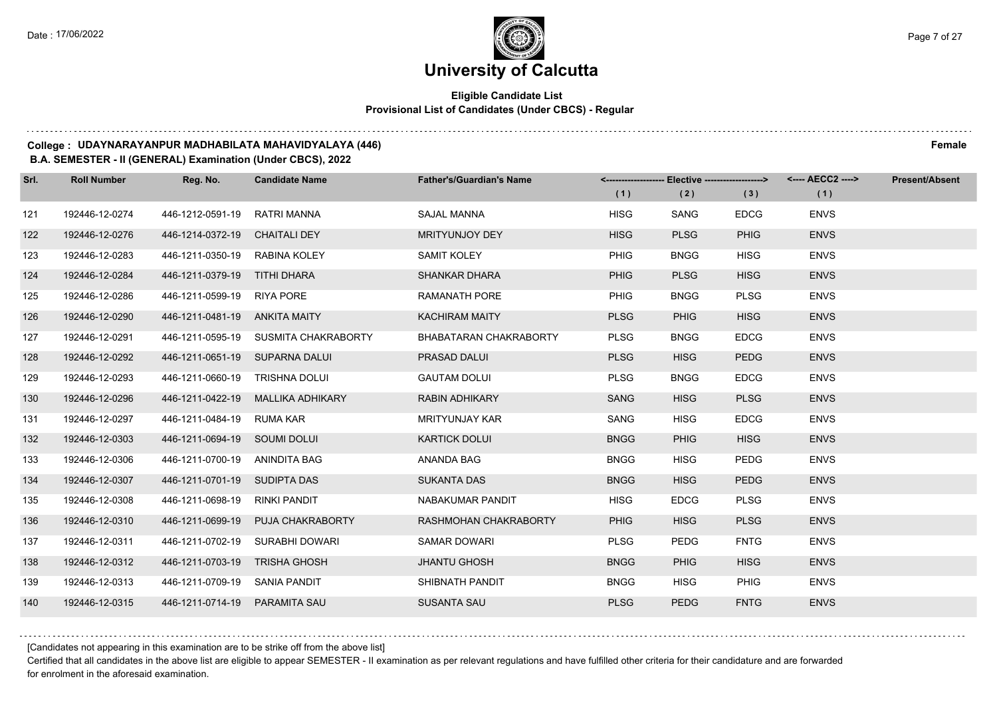$1.111$ 

# **University of Calcutta**

### **Eligible Candidate List Provisional List of Candidates (Under CBCS) - Regular**

#### **College : UDAYNARAYANPUR MADHABILATA MAHAVIDYALAYA (446) Female**

#### **B.A. SEMESTER - II (GENERAL) Examination (Under CBCS), 2022**

| Srl. | <b>Roll Number</b> | Reg. No.                       | <b>Candidate Name</b>                | <b>Father's/Guardian's Name</b> |             | <------------------- Elective ------------------> |             | <---- AECC2 ----> | <b>Present/Absent</b> |
|------|--------------------|--------------------------------|--------------------------------------|---------------------------------|-------------|---------------------------------------------------|-------------|-------------------|-----------------------|
|      |                    |                                |                                      |                                 | (1)         | (2)                                               | (3)         | (1)               |                       |
| 121  | 192446-12-0274     | 446-1212-0591-19               | <b>RATRI MANNA</b>                   | <b>SAJAL MANNA</b>              | <b>HISG</b> | SANG                                              | <b>EDCG</b> | <b>ENVS</b>       |                       |
| 122  | 192446-12-0276     | 446-1214-0372-19               | <b>CHAITALI DEY</b>                  | MRITYUNJOY DEY                  | <b>HISG</b> | <b>PLSG</b>                                       | <b>PHIG</b> | <b>ENVS</b>       |                       |
| 123  | 192446-12-0283     | 446-1211-0350-19 RABINA KOLEY  |                                      | <b>SAMIT KOLEY</b>              | <b>PHIG</b> | <b>BNGG</b>                                       | <b>HISG</b> | <b>ENVS</b>       |                       |
| 124  | 192446-12-0284     | 446-1211-0379-19 TITHI DHARA   |                                      | <b>SHANKAR DHARA</b>            | <b>PHIG</b> | <b>PLSG</b>                                       | <b>HISG</b> | <b>ENVS</b>       |                       |
| 125  | 192446-12-0286     | 446-1211-0599-19               | RIYA PORE                            | <b>RAMANATH PORE</b>            | PHIG        | <b>BNGG</b>                                       | <b>PLSG</b> | <b>ENVS</b>       |                       |
| 126  | 192446-12-0290     | 446-1211-0481-19 ANKITA MAITY  |                                      | <b>KACHIRAM MAITY</b>           | <b>PLSG</b> | <b>PHIG</b>                                       | <b>HISG</b> | <b>ENVS</b>       |                       |
| 127  | 192446-12-0291     |                                | 446-1211-0595-19 SUSMITA CHAKRABORTY | BHABATARAN CHAKRABORTY          | <b>PLSG</b> | <b>BNGG</b>                                       | <b>EDCG</b> | <b>ENVS</b>       |                       |
| 128  | 192446-12-0292     | 446-1211-0651-19 SUPARNA DALUI |                                      | PRASAD DALUI                    | <b>PLSG</b> | <b>HISG</b>                                       | <b>PEDG</b> | <b>ENVS</b>       |                       |
| 129  | 192446-12-0293     | 446-1211-0660-19               | <b>TRISHNA DOLUI</b>                 | <b>GAUTAM DOLUI</b>             | <b>PLSG</b> | <b>BNGG</b>                                       | <b>EDCG</b> | <b>ENVS</b>       |                       |
| 130  | 192446-12-0296     |                                | 446-1211-0422-19 MALLIKA ADHIKARY    | <b>RABIN ADHIKARY</b>           | <b>SANG</b> | <b>HISG</b>                                       | <b>PLSG</b> | <b>ENVS</b>       |                       |
| 131  | 192446-12-0297     | 446-1211-0484-19 RUMA KAR      |                                      | <b>MRITYUNJAY KAR</b>           | SANG        | <b>HISG</b>                                       | <b>EDCG</b> | <b>ENVS</b>       |                       |
| 132  | 192446-12-0303     | 446-1211-0694-19 SOUMI DOLUI   |                                      | <b>KARTICK DOLUI</b>            | <b>BNGG</b> | <b>PHIG</b>                                       | <b>HISG</b> | <b>ENVS</b>       |                       |
| 133  | 192446-12-0306     | 446-1211-0700-19 ANINDITA BAG  |                                      | <b>ANANDA BAG</b>               | <b>BNGG</b> | <b>HISG</b>                                       | <b>PEDG</b> | <b>ENVS</b>       |                       |
| 134  | 192446-12-0307     | 446-1211-0701-19 SUDIPTA DAS   |                                      | <b>SUKANTA DAS</b>              | <b>BNGG</b> | <b>HISG</b>                                       | <b>PEDG</b> | <b>ENVS</b>       |                       |
| 135  | 192446-12-0308     | 446-1211-0698-19               | RINKI PANDIT                         | NABAKUMAR PANDIT                | <b>HISG</b> | <b>EDCG</b>                                       | <b>PLSG</b> | <b>ENVS</b>       |                       |
| 136  | 192446-12-0310     | 446-1211-0699-19               | PUJA CHAKRABORTY                     | RASHMOHAN CHAKRABORTY           | <b>PHIG</b> | <b>HISG</b>                                       | <b>PLSG</b> | <b>ENVS</b>       |                       |
| 137  | 192446-12-0311     | 446-1211-0702-19               | SURABHI DOWARI                       | <b>SAMAR DOWARI</b>             | <b>PLSG</b> | <b>PEDG</b>                                       | <b>FNTG</b> | <b>ENVS</b>       |                       |
| 138  | 192446-12-0312     | 446-1211-0703-19 TRISHA GHOSH  |                                      | <b>JHANTU GHOSH</b>             | <b>BNGG</b> | <b>PHIG</b>                                       | <b>HISG</b> | <b>ENVS</b>       |                       |
| 139  | 192446-12-0313     | 446-1211-0709-19 SANIA PANDIT  |                                      | SHIBNATH PANDIT                 | <b>BNGG</b> | <b>HISG</b>                                       | <b>PHIG</b> | <b>ENVS</b>       |                       |
| 140  | 192446-12-0315     | 446-1211-0714-19 PARAMITA SAU  |                                      | <b>SUSANTA SAU</b>              | <b>PLSG</b> | <b>PEDG</b>                                       | <b>FNTG</b> | <b>ENVS</b>       |                       |

[Candidates not appearing in this examination are to be strike off from the above list]

Certified that all candidates in the above list are eligible to appear SEMESTER - II examination as per relevant regulations and have fulfilled other criteria for their candidature and are forwarded for enrolment in the aforesaid examination.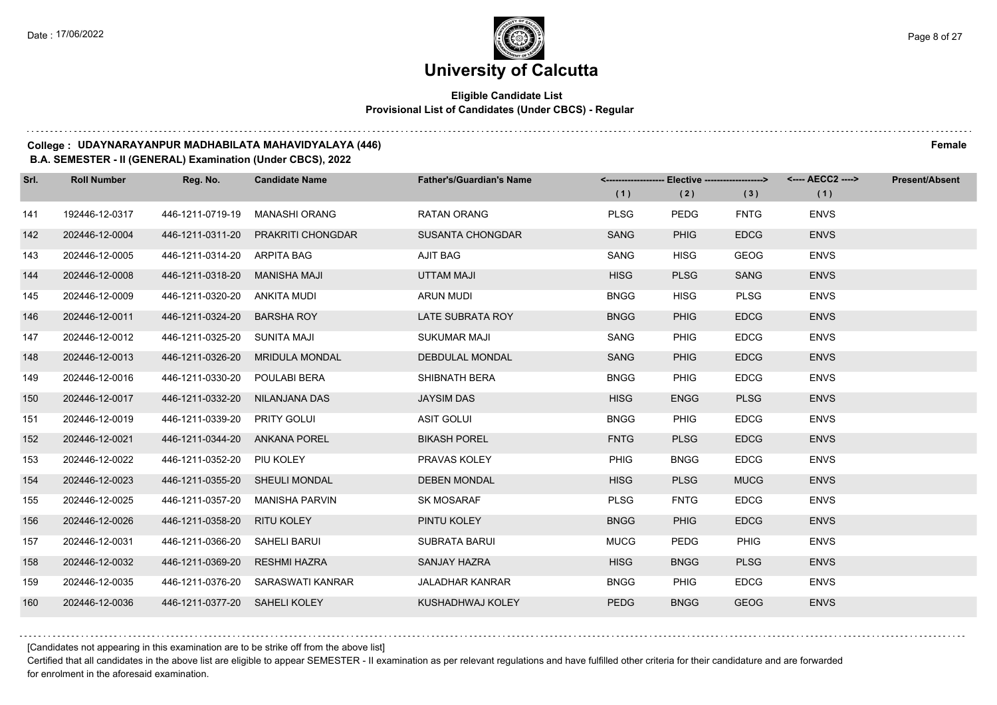### **Eligible Candidate List Provisional List of Candidates (Under CBCS) - Regular**

#### **College : UDAYNARAYANPUR MADHABILATA MAHAVIDYALAYA (446) Female**

#### **B.A. SEMESTER - II (GENERAL) Examination (Under CBCS), 2022**

| Srl. | <b>Roll Number</b> | Reg. No.                       | <b>Candidate Name</b>             | <b>Father's/Guardian's Name</b> |             | <-------------------- Elective -------------------> |             | <---- AECC2 ----> | <b>Present/Absent</b> |
|------|--------------------|--------------------------------|-----------------------------------|---------------------------------|-------------|-----------------------------------------------------|-------------|-------------------|-----------------------|
|      |                    |                                |                                   |                                 | (1)         | (2)                                                 | (3)         | (1)               |                       |
| 141  | 192446-12-0317     | 446-1211-0719-19               | <b>MANASHI ORANG</b>              | <b>RATAN ORANG</b>              | <b>PLSG</b> | <b>PEDG</b>                                         | <b>FNTG</b> | <b>ENVS</b>       |                       |
| 142  | 202446-12-0004     | 446-1211-0311-20               | <b>PRAKRITI CHONGDAR</b>          | <b>SUSANTA CHONGDAR</b>         | <b>SANG</b> | <b>PHIG</b>                                         | <b>EDCG</b> | <b>ENVS</b>       |                       |
| 143  | 202446-12-0005     | 446-1211-0314-20 ARPITA BAG    |                                   | AJIT BAG                        | SANG        | <b>HISG</b>                                         | <b>GEOG</b> | <b>ENVS</b>       |                       |
| 144  | 202446-12-0008     | 446-1211-0318-20 MANISHA MAJI  |                                   | <b>UTTAM MAJI</b>               | <b>HISG</b> | <b>PLSG</b>                                         | <b>SANG</b> | <b>ENVS</b>       |                       |
| 145  | 202446-12-0009     | 446-1211-0320-20 ANKITA MUDI   |                                   | <b>ARUN MUDI</b>                | <b>BNGG</b> | <b>HISG</b>                                         | <b>PLSG</b> | <b>ENVS</b>       |                       |
| 146  | 202446-12-0011     | 446-1211-0324-20               | <b>BARSHA ROY</b>                 | LATE SUBRATA ROY                | <b>BNGG</b> | <b>PHIG</b>                                         | <b>EDCG</b> | <b>ENVS</b>       |                       |
| 147  | 202446-12-0012     | 446-1211-0325-20 SUNITA MAJI   |                                   | <b>SUKUMAR MAJI</b>             | <b>SANG</b> | <b>PHIG</b>                                         | <b>EDCG</b> | <b>ENVS</b>       |                       |
| 148  | 202446-12-0013     |                                | 446-1211-0326-20 MRIDULA MONDAL   | <b>DEBDULAL MONDAL</b>          | SANG        | <b>PHIG</b>                                         | <b>EDCG</b> | <b>ENVS</b>       |                       |
| 149  | 202446-12-0016     | 446-1211-0330-20 POULABI BERA  |                                   | SHIBNATH BERA                   | <b>BNGG</b> | <b>PHIG</b>                                         | <b>EDCG</b> | <b>ENVS</b>       |                       |
| 150  | 202446-12-0017     | 446-1211-0332-20 NILANJANA DAS |                                   | <b>JAYSIM DAS</b>               | <b>HISG</b> | <b>ENGG</b>                                         | <b>PLSG</b> | <b>ENVS</b>       |                       |
| 151  | 202446-12-0019     | 446-1211-0339-20 PRITY GOLUI   |                                   | <b>ASIT GOLUI</b>               | <b>BNGG</b> | <b>PHIG</b>                                         | <b>EDCG</b> | <b>ENVS</b>       |                       |
| 152  | 202446-12-0021     | 446-1211-0344-20 ANKANA POREL  |                                   | <b>BIKASH POREL</b>             | <b>FNTG</b> | <b>PLSG</b>                                         | <b>EDCG</b> | <b>ENVS</b>       |                       |
| 153  | 202446-12-0022     | 446-1211-0352-20 PIU KOLEY     |                                   | PRAVAS KOLEY                    | <b>PHIG</b> | <b>BNGG</b>                                         | <b>EDCG</b> | <b>ENVS</b>       |                       |
| 154  | 202446-12-0023     | 446-1211-0355-20 SHEULI MONDAL |                                   | <b>DEBEN MONDAL</b>             | <b>HISG</b> | <b>PLSG</b>                                         | <b>MUCG</b> | <b>ENVS</b>       |                       |
| 155  | 202446-12-0025     |                                | 446-1211-0357-20 MANISHA PARVIN   | <b>SK MOSARAF</b>               | <b>PLSG</b> | <b>FNTG</b>                                         | <b>EDCG</b> | <b>ENVS</b>       |                       |
| 156  | 202446-12-0026     | 446-1211-0358-20 RITU KOLEY    |                                   | PINTU KOLEY                     | <b>BNGG</b> | <b>PHIG</b>                                         | <b>EDCG</b> | <b>ENVS</b>       |                       |
| 157  | 202446-12-0031     | 446-1211-0366-20               | SAHELI BARUI                      | SUBRATA BARUI                   | <b>MUCG</b> | <b>PEDG</b>                                         | <b>PHIG</b> | <b>ENVS</b>       |                       |
| 158  | 202446-12-0032     | 446-1211-0369-20 RESHMI HAZRA  |                                   | <b>SANJAY HAZRA</b>             | <b>HISG</b> | <b>BNGG</b>                                         | <b>PLSG</b> | <b>ENVS</b>       |                       |
| 159  | 202446-12-0035     |                                | 446-1211-0376-20 SARASWATI KANRAR | <b>JALADHAR KANRAR</b>          | <b>BNGG</b> | <b>PHIG</b>                                         | <b>EDCG</b> | <b>ENVS</b>       |                       |
| 160  | 202446-12-0036     | 446-1211-0377-20 SAHELI KOLEY  |                                   | KUSHADHWAJ KOLEY                | PEDG        | <b>BNGG</b>                                         | <b>GEOG</b> | <b>ENVS</b>       |                       |

[Candidates not appearing in this examination are to be strike off from the above list]

Certified that all candidates in the above list are eligible to appear SEMESTER - II examination as per relevant regulations and have fulfilled other criteria for their candidature and are forwarded for enrolment in the aforesaid examination.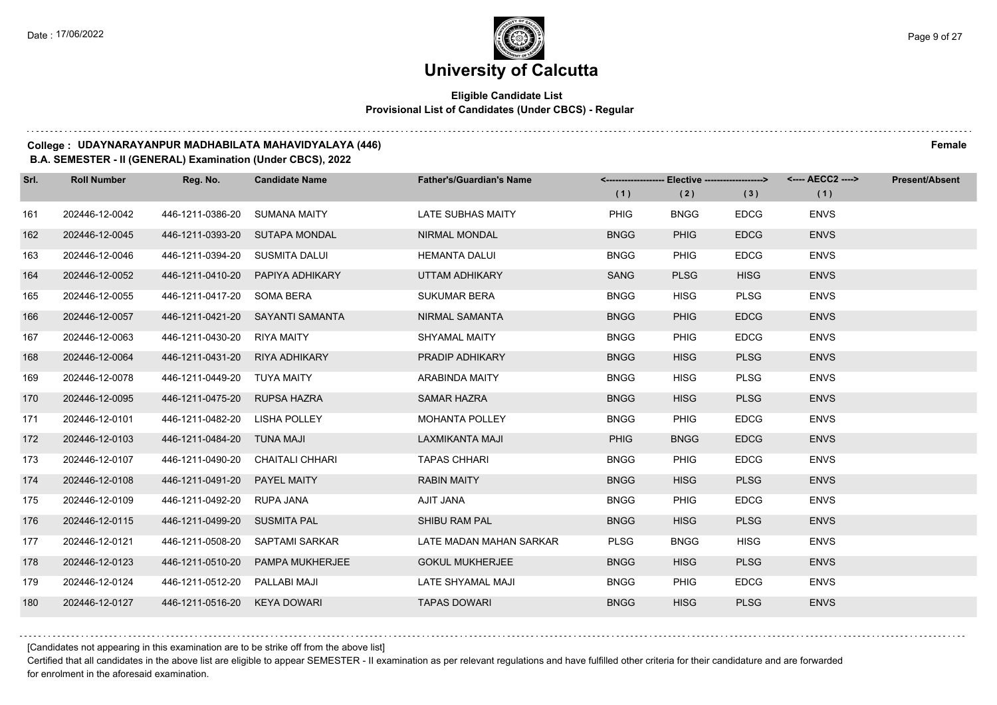### **Eligible Candidate List Provisional List of Candidates (Under CBCS) - Regular**

#### **College : UDAYNARAYANPUR MADHABILATA MAHAVIDYALAYA (446) Female**

**B.A. SEMESTER - II (GENERAL) Examination (Under CBCS), 2022**

| Srl. | <b>Roll Number</b> | Reg. No.                       | <b>Candidate Name</b>            | <b>Father's/Guardian's Name</b> | (1)         | <-------------------- Elective ------------------><br>(2) | (3)         | (1)         | Present/Absent |
|------|--------------------|--------------------------------|----------------------------------|---------------------------------|-------------|-----------------------------------------------------------|-------------|-------------|----------------|
| 161  | 202446-12-0042     | 446-1211-0386-20               | SUMANA MAITY                     | <b>LATE SUBHAS MAITY</b>        | <b>PHIG</b> | <b>BNGG</b>                                               | <b>EDCG</b> | <b>ENVS</b> |                |
| 162  | 202446-12-0045     | 446-1211-0393-20 SUTAPA MONDAL |                                  | <b>NIRMAL MONDAL</b>            | <b>BNGG</b> | <b>PHIG</b>                                               | <b>EDCG</b> | <b>ENVS</b> |                |
| 163  | 202446-12-0046     | 446-1211-0394-20 SUSMITA DALUI |                                  | <b>HEMANTA DALUI</b>            | <b>BNGG</b> | <b>PHIG</b>                                               | <b>EDCG</b> | <b>ENVS</b> |                |
| 164  | 202446-12-0052     |                                | 446-1211-0410-20 PAPIYA ADHIKARY | UTTAM ADHIKARY                  | SANG        | <b>PLSG</b>                                               | <b>HISG</b> | <b>ENVS</b> |                |
| 165  | 202446-12-0055     | 446-1211-0417-20 SOMA BERA     |                                  | <b>SUKUMAR BERA</b>             | <b>BNGG</b> | <b>HISG</b>                                               | <b>PLSG</b> | <b>ENVS</b> |                |
| 166  | 202446-12-0057     |                                | 446-1211-0421-20 SAYANTI SAMANTA | NIRMAL SAMANTA                  | <b>BNGG</b> | <b>PHIG</b>                                               | <b>EDCG</b> | <b>ENVS</b> |                |
| 167  | 202446-12-0063     | 446-1211-0430-20 RIYA MAITY    |                                  | SHYAMAL MAITY                   | <b>BNGG</b> | <b>PHIG</b>                                               | <b>EDCG</b> | <b>ENVS</b> |                |
| 168  | 202446-12-0064     | 446-1211-0431-20 RIYA ADHIKARY |                                  | PRADIP ADHIKARY                 | <b>BNGG</b> | <b>HISG</b>                                               | <b>PLSG</b> | <b>ENVS</b> |                |
| 169  | 202446-12-0078     | 446-1211-0449-20 TUYA MAITY    |                                  | ARABINDA MAITY                  | <b>BNGG</b> | <b>HISG</b>                                               | <b>PLSG</b> | <b>ENVS</b> |                |
| 170  | 202446-12-0095     | 446-1211-0475-20 RUPSA HAZRA   |                                  | <b>SAMAR HAZRA</b>              | <b>BNGG</b> | <b>HISG</b>                                               | <b>PLSG</b> | <b>ENVS</b> |                |
| 171  | 202446-12-0101     | 446-1211-0482-20 LISHA POLLEY  |                                  | <b>MOHANTA POLLEY</b>           | <b>BNGG</b> | <b>PHIG</b>                                               | <b>EDCG</b> | <b>ENVS</b> |                |
| 172  | 202446-12-0103     | 446-1211-0484-20 TUNA MAJI     |                                  | LAXMIKANTA MAJI                 | <b>PHIG</b> | <b>BNGG</b>                                               | <b>EDCG</b> | <b>ENVS</b> |                |
| 173  | 202446-12-0107     |                                | 446-1211-0490-20 CHAITALI CHHARI | <b>TAPAS CHHARI</b>             | <b>BNGG</b> | <b>PHIG</b>                                               | <b>EDCG</b> | <b>ENVS</b> |                |
| 174  | 202446-12-0108     | 446-1211-0491-20 PAYEL MAITY   |                                  | <b>RABIN MAITY</b>              | <b>BNGG</b> | <b>HISG</b>                                               | <b>PLSG</b> | <b>ENVS</b> |                |
| 175  | 202446-12-0109     | 446-1211-0492-20 RUPA JANA     |                                  | AJIT JANA                       | <b>BNGG</b> | <b>PHIG</b>                                               | <b>EDCG</b> | <b>ENVS</b> |                |
| 176  | 202446-12-0115     | 446-1211-0499-20 SUSMITA PAL   |                                  | SHIBU RAM PAL                   | <b>BNGG</b> | <b>HISG</b>                                               | <b>PLSG</b> | <b>ENVS</b> |                |
| 177  | 202446-12-0121     |                                | 446-1211-0508-20 SAPTAMI SARKAR  | LATE MADAN MAHAN SARKAR         | <b>PLSG</b> | <b>BNGG</b>                                               | <b>HISG</b> | <b>ENVS</b> |                |
| 178  | 202446-12-0123     |                                | 446-1211-0510-20 PAMPA MUKHERJEE | <b>GOKUL MUKHERJEE</b>          | <b>BNGG</b> | <b>HISG</b>                                               | <b>PLSG</b> | <b>ENVS</b> |                |
| 179  | 202446-12-0124     | 446-1211-0512-20 PALLABI MAJI  |                                  | LATE SHYAMAL MAJI               | <b>BNGG</b> | <b>PHIG</b>                                               | <b>EDCG</b> | <b>ENVS</b> |                |
| 180  | 202446-12-0127     | 446-1211-0516-20 KEYA DOWARI   |                                  | <b>TAPAS DOWARI</b>             | <b>BNGG</b> | <b>HISG</b>                                               | <b>PLSG</b> | <b>ENVS</b> |                |

[Candidates not appearing in this examination are to be strike off from the above list]

Certified that all candidates in the above list are eligible to appear SEMESTER - II examination as per relevant regulations and have fulfilled other criteria for their candidature and are forwarded for enrolment in the aforesaid examination.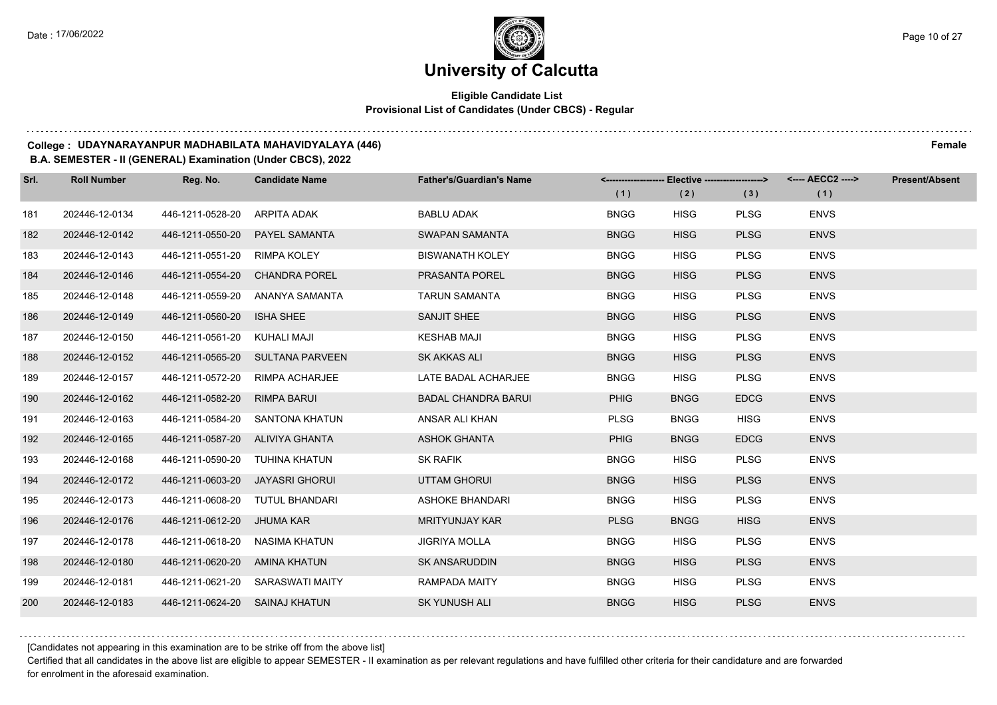### **Eligible Candidate List Provisional List of Candidates (Under CBCS) - Regular**

#### **College : UDAYNARAYANPUR MADHABILATA MAHAVIDYALAYA (446) Female**

#### **B.A. SEMESTER - II (GENERAL) Examination (Under CBCS), 2022**

| Srl. | <b>Roll Number</b> | Reg. No.                        | <b>Candidate Name</b>            | <b>Father's/Guardian's Name</b> |             | <------------------- Elective -------------------> |             | <---- AECC2 ----> | <b>Present/Absent</b> |
|------|--------------------|---------------------------------|----------------------------------|---------------------------------|-------------|----------------------------------------------------|-------------|-------------------|-----------------------|
|      |                    |                                 |                                  |                                 | (1)         | (2)                                                | (3)         | (1)               |                       |
| 181  | 202446-12-0134     | 446-1211-0528-20 ARPITA ADAK    |                                  | <b>BABLU ADAK</b>               | <b>BNGG</b> | <b>HISG</b>                                        | <b>PLSG</b> | <b>ENVS</b>       |                       |
| 182  | 202446-12-0142     | 446-1211-0550-20                | PAYEL SAMANTA                    | SWAPAN SAMANTA                  | <b>BNGG</b> | <b>HISG</b>                                        | <b>PLSG</b> | <b>ENVS</b>       |                       |
| 183  | 202446-12-0143     | 446-1211-0551-20 RIMPA KOLEY    |                                  | <b>BISWANATH KOLEY</b>          | <b>BNGG</b> | <b>HISG</b>                                        | <b>PLSG</b> | <b>ENVS</b>       |                       |
| 184  | 202446-12-0146     | 446-1211-0554-20 CHANDRA POREL  |                                  | <b>PRASANTA POREL</b>           | <b>BNGG</b> | <b>HISG</b>                                        | <b>PLSG</b> | <b>ENVS</b>       |                       |
| 185  | 202446-12-0148     | 446-1211-0559-20                | ANANYA SAMANTA                   | <b>TARUN SAMANTA</b>            | <b>BNGG</b> | <b>HISG</b>                                        | <b>PLSG</b> | <b>ENVS</b>       |                       |
| 186  | 202446-12-0149     | 446-1211-0560-20                | <b>ISHA SHEE</b>                 | SANJIT SHEE                     | <b>BNGG</b> | <b>HISG</b>                                        | <b>PLSG</b> | <b>ENVS</b>       |                       |
| 187  | 202446-12-0150     | 446-1211-0561-20 KUHALI MAJI    |                                  | <b>KESHAB MAJI</b>              | <b>BNGG</b> | <b>HISG</b>                                        | <b>PLSG</b> | <b>ENVS</b>       |                       |
| 188  | 202446-12-0152     |                                 | 446-1211-0565-20 SULTANA PARVEEN | SK AKKAS ALI                    | <b>BNGG</b> | <b>HISG</b>                                        | <b>PLSG</b> | <b>ENVS</b>       |                       |
| 189  | 202446-12-0157     | 446-1211-0572-20                | RIMPA ACHARJEE                   | LATE BADAL ACHARJEE             | <b>BNGG</b> | <b>HISG</b>                                        | <b>PLSG</b> | <b>ENVS</b>       |                       |
| 190  | 202446-12-0162     | 446-1211-0582-20                | <b>RIMPA BARUI</b>               | <b>BADAL CHANDRA BARUI</b>      | <b>PHIG</b> | <b>BNGG</b>                                        | <b>EDCG</b> | <b>ENVS</b>       |                       |
| 191  | 202446-12-0163     |                                 | 446-1211-0584-20 SANTONA KHATUN  | ANSAR ALI KHAN                  | <b>PLSG</b> | <b>BNGG</b>                                        | <b>HISG</b> | <b>ENVS</b>       |                       |
| 192  | 202446-12-0165     | 446-1211-0587-20 ALIVIYA GHANTA |                                  | <b>ASHOK GHANTA</b>             | <b>PHIG</b> | <b>BNGG</b>                                        | <b>EDCG</b> | <b>ENVS</b>       |                       |
| 193  | 202446-12-0168     | 446-1211-0590-20 TUHINA KHATUN  |                                  | <b>SK RAFIK</b>                 | <b>BNGG</b> | <b>HISG</b>                                        | <b>PLSG</b> | <b>ENVS</b>       |                       |
| 194  | 202446-12-0172     | 446-1211-0603-20 JAYASRI GHORUI |                                  | <b>UTTAM GHORUI</b>             | <b>BNGG</b> | <b>HISG</b>                                        | <b>PLSG</b> | <b>ENVS</b>       |                       |
| 195  | 202446-12-0173     | 446-1211-0608-20 TUTUL BHANDARI |                                  | <b>ASHOKE BHANDARI</b>          | <b>BNGG</b> | <b>HISG</b>                                        | <b>PLSG</b> | <b>ENVS</b>       |                       |
| 196  | 202446-12-0176     | 446-1211-0612-20 JHUMA KAR      |                                  | <b>MRITYUNJAY KAR</b>           | <b>PLSG</b> | <b>BNGG</b>                                        | <b>HISG</b> | <b>ENVS</b>       |                       |
| 197  | 202446-12-0178     | 446-1211-0618-20 NASIMA KHATUN  |                                  | <b>JIGRIYA MOLLA</b>            | <b>BNGG</b> | <b>HISG</b>                                        | <b>PLSG</b> | <b>ENVS</b>       |                       |
| 198  | 202446-12-0180     | 446-1211-0620-20 AMINA KHATUN   |                                  | <b>SK ANSARUDDIN</b>            | <b>BNGG</b> | <b>HISG</b>                                        | <b>PLSG</b> | <b>ENVS</b>       |                       |
| 199  | 202446-12-0181     |                                 | 446-1211-0621-20 SARASWATI MAITY | RAMPADA MAITY                   | <b>BNGG</b> | <b>HISG</b>                                        | <b>PLSG</b> | <b>ENVS</b>       |                       |
| 200  | 202446-12-0183     | 446-1211-0624-20 SAINAJ KHATUN  |                                  | SK YUNUSH ALI                   | <b>BNGG</b> | <b>HISG</b>                                        | <b>PLSG</b> | <b>ENVS</b>       |                       |

[Candidates not appearing in this examination are to be strike off from the above list]

Certified that all candidates in the above list are eligible to appear SEMESTER - II examination as per relevant regulations and have fulfilled other criteria for their candidature and are forwarded for enrolment in the aforesaid examination.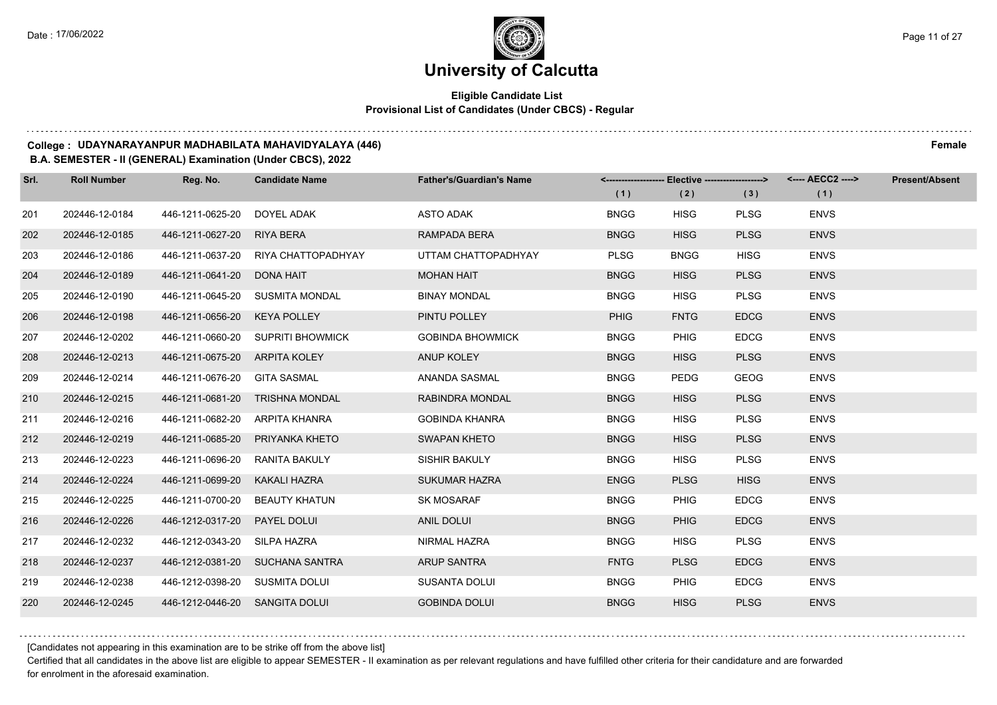### **Eligible Candidate List Provisional List of Candidates (Under CBCS) - Regular**

#### **College : UDAYNARAYANPUR MADHABILATA MAHAVIDYALAYA (446) Female**

#### **B.A. SEMESTER - II (GENERAL) Examination (Under CBCS), 2022**

| Srl. | <b>Roll Number</b> | Reg. No.                       | <b>Candidate Name</b>               | <b>Father's/Guardian's Name</b> | (1)         | <-------------------- Elective -------------------><br>(2) | (3)         | <---- AECC2 ----><br>(1) | <b>Present/Absent</b> |
|------|--------------------|--------------------------------|-------------------------------------|---------------------------------|-------------|------------------------------------------------------------|-------------|--------------------------|-----------------------|
| 201  | 202446-12-0184     | 446-1211-0625-20               | DOYEL ADAK                          | <b>ASTO ADAK</b>                | <b>BNGG</b> | <b>HISG</b>                                                | <b>PLSG</b> | <b>ENVS</b>              |                       |
| 202  | 202446-12-0185     | 446-1211-0627-20 RIYA BERA     |                                     | RAMPADA BERA                    | <b>BNGG</b> | <b>HISG</b>                                                | <b>PLSG</b> | <b>ENVS</b>              |                       |
| 203  | 202446-12-0186     |                                | 446-1211-0637-20 RIYA CHATTOPADHYAY | UTTAM CHATTOPADHYAY             | <b>PLSG</b> | <b>BNGG</b>                                                | <b>HISG</b> | <b>ENVS</b>              |                       |
| 204  | 202446-12-0189     | 446-1211-0641-20 DONA HAIT     |                                     | MOHAN HAIT                      | <b>BNGG</b> | <b>HISG</b>                                                | <b>PLSG</b> | <b>ENVS</b>              |                       |
| 205  | 202446-12-0190     |                                | 446-1211-0645-20 SUSMITA MONDAL     | <b>BINAY MONDAL</b>             | <b>BNGG</b> | <b>HISG</b>                                                | <b>PLSG</b> | <b>ENVS</b>              |                       |
| 206  | 202446-12-0198     | 446-1211-0656-20 KEYA POLLEY   |                                     | PINTU POLLEY                    | <b>PHIG</b> | <b>FNTG</b>                                                | <b>EDCG</b> | <b>ENVS</b>              |                       |
| 207  | 202446-12-0202     |                                | 446-1211-0660-20 SUPRITI BHOWMICK   | <b>GOBINDA BHOWMICK</b>         | <b>BNGG</b> | <b>PHIG</b>                                                | <b>EDCG</b> | <b>ENVS</b>              |                       |
| 208  | 202446-12-0213     | 446-1211-0675-20 ARPITA KOLEY  |                                     | ANUP KOLEY                      | <b>BNGG</b> | <b>HISG</b>                                                | <b>PLSG</b> | <b>ENVS</b>              |                       |
| 209  | 202446-12-0214     | 446-1211-0676-20 GITA SASMAL   |                                     | ANANDA SASMAL                   | <b>BNGG</b> | <b>PEDG</b>                                                | GEOG        | <b>ENVS</b>              |                       |
| 210  | 202446-12-0215     |                                | 446-1211-0681-20 TRISHNA MONDAL     | RABINDRA MONDAL                 | <b>BNGG</b> | <b>HISG</b>                                                | <b>PLSG</b> | <b>ENVS</b>              |                       |
| 211  | 202446-12-0216     | 446-1211-0682-20 ARPITA KHANRA |                                     | <b>GOBINDA KHANRA</b>           | <b>BNGG</b> | <b>HISG</b>                                                | <b>PLSG</b> | <b>ENVS</b>              |                       |
| 212  | 202446-12-0219     |                                | 446-1211-0685-20 PRIYANKA KHETO     | <b>SWAPAN KHETO</b>             | <b>BNGG</b> | <b>HISG</b>                                                | <b>PLSG</b> | <b>ENVS</b>              |                       |
| 213  | 202446-12-0223     | 446-1211-0696-20               | RANITA BAKULY                       | <b>SISHIR BAKULY</b>            | <b>BNGG</b> | <b>HISG</b>                                                | <b>PLSG</b> | <b>ENVS</b>              |                       |
| 214  | 202446-12-0224     | 446-1211-0699-20 KAKALI HAZRA  |                                     | <b>SUKUMAR HAZRA</b>            | <b>ENGG</b> | <b>PLSG</b>                                                | <b>HISG</b> | <b>ENVS</b>              |                       |
| 215  | 202446-12-0225     |                                | 446-1211-0700-20 BEAUTY KHATUN      | <b>SK MOSARAF</b>               | <b>BNGG</b> | <b>PHIG</b>                                                | <b>EDCG</b> | <b>ENVS</b>              |                       |
| 216  | 202446-12-0226     | 446-1212-0317-20 PAYEL DOLUI   |                                     | <b>ANIL DOLUI</b>               | <b>BNGG</b> | <b>PHIG</b>                                                | <b>EDCG</b> | <b>ENVS</b>              |                       |
| 217  | 202446-12-0232     | 446-1212-0343-20 SILPA HAZRA   |                                     | NIRMAL HAZRA                    | <b>BNGG</b> | <b>HISG</b>                                                | <b>PLSG</b> | <b>ENVS</b>              |                       |
| 218  | 202446-12-0237     |                                | 446-1212-0381-20 SUCHANA SANTRA     | <b>ARUP SANTRA</b>              | <b>FNTG</b> | <b>PLSG</b>                                                | <b>EDCG</b> | <b>ENVS</b>              |                       |
| 219  | 202446-12-0238     | 446-1212-0398-20 SUSMITA DOLUI |                                     | SUSANTA DOLUI                   | <b>BNGG</b> | <b>PHIG</b>                                                | <b>EDCG</b> | <b>ENVS</b>              |                       |
| 220  | 202446-12-0245     | 446-1212-0446-20 SANGITA DOLUI |                                     | <b>GOBINDA DOLUI</b>            | <b>BNGG</b> | <b>HISG</b>                                                | <b>PLSG</b> | <b>ENVS</b>              |                       |

[Candidates not appearing in this examination are to be strike off from the above list]

Certified that all candidates in the above list are eligible to appear SEMESTER - II examination as per relevant regulations and have fulfilled other criteria for their candidature and are forwarded for enrolment in the aforesaid examination.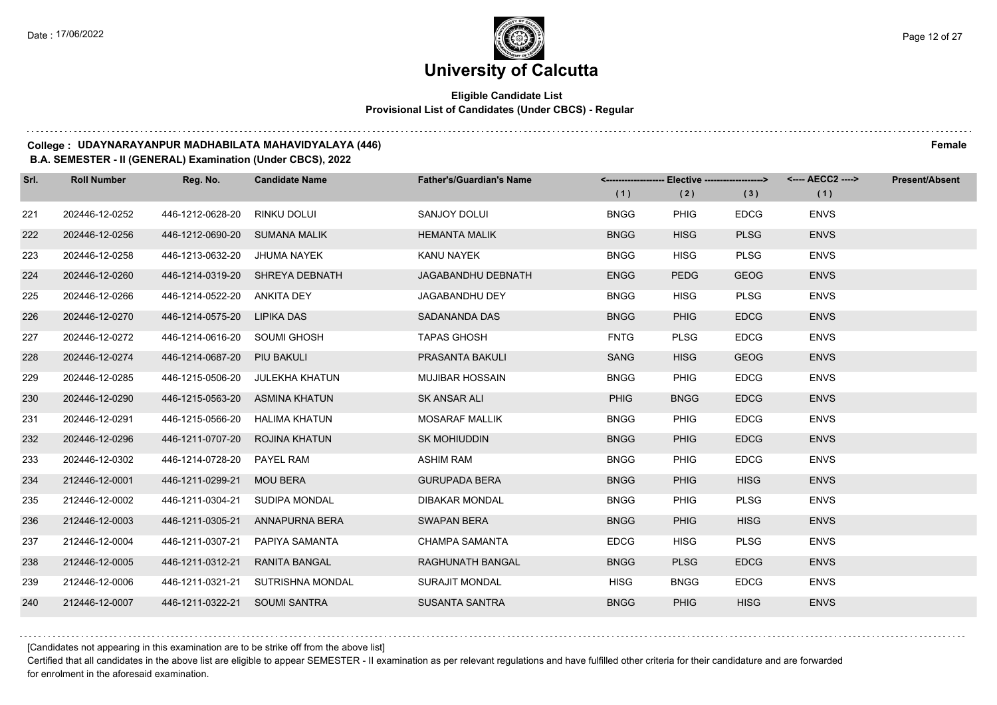### **Eligible Candidate List Provisional List of Candidates (Under CBCS) - Regular**

#### **College : UDAYNARAYANPUR MADHABILATA MAHAVIDYALAYA (446) Female**

#### **B.A. SEMESTER - II (GENERAL) Examination (Under CBCS), 2022**

| Srl. | <b>Roll Number</b> | Reg. No.                      | <b>Candidate Name</b>           | <b>Father's/Guardian's Name</b> | <--------------------- | <b>Elective -------------------&gt;</b> |             | <---- AECC2 ----> | <b>Present/Absent</b> |
|------|--------------------|-------------------------------|---------------------------------|---------------------------------|------------------------|-----------------------------------------|-------------|-------------------|-----------------------|
|      |                    |                               |                                 |                                 | (1)                    | (2)                                     | (3)         | (1)               |                       |
| 221  | 202446-12-0252     | 446-1212-0628-20              | RINKU DOLUI                     | SANJOY DOLUI                    | <b>BNGG</b>            | <b>PHIG</b>                             | <b>EDCG</b> | <b>ENVS</b>       |                       |
| 222  | 202446-12-0256     | 446-1212-0690-20              | <b>SUMANA MALIK</b>             | <b>HEMANTA MALIK</b>            | <b>BNGG</b>            | <b>HISG</b>                             | <b>PLSG</b> | <b>ENVS</b>       |                       |
| 223  | 202446-12-0258     | 446-1213-0632-20 JHUMA NAYEK  |                                 | KANU NAYEK                      | <b>BNGG</b>            | <b>HISG</b>                             | <b>PLSG</b> | <b>ENVS</b>       |                       |
| 224  | 202446-12-0260     |                               | 446-1214-0319-20 SHREYA DEBNATH | <b>JAGABANDHU DEBNATH</b>       | <b>ENGG</b>            | <b>PEDG</b>                             | <b>GEOG</b> | <b>ENVS</b>       |                       |
| 225  | 202446-12-0266     | 446-1214-0522-20 ANKITA DEY   |                                 | JAGABANDHU DEY                  | <b>BNGG</b>            | <b>HISG</b>                             | <b>PLSG</b> | <b>ENVS</b>       |                       |
| 226  | 202446-12-0270     | 446-1214-0575-20              | LIPIKA DAS                      | SADANANDA DAS                   | <b>BNGG</b>            | <b>PHIG</b>                             | <b>EDCG</b> | <b>ENVS</b>       |                       |
| 227  | 202446-12-0272     | 446-1214-0616-20 SOUMI GHOSH  |                                 | <b>TAPAS GHOSH</b>              | <b>FNTG</b>            | <b>PLSG</b>                             | <b>EDCG</b> | <b>ENVS</b>       |                       |
| 228  | 202446-12-0274     | 446-1214-0687-20 PIU BAKULI   |                                 | PRASANTA BAKULI                 | SANG                   | <b>HISG</b>                             | <b>GEOG</b> | <b>ENVS</b>       |                       |
| 229  | 202446-12-0285     | 446-1215-0506-20              | JULEKHA KHATUN                  | <b>MUJIBAR HOSSAIN</b>          | <b>BNGG</b>            | PHIG                                    | <b>EDCG</b> | <b>ENVS</b>       |                       |
| 230  | 202446-12-0290     | 446-1215-0563-20              | ASMINA KHATUN                   | <b>SK ANSAR ALI</b>             | <b>PHIG</b>            | <b>BNGG</b>                             | <b>EDCG</b> | <b>ENVS</b>       |                       |
| 231  | 202446-12-0291     | 446-1215-0566-20              | HALIMA KHATUN                   | <b>MOSARAF MALLIK</b>           | <b>BNGG</b>            | <b>PHIG</b>                             | <b>EDCG</b> | <b>ENVS</b>       |                       |
| 232  | 202446-12-0296     | 446-1211-0707-20              | ROJINA KHATUN                   | <b>SK MOHIUDDIN</b>             | <b>BNGG</b>            | <b>PHIG</b>                             | <b>EDCG</b> | <b>ENVS</b>       |                       |
| 233  | 202446-12-0302     | 446-1214-0728-20 PAYEL RAM    |                                 | <b>ASHIM RAM</b>                | <b>BNGG</b>            | <b>PHIG</b>                             | <b>EDCG</b> | <b>ENVS</b>       |                       |
| 234  | 212446-12-0001     | 446-1211-0299-21              | <b>MOU BERA</b>                 | <b>GURUPADA BERA</b>            | <b>BNGG</b>            | <b>PHIG</b>                             | <b>HISG</b> | <b>ENVS</b>       |                       |
| 235  | 212446-12-0002     | 446-1211-0304-21              | SUDIPA MONDAL                   | <b>DIBAKAR MONDAL</b>           | <b>BNGG</b>            | <b>PHIG</b>                             | <b>PLSG</b> | <b>ENVS</b>       |                       |
| 236  | 212446-12-0003     | 446-1211-0305-21              | ANNAPURNA BERA                  | <b>SWAPAN BERA</b>              | <b>BNGG</b>            | <b>PHIG</b>                             | <b>HISG</b> | <b>ENVS</b>       |                       |
| 237  | 212446-12-0004     | 446-1211-0307-21              | PAPIYA SAMANTA                  | <b>CHAMPA SAMANTA</b>           | <b>EDCG</b>            | <b>HISG</b>                             | <b>PLSG</b> | <b>ENVS</b>       |                       |
| 238  | 212446-12-0005     | 446-1211-0312-21              | <b>RANITA BANGAL</b>            | RAGHUNATH BANGAL                | <b>BNGG</b>            | <b>PLSG</b>                             | <b>EDCG</b> | <b>ENVS</b>       |                       |
| 239  | 212446-12-0006     | 446-1211-0321-21              | SUTRISHNA MONDAL                | <b>SURAJIT MONDAL</b>           | <b>HISG</b>            | <b>BNGG</b>                             | <b>EDCG</b> | <b>ENVS</b>       |                       |
| 240  | 212446-12-0007     | 446-1211-0322-21 SOUMI SANTRA |                                 | <b>SUSANTA SANTRA</b>           | <b>BNGG</b>            | <b>PHIG</b>                             | <b>HISG</b> | <b>ENVS</b>       |                       |

[Candidates not appearing in this examination are to be strike off from the above list]

Certified that all candidates in the above list are eligible to appear SEMESTER - II examination as per relevant regulations and have fulfilled other criteria for their candidature and are forwarded for enrolment in the aforesaid examination.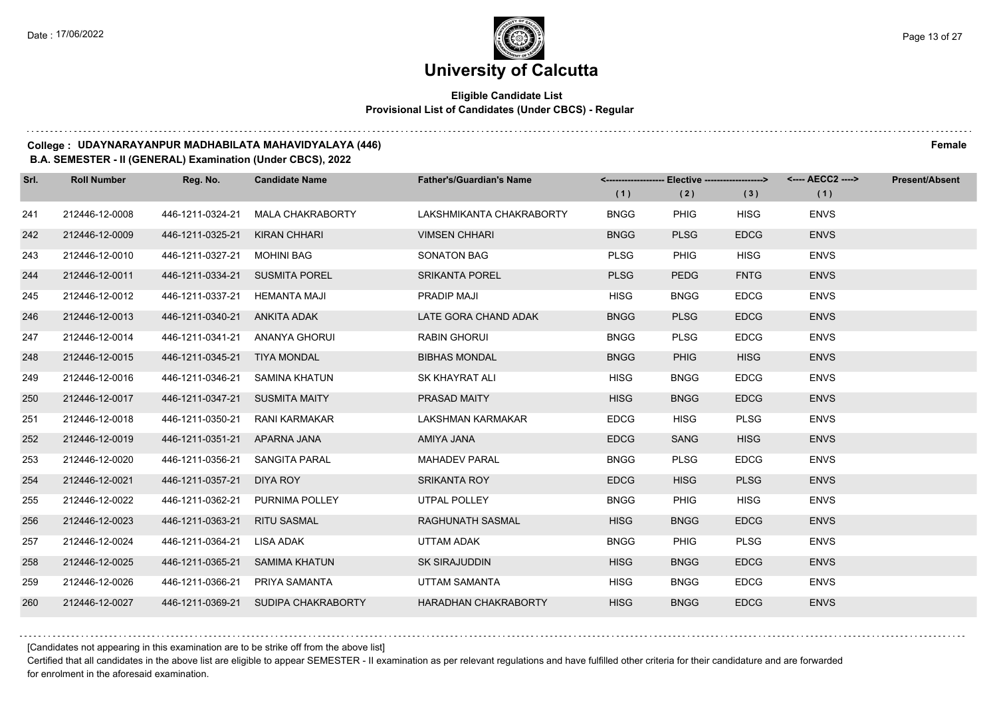### **Eligible Candidate List Provisional List of Candidates (Under CBCS) - Regular**

#### **College : UDAYNARAYANPUR MADHABILATA MAHAVIDYALAYA (446) Female**

#### **B.A. SEMESTER - II (GENERAL) Examination (Under CBCS), 2022**

| Srl. | <b>Roll Number</b> | Reg. No.                       | <b>Candidate Name</b>               | <b>Father's/Guardian's Name</b> | <--------------------- | <b>Elective -------------------&gt;</b> |             | <---- AECC2 ----> | <b>Present/Absent</b> |
|------|--------------------|--------------------------------|-------------------------------------|---------------------------------|------------------------|-----------------------------------------|-------------|-------------------|-----------------------|
|      |                    |                                |                                     |                                 | (1)                    | (2)                                     | (3)         | (1)               |                       |
| 241  | 212446-12-0008     | 446-1211-0324-21               | <b>MALA CHAKRABORTY</b>             | LAKSHMIKANTA CHAKRABORTY        | <b>BNGG</b>            | <b>PHIG</b>                             | <b>HISG</b> | <b>ENVS</b>       |                       |
| 242  | 212446-12-0009     | 446-1211-0325-21               | <b>KIRAN CHHARI</b>                 | <b>VIMSEN CHHARI</b>            | <b>BNGG</b>            | <b>PLSG</b>                             | <b>EDCG</b> | <b>ENVS</b>       |                       |
| 243  | 212446-12-0010     | 446-1211-0327-21               | MOHINI BAG                          | <b>SONATON BAG</b>              | <b>PLSG</b>            | <b>PHIG</b>                             | <b>HISG</b> | <b>ENVS</b>       |                       |
| 244  | 212446-12-0011     | 446-1211-0334-21 SUSMITA POREL |                                     | <b>SRIKANTA POREL</b>           | <b>PLSG</b>            | <b>PEDG</b>                             | <b>FNTG</b> | <b>ENVS</b>       |                       |
| 245  | 212446-12-0012     | 446-1211-0337-21 HEMANTA MAJI  |                                     | PRADIP MAJI                     | <b>HISG</b>            | <b>BNGG</b>                             | <b>EDCG</b> | <b>ENVS</b>       |                       |
| 246  | 212446-12-0013     | 446-1211-0340-21               | <b>ANKITA ADAK</b>                  | LATE GORA CHAND ADAK            | <b>BNGG</b>            | <b>PLSG</b>                             | <b>EDCG</b> | <b>ENVS</b>       |                       |
| 247  | 212446-12-0014     | 446-1211-0341-21 ANANYA GHORUI |                                     | <b>RABIN GHORUI</b>             | <b>BNGG</b>            | <b>PLSG</b>                             | <b>EDCG</b> | <b>ENVS</b>       |                       |
| 248  | 212446-12-0015     | 446-1211-0345-21 TIYA MONDAL   |                                     | <b>BIBHAS MONDAL</b>            | <b>BNGG</b>            | <b>PHIG</b>                             | <b>HISG</b> | <b>ENVS</b>       |                       |
| 249  | 212446-12-0016     | 446-1211-0346-21               | SAMINA KHATUN                       | SK KHAYRAT ALI                  | <b>HISG</b>            | <b>BNGG</b>                             | <b>EDCG</b> | <b>ENVS</b>       |                       |
| 250  | 212446-12-0017     | 446-1211-0347-21               | <b>SUSMITA MAITY</b>                | PRASAD MAITY                    | <b>HISG</b>            | <b>BNGG</b>                             | <b>EDCG</b> | <b>ENVS</b>       |                       |
| 251  | 212446-12-0018     | 446-1211-0350-21               | RANI KARMAKAR                       | LAKSHMAN KARMAKAR               | <b>EDCG</b>            | <b>HISG</b>                             | <b>PLSG</b> | <b>ENVS</b>       |                       |
| 252  | 212446-12-0019     | 446-1211-0351-21 APARNA JANA   |                                     | AMIYA JANA                      | <b>EDCG</b>            | <b>SANG</b>                             | <b>HISG</b> | <b>ENVS</b>       |                       |
| 253  | 212446-12-0020     | 446-1211-0356-21               | SANGITA PARAL                       | <b>MAHADEV PARAL</b>            | <b>BNGG</b>            | <b>PLSG</b>                             | <b>EDCG</b> | <b>ENVS</b>       |                       |
| 254  | 212446-12-0021     | 446-1211-0357-21               | DIYA ROY                            | <b>SRIKANTA ROY</b>             | <b>EDCG</b>            | <b>HISG</b>                             | <b>PLSG</b> | <b>ENVS</b>       |                       |
| 255  | 212446-12-0022     | 446-1211-0362-21               | <b>PURNIMA POLLEY</b>               | UTPAL POLLEY                    | <b>BNGG</b>            | PHIG                                    | <b>HISG</b> | <b>ENVS</b>       |                       |
| 256  | 212446-12-0023     | 446-1211-0363-21               | <b>RITU SASMAL</b>                  | RAGHUNATH SASMAL                | <b>HISG</b>            | <b>BNGG</b>                             | <b>EDCG</b> | <b>ENVS</b>       |                       |
| 257  | 212446-12-0024     | 446-1211-0364-21               | LISA ADAK                           | UTTAM ADAK                      | <b>BNGG</b>            | <b>PHIG</b>                             | <b>PLSG</b> | <b>ENVS</b>       |                       |
| 258  | 212446-12-0025     | 446-1211-0365-21               | <b>SAMIMA KHATUN</b>                | <b>SK SIRAJUDDIN</b>            | <b>HISG</b>            | <b>BNGG</b>                             | <b>EDCG</b> | <b>ENVS</b>       |                       |
| 259  | 212446-12-0026     | 446-1211-0366-21               | PRIYA SAMANTA                       | UTTAM SAMANTA                   | <b>HISG</b>            | <b>BNGG</b>                             | <b>EDCG</b> | <b>ENVS</b>       |                       |
| 260  | 212446-12-0027     |                                | 446-1211-0369-21 SUDIPA CHAKRABORTY | <b>HARADHAN CHAKRABORTY</b>     | <b>HISG</b>            | <b>BNGG</b>                             | <b>EDCG</b> | <b>ENVS</b>       |                       |

[Candidates not appearing in this examination are to be strike off from the above list]

Certified that all candidates in the above list are eligible to appear SEMESTER - II examination as per relevant regulations and have fulfilled other criteria for their candidature and are forwarded for enrolment in the aforesaid examination.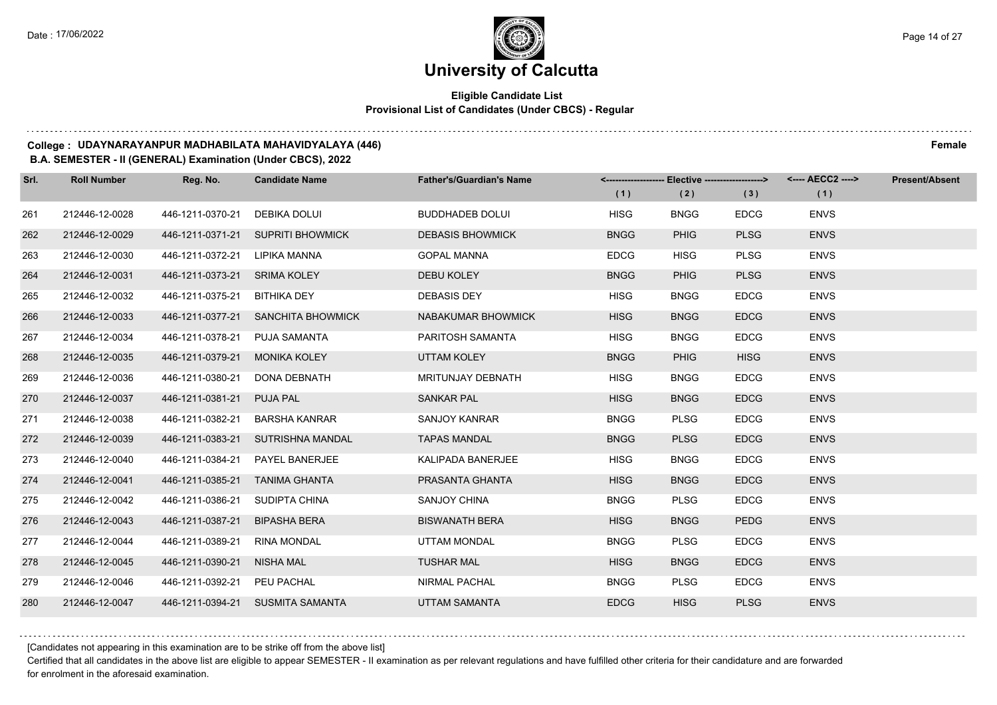### **Eligible Candidate List Provisional List of Candidates (Under CBCS) - Regular**

#### **College : UDAYNARAYANPUR MADHABILATA MAHAVIDYALAYA (446) Female**

#### **B.A. SEMESTER - II (GENERAL) Examination (Under CBCS), 2022**

| Srl. | <b>Roll Number</b> | Reg. No.                       | <b>Candidate Name</b>             | <b>Father's/Guardian's Name</b> |             | <-------------------- Elective -------------------> |             | <---- AECC2 ----> | <b>Present/Absent</b> |
|------|--------------------|--------------------------------|-----------------------------------|---------------------------------|-------------|-----------------------------------------------------|-------------|-------------------|-----------------------|
|      |                    |                                |                                   |                                 | (1)         | (2)                                                 | (3)         | (1)               |                       |
| 261  | 212446-12-0028     | 446-1211-0370-21               | DEBIKA DOLUI                      | <b>BUDDHADEB DOLUI</b>          | <b>HISG</b> | <b>BNGG</b>                                         | <b>EDCG</b> | <b>ENVS</b>       |                       |
| 262  | 212446-12-0029     | 446-1211-0371-21               | <b>SUPRITI BHOWMICK</b>           | <b>DEBASIS BHOWMICK</b>         | <b>BNGG</b> | <b>PHIG</b>                                         | <b>PLSG</b> | <b>ENVS</b>       |                       |
| 263  | 212446-12-0030     | 446-1211-0372-21 LIPIKA MANNA  |                                   | <b>GOPAL MANNA</b>              | <b>EDCG</b> | <b>HISG</b>                                         | <b>PLSG</b> | <b>ENVS</b>       |                       |
| 264  | 212446-12-0031     | 446-1211-0373-21 SRIMA KOLEY   |                                   | <b>DEBU KOLEY</b>               | <b>BNGG</b> | <b>PHIG</b>                                         | <b>PLSG</b> | <b>ENVS</b>       |                       |
| 265  | 212446-12-0032     | 446-1211-0375-21 BITHIKA DEY   |                                   | <b>DEBASIS DEY</b>              | <b>HISG</b> | <b>BNGG</b>                                         | <b>EDCG</b> | <b>ENVS</b>       |                       |
| 266  | 212446-12-0033     | 446-1211-0377-21               | <b>SANCHITA BHOWMICK</b>          | NABAKUMAR BHOWMICK              | <b>HISG</b> | <b>BNGG</b>                                         | <b>EDCG</b> | <b>ENVS</b>       |                       |
| 267  | 212446-12-0034     | 446-1211-0378-21 PUJA SAMANTA  |                                   | PARITOSH SAMANTA                | <b>HISG</b> | <b>BNGG</b>                                         | <b>EDCG</b> | <b>ENVS</b>       |                       |
| 268  | 212446-12-0035     | 446-1211-0379-21               | <b>MONIKA KOLEY</b>               | <b>UTTAM KOLEY</b>              | <b>BNGG</b> | <b>PHIG</b>                                         | <b>HISG</b> | <b>ENVS</b>       |                       |
| 269  | 212446-12-0036     | 446-1211-0380-21               | DONA DEBNATH                      | <b>MRITUNJAY DEBNATH</b>        | <b>HISG</b> | <b>BNGG</b>                                         | <b>EDCG</b> | <b>ENVS</b>       |                       |
| 270  | 212446-12-0037     | 446-1211-0381-21               | <b>PUJA PAL</b>                   | <b>SANKAR PAL</b>               | <b>HISG</b> | <b>BNGG</b>                                         | <b>EDCG</b> | <b>ENVS</b>       |                       |
| 271  | 212446-12-0038     | 446-1211-0382-21               | BARSHA KANRAR                     | <b>SANJOY KANRAR</b>            | <b>BNGG</b> | <b>PLSG</b>                                         | <b>EDCG</b> | <b>ENVS</b>       |                       |
| 272  | 212446-12-0039     |                                | 446-1211-0383-21 SUTRISHNA MANDAL | <b>TAPAS MANDAL</b>             | <b>BNGG</b> | <b>PLSG</b>                                         | <b>EDCG</b> | <b>ENVS</b>       |                       |
| 273  | 212446-12-0040     |                                | 446-1211-0384-21  PAYEL BANERJEE  | KALIPADA BANERJEE               | <b>HISG</b> | <b>BNGG</b>                                         | <b>EDCG</b> | <b>ENVS</b>       |                       |
| 274  | 212446-12-0041     | 446-1211-0385-21               | <b>TANIMA GHANTA</b>              | PRASANTA GHANTA                 | <b>HISG</b> | <b>BNGG</b>                                         | <b>EDCG</b> | <b>ENVS</b>       |                       |
| 275  | 212446-12-0042     | 446-1211-0386-21 SUDIPTA CHINA |                                   | SANJOY CHINA                    | <b>BNGG</b> | <b>PLSG</b>                                         | <b>EDCG</b> | <b>ENVS</b>       |                       |
| 276  | 212446-12-0043     | 446-1211-0387-21               | <b>BIPASHA BERA</b>               | <b>BISWANATH BERA</b>           | <b>HISG</b> | <b>BNGG</b>                                         | <b>PEDG</b> | <b>ENVS</b>       |                       |
| 277  | 212446-12-0044     | 446-1211-0389-21               | RINA MONDAL                       | UTTAM MONDAL                    | <b>BNGG</b> | <b>PLSG</b>                                         | <b>EDCG</b> | <b>ENVS</b>       |                       |
| 278  | 212446-12-0045     | 446-1211-0390-21               | NISHA MAL                         | <b>TUSHAR MAL</b>               | <b>HISG</b> | <b>BNGG</b>                                         | <b>EDCG</b> | <b>ENVS</b>       |                       |
| 279  | 212446-12-0046     | 446-1211-0392-21 PEU PACHAL    |                                   | <b>NIRMAL PACHAL</b>            | <b>BNGG</b> | <b>PLSG</b>                                         | <b>EDCG</b> | <b>ENVS</b>       |                       |
| 280  | 212446-12-0047     |                                | 446-1211-0394-21 SUSMITA SAMANTA  | <b>UTTAM SAMANTA</b>            | <b>EDCG</b> | <b>HISG</b>                                         | <b>PLSG</b> | <b>ENVS</b>       |                       |

[Candidates not appearing in this examination are to be strike off from the above list]

Certified that all candidates in the above list are eligible to appear SEMESTER - II examination as per relevant regulations and have fulfilled other criteria for their candidature and are forwarded for enrolment in the aforesaid examination.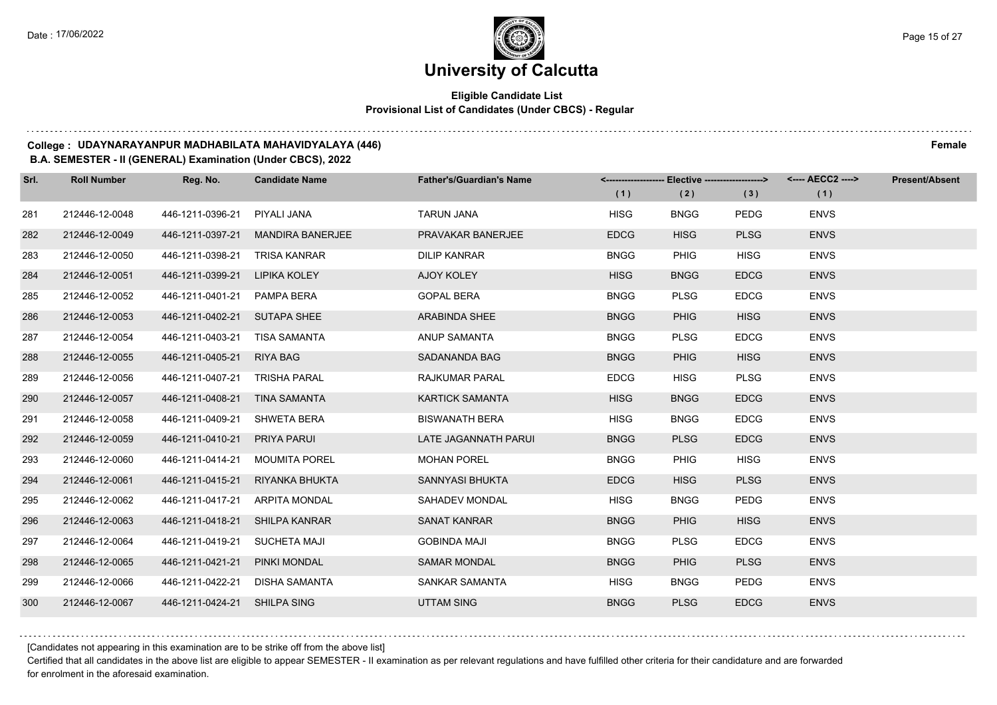### **Eligible Candidate List Provisional List of Candidates (Under CBCS) - Regular**

#### **College : UDAYNARAYANPUR MADHABILATA MAHAVIDYALAYA (446) Female**

#### **B.A. SEMESTER - II (GENERAL) Examination (Under CBCS), 2022**

| Srl. | <b>Roll Number</b> | Reg. No.                       | <b>Candidate Name</b>   | <b>Father's/Guardian's Name</b> |             | <------------------- Elective -------------------> |             | <---- AECC2 ----> | <b>Present/Absent</b> |
|------|--------------------|--------------------------------|-------------------------|---------------------------------|-------------|----------------------------------------------------|-------------|-------------------|-----------------------|
|      |                    |                                |                         |                                 | (1)         | (2)                                                | (3)         | (1)               |                       |
| 281  | 212446-12-0048     | 446-1211-0396-21               | PIYALI JANA             | <b>TARUN JANA</b>               | <b>HISG</b> | <b>BNGG</b>                                        | <b>PEDG</b> | <b>ENVS</b>       |                       |
| 282  | 212446-12-0049     | 446-1211-0397-21               | <b>MANDIRA BANERJEE</b> | PRAVAKAR BANERJEE               | <b>EDCG</b> | <b>HISG</b>                                        | <b>PLSG</b> | <b>ENVS</b>       |                       |
| 283  | 212446-12-0050     | 446-1211-0398-21               | TRISA KANRAR            | <b>DILIP KANRAR</b>             | <b>BNGG</b> | <b>PHIG</b>                                        | <b>HISG</b> | <b>ENVS</b>       |                       |
| 284  | 212446-12-0051     | 446-1211-0399-21               | <b>LIPIKA KOLEY</b>     | AJOY KOLEY                      | <b>HISG</b> | <b>BNGG</b>                                        | <b>EDCG</b> | <b>ENVS</b>       |                       |
| 285  | 212446-12-0052     | 446-1211-0401-21               | PAMPA BERA              | <b>GOPAL BERA</b>               | <b>BNGG</b> | <b>PLSG</b>                                        | <b>EDCG</b> | <b>ENVS</b>       |                       |
| 286  | 212446-12-0053     | 446-1211-0402-21 SUTAPA SHEE   |                         | <b>ARABINDA SHEE</b>            | <b>BNGG</b> | <b>PHIG</b>                                        | <b>HISG</b> | <b>ENVS</b>       |                       |
| 287  | 212446-12-0054     | 446-1211-0403-21 TISA SAMANTA  |                         | ANUP SAMANTA                    | <b>BNGG</b> | <b>PLSG</b>                                        | <b>EDCG</b> | <b>ENVS</b>       |                       |
| 288  | 212446-12-0055     | 446-1211-0405-21 RIYA BAG      |                         | SADANANDA BAG                   | <b>BNGG</b> | <b>PHIG</b>                                        | <b>HISG</b> | <b>ENVS</b>       |                       |
| 289  | 212446-12-0056     | 446-1211-0407-21               | TRISHA PARAL            | RAJKUMAR PARAL                  | <b>EDCG</b> | <b>HISG</b>                                        | <b>PLSG</b> | <b>ENVS</b>       |                       |
| 290  | 212446-12-0057     | 446-1211-0408-21               | <b>TINA SAMANTA</b>     | <b>KARTICK SAMANTA</b>          | <b>HISG</b> | <b>BNGG</b>                                        | <b>EDCG</b> | <b>ENVS</b>       |                       |
| 291  | 212446-12-0058     | 446-1211-0409-21               | SHWETA BERA             | <b>BISWANATH BERA</b>           | <b>HISG</b> | <b>BNGG</b>                                        | <b>EDCG</b> | <b>ENVS</b>       |                       |
| 292  | 212446-12-0059     | 446-1211-0410-21               | <b>PRIYA PARUI</b>      | LATE JAGANNATH PARUI            | <b>BNGG</b> | <b>PLSG</b>                                        | <b>EDCG</b> | <b>ENVS</b>       |                       |
| 293  | 212446-12-0060     | 446-1211-0414-21               | MOUMITA POREL           | <b>MOHAN POREL</b>              | <b>BNGG</b> | <b>PHIG</b>                                        | <b>HISG</b> | <b>ENVS</b>       |                       |
| 294  | 212446-12-0061     | 446-1211-0415-21               | RIYANKA BHUKTA          | SANNYASI BHUKTA                 | <b>EDCG</b> | <b>HISG</b>                                        | <b>PLSG</b> | <b>ENVS</b>       |                       |
| 295  | 212446-12-0062     | 446-1211-0417-21 ARPITA MONDAL |                         | SAHADEV MONDAL                  | <b>HISG</b> | <b>BNGG</b>                                        | <b>PEDG</b> | <b>ENVS</b>       |                       |
| 296  | 212446-12-0063     | 446-1211-0418-21 SHILPA KANRAR |                         | <b>SANAT KANRAR</b>             | <b>BNGG</b> | <b>PHIG</b>                                        | <b>HISG</b> | <b>ENVS</b>       |                       |
| 297  | 212446-12-0064     | 446-1211-0419-21               | SUCHETA MAJI            | <b>GOBINDA MAJI</b>             | <b>BNGG</b> | <b>PLSG</b>                                        | <b>EDCG</b> | <b>ENVS</b>       |                       |
| 298  | 212446-12-0065     | 446-1211-0421-21               | <b>PINKI MONDAL</b>     | <b>SAMAR MONDAL</b>             | <b>BNGG</b> | <b>PHIG</b>                                        | <b>PLSG</b> | <b>ENVS</b>       |                       |
| 299  | 212446-12-0066     | 446-1211-0422-21               | DISHA SAMANTA           | SANKAR SAMANTA                  | HISG        | <b>BNGG</b>                                        | <b>PEDG</b> | <b>ENVS</b>       |                       |
| 300  | 212446-12-0067     | 446-1211-0424-21 SHILPA SING   |                         | <b>UTTAM SING</b>               | <b>BNGG</b> | <b>PLSG</b>                                        | <b>EDCG</b> | <b>ENVS</b>       |                       |

[Candidates not appearing in this examination are to be strike off from the above list]

Certified that all candidates in the above list are eligible to appear SEMESTER - II examination as per relevant regulations and have fulfilled other criteria for their candidature and are forwarded for enrolment in the aforesaid examination.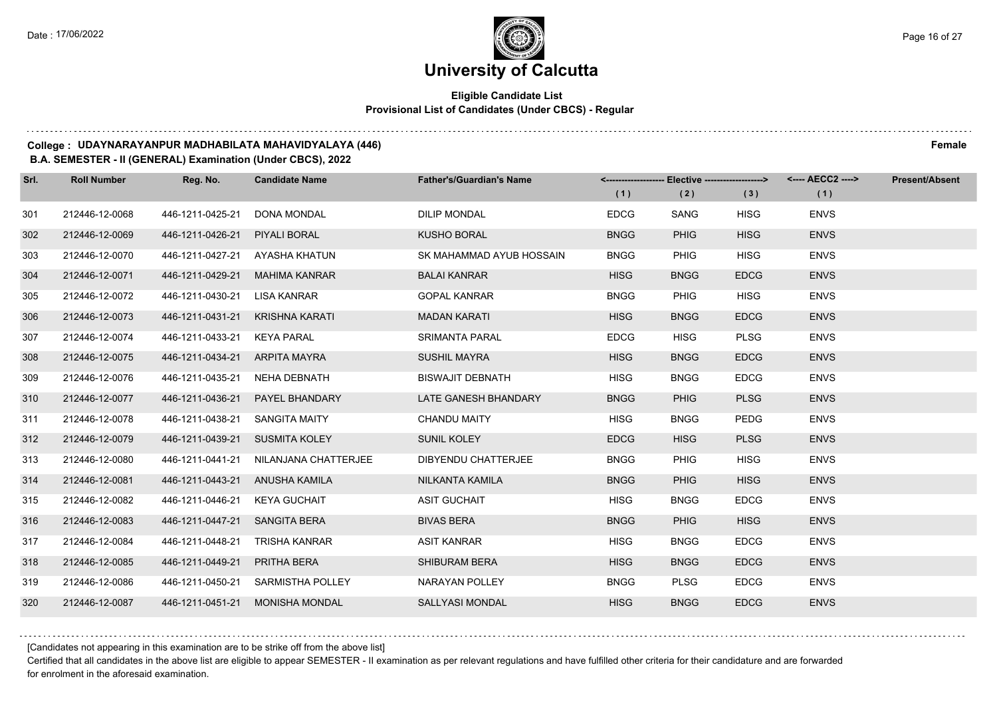### **Eligible Candidate List Provisional List of Candidates (Under CBCS) - Regular**

#### **College : UDAYNARAYANPUR MADHABILATA MAHAVIDYALAYA (446) Female**

#### **B.A. SEMESTER - II (GENERAL) Examination (Under CBCS), 2022**

| Srl. | <b>Roll Number</b> | Reg. No.                       | <b>Candidate Name</b>                 | <b>Father's/Guardian's Name</b> |             | <------------------- Elective -------------------> |             | <---- AECC2 ----> | <b>Present/Absent</b> |
|------|--------------------|--------------------------------|---------------------------------------|---------------------------------|-------------|----------------------------------------------------|-------------|-------------------|-----------------------|
|      |                    |                                |                                       |                                 | (1)         | (2)                                                | (3)         | (1)               |                       |
| 301  | 212446-12-0068     | 446-1211-0425-21               | DONA MONDAL                           | DILIP MONDAL                    | <b>EDCG</b> | <b>SANG</b>                                        | <b>HISG</b> | <b>ENVS</b>       |                       |
| 302  | 212446-12-0069     | 446-1211-0426-21               | PIYALI BORAL                          | <b>KUSHO BORAL</b>              | <b>BNGG</b> | <b>PHIG</b>                                        | <b>HISG</b> | <b>ENVS</b>       |                       |
| 303  | 212446-12-0070     | 446-1211-0427-21 AYASHA KHATUN |                                       | SK MAHAMMAD AYUB HOSSAIN        | <b>BNGG</b> | <b>PHIG</b>                                        | <b>HISG</b> | <b>ENVS</b>       |                       |
| 304  | 212446-12-0071     | 446-1211-0429-21               | MAHIMA KANRAR                         | <b>BALAI KANRAR</b>             | <b>HISG</b> | <b>BNGG</b>                                        | <b>EDCG</b> | <b>ENVS</b>       |                       |
| 305  | 212446-12-0072     | 446-1211-0430-21 LISA KANRAR   |                                       | <b>GOPAL KANRAR</b>             | <b>BNGG</b> | <b>PHIG</b>                                        | <b>HISG</b> | <b>ENVS</b>       |                       |
| 306  | 212446-12-0073     | 446-1211-0431-21               | <b>KRISHNA KARATI</b>                 | <b>MADAN KARATI</b>             | <b>HISG</b> | <b>BNGG</b>                                        | <b>EDCG</b> | <b>ENVS</b>       |                       |
| 307  | 212446-12-0074     | 446-1211-0433-21 KEYA PARAL    |                                       | <b>SRIMANTA PARAL</b>           | <b>EDCG</b> | <b>HISG</b>                                        | <b>PLSG</b> | <b>ENVS</b>       |                       |
| 308  | 212446-12-0075     | 446-1211-0434-21 ARPITA MAYRA  |                                       | <b>SUSHIL MAYRA</b>             | <b>HISG</b> | <b>BNGG</b>                                        | <b>EDCG</b> | <b>ENVS</b>       |                       |
| 309  | 212446-12-0076     | 446-1211-0435-21 NEHA DEBNATH  |                                       | <b>BISWAJIT DEBNATH</b>         | <b>HISG</b> | <b>BNGG</b>                                        | <b>EDCG</b> | <b>ENVS</b>       |                       |
| 310  | 212446-12-0077     | 446-1211-0436-21               | PAYEL BHANDARY                        | LATE GANESH BHANDARY            | <b>BNGG</b> | <b>PHIG</b>                                        | <b>PLSG</b> | <b>ENVS</b>       |                       |
| 311  | 212446-12-0078     | 446-1211-0438-21 SANGITA MAITY |                                       | <b>CHANDU MAITY</b>             | HISG        | <b>BNGG</b>                                        | <b>PEDG</b> | <b>ENVS</b>       |                       |
| 312  | 212446-12-0079     | 446-1211-0439-21 SUSMITA KOLEY |                                       | <b>SUNIL KOLEY</b>              | <b>EDCG</b> | <b>HISG</b>                                        | <b>PLSG</b> | <b>ENVS</b>       |                       |
| 313  | 212446-12-0080     |                                | 446-1211-0441-21 NILANJANA CHATTERJEE | DIBYENDU CHATTERJEE             | <b>BNGG</b> | <b>PHIG</b>                                        | <b>HISG</b> | <b>ENVS</b>       |                       |
| 314  | 212446-12-0081     | 446-1211-0443-21               | ANUSHA KAMILA                         | NILKANTA KAMILA                 | <b>BNGG</b> | <b>PHIG</b>                                        | <b>HISG</b> | <b>ENVS</b>       |                       |
| 315  | 212446-12-0082     | 446-1211-0446-21 KEYA GUCHAIT  |                                       | <b>ASIT GUCHAIT</b>             | <b>HISG</b> | <b>BNGG</b>                                        | <b>EDCG</b> | <b>ENVS</b>       |                       |
| 316  | 212446-12-0083     | 446-1211-0447-21 SANGITA BERA  |                                       | <b>BIVAS BERA</b>               | <b>BNGG</b> | <b>PHIG</b>                                        | <b>HISG</b> | <b>ENVS</b>       |                       |
| 317  | 212446-12-0084     | 446-1211-0448-21               | TRISHA KANRAR                         | <b>ASIT KANRAR</b>              | <b>HISG</b> | <b>BNGG</b>                                        | <b>EDCG</b> | <b>ENVS</b>       |                       |
| 318  | 212446-12-0085     | 446-1211-0449-21               | PRITHA BERA                           | <b>SHIBURAM BERA</b>            | <b>HISG</b> | <b>BNGG</b>                                        | <b>EDCG</b> | <b>ENVS</b>       |                       |
| 319  | 212446-12-0086     |                                | 446-1211-0450-21 SARMISTHA POLLEY     | NARAYAN POLLEY                  | <b>BNGG</b> | <b>PLSG</b>                                        | <b>EDCG</b> | <b>ENVS</b>       |                       |
| 320  | 212446-12-0087     | 446-1211-0451-21               | MONISHA MONDAL                        | SALLYASI MONDAL                 | <b>HISG</b> | <b>BNGG</b>                                        | <b>EDCG</b> | <b>ENVS</b>       |                       |

[Candidates not appearing in this examination are to be strike off from the above list]

Certified that all candidates in the above list are eligible to appear SEMESTER - II examination as per relevant regulations and have fulfilled other criteria for their candidature and are forwarded for enrolment in the aforesaid examination.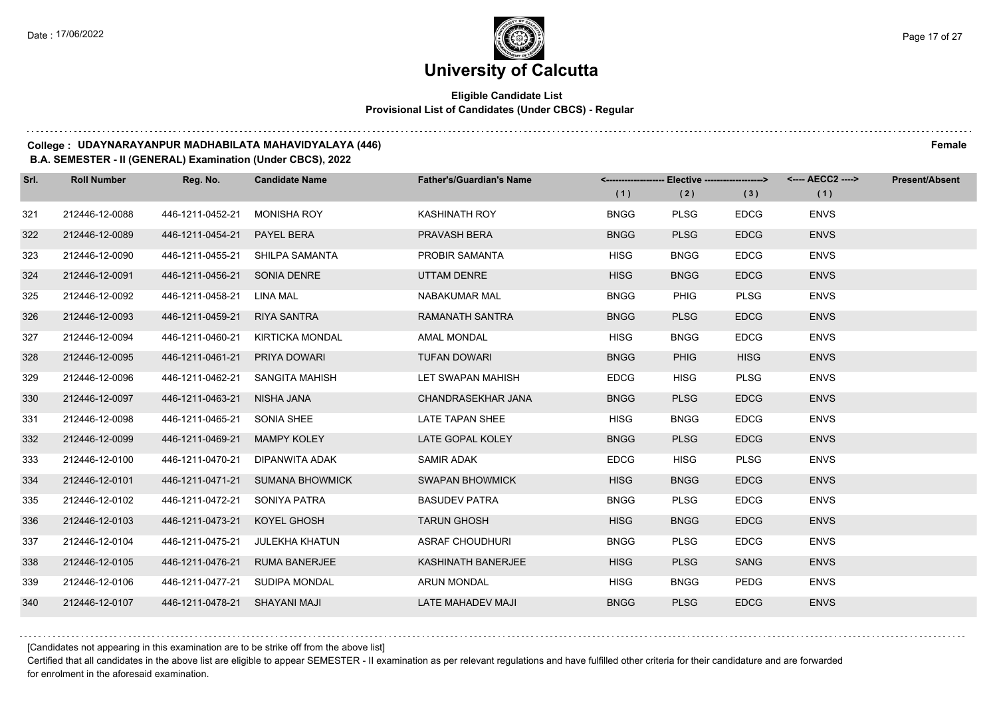### **Eligible Candidate List Provisional List of Candidates (Under CBCS) - Regular**

#### **College : UDAYNARAYANPUR MADHABILATA MAHAVIDYALAYA (446) Female**

#### **B.A. SEMESTER - II (GENERAL) Examination (Under CBCS), 2022**

| Srl. | <b>Roll Number</b> | Reg. No.                        | <b>Candidate Name</b>            | <b>Father's/Guardian's Name</b> |             | <-------------------- Elective -------------------> |             | <---- AECC2 ----> | <b>Present/Absent</b> |
|------|--------------------|---------------------------------|----------------------------------|---------------------------------|-------------|-----------------------------------------------------|-------------|-------------------|-----------------------|
|      |                    |                                 |                                  |                                 | (1)         | (2)                                                 | (3)         | (1)               |                       |
| 321  | 212446-12-0088     | 446-1211-0452-21                | <b>MONISHA ROY</b>               | KASHINATH ROY                   | <b>BNGG</b> | <b>PLSG</b>                                         | <b>EDCG</b> | <b>ENVS</b>       |                       |
| 322  | 212446-12-0089     | 446-1211-0454-21                | PAYEL BERA                       | PRAVASH BERA                    | <b>BNGG</b> | <b>PLSG</b>                                         | <b>EDCG</b> | <b>ENVS</b>       |                       |
| 323  | 212446-12-0090     | 446-1211-0455-21 SHILPA SAMANTA |                                  | <b>PROBIR SAMANTA</b>           | <b>HISG</b> | <b>BNGG</b>                                         | <b>EDCG</b> | <b>ENVS</b>       |                       |
| 324  | 212446-12-0091     | 446-1211-0456-21 SONIA DENRE    |                                  | UTTAM DENRE                     | <b>HISG</b> | <b>BNGG</b>                                         | <b>EDCG</b> | <b>ENVS</b>       |                       |
| 325  | 212446-12-0092     | 446-1211-0458-21                | LINA MAL                         | <b>NABAKUMAR MAL</b>            | <b>BNGG</b> | <b>PHIG</b>                                         | <b>PLSG</b> | <b>ENVS</b>       |                       |
| 326  | 212446-12-0093     | 446-1211-0459-21                | <b>RIYA SANTRA</b>               | <b>RAMANATH SANTRA</b>          | <b>BNGG</b> | <b>PLSG</b>                                         | <b>EDCG</b> | <b>ENVS</b>       |                       |
| 327  | 212446-12-0094     |                                 | 446-1211-0460-21 KIRTICKA MONDAL | <b>AMAL MONDAL</b>              | <b>HISG</b> | <b>BNGG</b>                                         | <b>EDCG</b> | <b>ENVS</b>       |                       |
| 328  | 212446-12-0095     | 446-1211-0461-21                | PRIYA DOWARI                     | <b>TUFAN DOWARI</b>             | <b>BNGG</b> | <b>PHIG</b>                                         | <b>HISG</b> | <b>ENVS</b>       |                       |
| 329  | 212446-12-0096     | 446-1211-0462-21                | SANGITA MAHISH                   | LET SWAPAN MAHISH               | <b>EDCG</b> | <b>HISG</b>                                         | <b>PLSG</b> | <b>ENVS</b>       |                       |
| 330  | 212446-12-0097     | 446-1211-0463-21                | NISHA JANA                       | CHANDRASEKHAR JANA              | <b>BNGG</b> | <b>PLSG</b>                                         | <b>EDCG</b> | <b>ENVS</b>       |                       |
| 331  | 212446-12-0098     | 446-1211-0465-21 SONIA SHEE     |                                  | LATE TAPAN SHEE                 | <b>HISG</b> | <b>BNGG</b>                                         | <b>EDCG</b> | <b>ENVS</b>       |                       |
| 332  | 212446-12-0099     | 446-1211-0469-21                | <b>MAMPY KOLEY</b>               | LATE GOPAL KOLEY                | <b>BNGG</b> | <b>PLSG</b>                                         | <b>EDCG</b> | <b>ENVS</b>       |                       |
| 333  | 212446-12-0100     | 446-1211-0470-21                | DIPANWITA ADAK                   | SAMIR ADAK                      | <b>EDCG</b> | <b>HISG</b>                                         | <b>PLSG</b> | <b>ENVS</b>       |                       |
| 334  | 212446-12-0101     | 446-1211-0471-21                | <b>SUMANA BHOWMICK</b>           | <b>SWAPAN BHOWMICK</b>          | <b>HISG</b> | <b>BNGG</b>                                         | <b>EDCG</b> | <b>ENVS</b>       |                       |
| 335  | 212446-12-0102     | 446-1211-0472-21 SONIYA PATRA   |                                  | <b>BASUDEV PATRA</b>            | <b>BNGG</b> | <b>PLSG</b>                                         | <b>EDCG</b> | <b>ENVS</b>       |                       |
| 336  | 212446-12-0103     | 446-1211-0473-21                | KOYEL GHOSH                      | <b>TARUN GHOSH</b>              | <b>HISG</b> | <b>BNGG</b>                                         | <b>EDCG</b> | <b>ENVS</b>       |                       |
| 337  | 212446-12-0104     | 446-1211-0475-21                | JULEKHA KHATUN                   | <b>ASRAF CHOUDHURI</b>          | <b>BNGG</b> | <b>PLSG</b>                                         | <b>EDCG</b> | <b>ENVS</b>       |                       |
| 338  | 212446-12-0105     | 446-1211-0476-21                | <b>RUMA BANERJEE</b>             | <b>KASHINATH BANERJEE</b>       | <b>HISG</b> | <b>PLSG</b>                                         | <b>SANG</b> | <b>ENVS</b>       |                       |
| 339  | 212446-12-0106     | 446-1211-0477-21 SUDIPA MONDAL  |                                  | <b>ARUN MONDAL</b>              | <b>HISG</b> | <b>BNGG</b>                                         | <b>PEDG</b> | <b>ENVS</b>       |                       |
| 340  | 212446-12-0107     | 446-1211-0478-21 SHAYANI MAJI   |                                  | <b>LATE MAHADEV MAJI</b>        | <b>BNGG</b> | <b>PLSG</b>                                         | <b>EDCG</b> | <b>ENVS</b>       |                       |

[Candidates not appearing in this examination are to be strike off from the above list]

Certified that all candidates in the above list are eligible to appear SEMESTER - II examination as per relevant regulations and have fulfilled other criteria for their candidature and are forwarded for enrolment in the aforesaid examination.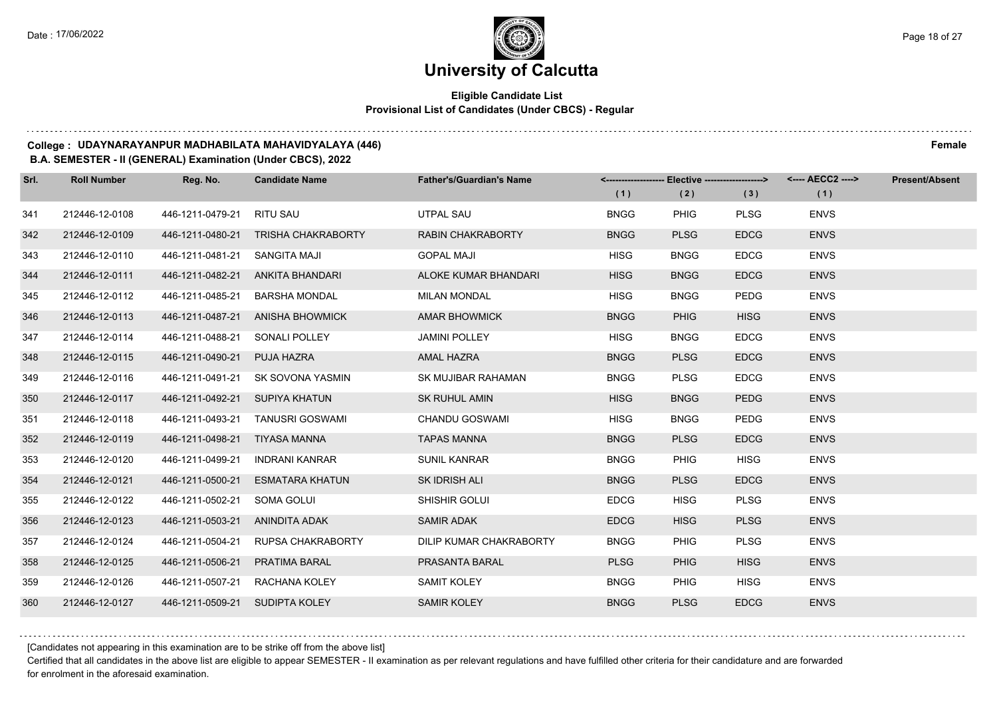### **Eligible Candidate List Provisional List of Candidates (Under CBCS) - Regular**

#### **College : UDAYNARAYANPUR MADHABILATA MAHAVIDYALAYA (446) Female**

#### **B.A. SEMESTER - II (GENERAL) Examination (Under CBCS), 2022**

| Srl. | <b>Roll Number</b> | Reg. No.                       | <b>Candidate Name</b>            | <b>Father's/Guardian's Name</b> |             | <------------------- Elective -------------------> |             | <---- AECC2 ----> | <b>Present/Absent</b> |
|------|--------------------|--------------------------------|----------------------------------|---------------------------------|-------------|----------------------------------------------------|-------------|-------------------|-----------------------|
|      |                    |                                |                                  |                                 | (1)         | (2)                                                | (3)         | (1)               |                       |
| 341  | 212446-12-0108     | 446-1211-0479-21               | <b>RITU SAU</b>                  | <b>UTPAL SAU</b>                | <b>BNGG</b> | <b>PHIG</b>                                        | <b>PLSG</b> | <b>ENVS</b>       |                       |
| 342  | 212446-12-0109     | 446-1211-0480-21               | <b>TRISHA CHAKRABORTY</b>        | <b>RABIN CHAKRABORTY</b>        | <b>BNGG</b> | <b>PLSG</b>                                        | <b>EDCG</b> | <b>ENVS</b>       |                       |
| 343  | 212446-12-0110     | 446-1211-0481-21 SANGITA MAJI  |                                  | <b>GOPAL MAJI</b>               | <b>HISG</b> | <b>BNGG</b>                                        | <b>EDCG</b> | <b>ENVS</b>       |                       |
| 344  | 212446-12-0111     |                                | 446-1211-0482-21 ANKITA BHANDARI | ALOKE KUMAR BHANDARI            | <b>HISG</b> | <b>BNGG</b>                                        | <b>EDCG</b> | <b>ENVS</b>       |                       |
| 345  | 212446-12-0112     | 446-1211-0485-21               | <b>BARSHA MONDAL</b>             | <b>MILAN MONDAL</b>             | <b>HISG</b> | <b>BNGG</b>                                        | <b>PEDG</b> | <b>ENVS</b>       |                       |
| 346  | 212446-12-0113     | 446-1211-0487-21               | <b>ANISHA BHOWMICK</b>           | <b>AMAR BHOWMICK</b>            | <b>BNGG</b> | <b>PHIG</b>                                        | <b>HISG</b> | <b>ENVS</b>       |                       |
| 347  | 212446-12-0114     | 446-1211-0488-21 SONALI POLLEY |                                  | <b>JAMINI POLLEY</b>            | <b>HISG</b> | <b>BNGG</b>                                        | <b>EDCG</b> | <b>ENVS</b>       |                       |
| 348  | 212446-12-0115     | 446-1211-0490-21               | PUJA HAZRA                       | AMAL HAZRA                      | <b>BNGG</b> | <b>PLSG</b>                                        | <b>EDCG</b> | <b>ENVS</b>       |                       |
| 349  | 212446-12-0116     | 446-1211-0491-21               | SK SOVONA YASMIN                 | SK MUJIBAR RAHAMAN              | <b>BNGG</b> | <b>PLSG</b>                                        | <b>EDCG</b> | <b>ENVS</b>       |                       |
| 350  | 212446-12-0117     | 446-1211-0492-21               | <b>SUPIYA KHATUN</b>             | <b>SK RUHUL AMIN</b>            | <b>HISG</b> | <b>BNGG</b>                                        | <b>PEDG</b> | <b>ENVS</b>       |                       |
| 351  | 212446-12-0118     |                                | 446-1211-0493-21 TANUSRI GOSWAMI | <b>CHANDU GOSWAMI</b>           | <b>HISG</b> | <b>BNGG</b>                                        | <b>PEDG</b> | <b>ENVS</b>       |                       |
| 352  | 212446-12-0119     | 446-1211-0498-21 TIYASA MANNA  |                                  | <b>TAPAS MANNA</b>              | <b>BNGG</b> | <b>PLSG</b>                                        | <b>EDCG</b> | <b>ENVS</b>       |                       |
| 353  | 212446-12-0120     | 446-1211-0499-21               | INDRANI KANRAR                   | <b>SUNIL KANRAR</b>             | <b>BNGG</b> | <b>PHIG</b>                                        | <b>HISG</b> | <b>ENVS</b>       |                       |
| 354  | 212446-12-0121     | 446-1211-0500-21               | <b>ESMATARA KHATUN</b>           | SK IDRISH ALI                   | <b>BNGG</b> | <b>PLSG</b>                                        | <b>EDCG</b> | <b>ENVS</b>       |                       |
| 355  | 212446-12-0122     | 446-1211-0502-21               | SOMA GOLUI                       | SHISHIR GOLUI                   | <b>EDCG</b> | <b>HISG</b>                                        | <b>PLSG</b> | <b>ENVS</b>       |                       |
| 356  | 212446-12-0123     | 446-1211-0503-21               | ANINDITA ADAK                    | <b>SAMIR ADAK</b>               | <b>EDCG</b> | <b>HISG</b>                                        | <b>PLSG</b> | <b>ENVS</b>       |                       |
| 357  | 212446-12-0124     | 446-1211-0504-21               | <b>RUPSA CHAKRABORTY</b>         | DILIP KUMAR CHAKRABORTY         | <b>BNGG</b> | <b>PHIG</b>                                        | <b>PLSG</b> | <b>ENVS</b>       |                       |
| 358  | 212446-12-0125     | 446-1211-0506-21               | <b>PRATIMA BARAL</b>             | PRASANTA BARAL                  | <b>PLSG</b> | <b>PHIG</b>                                        | <b>HISG</b> | <b>ENVS</b>       |                       |
| 359  | 212446-12-0126     | 446-1211-0507-21               | RACHANA KOLEY                    | <b>SAMIT KOLEY</b>              | <b>BNGG</b> | <b>PHIG</b>                                        | <b>HISG</b> | <b>ENVS</b>       |                       |
| 360  | 212446-12-0127     | 446-1211-0509-21 SUDIPTA KOLEY |                                  | <b>SAMIR KOLEY</b>              | <b>BNGG</b> | <b>PLSG</b>                                        | <b>EDCG</b> | <b>ENVS</b>       |                       |

[Candidates not appearing in this examination are to be strike off from the above list]

Certified that all candidates in the above list are eligible to appear SEMESTER - II examination as per relevant regulations and have fulfilled other criteria for their candidature and are forwarded for enrolment in the aforesaid examination.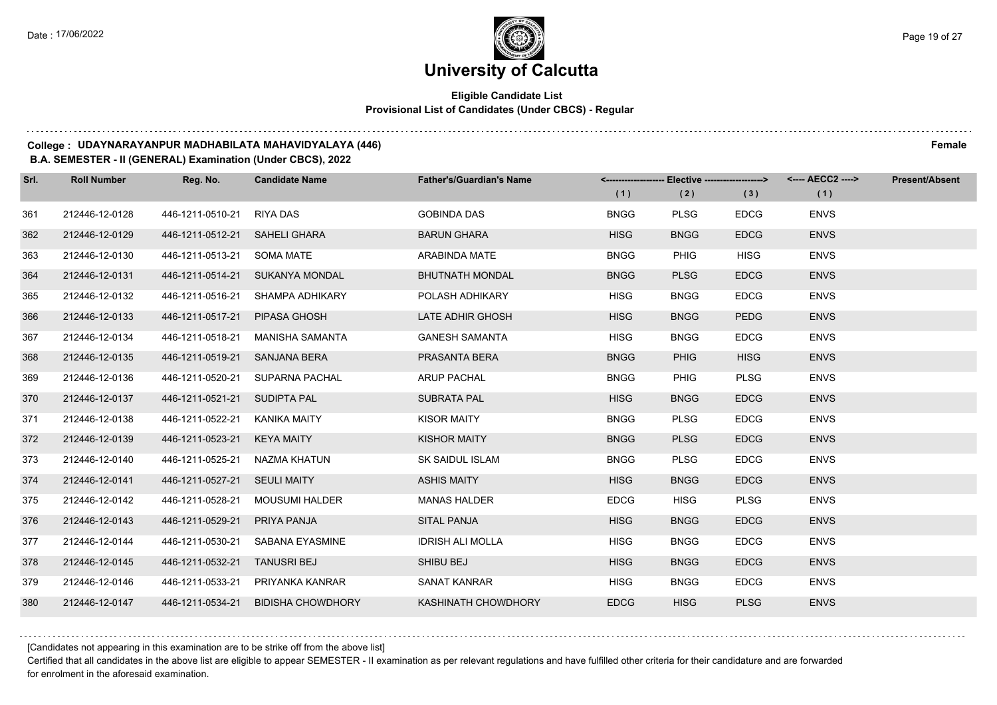### **Eligible Candidate List Provisional List of Candidates (Under CBCS) - Regular**

#### **College : UDAYNARAYANPUR MADHABILATA MAHAVIDYALAYA (446) Female**

#### **B.A. SEMESTER - II (GENERAL) Examination (Under CBCS), 2022**

| Srl. | <b>Roll Number</b> | Reg. No.                      | <b>Candidate Name</b>              | <b>Father's/Guardian's Name</b> |             | <-------------------- Elective ------------------> |             | <---- AECC2 ----> | <b>Present/Absent</b> |
|------|--------------------|-------------------------------|------------------------------------|---------------------------------|-------------|----------------------------------------------------|-------------|-------------------|-----------------------|
|      |                    |                               |                                    |                                 | (1)         | (2)                                                | (3)         | (1)               |                       |
| 361  | 212446-12-0128     | 446-1211-0510-21              | RIYA DAS                           | <b>GOBINDA DAS</b>              | <b>BNGG</b> | <b>PLSG</b>                                        | <b>EDCG</b> | <b>ENVS</b>       |                       |
| 362  | 212446-12-0129     | 446-1211-0512-21 SAHELI GHARA |                                    | <b>BARUN GHARA</b>              | <b>HISG</b> | <b>BNGG</b>                                        | <b>EDCG</b> | <b>ENVS</b>       |                       |
| 363  | 212446-12-0130     | 446-1211-0513-21 SOMA MATE    |                                    | ARABINDA MATE                   | <b>BNGG</b> | <b>PHIG</b>                                        | <b>HISG</b> | <b>ENVS</b>       |                       |
| 364  | 212446-12-0131     |                               | 446-1211-0514-21 SUKANYA MONDAL    | <b>BHUTNATH MONDAL</b>          | <b>BNGG</b> | <b>PLSG</b>                                        | <b>EDCG</b> | <b>ENVS</b>       |                       |
| 365  | 212446-12-0132     |                               | 446-1211-0516-21 SHAMPA ADHIKARY   | POLASH ADHIKARY                 | <b>HISG</b> | <b>BNGG</b>                                        | <b>EDCG</b> | <b>ENVS</b>       |                       |
| 366  | 212446-12-0133     | 446-1211-0517-21              | PIPASA GHOSH                       | LATE ADHIR GHOSH                | <b>HISG</b> | <b>BNGG</b>                                        | <b>PEDG</b> | <b>ENVS</b>       |                       |
| 367  | 212446-12-0134     |                               | 446-1211-0518-21 MANISHA SAMANTA   | <b>GANESH SAMANTA</b>           | <b>HISG</b> | <b>BNGG</b>                                        | <b>EDCG</b> | <b>ENVS</b>       |                       |
| 368  | 212446-12-0135     | 446-1211-0519-21 SANJANA BERA |                                    | PRASANTA BERA                   | <b>BNGG</b> | <b>PHIG</b>                                        | <b>HISG</b> | <b>ENVS</b>       |                       |
| 369  | 212446-12-0136     |                               | 446-1211-0520-21 SUPARNA PACHAL    | <b>ARUP PACHAL</b>              | <b>BNGG</b> | <b>PHIG</b>                                        | <b>PLSG</b> | <b>ENVS</b>       |                       |
| 370  | 212446-12-0137     | 446-1211-0521-21              | <b>SUDIPTA PAL</b>                 | SUBRATA PAL                     | <b>HISG</b> | <b>BNGG</b>                                        | <b>EDCG</b> | <b>ENVS</b>       |                       |
| 371  | 212446-12-0138     | 446-1211-0522-21 KANIKA MAITY |                                    | <b>KISOR MAITY</b>              | <b>BNGG</b> | <b>PLSG</b>                                        | <b>EDCG</b> | <b>ENVS</b>       |                       |
| 372  | 212446-12-0139     | 446-1211-0523-21 KEYA MAITY   |                                    | <b>KISHOR MAITY</b>             | <b>BNGG</b> | <b>PLSG</b>                                        | <b>EDCG</b> | <b>ENVS</b>       |                       |
| 373  | 212446-12-0140     | 446-1211-0525-21 NAZMA KHATUN |                                    | <b>SK SAIDUL ISLAM</b>          | <b>BNGG</b> | <b>PLSG</b>                                        | <b>EDCG</b> | <b>ENVS</b>       |                       |
| 374  | 212446-12-0141     | 446-1211-0527-21 SEULI MAITY  |                                    | <b>ASHIS MAITY</b>              | <b>HISG</b> | <b>BNGG</b>                                        | <b>EDCG</b> | <b>ENVS</b>       |                       |
| 375  | 212446-12-0142     | 446-1211-0528-21              | MOUSUMI HALDER                     | <b>MANAS HALDER</b>             | <b>EDCG</b> | <b>HISG</b>                                        | <b>PLSG</b> | <b>ENVS</b>       |                       |
| 376  | 212446-12-0143     | 446-1211-0529-21              | PRIYA PANJA                        | <b>SITAL PANJA</b>              | <b>HISG</b> | <b>BNGG</b>                                        | <b>EDCG</b> | <b>ENVS</b>       |                       |
| 377  | 212446-12-0144     | 446-1211-0530-21              | SABANA EYASMINE                    | <b>IDRISH ALI MOLLA</b>         | <b>HISG</b> | <b>BNGG</b>                                        | <b>EDCG</b> | <b>ENVS</b>       |                       |
| 378  | 212446-12-0145     | 446-1211-0532-21              | <b>TANUSRI BEJ</b>                 | SHIBU BEJ                       | <b>HISG</b> | <b>BNGG</b>                                        | <b>EDCG</b> | <b>ENVS</b>       |                       |
| 379  | 212446-12-0146     |                               | 446-1211-0533-21 PRIYANKA KANRAR   | <b>SANAT KANRAR</b>             | <b>HISG</b> | <b>BNGG</b>                                        | <b>EDCG</b> | <b>ENVS</b>       |                       |
| 380  | 212446-12-0147     |                               | 446-1211-0534-21 BIDISHA CHOWDHORY | KASHINATH CHOWDHORY             | <b>EDCG</b> | <b>HISG</b>                                        | <b>PLSG</b> | <b>ENVS</b>       |                       |

[Candidates not appearing in this examination are to be strike off from the above list]

Certified that all candidates in the above list are eligible to appear SEMESTER - II examination as per relevant regulations and have fulfilled other criteria for their candidature and are forwarded for enrolment in the aforesaid examination.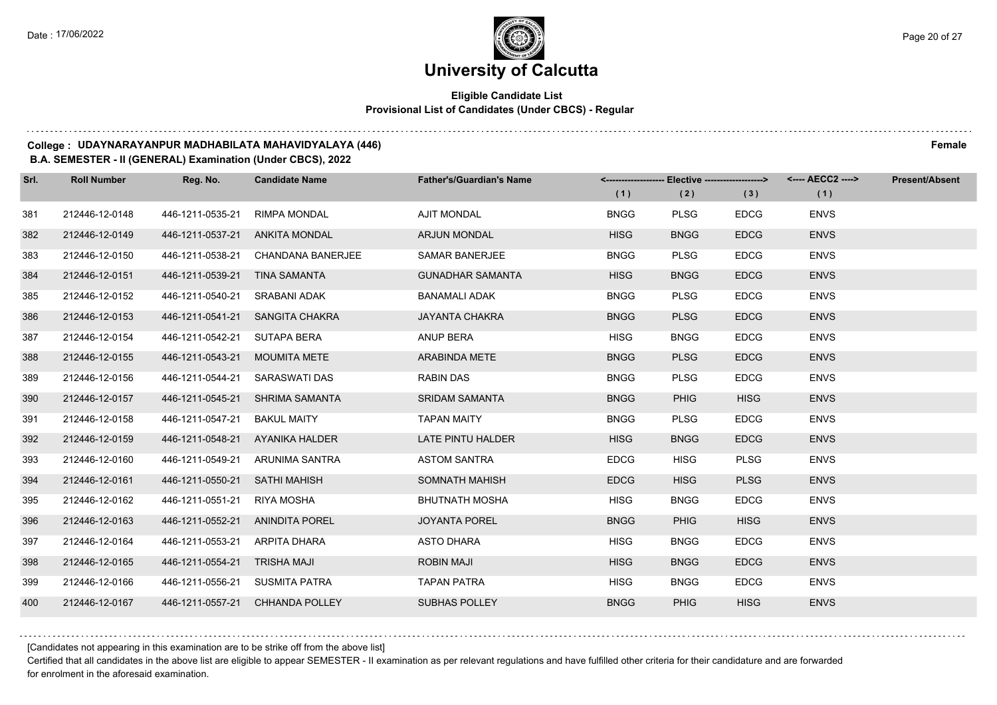### **Eligible Candidate List Provisional List of Candidates (Under CBCS) - Regular**

#### **College : UDAYNARAYANPUR MADHABILATA MAHAVIDYALAYA (446) Female**

#### **B.A. SEMESTER - II (GENERAL) Examination (Under CBCS), 2022**

| Srl. | <b>Roll Number</b> | Reg. No.                        | <b>Candidate Name</b>           | <b>Father's/Guardian's Name</b> |             | <------------------- Elective -------------------> |             | <---- AECC2 ----> | <b>Present/Absent</b> |
|------|--------------------|---------------------------------|---------------------------------|---------------------------------|-------------|----------------------------------------------------|-------------|-------------------|-----------------------|
|      |                    |                                 |                                 |                                 | (1)         | (2)                                                | (3)         | (1)               |                       |
| 381  | 212446-12-0148     | 446-1211-0535-21                | <b>RIMPA MONDAL</b>             | <b>AJIT MONDAL</b>              | <b>BNGG</b> | <b>PLSG</b>                                        | <b>EDCG</b> | <b>ENVS</b>       |                       |
| 382  | 212446-12-0149     | 446-1211-0537-21                | <b>ANKITA MONDAL</b>            | <b>ARJUN MONDAL</b>             | <b>HISG</b> | <b>BNGG</b>                                        | <b>EDCG</b> | <b>ENVS</b>       |                       |
| 383  | 212446-12-0150     | 446-1211-0538-21                | CHANDANA BANERJEE               | <b>SAMAR BANERJEE</b>           | <b>BNGG</b> | <b>PLSG</b>                                        | <b>EDCG</b> | <b>ENVS</b>       |                       |
| 384  | 212446-12-0151     | 446-1211-0539-21 TINA SAMANTA   |                                 | <b>GUNADHAR SAMANTA</b>         | <b>HISG</b> | <b>BNGG</b>                                        | <b>EDCG</b> | <b>ENVS</b>       |                       |
| 385  | 212446-12-0152     | 446-1211-0540-21                | SRABANI ADAK                    | <b>BANAMALI ADAK</b>            | <b>BNGG</b> | <b>PLSG</b>                                        | <b>EDCG</b> | <b>ENVS</b>       |                       |
| 386  | 212446-12-0153     | 446-1211-0541-21                | SANGITA CHAKRA                  | <b>JAYANTA CHAKRA</b>           | <b>BNGG</b> | <b>PLSG</b>                                        | <b>EDCG</b> | <b>ENVS</b>       |                       |
| 387  | 212446-12-0154     | 446-1211-0542-21 SUTAPA BERA    |                                 | <b>ANUP BERA</b>                | <b>HISG</b> | <b>BNGG</b>                                        | <b>EDCG</b> | <b>ENVS</b>       |                       |
| 388  | 212446-12-0155     | 446-1211-0543-21 MOUMITA METE   |                                 | ARABINDA METE                   | <b>BNGG</b> | <b>PLSG</b>                                        | <b>EDCG</b> | <b>ENVS</b>       |                       |
| 389  | 212446-12-0156     | 446-1211-0544-21                | SARASWATI DAS                   | <b>RABIN DAS</b>                | <b>BNGG</b> | <b>PLSG</b>                                        | <b>EDCG</b> | <b>ENVS</b>       |                       |
| 390  | 212446-12-0157     | 446-1211-0545-21                | SHRIMA SAMANTA                  | <b>SRIDAM SAMANTA</b>           | <b>BNGG</b> | <b>PHIG</b>                                        | <b>HISG</b> | <b>ENVS</b>       |                       |
| 391  | 212446-12-0158     | 446-1211-0547-21                | <b>BAKUL MAITY</b>              | <b>TAPAN MAITY</b>              | <b>BNGG</b> | <b>PLSG</b>                                        | <b>EDCG</b> | <b>ENVS</b>       |                       |
| 392  | 212446-12-0159     | 446-1211-0548-21 AYANIKA HALDER |                                 | LATE PINTU HALDER               | <b>HISG</b> | <b>BNGG</b>                                        | <b>EDCG</b> | <b>ENVS</b>       |                       |
| 393  | 212446-12-0160     | 446-1211-0549-21                | ARUNIMA SANTRA                  | <b>ASTOM SANTRA</b>             | <b>EDCG</b> | HISG                                               | <b>PLSG</b> | <b>ENVS</b>       |                       |
| 394  | 212446-12-0161     | 446-1211-0550-21 SATHI MAHISH   |                                 | SOMNATH MAHISH                  | <b>EDCG</b> | <b>HISG</b>                                        | <b>PLSG</b> | <b>ENVS</b>       |                       |
| 395  | 212446-12-0162     | 446-1211-0551-21                | RIYA MOSHA                      | <b>BHUTNATH MOSHA</b>           | <b>HISG</b> | <b>BNGG</b>                                        | <b>EDCG</b> | <b>ENVS</b>       |                       |
| 396  | 212446-12-0163     | 446-1211-0552-21 ANINDITA POREL |                                 | <b>JOYANTA POREL</b>            | <b>BNGG</b> | <b>PHIG</b>                                        | <b>HISG</b> | <b>ENVS</b>       |                       |
| 397  | 212446-12-0164     | 446-1211-0553-21                | ARPITA DHARA                    | <b>ASTO DHARA</b>               | <b>HISG</b> | <b>BNGG</b>                                        | <b>EDCG</b> | <b>ENVS</b>       |                       |
| 398  | 212446-12-0165     | 446-1211-0554-21 TRISHA MAJI    |                                 | <b>ROBIN MAJI</b>               | <b>HISG</b> | <b>BNGG</b>                                        | <b>EDCG</b> | <b>ENVS</b>       |                       |
| 399  | 212446-12-0166     | 446-1211-0556-21 SUSMITA PATRA  |                                 | <b>TAPAN PATRA</b>              | HISG        | <b>BNGG</b>                                        | <b>EDCG</b> | <b>ENVS</b>       |                       |
| 400  | 212446-12-0167     |                                 | 446-1211-0557-21 CHHANDA POLLEY | <b>SUBHAS POLLEY</b>            | <b>BNGG</b> | <b>PHIG</b>                                        | <b>HISG</b> | <b>ENVS</b>       |                       |

[Candidates not appearing in this examination are to be strike off from the above list]

Certified that all candidates in the above list are eligible to appear SEMESTER - II examination as per relevant regulations and have fulfilled other criteria for their candidature and are forwarded for enrolment in the aforesaid examination.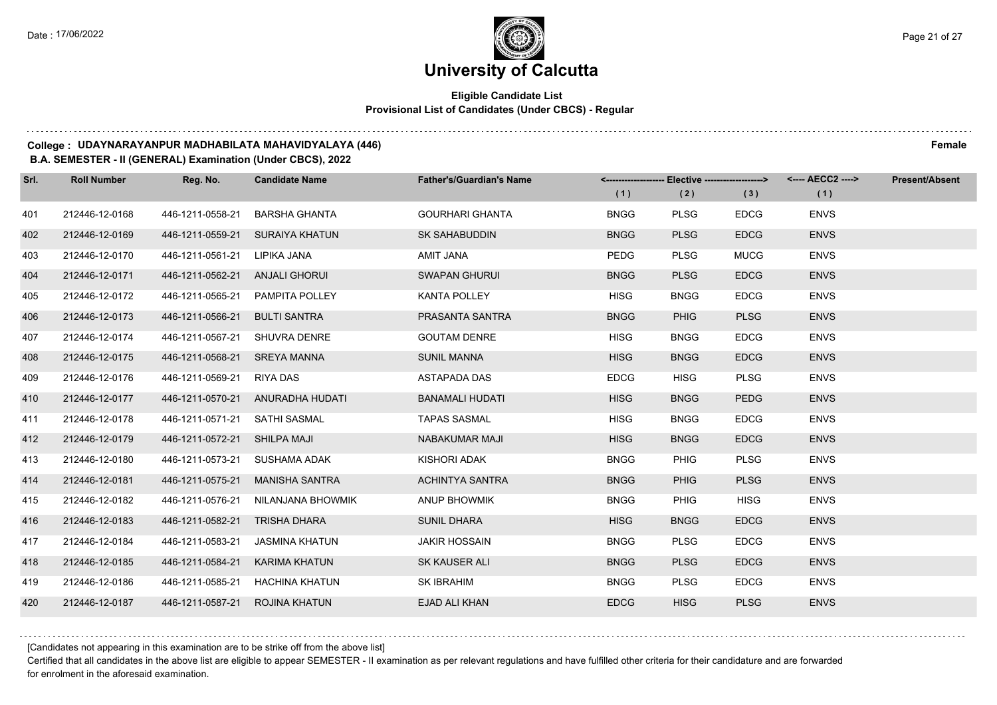### **Eligible Candidate List Provisional List of Candidates (Under CBCS) - Regular**

#### **College : UDAYNARAYANPUR MADHABILATA MAHAVIDYALAYA (446) Female**

#### **B.A. SEMESTER - II (GENERAL) Examination (Under CBCS), 2022**

| Srl. | <b>Roll Number</b> | Reg. No.                        | <b>Candidate Name</b>              | <b>Father's/Guardian's Name</b> | <------------------- Elective -------------------> |             |             | <---- AECC2 ----> | <b>Present/Absent</b> |
|------|--------------------|---------------------------------|------------------------------------|---------------------------------|----------------------------------------------------|-------------|-------------|-------------------|-----------------------|
|      |                    |                                 |                                    |                                 | (1)                                                | (2)         | (3)         | (1)               |                       |
| 401  | 212446-12-0168     | 446-1211-0558-21                | <b>BARSHA GHANTA</b>               | <b>GOURHARI GHANTA</b>          | <b>BNGG</b>                                        | <b>PLSG</b> | <b>EDCG</b> | <b>ENVS</b>       |                       |
| 402  | 212446-12-0169     | 446-1211-0559-21                | <b>SURAIYA KHATUN</b>              | <b>SK SAHABUDDIN</b>            | <b>BNGG</b>                                        | <b>PLSG</b> | <b>EDCG</b> | <b>ENVS</b>       |                       |
| 403  | 212446-12-0170     | 446-1211-0561-21 LIPIKA JANA    |                                    | AMIT JANA                       | PEDG                                               | <b>PLSG</b> | <b>MUCG</b> | <b>ENVS</b>       |                       |
| 404  | 212446-12-0171     | 446-1211-0562-21 ANJALI GHORUI  |                                    | <b>SWAPAN GHURUI</b>            | <b>BNGG</b>                                        | <b>PLSG</b> | <b>EDCG</b> | <b>ENVS</b>       |                       |
| 405  | 212446-12-0172     | 446-1211-0565-21 PAMPITA POLLEY |                                    | <b>KANTA POLLEY</b>             | <b>HISG</b>                                        | <b>BNGG</b> | <b>EDCG</b> | <b>ENVS</b>       |                       |
| 406  | 212446-12-0173     | 446-1211-0566-21                | <b>BULTI SANTRA</b>                | PRASANTA SANTRA                 | <b>BNGG</b>                                        | <b>PHIG</b> | <b>PLSG</b> | <b>ENVS</b>       |                       |
| 407  | 212446-12-0174     | 446-1211-0567-21 SHUVRA DENRE   |                                    | <b>GOUTAM DENRE</b>             | <b>HISG</b>                                        | <b>BNGG</b> | <b>EDCG</b> | <b>ENVS</b>       |                       |
| 408  | 212446-12-0175     | 446-1211-0568-21 SREYA MANNA    |                                    | <b>SUNIL MANNA</b>              | <b>HISG</b>                                        | <b>BNGG</b> | <b>EDCG</b> | <b>ENVS</b>       |                       |
| 409  | 212446-12-0176     | 446-1211-0569-21 RIYA DAS       |                                    | <b>ASTAPADA DAS</b>             | <b>EDCG</b>                                        | <b>HISG</b> | <b>PLSG</b> | <b>ENVS</b>       |                       |
| 410  | 212446-12-0177     | 446-1211-0570-21                | ANURADHA HUDATI                    | <b>BANAMALI HUDATI</b>          | <b>HISG</b>                                        | <b>BNGG</b> | <b>PEDG</b> | <b>ENVS</b>       |                       |
| 411  | 212446-12-0178     | 446-1211-0571-21 SATHI SASMAL   |                                    | <b>TAPAS SASMAL</b>             | <b>HISG</b>                                        | <b>BNGG</b> | <b>EDCG</b> | <b>ENVS</b>       |                       |
| 412  | 212446-12-0179     | 446-1211-0572-21 SHILPA MAJI    |                                    | <b>NABAKUMAR MAJI</b>           | <b>HISG</b>                                        | <b>BNGG</b> | <b>EDCG</b> | <b>ENVS</b>       |                       |
| 413  | 212446-12-0180     | 446-1211-0573-21                | SUSHAMA ADAK                       | <b>KISHORI ADAK</b>             | <b>BNGG</b>                                        | <b>PHIG</b> | <b>PLSG</b> | <b>ENVS</b>       |                       |
| 414  | 212446-12-0181     | 446-1211-0575-21                | <b>MANISHA SANTRA</b>              | <b>ACHINTYA SANTRA</b>          | <b>BNGG</b>                                        | <b>PHIG</b> | <b>PLSG</b> | <b>ENVS</b>       |                       |
| 415  | 212446-12-0182     |                                 | 446-1211-0576-21 NILANJANA BHOWMIK | <b>ANUP BHOWMIK</b>             | <b>BNGG</b>                                        | <b>PHIG</b> | <b>HISG</b> | <b>ENVS</b>       |                       |
| 416  | 212446-12-0183     | 446-1211-0582-21                | TRISHA DHARA                       | <b>SUNIL DHARA</b>              | <b>HISG</b>                                        | <b>BNGG</b> | <b>EDCG</b> | <b>ENVS</b>       |                       |
| 417  | 212446-12-0184     | 446-1211-0583-21                | JASMINA KHATUN                     | <b>JAKIR HOSSAIN</b>            | <b>BNGG</b>                                        | <b>PLSG</b> | <b>EDCG</b> | <b>ENVS</b>       |                       |
| 418  | 212446-12-0185     | 446-1211-0584-21                | KARIMA KHATUN                      | SK KAUSER ALI                   | <b>BNGG</b>                                        | <b>PLSG</b> | <b>EDCG</b> | <b>ENVS</b>       |                       |
| 419  | 212446-12-0186     | 446-1211-0585-21                | HACHINA KHATUN                     | SK IBRAHIM                      | <b>BNGG</b>                                        | <b>PLSG</b> | <b>EDCG</b> | <b>ENVS</b>       |                       |
| 420  | 212446-12-0187     | 446-1211-0587-21                | <b>ROJINA KHATUN</b>               | <b>EJAD ALI KHAN</b>            | <b>EDCG</b>                                        | <b>HISG</b> | <b>PLSG</b> | <b>ENVS</b>       |                       |

[Candidates not appearing in this examination are to be strike off from the above list]

Certified that all candidates in the above list are eligible to appear SEMESTER - II examination as per relevant regulations and have fulfilled other criteria for their candidature and are forwarded for enrolment in the aforesaid examination.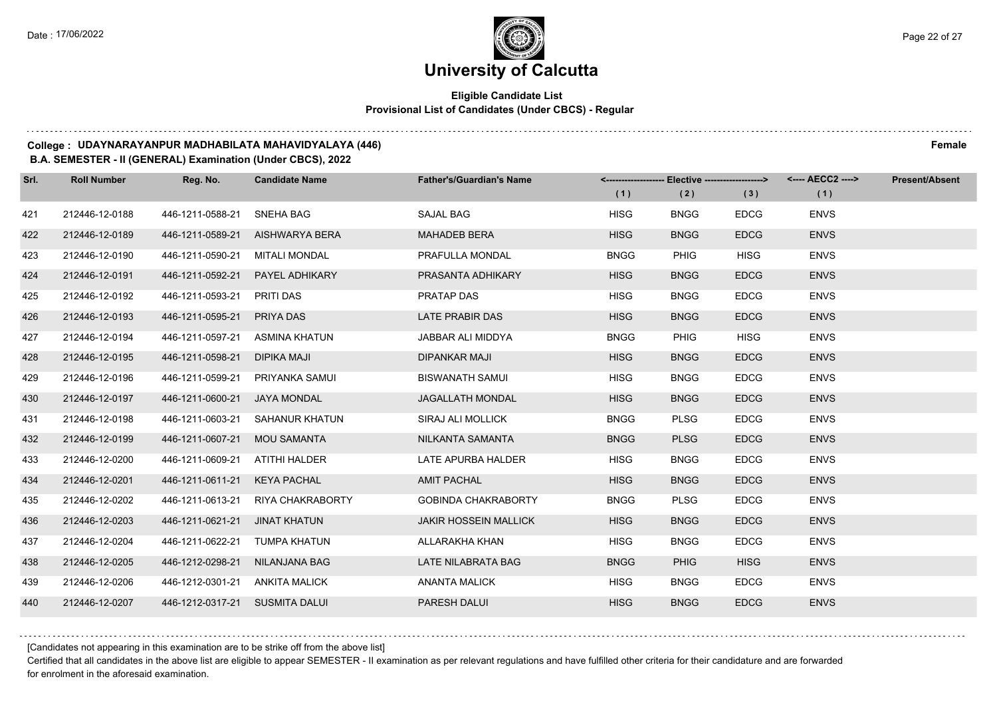### **Eligible Candidate List Provisional List of Candidates (Under CBCS) - Regular**

#### **College : UDAYNARAYANPUR MADHABILATA MAHAVIDYALAYA (446) Female**

#### **B.A. SEMESTER - II (GENERAL) Examination (Under CBCS), 2022**

| Srl. | <b>Roll Number</b> | Reg. No.                       | <b>Candidate Name</b>             | <b>Father's/Guardian's Name</b> |             | <------------------- Elective -------------------> |             | <---- AECC2 ----> | <b>Present/Absent</b> |
|------|--------------------|--------------------------------|-----------------------------------|---------------------------------|-------------|----------------------------------------------------|-------------|-------------------|-----------------------|
|      |                    |                                |                                   |                                 | (1)         | (2)                                                | (3)         | (1)               |                       |
| 421  | 212446-12-0188     | 446-1211-0588-21               | SNEHA BAG                         | SAJAL BAG                       | <b>HISG</b> | <b>BNGG</b>                                        | <b>EDCG</b> | <b>ENVS</b>       |                       |
| 422  | 212446-12-0189     | 446-1211-0589-21               | AISHWARYA BERA                    | <b>MAHADEB BERA</b>             | <b>HISG</b> | <b>BNGG</b>                                        | <b>EDCG</b> | <b>ENVS</b>       |                       |
| 423  | 212446-12-0190     | 446-1211-0590-21               | MITALI MONDAL                     | PRAFULLA MONDAL                 | <b>BNGG</b> | <b>PHIG</b>                                        | <b>HISG</b> | <b>ENVS</b>       |                       |
| 424  | 212446-12-0191     | 446-1211-0592-21               | PAYEL ADHIKARY                    | PRASANTA ADHIKARY               | <b>HISG</b> | <b>BNGG</b>                                        | <b>EDCG</b> | <b>ENVS</b>       |                       |
| 425  | 212446-12-0192     | 446-1211-0593-21               | PRITI DAS                         | PRATAP DAS                      | <b>HISG</b> | <b>BNGG</b>                                        | <b>EDCG</b> | <b>ENVS</b>       |                       |
| 426  | 212446-12-0193     | 446-1211-0595-21               | PRIYA DAS                         | LATE PRABIR DAS                 | <b>HISG</b> | <b>BNGG</b>                                        | <b>EDCG</b> | <b>ENVS</b>       |                       |
| 427  | 212446-12-0194     | 446-1211-0597-21               | ASMINA KHATUN                     | JABBAR ALI MIDDYA               | <b>BNGG</b> | <b>PHIG</b>                                        | <b>HISG</b> | <b>ENVS</b>       |                       |
| 428  | 212446-12-0195     | 446-1211-0598-21               | DIPIKA MAJI                       | <b>DIPANKAR MAJI</b>            | <b>HISG</b> | <b>BNGG</b>                                        | <b>EDCG</b> | <b>ENVS</b>       |                       |
| 429  | 212446-12-0196     | 446-1211-0599-21               | PRIYANKA SAMUI                    | <b>BISWANATH SAMUI</b>          | <b>HISG</b> | <b>BNGG</b>                                        | <b>EDCG</b> | <b>ENVS</b>       |                       |
| 430  | 212446-12-0197     | 446-1211-0600-21               | <b>JAYA MONDAL</b>                | <b>JAGALLATH MONDAL</b>         | <b>HISG</b> | <b>BNGG</b>                                        | <b>EDCG</b> | <b>ENVS</b>       |                       |
| 431  | 212446-12-0198     | 446-1211-0603-21               | SAHANUR KHATUN                    | SIRAJ ALI MOLLICK               | <b>BNGG</b> | <b>PLSG</b>                                        | <b>EDCG</b> | <b>ENVS</b>       |                       |
| 432  | 212446-12-0199     | 446-1211-0607-21               | <b>MOU SAMANTA</b>                | NILKANTA SAMANTA                | <b>BNGG</b> | <b>PLSG</b>                                        | <b>EDCG</b> | <b>ENVS</b>       |                       |
| 433  | 212446-12-0200     | 446-1211-0609-21               | ATITHI HALDER                     | LATE APURBA HALDER              | <b>HISG</b> | <b>BNGG</b>                                        | <b>EDCG</b> | <b>ENVS</b>       |                       |
| 434  | 212446-12-0201     | 446-1211-0611-21               | <b>KEYA PACHAL</b>                | <b>AMIT PACHAL</b>              | <b>HISG</b> | <b>BNGG</b>                                        | <b>EDCG</b> | <b>ENVS</b>       |                       |
| 435  | 212446-12-0202     |                                | 446-1211-0613-21 RIYA CHAKRABORTY | <b>GOBINDA CHAKRABORTY</b>      | <b>BNGG</b> | <b>PLSG</b>                                        | <b>EDCG</b> | <b>ENVS</b>       |                       |
| 436  | 212446-12-0203     | 446-1211-0621-21               | JINAT KHATUN                      | <b>JAKIR HOSSEIN MALLICK</b>    | <b>HISG</b> | <b>BNGG</b>                                        | <b>EDCG</b> | <b>ENVS</b>       |                       |
| 437  | 212446-12-0204     | 446-1211-0622-21               | TUMPA KHATUN                      | ALLARAKHA KHAN                  | <b>HISG</b> | <b>BNGG</b>                                        | <b>EDCG</b> | <b>ENVS</b>       |                       |
| 438  | 212446-12-0205     | 446-1212-0298-21               | NILANJANA BAG                     | LATE NILABRATA BAG              | <b>BNGG</b> | <b>PHIG</b>                                        | <b>HISG</b> | <b>ENVS</b>       |                       |
| 439  | 212446-12-0206     | 446-1212-0301-21 ANKITA MALICK |                                   | <b>ANANTA MALICK</b>            | <b>HISG</b> | <b>BNGG</b>                                        | <b>EDCG</b> | <b>ENVS</b>       |                       |
| 440  | 212446-12-0207     | 446-1212-0317-21 SUSMITA DALUI |                                   | PARESH DALUI                    | <b>HISG</b> | <b>BNGG</b>                                        | <b>EDCG</b> | <b>ENVS</b>       |                       |

[Candidates not appearing in this examination are to be strike off from the above list]

Certified that all candidates in the above list are eligible to appear SEMESTER - II examination as per relevant regulations and have fulfilled other criteria for their candidature and are forwarded for enrolment in the aforesaid examination.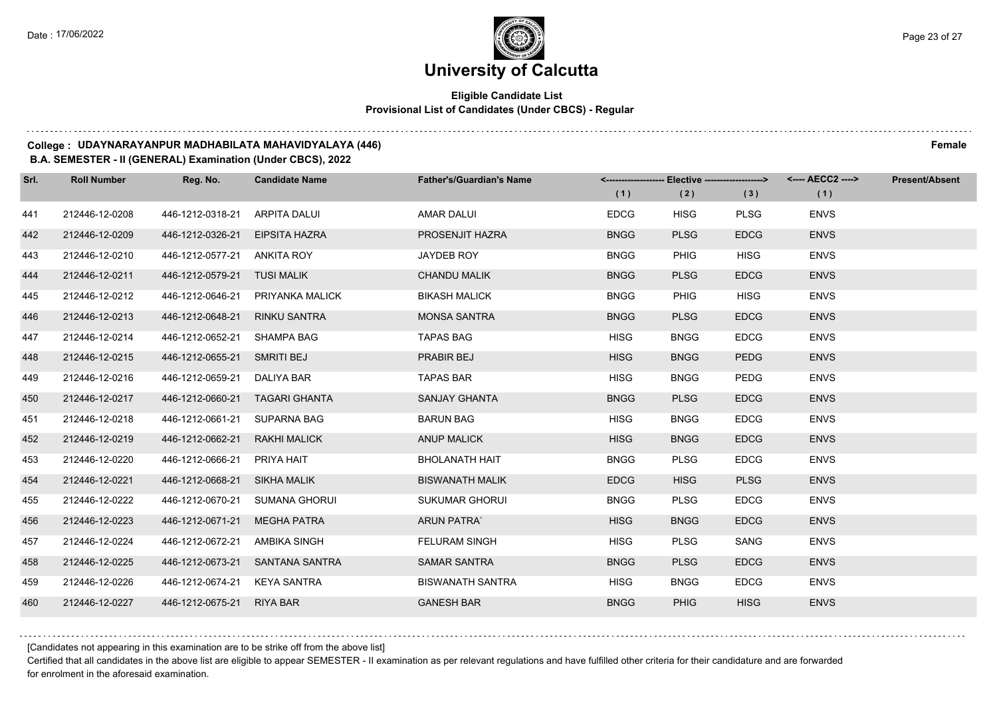### **Eligible Candidate List Provisional List of Candidates (Under CBCS) - Regular**

#### **College : UDAYNARAYANPUR MADHABILATA MAHAVIDYALAYA (446) Female**

#### **B.A. SEMESTER - II (GENERAL) Examination (Under CBCS), 2022**

| Srl. | <b>Roll Number</b> | Reg. No.                     | <b>Candidate Name</b>           | <b>Father's/Guardian's Name</b> |             | <------------------- Elective -------------------> |             | <---- AECC2 ----> | <b>Present/Absent</b> |
|------|--------------------|------------------------------|---------------------------------|---------------------------------|-------------|----------------------------------------------------|-------------|-------------------|-----------------------|
|      |                    |                              |                                 |                                 | (1)         | (2)                                                | (3)         | (1)               |                       |
| 441  | 212446-12-0208     | 446-1212-0318-21             | ARPITA DALUI                    | <b>AMAR DALUI</b>               | <b>EDCG</b> | <b>HISG</b>                                        | <b>PLSG</b> | <b>ENVS</b>       |                       |
| 442  | 212446-12-0209     | 446-1212-0326-21             | EIPSITA HAZRA                   | PROSENJIT HAZRA                 | <b>BNGG</b> | <b>PLSG</b>                                        | <b>EDCG</b> | <b>ENVS</b>       |                       |
| 443  | 212446-12-0210     | 446-1212-0577-21 ANKITA ROY  |                                 | JAYDEB ROY                      | <b>BNGG</b> | <b>PHIG</b>                                        | <b>HISG</b> | <b>ENVS</b>       |                       |
| 444  | 212446-12-0211     | 446-1212-0579-21 TUSI MALIK  |                                 | <b>CHANDU MALIK</b>             | <b>BNGG</b> | <b>PLSG</b>                                        | <b>EDCG</b> | <b>ENVS</b>       |                       |
| 445  | 212446-12-0212     | 446-1212-0646-21             | PRIYANKA MALICK                 | <b>BIKASH MALICK</b>            | <b>BNGG</b> | PHIG                                               | <b>HISG</b> | <b>ENVS</b>       |                       |
| 446  | 212446-12-0213     | 446-1212-0648-21             | <b>RINKU SANTRA</b>             | <b>MONSA SANTRA</b>             | <b>BNGG</b> | <b>PLSG</b>                                        | <b>EDCG</b> | <b>ENVS</b>       |                       |
| 447  | 212446-12-0214     | 446-1212-0652-21 SHAMPA BAG  |                                 | <b>TAPAS BAG</b>                | <b>HISG</b> | <b>BNGG</b>                                        | <b>EDCG</b> | <b>ENVS</b>       |                       |
| 448  | 212446-12-0215     | 446-1212-0655-21 SMRITI BEJ  |                                 | PRABIR BEJ                      | <b>HISG</b> | <b>BNGG</b>                                        | <b>PEDG</b> | <b>ENVS</b>       |                       |
| 449  | 212446-12-0216     | 446-1212-0659-21             | DALIYA BAR                      | <b>TAPAS BAR</b>                | <b>HISG</b> | <b>BNGG</b>                                        | <b>PEDG</b> | <b>ENVS</b>       |                       |
| 450  | 212446-12-0217     | 446-1212-0660-21             | TAGARI GHANTA                   | <b>SANJAY GHANTA</b>            | <b>BNGG</b> | <b>PLSG</b>                                        | <b>EDCG</b> | <b>ENVS</b>       |                       |
| 451  | 212446-12-0218     | 446-1212-0661-21 SUPARNA BAG |                                 | <b>BARUN BAG</b>                | <b>HISG</b> | <b>BNGG</b>                                        | <b>EDCG</b> | <b>ENVS</b>       |                       |
| 452  | 212446-12-0219     | 446-1212-0662-21             | RAKHI MALICK                    | <b>ANUP MALICK</b>              | <b>HISG</b> | <b>BNGG</b>                                        | <b>EDCG</b> | <b>ENVS</b>       |                       |
| 453  | 212446-12-0220     | 446-1212-0666-21             | PRIYA HAIT                      | <b>BHOLANATH HAIT</b>           | <b>BNGG</b> | <b>PLSG</b>                                        | <b>EDCG</b> | <b>ENVS</b>       |                       |
| 454  | 212446-12-0221     | 446-1212-0668-21 SIKHA MALIK |                                 | <b>BISWANATH MALIK</b>          | <b>EDCG</b> | <b>HISG</b>                                        | <b>PLSG</b> | <b>ENVS</b>       |                       |
| 455  | 212446-12-0222     | 446-1212-0670-21             | SUMANA GHORUI                   | <b>SUKUMAR GHORUI</b>           | <b>BNGG</b> | <b>PLSG</b>                                        | <b>EDCG</b> | <b>ENVS</b>       |                       |
| 456  | 212446-12-0223     | 446-1212-0671-21             | MEGHA PATRA                     | <b>ARUN PATRA</b>               | <b>HISG</b> | <b>BNGG</b>                                        | <b>EDCG</b> | <b>ENVS</b>       |                       |
| 457  | 212446-12-0224     | 446-1212-0672-21             | AMBIKA SINGH                    | <b>FELURAM SINGH</b>            | <b>HISG</b> | <b>PLSG</b>                                        | SANG        | <b>ENVS</b>       |                       |
| 458  | 212446-12-0225     |                              | 446-1212-0673-21 SANTANA SANTRA | <b>SAMAR SANTRA</b>             | <b>BNGG</b> | <b>PLSG</b>                                        | <b>EDCG</b> | <b>ENVS</b>       |                       |
| 459  | 212446-12-0226     | 446-1212-0674-21             | KEYA SANTRA                     | <b>BISWANATH SANTRA</b>         | <b>HISG</b> | <b>BNGG</b>                                        | <b>EDCG</b> | <b>ENVS</b>       |                       |
| 460  | 212446-12-0227     | 446-1212-0675-21 RIYA BAR    |                                 | <b>GANESH BAR</b>               | <b>BNGG</b> | <b>PHIG</b>                                        | <b>HISG</b> | <b>ENVS</b>       |                       |

[Candidates not appearing in this examination are to be strike off from the above list]

Certified that all candidates in the above list are eligible to appear SEMESTER - II examination as per relevant regulations and have fulfilled other criteria for their candidature and are forwarded for enrolment in the aforesaid examination.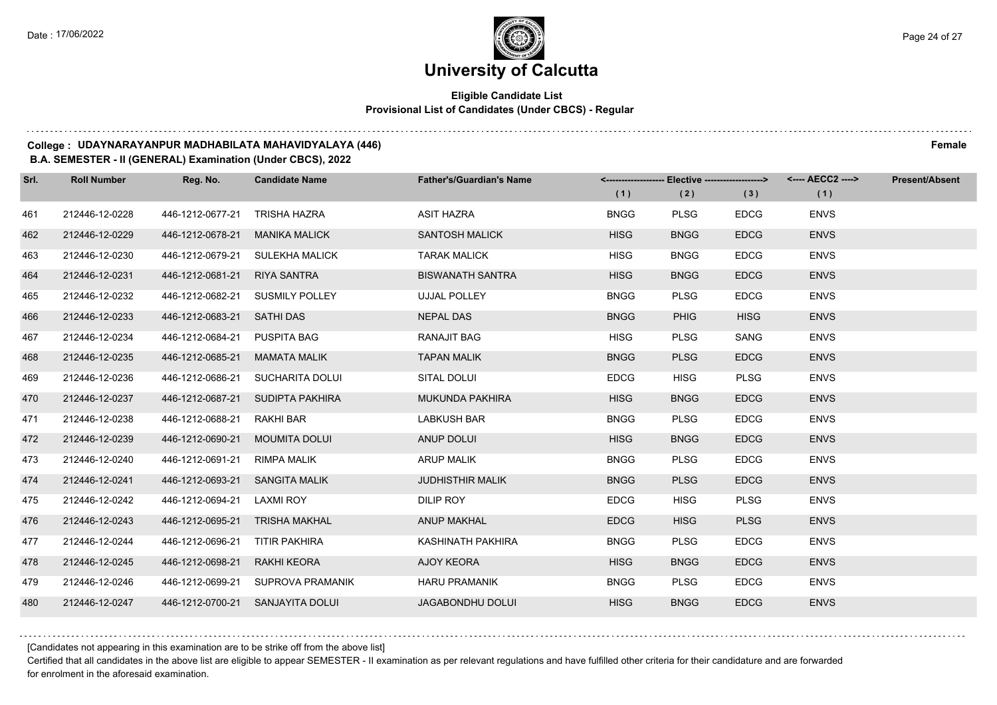### **Eligible Candidate List Provisional List of Candidates (Under CBCS) - Regular**

#### **College : UDAYNARAYANPUR MADHABILATA MAHAVIDYALAYA (446) Female**

#### **B.A. SEMESTER - II (GENERAL) Examination (Under CBCS), 2022**

| Srl. | <b>Roll Number</b> | Reg. No.                       | <b>Candidate Name</b>             | <b>Father's/Guardian's Name</b> |             | <------------------- Elective ------------------> |             | <---- AECC2 ----> | <b>Present/Absent</b> |
|------|--------------------|--------------------------------|-----------------------------------|---------------------------------|-------------|---------------------------------------------------|-------------|-------------------|-----------------------|
|      |                    |                                |                                   |                                 | (1)         | (2)                                               | (3)         | (1)               |                       |
| 461  | 212446-12-0228     | 446-1212-0677-21 TRISHA HAZRA  |                                   | <b>ASIT HAZRA</b>               | <b>BNGG</b> | <b>PLSG</b>                                       | <b>EDCG</b> | <b>ENVS</b>       |                       |
| 462  | 212446-12-0229     | 446-1212-0678-21               | <b>MANIKA MALICK</b>              | <b>SANTOSH MALICK</b>           | <b>HISG</b> | <b>BNGG</b>                                       | <b>EDCG</b> | <b>ENVS</b>       |                       |
| 463  | 212446-12-0230     |                                | 446-1212-0679-21 SULEKHA MALICK   | <b>TARAK MALICK</b>             | <b>HISG</b> | <b>BNGG</b>                                       | <b>EDCG</b> | <b>ENVS</b>       |                       |
| 464  | 212446-12-0231     | 446-1212-0681-21 RIYA SANTRA   |                                   | <b>BISWANATH SANTRA</b>         | <b>HISG</b> | <b>BNGG</b>                                       | <b>EDCG</b> | <b>ENVS</b>       |                       |
| 465  | 212446-12-0232     |                                | 446-1212-0682-21 SUSMILY POLLEY   | <b>UJJAL POLLEY</b>             | <b>BNGG</b> | <b>PLSG</b>                                       | <b>EDCG</b> | <b>ENVS</b>       |                       |
| 466  | 212446-12-0233     | 446-1212-0683-21 SATHI DAS     |                                   | <b>NEPAL DAS</b>                | <b>BNGG</b> | <b>PHIG</b>                                       | <b>HISG</b> | <b>ENVS</b>       |                       |
| 467  | 212446-12-0234     | 446-1212-0684-21 PUSPITA BAG   |                                   | <b>RANAJIT BAG</b>              | <b>HISG</b> | <b>PLSG</b>                                       | <b>SANG</b> | <b>ENVS</b>       |                       |
| 468  | 212446-12-0235     | 446-1212-0685-21 MAMATA MALIK  |                                   | <b>TAPAN MALIK</b>              | <b>BNGG</b> | <b>PLSG</b>                                       | <b>EDCG</b> | <b>ENVS</b>       |                       |
| 469  | 212446-12-0236     |                                | 446-1212-0686-21 SUCHARITA DOLUI  | SITAL DOLUI                     | <b>EDCG</b> | <b>HISG</b>                                       | <b>PLSG</b> | <b>ENVS</b>       |                       |
| 470  | 212446-12-0237     |                                | 446-1212-0687-21 SUDIPTA PAKHIRA  | MUKUNDA PAKHIRA                 | <b>HISG</b> | <b>BNGG</b>                                       | <b>EDCG</b> | <b>ENVS</b>       |                       |
| 471  | 212446-12-0238     | 446-1212-0688-21 RAKHI BAR     |                                   | <b>LABKUSH BAR</b>              | <b>BNGG</b> | <b>PLSG</b>                                       | <b>EDCG</b> | <b>ENVS</b>       |                       |
| 472  | 212446-12-0239     | 446-1212-0690-21 MOUMITA DOLUI |                                   | ANUP DOLUI                      | <b>HISG</b> | <b>BNGG</b>                                       | <b>EDCG</b> | <b>ENVS</b>       |                       |
| 473  | 212446-12-0240     | 446-1212-0691-21 RIMPA MALIK   |                                   | <b>ARUP MALIK</b>               | <b>BNGG</b> | <b>PLSG</b>                                       | <b>EDCG</b> | <b>ENVS</b>       |                       |
| 474  | 212446-12-0241     | 446-1212-0693-21 SANGITA MALIK |                                   | <b>JUDHISTHIR MALIK</b>         | <b>BNGG</b> | <b>PLSG</b>                                       | <b>EDCG</b> | <b>ENVS</b>       |                       |
| 475  | 212446-12-0242     | 446-1212-0694-21 LAXMI ROY     |                                   | DILIP ROY                       | <b>EDCG</b> | <b>HISG</b>                                       | <b>PLSG</b> | <b>ENVS</b>       |                       |
| 476  | 212446-12-0243     | 446-1212-0695-21 TRISHA MAKHAL |                                   | <b>ANUP MAKHAL</b>              | <b>EDCG</b> | <b>HISG</b>                                       | <b>PLSG</b> | <b>ENVS</b>       |                       |
| 477  | 212446-12-0244     | 446-1212-0696-21 TITIR PAKHIRA |                                   | KASHINATH PAKHIRA               | <b>BNGG</b> | <b>PLSG</b>                                       | <b>EDCG</b> | <b>ENVS</b>       |                       |
| 478  | 212446-12-0245     | 446-1212-0698-21 RAKHI KEORA   |                                   | <b>AJOY KEORA</b>               | <b>HISG</b> | <b>BNGG</b>                                       | <b>EDCG</b> | <b>ENVS</b>       |                       |
| 479  | 212446-12-0246     |                                | 446-1212-0699-21 SUPROVA PRAMANIK | <b>HARU PRAMANIK</b>            | <b>BNGG</b> | <b>PLSG</b>                                       | <b>EDCG</b> | <b>ENVS</b>       |                       |
| 480  | 212446-12-0247     |                                | 446-1212-0700-21 SANJAYITA DOLUI  | JAGABONDHU DOLUI                | <b>HISG</b> | <b>BNGG</b>                                       | <b>EDCG</b> | <b>ENVS</b>       |                       |

[Candidates not appearing in this examination are to be strike off from the above list]

Certified that all candidates in the above list are eligible to appear SEMESTER - II examination as per relevant regulations and have fulfilled other criteria for their candidature and are forwarded for enrolment in the aforesaid examination.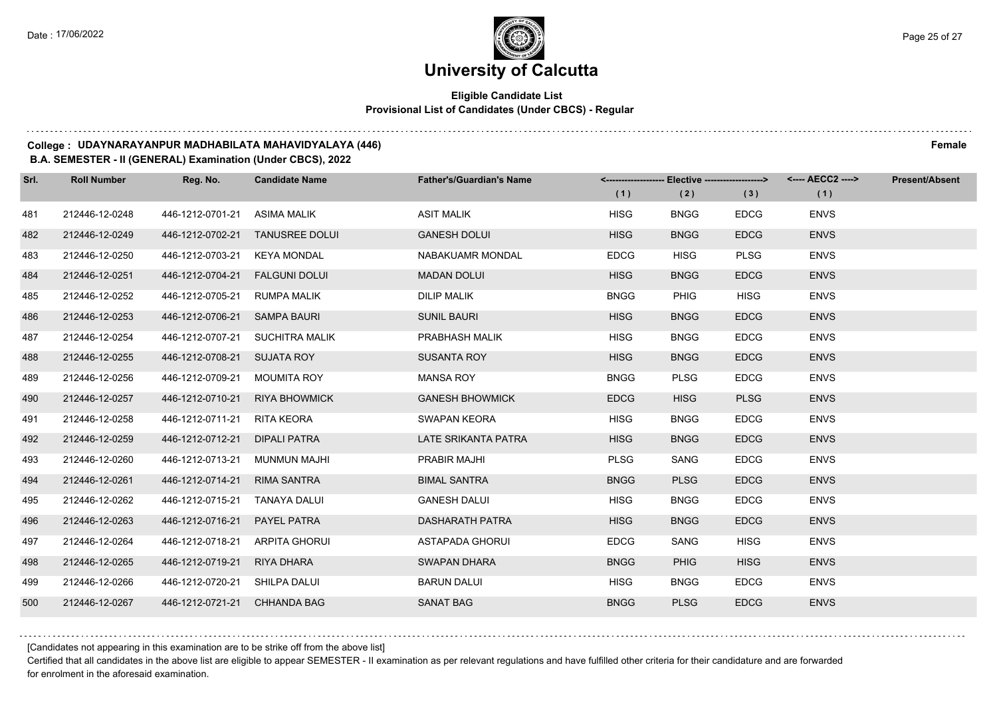$1.111$ 

# **University of Calcutta**

### **Eligible Candidate List Provisional List of Candidates (Under CBCS) - Regular**

#### **College : UDAYNARAYANPUR MADHABILATA MAHAVIDYALAYA (446) Female**

#### **B.A. SEMESTER - II (GENERAL) Examination (Under CBCS), 2022**

| Srl. | <b>Roll Number</b> | Reg. No.                      | <b>Candidate Name</b> | <b>Father's/Guardian's Name</b> | <b>Elective -------------------&gt;</b><br><--------------------- |             |             | <---- AECC2 ----> | <b>Present/Absent</b> |
|------|--------------------|-------------------------------|-----------------------|---------------------------------|-------------------------------------------------------------------|-------------|-------------|-------------------|-----------------------|
|      |                    |                               |                       |                                 | (1)                                                               | (2)         | (3)         | (1)               |                       |
| 481  | 212446-12-0248     | 446-1212-0701-21              | ASIMA MALIK           | <b>ASIT MALIK</b>               | <b>HISG</b>                                                       | <b>BNGG</b> | <b>EDCG</b> | <b>ENVS</b>       |                       |
| 482  | 212446-12-0249     | 446-1212-0702-21              | <b>TANUSREE DOLUI</b> | <b>GANESH DOLUI</b>             | <b>HISG</b>                                                       | <b>BNGG</b> | <b>EDCG</b> | <b>ENVS</b>       |                       |
| 483  | 212446-12-0250     | 446-1212-0703-21              | KEYA MONDAL           | <b>NABAKUAMR MONDAL</b>         | <b>EDCG</b>                                                       | <b>HISG</b> | <b>PLSG</b> | <b>ENVS</b>       |                       |
| 484  | 212446-12-0251     | 446-1212-0704-21              | <b>FALGUNI DOLUI</b>  | <b>MADAN DOLUI</b>              | <b>HISG</b>                                                       | <b>BNGG</b> | <b>EDCG</b> | <b>ENVS</b>       |                       |
| 485  | 212446-12-0252     | 446-1212-0705-21              | <b>RUMPA MALIK</b>    | <b>DILIP MALIK</b>              | <b>BNGG</b>                                                       | <b>PHIG</b> | <b>HISG</b> | <b>ENVS</b>       |                       |
| 486  | 212446-12-0253     | 446-1212-0706-21              | <b>SAMPA BAURI</b>    | <b>SUNIL BAURI</b>              | <b>HISG</b>                                                       | <b>BNGG</b> | <b>EDCG</b> | <b>ENVS</b>       |                       |
| 487  | 212446-12-0254     | 446-1212-0707-21              | SUCHITRA MALIK        | PRABHASH MALIK                  | <b>HISG</b>                                                       | <b>BNGG</b> | <b>EDCG</b> | <b>ENVS</b>       |                       |
| 488  | 212446-12-0255     | 446-1212-0708-21 SUJATA ROY   |                       | <b>SUSANTA ROY</b>              | <b>HISG</b>                                                       | <b>BNGG</b> | <b>EDCG</b> | <b>ENVS</b>       |                       |
| 489  | 212446-12-0256     | 446-1212-0709-21              | <b>MOUMITA ROY</b>    | <b>MANSA ROY</b>                | <b>BNGG</b>                                                       | <b>PLSG</b> | <b>EDCG</b> | <b>ENVS</b>       |                       |
| 490  | 212446-12-0257     | 446-1212-0710-21              | <b>RIYA BHOWMICK</b>  | <b>GANESH BHOWMICK</b>          | <b>EDCG</b>                                                       | <b>HISG</b> | <b>PLSG</b> | <b>ENVS</b>       |                       |
| 491  | 212446-12-0258     | 446-1212-0711-21              | <b>RITA KEORA</b>     | <b>SWAPAN KEORA</b>             | <b>HISG</b>                                                       | <b>BNGG</b> | <b>EDCG</b> | <b>ENVS</b>       |                       |
| 492  | 212446-12-0259     | 446-1212-0712-21              | <b>DIPALI PATRA</b>   | LATE SRIKANTA PATRA             | <b>HISG</b>                                                       | <b>BNGG</b> | <b>EDCG</b> | <b>ENVS</b>       |                       |
| 493  | 212446-12-0260     | 446-1212-0713-21              | MUNMUN MAJHI          | PRABIR MAJHI                    | <b>PLSG</b>                                                       | SANG        | <b>EDCG</b> | <b>ENVS</b>       |                       |
| 494  | 212446-12-0261     | 446-1212-0714-21              | <b>RIMA SANTRA</b>    | <b>BIMAL SANTRA</b>             | <b>BNGG</b>                                                       | <b>PLSG</b> | <b>EDCG</b> | <b>ENVS</b>       |                       |
| 495  | 212446-12-0262     | 446-1212-0715-21              | TANAYA DALUI          | <b>GANESH DALUI</b>             | <b>HISG</b>                                                       | <b>BNGG</b> | <b>EDCG</b> | <b>ENVS</b>       |                       |
| 496  | 212446-12-0263     | 446-1212-0716-21              | <b>PAYEL PATRA</b>    | <b>DASHARATH PATRA</b>          | <b>HISG</b>                                                       | <b>BNGG</b> | <b>EDCG</b> | <b>ENVS</b>       |                       |
| 497  | 212446-12-0264     | 446-1212-0718-21              | ARPITA GHORUI         | ASTAPADA GHORUI                 | <b>EDCG</b>                                                       | SANG        | <b>HISG</b> | <b>ENVS</b>       |                       |
| 498  | 212446-12-0265     | 446-1212-0719-21              | RIYA DHARA            | <b>SWAPAN DHARA</b>             | <b>BNGG</b>                                                       | <b>PHIG</b> | <b>HISG</b> | <b>ENVS</b>       |                       |
| 499  | 212446-12-0266     | 446-1212-0720-21 SHILPA DALUI |                       | <b>BARUN DALUI</b>              | <b>HISG</b>                                                       | <b>BNGG</b> | <b>EDCG</b> | <b>ENVS</b>       |                       |
| 500  | 212446-12-0267     | 446-1212-0721-21              | <b>CHHANDA BAG</b>    | <b>SANAT BAG</b>                | <b>BNGG</b>                                                       | <b>PLSG</b> | <b>EDCG</b> | <b>ENVS</b>       |                       |

[Candidates not appearing in this examination are to be strike off from the above list]

Certified that all candidates in the above list are eligible to appear SEMESTER - II examination as per relevant regulations and have fulfilled other criteria for their candidature and are forwarded for enrolment in the aforesaid examination.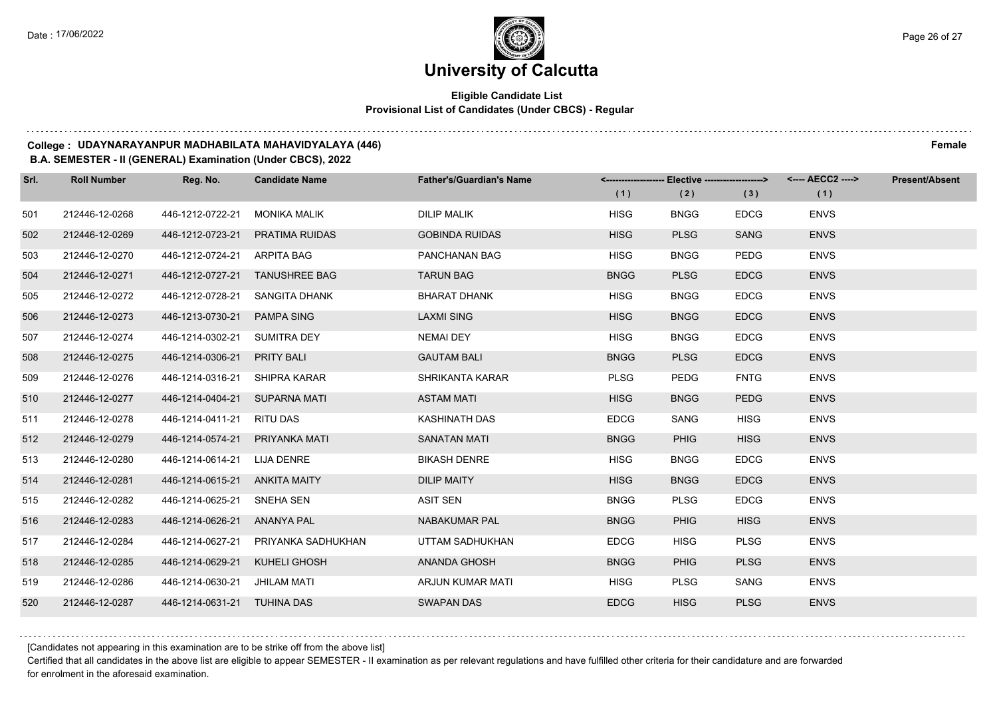### **Eligible Candidate List Provisional List of Candidates (Under CBCS) - Regular**

#### **College : UDAYNARAYANPUR MADHABILATA MAHAVIDYALAYA (446) Female**

#### **B.A. SEMESTER - II (GENERAL) Examination (Under CBCS), 2022**

| Srl. | <b>Roll Number</b> | Reg. No.                        | <b>Candidate Name</b> | <b>Father's/Guardian's Name</b> |             | <-------------------- Elective -------------------> |             | <---- AECC2 ----> | Present/Absent |
|------|--------------------|---------------------------------|-----------------------|---------------------------------|-------------|-----------------------------------------------------|-------------|-------------------|----------------|
|      |                    |                                 |                       |                                 | (1)         | (2)                                                 | (3)         | (1)               |                |
| 501  | 212446-12-0268     | 446-1212-0722-21                | MONIKA MALIK          | <b>DILIP MALIK</b>              | <b>HISG</b> | <b>BNGG</b>                                         | <b>EDCG</b> | <b>ENVS</b>       |                |
| 502  | 212446-12-0269     | 446-1212-0723-21 PRATIMA RUIDAS |                       | <b>GOBINDA RUIDAS</b>           | <b>HISG</b> | <b>PLSG</b>                                         | <b>SANG</b> | <b>ENVS</b>       |                |
| 503  | 212446-12-0270     | 446-1212-0724-21 ARPITA BAG     |                       | PANCHANAN BAG                   | <b>HISG</b> | <b>BNGG</b>                                         | <b>PEDG</b> | <b>ENVS</b>       |                |
| 504  | 212446-12-0271     | 446-1212-0727-21 TANUSHREE BAG  |                       | <b>TARUN BAG</b>                | <b>BNGG</b> | <b>PLSG</b>                                         | <b>EDCG</b> | <b>ENVS</b>       |                |
| 505  | 212446-12-0272     | 446-1212-0728-21 SANGITA DHANK  |                       | <b>BHARAT DHANK</b>             | <b>HISG</b> | <b>BNGG</b>                                         | <b>EDCG</b> | <b>ENVS</b>       |                |
| 506  | 212446-12-0273     | 446-1213-0730-21                | <b>PAMPA SING</b>     | <b>LAXMI SING</b>               | <b>HISG</b> | <b>BNGG</b>                                         | <b>EDCG</b> | <b>ENVS</b>       |                |
| 507  | 212446-12-0274     | 446-1214-0302-21 SUMITRA DEY    |                       | <b>NEMAI DEY</b>                | <b>HISG</b> | <b>BNGG</b>                                         | <b>EDCG</b> | <b>ENVS</b>       |                |
| 508  | 212446-12-0275     | 446-1214-0306-21 PRITY BALI     |                       | <b>GAUTAM BALI</b>              | <b>BNGG</b> | <b>PLSG</b>                                         | <b>EDCG</b> | <b>ENVS</b>       |                |
| 509  | 212446-12-0276     | 446-1214-0316-21 SHIPRA KARAR   |                       | SHRIKANTA KARAR                 | <b>PLSG</b> | <b>PEDG</b>                                         | <b>FNTG</b> | <b>ENVS</b>       |                |
| 510  | 212446-12-0277     | 446-1214-0404-21 SUPARNA MATI   |                       | <b>ASTAM MATI</b>               | <b>HISG</b> | <b>BNGG</b>                                         | <b>PEDG</b> | <b>ENVS</b>       |                |
| 511  | 212446-12-0278     | 446-1214-0411-21 RITU DAS       |                       | KASHINATH DAS                   | <b>EDCG</b> | SANG                                                | <b>HISG</b> | <b>ENVS</b>       |                |
| 512  | 212446-12-0279     | 446-1214-0574-21 PRIYANKA MATI  |                       | <b>SANATAN MATI</b>             | <b>BNGG</b> | <b>PHIG</b>                                         | <b>HISG</b> | <b>ENVS</b>       |                |
| 513  | 212446-12-0280     | 446-1214-0614-21 LIJA DENRE     |                       | <b>BIKASH DENRE</b>             | <b>HISG</b> | <b>BNGG</b>                                         | <b>EDCG</b> | <b>ENVS</b>       |                |
| 514  | 212446-12-0281     | 446-1214-0615-21 ANKITA MAITY   |                       | <b>DILIP MAITY</b>              | <b>HISG</b> | <b>BNGG</b>                                         | <b>EDCG</b> | <b>ENVS</b>       |                |
| 515  | 212446-12-0282     | 446-1214-0625-21 SNEHA SEN      |                       | ASIT SEN                        | <b>BNGG</b> | <b>PLSG</b>                                         | <b>EDCG</b> | <b>ENVS</b>       |                |
| 516  | 212446-12-0283     | 446-1214-0626-21 ANANYA PAL     |                       | <b>NABAKUMAR PAL</b>            | <b>BNGG</b> | <b>PHIG</b>                                         | <b>HISG</b> | <b>ENVS</b>       |                |
| 517  | 212446-12-0284     | 446-1214-0627-21                | PRIYANKA SADHUKHAN    | UTTAM SADHUKHAN                 | <b>EDCG</b> | <b>HISG</b>                                         | <b>PLSG</b> | <b>ENVS</b>       |                |
| 518  | 212446-12-0285     | 446-1214-0629-21 KUHELI GHOSH   |                       | ANANDA GHOSH                    | <b>BNGG</b> | <b>PHIG</b>                                         | <b>PLSG</b> | <b>ENVS</b>       |                |
| 519  | 212446-12-0286     | 446-1214-0630-21 JHILAM MATI    |                       | ARJUN KUMAR MATI                | <b>HISG</b> | <b>PLSG</b>                                         | SANG        | <b>ENVS</b>       |                |
| 520  | 212446-12-0287     | 446-1214-0631-21 TUHINA DAS     |                       | <b>SWAPAN DAS</b>               | <b>EDCG</b> | <b>HISG</b>                                         | <b>PLSG</b> | <b>ENVS</b>       |                |

[Candidates not appearing in this examination are to be strike off from the above list]

Certified that all candidates in the above list are eligible to appear SEMESTER - II examination as per relevant regulations and have fulfilled other criteria for their candidature and are forwarded for enrolment in the aforesaid examination.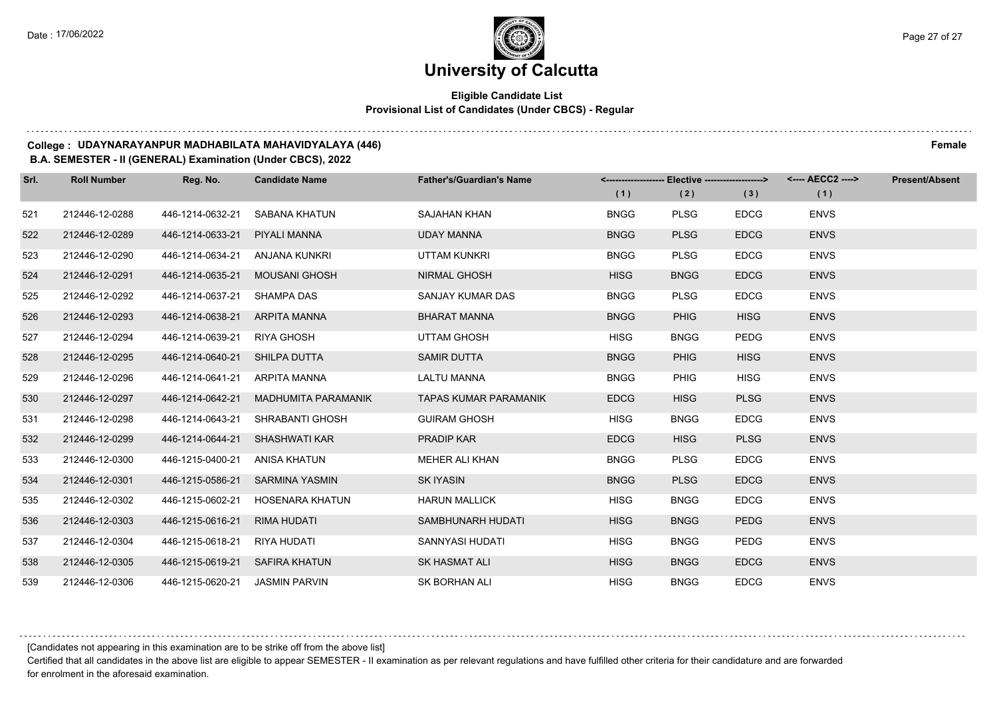### **Eligible Candidate List Provisional List of Candidates (Under CBCS) - Regular**

#### **College : UDAYNARAYANPUR MADHABILATA MAHAVIDYALAYA (446) Female**

#### **B.A. SEMESTER - II (GENERAL) Examination (Under CBCS), 2022**

| Srl. | <b>Roll Number</b> | Reg. No.         | <b>Candidate Name</b>      | <b>Father's/Guardian's Name</b> | Elective -------------------><br><--------------------- |             |             | <---- AECC2 ----> | <b>Present/Absent</b> |
|------|--------------------|------------------|----------------------------|---------------------------------|---------------------------------------------------------|-------------|-------------|-------------------|-----------------------|
|      |                    |                  |                            |                                 | (1)                                                     | (2)         | (3)         | (1)               |                       |
| 521  | 212446-12-0288     | 446-1214-0632-21 | SABANA KHATUN              | <b>SAJAHAN KHAN</b>             | <b>BNGG</b>                                             | <b>PLSG</b> | <b>EDCG</b> | <b>ENVS</b>       |                       |
| 522  | 212446-12-0289     | 446-1214-0633-21 | PIYALI MANNA               | <b>UDAY MANNA</b>               | <b>BNGG</b>                                             | <b>PLSG</b> | <b>EDCG</b> | <b>ENVS</b>       |                       |
| 523  | 212446-12-0290     | 446-1214-0634-21 | ANJANA KUNKRI              | UTTAM KUNKRI                    | <b>BNGG</b>                                             | <b>PLSG</b> | <b>EDCG</b> | <b>ENVS</b>       |                       |
| 524  | 212446-12-0291     | 446-1214-0635-21 | <b>MOUSANI GHOSH</b>       | <b>NIRMAL GHOSH</b>             | <b>HISG</b>                                             | <b>BNGG</b> | <b>EDCG</b> | <b>ENVS</b>       |                       |
| 525  | 212446-12-0292     | 446-1214-0637-21 | <b>SHAMPA DAS</b>          | SANJAY KUMAR DAS                | <b>BNGG</b>                                             | <b>PLSG</b> | <b>EDCG</b> | <b>ENVS</b>       |                       |
| 526  | 212446-12-0293     | 446-1214-0638-21 | ARPITA MANNA               | <b>BHARAT MANNA</b>             | <b>BNGG</b>                                             | <b>PHIG</b> | <b>HISG</b> | <b>ENVS</b>       |                       |
| 527  | 212446-12-0294     | 446-1214-0639-21 | RIYA GHOSH                 | <b>UTTAM GHOSH</b>              | <b>HISG</b>                                             | <b>BNGG</b> | <b>PEDG</b> | <b>ENVS</b>       |                       |
| 528  | 212446-12-0295     | 446-1214-0640-21 | SHILPA DUTTA               | <b>SAMIR DUTTA</b>              | <b>BNGG</b>                                             | <b>PHIG</b> | <b>HISG</b> | <b>ENVS</b>       |                       |
| 529  | 212446-12-0296     | 446-1214-0641-21 | ARPITA MANNA               | <b>LALTU MANNA</b>              | <b>BNGG</b>                                             | <b>PHIG</b> | <b>HISG</b> | <b>ENVS</b>       |                       |
| 530  | 212446-12-0297     | 446-1214-0642-21 | <b>MADHUMITA PARAMANIK</b> | <b>TAPAS KUMAR PARAMANIK</b>    | <b>EDCG</b>                                             | <b>HISG</b> | <b>PLSG</b> | <b>ENVS</b>       |                       |
| 531  | 212446-12-0298     | 446-1214-0643-21 | SHRABANTI GHOSH            | <b>GUIRAM GHOSH</b>             | <b>HISG</b>                                             | <b>BNGG</b> | <b>EDCG</b> | <b>ENVS</b>       |                       |
| 532  | 212446-12-0299     | 446-1214-0644-21 | SHASHWATI KAR              | <b>PRADIP KAR</b>               | <b>EDCG</b>                                             | <b>HISG</b> | <b>PLSG</b> | <b>ENVS</b>       |                       |
| 533  | 212446-12-0300     | 446-1215-0400-21 | ANISA KHATUN               | MEHER ALI KHAN                  | <b>BNGG</b>                                             | <b>PLSG</b> | <b>EDCG</b> | <b>ENVS</b>       |                       |
| 534  | 212446-12-0301     | 446-1215-0586-21 | SARMINA YASMIN             | <b>SK IYASIN</b>                | <b>BNGG</b>                                             | <b>PLSG</b> | <b>EDCG</b> | <b>ENVS</b>       |                       |
| 535  | 212446-12-0302     | 446-1215-0602-21 | HOSENARA KHATUN            | <b>HARUN MALLICK</b>            | <b>HISG</b>                                             | <b>BNGG</b> | <b>EDCG</b> | <b>ENVS</b>       |                       |
| 536  | 212446-12-0303     | 446-1215-0616-21 | <b>RIMA HUDATI</b>         | SAMBHUNARH HUDATI               | <b>HISG</b>                                             | <b>BNGG</b> | <b>PEDG</b> | <b>ENVS</b>       |                       |
| 537  | 212446-12-0304     | 446-1215-0618-21 | RIYA HUDATI                | SANNYASI HUDATI                 | <b>HISG</b>                                             | <b>BNGG</b> | <b>PEDG</b> | <b>ENVS</b>       |                       |
| 538  | 212446-12-0305     | 446-1215-0619-21 | <b>SAFIRA KHATUN</b>       | <b>SK HASMAT ALI</b>            | <b>HISG</b>                                             | <b>BNGG</b> | <b>EDCG</b> | <b>ENVS</b>       |                       |
| 539  | 212446-12-0306     | 446-1215-0620-21 | <b>JASMIN PARVIN</b>       | <b>SK BORHAN ALI</b>            | <b>HISG</b>                                             | <b>BNGG</b> | <b>EDCG</b> | <b>ENVS</b>       |                       |

[Candidates not appearing in this examination are to be strike off from the above list]

Certified that all candidates in the above list are eligible to appear SEMESTER - II examination as per relevant regulations and have fulfilled other criteria for their candidature and are forwarded for enrolment in the aforesaid examination.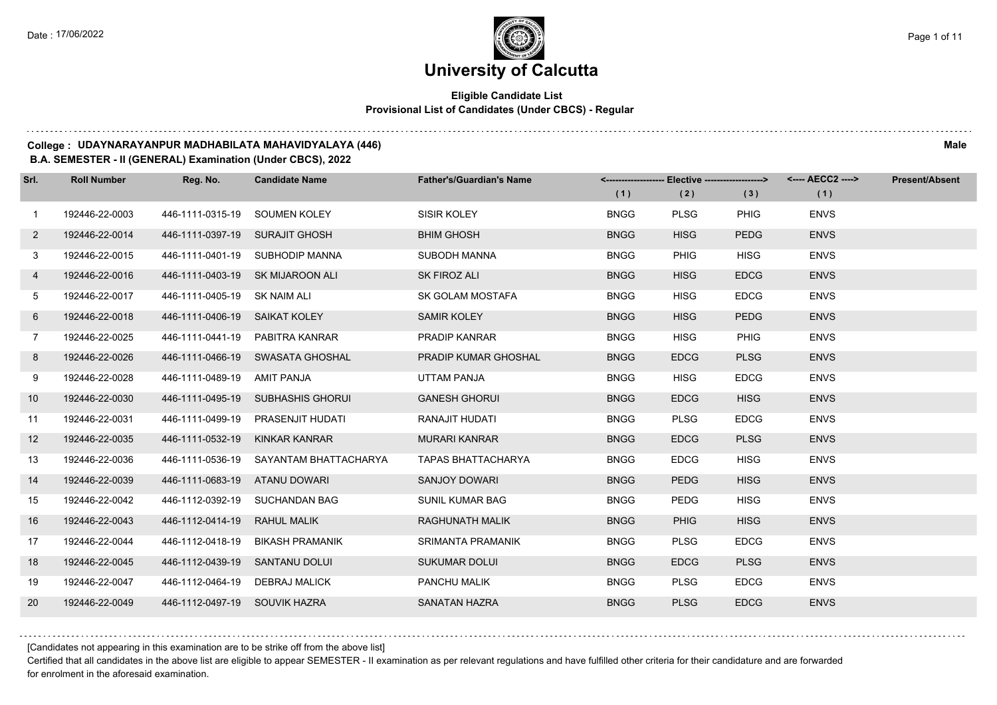### **Eligible Candidate List Provisional List of Candidates (Under CBCS) - Regular**

#### **College : UDAYNARAYANPUR MADHABILATA MAHAVIDYALAYA (446) Male**

#### **B.A. SEMESTER - II (GENERAL) Examination (Under CBCS), 2022**

| Srl.           | <b>Roll Number</b> | Reg. No.                       | <b>Candidate Name</b>                  | <b>Father's/Guardian's Name</b> |             | <-------------------- Elective -------------------> |             | <---- AECC2 ----> | <b>Present/Absent</b> |
|----------------|--------------------|--------------------------------|----------------------------------------|---------------------------------|-------------|-----------------------------------------------------|-------------|-------------------|-----------------------|
|                |                    |                                |                                        |                                 | (1)         | (2)                                                 | (3)         | (1)               |                       |
| $\overline{1}$ | 192446-22-0003     | 446-1111-0315-19 SOUMEN KOLEY  |                                        | SISIR KOLEY                     | <b>BNGG</b> | <b>PLSG</b>                                         | <b>PHIG</b> | <b>ENVS</b>       |                       |
| $\mathbf{2}$   | 192446-22-0014     | 446-1111-0397-19 SURAJIT GHOSH |                                        | <b>BHIM GHOSH</b>               | <b>BNGG</b> | <b>HISG</b>                                         | <b>PEDG</b> | <b>ENVS</b>       |                       |
| 3              | 192446-22-0015     |                                | 446-1111-0401-19 SUBHODIP MANNA        | SUBODH MANNA                    | <b>BNGG</b> | <b>PHIG</b>                                         | <b>HISG</b> | <b>ENVS</b>       |                       |
| 4              | 192446-22-0016     |                                | 446-1111-0403-19 SK MIJAROON ALI       | SK FIROZ ALI                    | <b>BNGG</b> | <b>HISG</b>                                         | <b>EDCG</b> | <b>ENVS</b>       |                       |
| 5              | 192446-22-0017     | 446-1111-0405-19 SK NAIM ALI   |                                        | SK GOLAM MOSTAFA                | <b>BNGG</b> | <b>HISG</b>                                         | <b>EDCG</b> | <b>ENVS</b>       |                       |
| 6              | 192446-22-0018     | 446-1111-0406-19 SAIKAT KOLEY  |                                        | <b>SAMIR KOLEY</b>              | <b>BNGG</b> | <b>HISG</b>                                         | <b>PEDG</b> | <b>ENVS</b>       |                       |
| $7^{\circ}$    | 192446-22-0025     |                                | 446-1111-0441-19 PABITRA KANRAR        | PRADIP KANRAR                   | <b>BNGG</b> | <b>HISG</b>                                         | PHIG        | <b>ENVS</b>       |                       |
| 8              | 192446-22-0026     |                                | 446-1111-0466-19 SWASATA GHOSHAL       | PRADIP KUMAR GHOSHAL            | <b>BNGG</b> | <b>EDCG</b>                                         | <b>PLSG</b> | <b>ENVS</b>       |                       |
| 9              | 192446-22-0028     | 446-1111-0489-19               | AMIT PANJA                             | UTTAM PANJA                     | <b>BNGG</b> | <b>HISG</b>                                         | <b>EDCG</b> | <b>ENVS</b>       |                       |
| 10             | 192446-22-0030     |                                | 446-1111-0495-19 SUBHASHIS GHORUI      | <b>GANESH GHORUI</b>            | <b>BNGG</b> | <b>EDCG</b>                                         | <b>HISG</b> | <b>ENVS</b>       |                       |
| 11             | 192446-22-0031     |                                | 446-1111-0499-19 PRASENJIT HUDATI      | RANAJIT HUDATI                  | <b>BNGG</b> | <b>PLSG</b>                                         | <b>EDCG</b> | <b>ENVS</b>       |                       |
| 12             | 192446-22-0035     | 446-1111-0532-19 KINKAR KANRAR |                                        | <b>MURARI KANRAR</b>            | <b>BNGG</b> | <b>EDCG</b>                                         | <b>PLSG</b> | <b>ENVS</b>       |                       |
| 13             | 192446-22-0036     |                                | 446-1111-0536-19 SAYANTAM BHATTACHARYA | <b>TAPAS BHATTACHARYA</b>       | <b>BNGG</b> | <b>EDCG</b>                                         | <b>HISG</b> | <b>ENVS</b>       |                       |
| 14             | 192446-22-0039     | 446-1111-0683-19 ATANU DOWARI  |                                        | <b>SANJOY DOWARI</b>            | <b>BNGG</b> | <b>PEDG</b>                                         | <b>HISG</b> | <b>ENVS</b>       |                       |
| 15             | 192446-22-0042     |                                | 446-1112-0392-19 SUCHANDAN BAG         | <b>SUNIL KUMAR BAG</b>          | <b>BNGG</b> | <b>PEDG</b>                                         | <b>HISG</b> | <b>ENVS</b>       |                       |
| 16             | 192446-22-0043     | 446-1112-0414-19               | <b>RAHUL MALIK</b>                     | RAGHUNATH MALIK                 | <b>BNGG</b> | <b>PHIG</b>                                         | <b>HISG</b> | <b>ENVS</b>       |                       |
| 17             | 192446-22-0044     | 446-1112-0418-19               | BIKASH PRAMANIK                        | SRIMANTA PRAMANIK               | <b>BNGG</b> | <b>PLSG</b>                                         | <b>EDCG</b> | <b>ENVS</b>       |                       |
| 18             | 192446-22-0045     | 446-1112-0439-19 SANTANU DOLUI |                                        | <b>SUKUMAR DOLUI</b>            | <b>BNGG</b> | <b>EDCG</b>                                         | <b>PLSG</b> | <b>ENVS</b>       |                       |
| 19             | 192446-22-0047     | 446-1112-0464-19 DEBRAJ MALICK |                                        | PANCHU MALIK                    | <b>BNGG</b> | <b>PLSG</b>                                         | <b>EDCG</b> | <b>ENVS</b>       |                       |
| 20             | 192446-22-0049     | 446-1112-0497-19 SOUVIK HAZRA  |                                        | <b>SANATAN HAZRA</b>            | <b>BNGG</b> | <b>PLSG</b>                                         | <b>EDCG</b> | <b>ENVS</b>       |                       |

[Candidates not appearing in this examination are to be strike off from the above list]

Certified that all candidates in the above list are eligible to appear SEMESTER - II examination as per relevant regulations and have fulfilled other criteria for their candidature and are forwarded for enrolment in the aforesaid examination.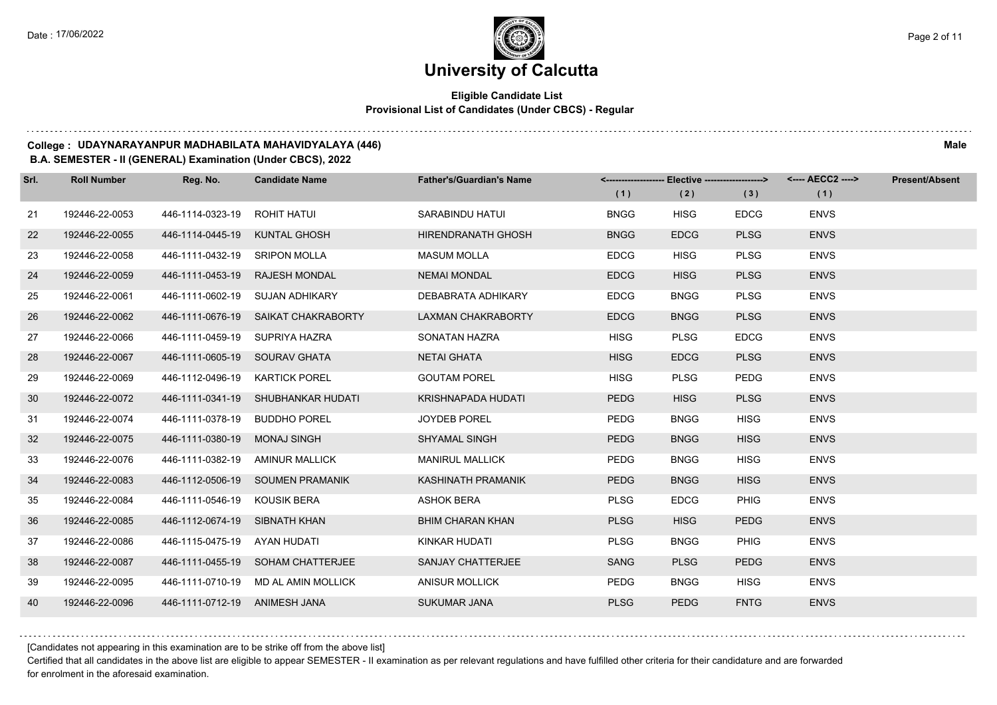## **Eligible Candidate List Provisional List of Candidates (Under CBCS) - Regular**

#### **College : UDAYNARAYANPUR MADHABILATA MAHAVIDYALAYA (446) Male**

### **B.A. SEMESTER - II (GENERAL) Examination (Under CBCS), 2022**

| Srl. | <b>Roll Number</b> | Reg. No.                       | <b>Candidate Name</b>               | <b>Father's/Guardian's Name</b> |             | <------------------- Elective ------------------> |             | <---- AECC2 ----> | <b>Present/Absent</b> |
|------|--------------------|--------------------------------|-------------------------------------|---------------------------------|-------------|---------------------------------------------------|-------------|-------------------|-----------------------|
|      |                    |                                |                                     |                                 | (1)         | (2)                                               | (3)         | (1)               |                       |
| 21   | 192446-22-0053     | 446-1114-0323-19 ROHIT HATUI   |                                     | SARABINDU HATUI                 | <b>BNGG</b> | <b>HISG</b>                                       | <b>EDCG</b> | <b>ENVS</b>       |                       |
| 22   | 192446-22-0055     | 446-1114-0445-19               | <b>KUNTAL GHOSH</b>                 | <b>HIRENDRANATH GHOSH</b>       | <b>BNGG</b> | <b>EDCG</b>                                       | <b>PLSG</b> | <b>ENVS</b>       |                       |
| 23   | 192446-22-0058     | 446-1111-0432-19 SRIPON MOLLA  |                                     | <b>MASUM MOLLA</b>              | <b>EDCG</b> | <b>HISG</b>                                       | <b>PLSG</b> | <b>ENVS</b>       |                       |
| 24   | 192446-22-0059     |                                | 446-1111-0453-19 RAJESH MONDAL      | <b>NEMAI MONDAL</b>             | <b>EDCG</b> | <b>HISG</b>                                       | <b>PLSG</b> | <b>ENVS</b>       |                       |
| 25   | 192446-22-0061     |                                | 446-1111-0602-19 SUJAN ADHIKARY     | DEBABRATA ADHIKARY              | <b>EDCG</b> | <b>BNGG</b>                                       | <b>PLSG</b> | <b>ENVS</b>       |                       |
| 26   | 192446-22-0062     | 446-1111-0676-19               | SAIKAT CHAKRABORTY                  | <b>LAXMAN CHAKRABORTY</b>       | <b>EDCG</b> | <b>BNGG</b>                                       | <b>PLSG</b> | <b>ENVS</b>       |                       |
| 27   | 192446-22-0066     | 446-1111-0459-19 SUPRIYA HAZRA |                                     | SONATAN HAZRA                   | <b>HISG</b> | <b>PLSG</b>                                       | <b>EDCG</b> | <b>ENVS</b>       |                       |
| 28   | 192446-22-0067     | 446-1111-0605-19 SOURAV GHATA  |                                     | <b>NETAI GHATA</b>              | <b>HISG</b> | <b>EDCG</b>                                       | <b>PLSG</b> | <b>ENVS</b>       |                       |
| 29   | 192446-22-0069     | 446-1112-0496-19               | <b>KARTICK POREL</b>                | <b>GOUTAM POREL</b>             | <b>HISG</b> | <b>PLSG</b>                                       | <b>PEDG</b> | <b>ENVS</b>       |                       |
| 30   | 192446-22-0072     | 446-1111-0341-19               | SHUBHANKAR HUDATI                   | KRISHNAPADA HUDATI              | <b>PEDG</b> | <b>HISG</b>                                       | <b>PLSG</b> | <b>ENVS</b>       |                       |
| 31   | 192446-22-0074     | 446-1111-0378-19 BUDDHO POREL  |                                     | <b>JOYDEB POREL</b>             | <b>PEDG</b> | <b>BNGG</b>                                       | <b>HISG</b> | <b>ENVS</b>       |                       |
| 32   | 192446-22-0075     | 446-1111-0380-19               | MONAJ SINGH                         | <b>SHYAMAL SINGH</b>            | <b>PEDG</b> | <b>BNGG</b>                                       | <b>HISG</b> | <b>ENVS</b>       |                       |
| 33   | 192446-22-0076     | 446-1111-0382-19               | AMINUR MALLICK                      | <b>MANIRUL MALLICK</b>          | <b>PEDG</b> | <b>BNGG</b>                                       | <b>HISG</b> | <b>ENVS</b>       |                       |
| 34   | 192446-22-0083     |                                | 446-1112-0506-19 SOUMEN PRAMANIK    | KASHINATH PRAMANIK              | <b>PEDG</b> | <b>BNGG</b>                                       | <b>HISG</b> | <b>ENVS</b>       |                       |
| 35   | 192446-22-0084     | 446-1111-0546-19 KOUSIK BERA   |                                     | <b>ASHOK BERA</b>               | <b>PLSG</b> | <b>EDCG</b>                                       | <b>PHIG</b> | <b>ENVS</b>       |                       |
| 36   | 192446-22-0085     | 446-1112-0674-19 SIBNATH KHAN  |                                     | <b>BHIM CHARAN KHAN</b>         | <b>PLSG</b> | <b>HISG</b>                                       | <b>PEDG</b> | <b>ENVS</b>       |                       |
| 37   | 192446-22-0086     | 446-1115-0475-19               | AYAN HUDATI                         | KINKAR HUDATI                   | <b>PLSG</b> | <b>BNGG</b>                                       | <b>PHIG</b> | <b>ENVS</b>       |                       |
| 38   | 192446-22-0087     |                                | 446-1111-0455-19 SOHAM CHATTERJEE   | SANJAY CHATTERJEE               | <b>SANG</b> | <b>PLSG</b>                                       | <b>PEDG</b> | <b>ENVS</b>       |                       |
| 39   | 192446-22-0095     |                                | 446-1111-0710-19 MD AL AMIN MOLLICK | <b>ANISUR MOLLICK</b>           | <b>PEDG</b> | <b>BNGG</b>                                       | <b>HISG</b> | <b>ENVS</b>       |                       |
| 40   | 192446-22-0096     | 446-1111-0712-19 ANIMESH JANA  |                                     | <b>SUKUMAR JANA</b>             | <b>PLSG</b> | <b>PEDG</b>                                       | <b>FNTG</b> | <b>ENVS</b>       |                       |

[Candidates not appearing in this examination are to be strike off from the above list]

Certified that all candidates in the above list are eligible to appear SEMESTER - II examination as per relevant regulations and have fulfilled other criteria for their candidature and are forwarded for enrolment in the aforesaid examination.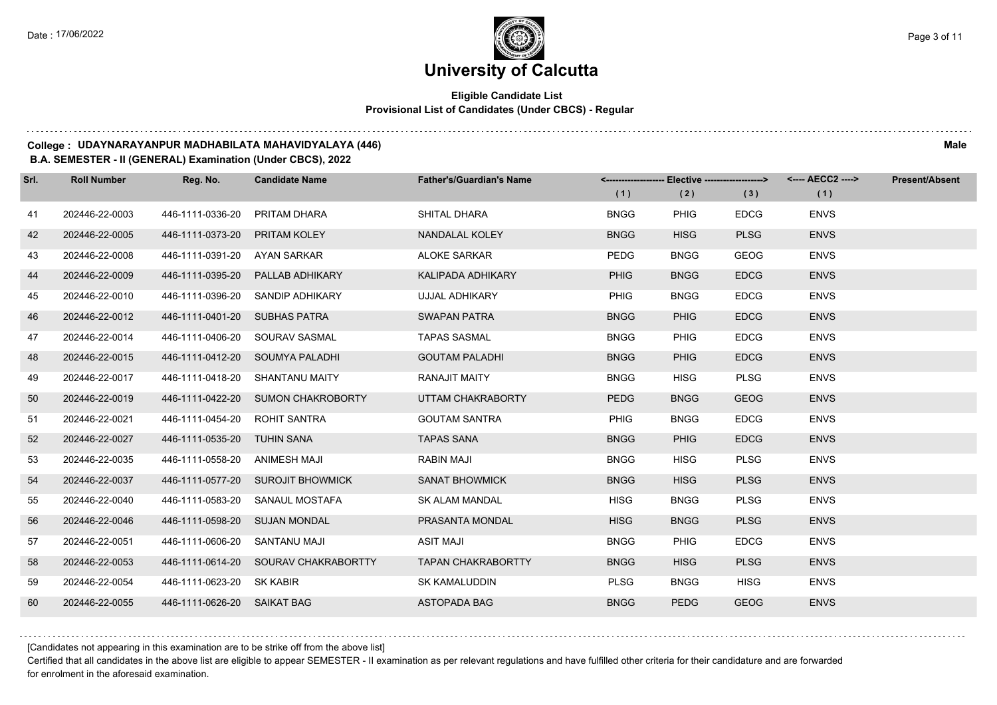## **Eligible Candidate List Provisional List of Candidates (Under CBCS) - Regular**

#### **College : UDAYNARAYANPUR MADHABILATA MAHAVIDYALAYA (446) Male**

### **B.A. SEMESTER - II (GENERAL) Examination (Under CBCS), 2022**

| Srl. | <b>Roll Number</b> | Reg. No.                      | <b>Candidate Name</b>                | <b>Father's/Guardian's Name</b> |             | <------------------- Elective ------------------> |             | <---- AECC2 ----> | <b>Present/Absent</b> |
|------|--------------------|-------------------------------|--------------------------------------|---------------------------------|-------------|---------------------------------------------------|-------------|-------------------|-----------------------|
|      |                    |                               |                                      |                                 | (1)         | (2)                                               | (3)         | (1)               |                       |
| 41   | 202446-22-0003     | 446-1111-0336-20              | PRITAM DHARA                         | SHITAL DHARA                    | <b>BNGG</b> | <b>PHIG</b>                                       | <b>EDCG</b> | <b>ENVS</b>       |                       |
| 42   | 202446-22-0005     | 446-1111-0373-20              | PRITAM KOLEY                         | NANDALAL KOLEY                  | <b>BNGG</b> | <b>HISG</b>                                       | <b>PLSG</b> | <b>ENVS</b>       |                       |
| 43   | 202446-22-0008     | 446-1111-0391-20 AYAN SARKAR  |                                      | <b>ALOKE SARKAR</b>             | PEDG        | <b>BNGG</b>                                       | GEOG        | <b>ENVS</b>       |                       |
| 44   | 202446-22-0009     |                               | 446-1111-0395-20 PALLAB ADHIKARY     | <b>KALIPADA ADHIKARY</b>        | <b>PHIG</b> | <b>BNGG</b>                                       | <b>EDCG</b> | <b>ENVS</b>       |                       |
| 45   | 202446-22-0010     | 446-1111-0396-20              | SANDIP ADHIKARY                      | UJJAL ADHIKARY                  | <b>PHIG</b> | <b>BNGG</b>                                       | <b>EDCG</b> | <b>ENVS</b>       |                       |
| 46   | 202446-22-0012     | 446-1111-0401-20              | <b>SUBHAS PATRA</b>                  | <b>SWAPAN PATRA</b>             | <b>BNGG</b> | <b>PHIG</b>                                       | <b>EDCG</b> | <b>ENVS</b>       |                       |
| 47   | 202446-22-0014     |                               | 446-1111-0406-20 SOURAV SASMAL       | <b>TAPAS SASMAL</b>             | <b>BNGG</b> | <b>PHIG</b>                                       | <b>EDCG</b> | <b>ENVS</b>       |                       |
| 48   | 202446-22-0015     |                               | 446-1111-0412-20 SOUMYA PALADHI      | <b>GOUTAM PALADHI</b>           | <b>BNGG</b> | <b>PHIG</b>                                       | <b>EDCG</b> | <b>ENVS</b>       |                       |
| 49   | 202446-22-0017     | 446-1111-0418-20              | SHANTANU MAITY                       | <b>RANAJIT MAITY</b>            | <b>BNGG</b> | <b>HISG</b>                                       | <b>PLSG</b> | <b>ENVS</b>       |                       |
| 50   | 202446-22-0019     |                               | 446-1111-0422-20 SUMON CHAKROBORTY   | UTTAM CHAKRABORTY               | <b>PEDG</b> | <b>BNGG</b>                                       | <b>GEOG</b> | <b>ENVS</b>       |                       |
| 51   | 202446-22-0021     | 446-1111-0454-20 ROHIT SANTRA |                                      | <b>GOUTAM SANTRA</b>            | <b>PHIG</b> | <b>BNGG</b>                                       | <b>EDCG</b> | <b>ENVS</b>       |                       |
| 52   | 202446-22-0027     | 446-1111-0535-20 TUHIN SANA   |                                      | <b>TAPAS SANA</b>               | <b>BNGG</b> | <b>PHIG</b>                                       | <b>EDCG</b> | <b>ENVS</b>       |                       |
| 53   | 202446-22-0035     | 446-1111-0558-20              | ANIMESH MAJI                         | RABIN MAJI                      | <b>BNGG</b> | <b>HISG</b>                                       | <b>PLSG</b> | <b>ENVS</b>       |                       |
| 54   | 202446-22-0037     |                               | 446-1111-0577-20 SUROJIT BHOWMICK    | <b>SANAT BHOWMICK</b>           | <b>BNGG</b> | <b>HISG</b>                                       | <b>PLSG</b> | <b>ENVS</b>       |                       |
| 55   | 202446-22-0040     | 446-1111-0583-20              | SANAUL MOSTAFA                       | SK ALAM MANDAL                  | <b>HISG</b> | <b>BNGG</b>                                       | <b>PLSG</b> | <b>ENVS</b>       |                       |
| 56   | 202446-22-0046     | 446-1111-0598-20 SUJAN MONDAL |                                      | PRASANTA MONDAL                 | <b>HISG</b> | <b>BNGG</b>                                       | <b>PLSG</b> | <b>ENVS</b>       |                       |
| 57   | 202446-22-0051     | 446-1111-0606-20              | SANTANU MAJI                         | <b>ASIT MAJI</b>                | <b>BNGG</b> | <b>PHIG</b>                                       | <b>EDCG</b> | <b>ENVS</b>       |                       |
| 58   | 202446-22-0053     |                               | 446-1111-0614-20 SOURAV CHAKRABORTTY | <b>TAPAN CHAKRABORTTY</b>       | <b>BNGG</b> | <b>HISG</b>                                       | <b>PLSG</b> | <b>ENVS</b>       |                       |
| 59   | 202446-22-0054     | 446-1111-0623-20 SK KABIR     |                                      | SK KAMALUDDIN                   | <b>PLSG</b> | <b>BNGG</b>                                       | <b>HISG</b> | <b>ENVS</b>       |                       |
| 60   | 202446-22-0055     | 446-1111-0626-20 SAIKAT BAG   |                                      | <b>ASTOPADA BAG</b>             | <b>BNGG</b> | <b>PEDG</b>                                       | <b>GEOG</b> | <b>ENVS</b>       |                       |

[Candidates not appearing in this examination are to be strike off from the above list]

Certified that all candidates in the above list are eligible to appear SEMESTER - II examination as per relevant regulations and have fulfilled other criteria for their candidature and are forwarded for enrolment in the aforesaid examination.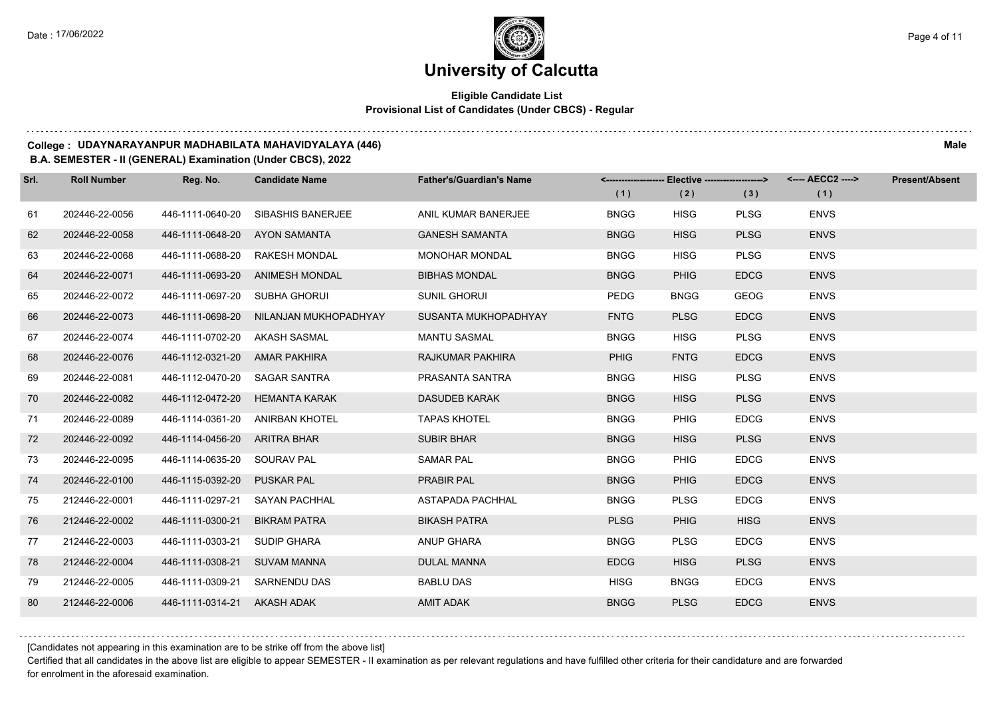## **Eligible Candidate List Provisional List of Candidates (Under CBCS) - Regular**

#### **College : UDAYNARAYANPUR MADHABILATA MAHAVIDYALAYA (446) Male**

#### **B.A. SEMESTER - II (GENERAL) Examination (Under CBCS), 2022**

| Srl. | <b>Roll Number</b> | Reg. No.                      | <b>Candidate Name</b>           | <b>Father's/Guardian's Name</b> | <--------------------- | Elective -------------------> |             | <---- AECC2 ----> | <b>Present/Absent</b> |
|------|--------------------|-------------------------------|---------------------------------|---------------------------------|------------------------|-------------------------------|-------------|-------------------|-----------------------|
|      |                    |                               |                                 |                                 | (1)                    | (2)                           | (3)         | (1)               |                       |
| 61   | 202446-22-0056     | 446-1111-0640-20              | <b>SIBASHIS BANERJEE</b>        | ANIL KUMAR BANERJEE             | <b>BNGG</b>            | <b>HISG</b>                   | <b>PLSG</b> | <b>ENVS</b>       |                       |
| 62   | 202446-22-0058     | 446-1111-0648-20              | AYON SAMANTA                    | <b>GANESH SAMANTA</b>           | <b>BNGG</b>            | <b>HISG</b>                   | <b>PLSG</b> | <b>ENVS</b>       |                       |
| 63   | 202446-22-0068     | 446-1111-0688-20              | RAKESH MONDAL                   | <b>MONOHAR MONDAL</b>           | <b>BNGG</b>            | <b>HISG</b>                   | <b>PLSG</b> | <b>ENVS</b>       |                       |
| 64   | 202446-22-0071     |                               | 446-1111-0693-20 ANIMESH MONDAL | <b>BIBHAS MONDAL</b>            | <b>BNGG</b>            | <b>PHIG</b>                   | <b>EDCG</b> | <b>ENVS</b>       |                       |
| 65   | 202446-22-0072     | 446-1111-0697-20 SUBHA GHORUI |                                 | <b>SUNIL GHORUI</b>             | PEDG                   | <b>BNGG</b>                   | <b>GEOG</b> | <b>ENVS</b>       |                       |
| 66   | 202446-22-0073     | 446-1111-0698-20              | NILANJAN MUKHOPADHYAY           | SUSANTA MUKHOPADHYAY            | <b>FNTG</b>            | <b>PLSG</b>                   | <b>EDCG</b> | <b>ENVS</b>       |                       |
| 67   | 202446-22-0074     | 446-1111-0702-20 AKASH SASMAL |                                 | <b>MANTU SASMAL</b>             | <b>BNGG</b>            | <b>HISG</b>                   | <b>PLSG</b> | <b>ENVS</b>       |                       |
| 68   | 202446-22-0076     | 446-1112-0321-20 AMAR PAKHIRA |                                 | RAJKUMAR PAKHIRA                | <b>PHIG</b>            | <b>FNTG</b>                   | <b>EDCG</b> | <b>ENVS</b>       |                       |
| 69   | 202446-22-0081     | 446-1112-0470-20              | <b>SAGAR SANTRA</b>             | PRASANTA SANTRA                 | <b>BNGG</b>            | <b>HISG</b>                   | <b>PLSG</b> | <b>ENVS</b>       |                       |
| 70   | 202446-22-0082     | 446-1112-0472-20              | <b>HEMANTA KARAK</b>            | <b>DASUDEB KARAK</b>            | <b>BNGG</b>            | <b>HISG</b>                   | <b>PLSG</b> | <b>ENVS</b>       |                       |
| 71   | 202446-22-0089     | 446-1114-0361-20              | <b>ANIRBAN KHOTEL</b>           | <b>TAPAS KHOTEL</b>             | <b>BNGG</b>            | <b>PHIG</b>                   | <b>EDCG</b> | <b>ENVS</b>       |                       |
| 72   | 202446-22-0092     | 446-1114-0456-20              | ARITRA BHAR                     | <b>SUBIR BHAR</b>               | <b>BNGG</b>            | <b>HISG</b>                   | <b>PLSG</b> | <b>ENVS</b>       |                       |
| 73   | 202446-22-0095     | 446-1114-0635-20              | SOURAV PAL                      | <b>SAMAR PAL</b>                | <b>BNGG</b>            | <b>PHIG</b>                   | <b>EDCG</b> | <b>ENVS</b>       |                       |
| 74   | 202446-22-0100     | 446-1115-0392-20              | <b>PUSKAR PAL</b>               | <b>PRABIR PAL</b>               | <b>BNGG</b>            | <b>PHIG</b>                   | <b>EDCG</b> | <b>ENVS</b>       |                       |
| 75   | 212446-22-0001     | 446-1111-0297-21              | <b>SAYAN PACHHAL</b>            | ASTAPADA PACHHAL                | <b>BNGG</b>            | <b>PLSG</b>                   | <b>EDCG</b> | <b>ENVS</b>       |                       |
| 76   | 212446-22-0002     | 446-1111-0300-21              | <b>BIKRAM PATRA</b>             | <b>BIKASH PATRA</b>             | <b>PLSG</b>            | <b>PHIG</b>                   | <b>HISG</b> | <b>ENVS</b>       |                       |
| 77   | 212446-22-0003     | 446-1111-0303-21              | <b>SUDIP GHARA</b>              | ANUP GHARA                      | <b>BNGG</b>            | <b>PLSG</b>                   | <b>EDCG</b> | <b>ENVS</b>       |                       |
| 78   | 212446-22-0004     | 446-1111-0308-21              | <b>SUVAM MANNA</b>              | <b>DULAL MANNA</b>              | <b>EDCG</b>            | <b>HISG</b>                   | <b>PLSG</b> | <b>ENVS</b>       |                       |
| 79   | 212446-22-0005     | 446-1111-0309-21              | SARNENDU DAS                    | <b>BABLU DAS</b>                | <b>HISG</b>            | <b>BNGG</b>                   | <b>EDCG</b> | <b>ENVS</b>       |                       |
| 80   | 212446-22-0006     | 446-1111-0314-21 AKASH ADAK   |                                 | <b>AMIT ADAK</b>                | <b>BNGG</b>            | <b>PLSG</b>                   | <b>EDCG</b> | <b>ENVS</b>       |                       |

[Candidates not appearing in this examination are to be strike off from the above list]

Certified that all candidates in the above list are eligible to appear SEMESTER - II examination as per relevant regulations and have fulfilled other criteria for their candidature and are forwarded for enrolment in the aforesaid examination.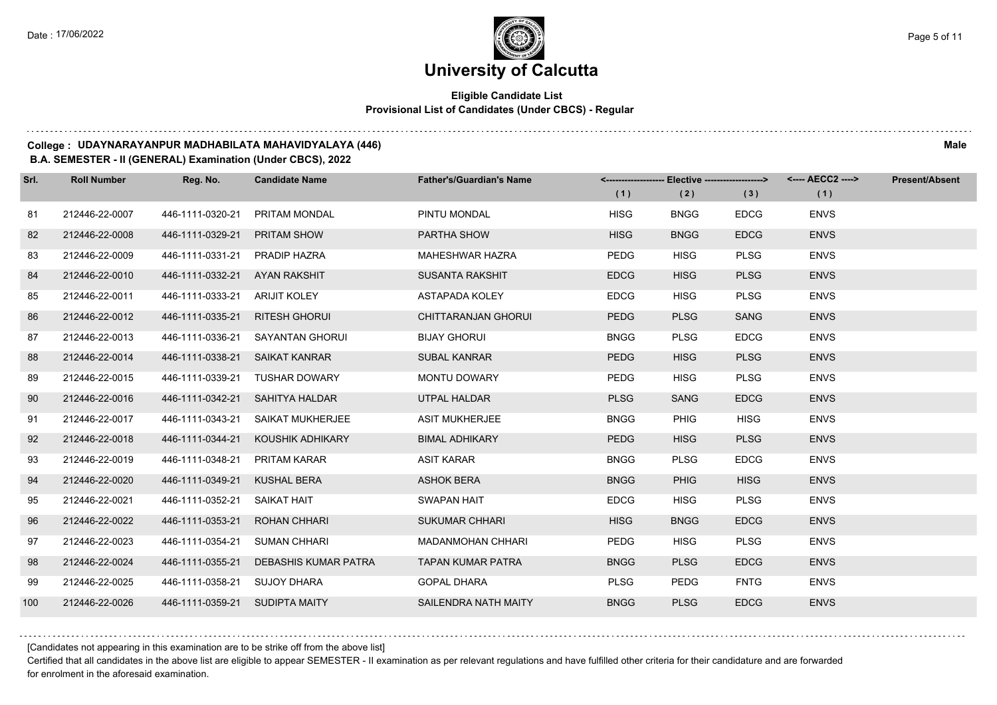## **Eligible Candidate List Provisional List of Candidates (Under CBCS) - Regular**

#### **College : UDAYNARAYANPUR MADHABILATA MAHAVIDYALAYA (446) Male**

### **B.A. SEMESTER - II (GENERAL) Examination (Under CBCS), 2022**

| Srl. | <b>Roll Number</b> | Reg. No.                       | <b>Candidate Name</b>             | <b>Father's/Guardian's Name</b> |             | <------------------- Elective ------------------> |             | <---- AECC2 ----> | <b>Present/Absent</b> |
|------|--------------------|--------------------------------|-----------------------------------|---------------------------------|-------------|---------------------------------------------------|-------------|-------------------|-----------------------|
|      |                    |                                |                                   |                                 | (1)         | (2)                                               | (3)         | (1)               |                       |
| 81   | 212446-22-0007     | 446-1111-0320-21               | PRITAM MONDAL                     | PINTU MONDAL                    | <b>HISG</b> | <b>BNGG</b>                                       | <b>EDCG</b> | <b>ENVS</b>       |                       |
| 82   | 212446-22-0008     | 446-1111-0329-21               | <b>PRITAM SHOW</b>                | PARTHA SHOW                     | <b>HISG</b> | <b>BNGG</b>                                       | <b>EDCG</b> | <b>ENVS</b>       |                       |
| 83   | 212446-22-0009     | 446-1111-0331-21 PRADIP HAZRA  |                                   | <b>MAHESHWAR HAZRA</b>          | <b>PEDG</b> | <b>HISG</b>                                       | <b>PLSG</b> | <b>ENVS</b>       |                       |
| 84   | 212446-22-0010     | 446-1111-0332-21 AYAN RAKSHIT  |                                   | <b>SUSANTA RAKSHIT</b>          | <b>EDCG</b> | <b>HISG</b>                                       | <b>PLSG</b> | <b>ENVS</b>       |                       |
| 85   | 212446-22-0011     | 446-1111-0333-21 ARIJIT KOLEY  |                                   | <b>ASTAPADA KOLEY</b>           | <b>EDCG</b> | <b>HISG</b>                                       | <b>PLSG</b> | <b>ENVS</b>       |                       |
| 86   | 212446-22-0012     | 446-1111-0335-21               | <b>RITESH GHORUI</b>              | <b>CHITTARANJAN GHORUI</b>      | <b>PEDG</b> | <b>PLSG</b>                                       | <b>SANG</b> | <b>ENVS</b>       |                       |
| 87   | 212446-22-0013     |                                | 446-1111-0336-21 SAYANTAN GHORUI  | <b>BIJAY GHORUI</b>             | <b>BNGG</b> | <b>PLSG</b>                                       | <b>EDCG</b> | <b>ENVS</b>       |                       |
| 88   | 212446-22-0014     | 446-1111-0338-21 SAIKAT KANRAR |                                   | <b>SUBAL KANRAR</b>             | <b>PEDG</b> | <b>HISG</b>                                       | <b>PLSG</b> | <b>ENVS</b>       |                       |
| 89   | 212446-22-0015     | 446-1111-0339-21               | <b>TUSHAR DOWARY</b>              | <b>MONTU DOWARY</b>             | <b>PEDG</b> | <b>HISG</b>                                       | <b>PLSG</b> | <b>ENVS</b>       |                       |
| 90   | 212446-22-0016     | 446-1111-0342-21               | SAHITYA HALDAR                    | <b>UTPAL HALDAR</b>             | <b>PLSG</b> | <b>SANG</b>                                       | <b>EDCG</b> | <b>ENVS</b>       |                       |
| 91   | 212446-22-0017     |                                | 446-1111-0343-21 SAIKAT MUKHERJEE | <b>ASIT MUKHERJEE</b>           | <b>BNGG</b> | <b>PHIG</b>                                       | <b>HISG</b> | <b>ENVS</b>       |                       |
| 92   | 212446-22-0018     | 446-1111-0344-21               | KOUSHIK ADHIKARY                  | <b>BIMAL ADHIKARY</b>           | <b>PEDG</b> | <b>HISG</b>                                       | <b>PLSG</b> | <b>ENVS</b>       |                       |
| 93   | 212446-22-0019     | 446-1111-0348-21               | PRITAM KARAR                      | <b>ASIT KARAR</b>               | <b>BNGG</b> | <b>PLSG</b>                                       | <b>EDCG</b> | <b>ENVS</b>       |                       |
| 94   | 212446-22-0020     | 446-1111-0349-21               | <b>KUSHAL BERA</b>                | <b>ASHOK BERA</b>               | <b>BNGG</b> | <b>PHIG</b>                                       | <b>HISG</b> | <b>ENVS</b>       |                       |
| 95   | 212446-22-0021     | 446-1111-0352-21               | SAIKAT HAIT                       | <b>SWAPAN HAIT</b>              | <b>EDCG</b> | <b>HISG</b>                                       | <b>PLSG</b> | <b>ENVS</b>       |                       |
| 96   | 212446-22-0022     | 446-1111-0353-21               | <b>ROHAN CHHARI</b>               | <b>SUKUMAR CHHARI</b>           | <b>HISG</b> | <b>BNGG</b>                                       | <b>EDCG</b> | <b>ENVS</b>       |                       |
| 97   | 212446-22-0023     | 446-1111-0354-21               | <b>SUMAN CHHARI</b>               | <b>MADANMOHAN CHHARI</b>        | <b>PEDG</b> | <b>HISG</b>                                       | <b>PLSG</b> | <b>ENVS</b>       |                       |
| 98   | 212446-22-0024     | 446-1111-0355-21               | DEBASHIS KUMAR PATRA              | <b>TAPAN KUMAR PATRA</b>        | <b>BNGG</b> | <b>PLSG</b>                                       | <b>EDCG</b> | <b>ENVS</b>       |                       |
| 99   | 212446-22-0025     | 446-1111-0358-21 SUJOY DHARA   |                                   | <b>GOPAL DHARA</b>              | <b>PLSG</b> | PEDG                                              | <b>FNTG</b> | <b>ENVS</b>       |                       |
| 100  | 212446-22-0026     | 446-1111-0359-21 SUDIPTA MAITY |                                   | SAILENDRA NATH MAITY            | <b>BNGG</b> | <b>PLSG</b>                                       | <b>EDCG</b> | <b>ENVS</b>       |                       |

[Candidates not appearing in this examination are to be strike off from the above list]

Certified that all candidates in the above list are eligible to appear SEMESTER - II examination as per relevant regulations and have fulfilled other criteria for their candidature and are forwarded for enrolment in the aforesaid examination.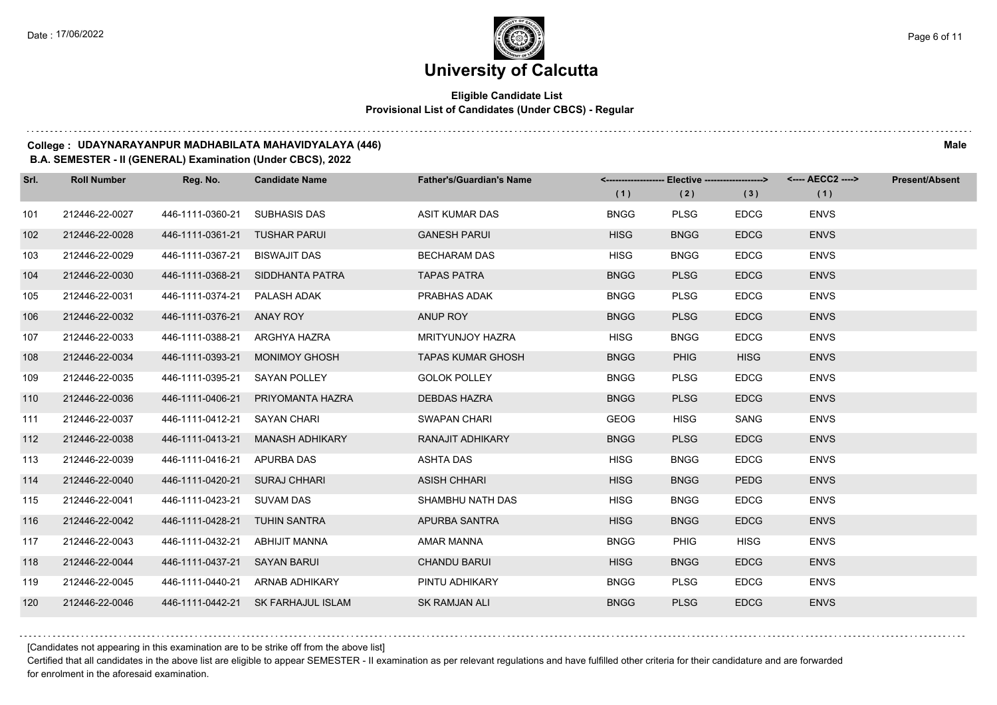## **Eligible Candidate List Provisional List of Candidates (Under CBCS) - Regular**

#### **College : UDAYNARAYANPUR MADHABILATA MAHAVIDYALAYA (446) Male**

#### **B.A. SEMESTER - II (GENERAL) Examination (Under CBCS), 2022**

| Srl. | <b>Roll Number</b> | Reg. No.                      | <b>Candidate Name</b>              | <b>Father's/Guardian's Name</b> |             | <-------------------- Elective -------------------> |             | <---- AECC2 ----> | <b>Present/Absent</b> |
|------|--------------------|-------------------------------|------------------------------------|---------------------------------|-------------|-----------------------------------------------------|-------------|-------------------|-----------------------|
|      |                    |                               |                                    |                                 | (1)         | (2)                                                 | (3)         | (1)               |                       |
| 101  | 212446-22-0027     | 446-1111-0360-21              | <b>SUBHASIS DAS</b>                | <b>ASIT KUMAR DAS</b>           | <b>BNGG</b> | <b>PLSG</b>                                         | <b>EDCG</b> | <b>ENVS</b>       |                       |
| 102  | 212446-22-0028     | 446-1111-0361-21              | TUSHAR PARUI                       | <b>GANESH PARUI</b>             | <b>HISG</b> | <b>BNGG</b>                                         | <b>EDCG</b> | <b>ENVS</b>       |                       |
| 103  | 212446-22-0029     | 446-1111-0367-21 BISWAJIT DAS |                                    | <b>BECHARAM DAS</b>             | <b>HISG</b> | <b>BNGG</b>                                         | <b>EDCG</b> | <b>ENVS</b>       |                       |
| 104  | 212446-22-0030     |                               | 446-1111-0368-21 SIDDHANTA PATRA   | <b>TAPAS PATRA</b>              | <b>BNGG</b> | <b>PLSG</b>                                         | <b>EDCG</b> | <b>ENVS</b>       |                       |
| 105  | 212446-22-0031     | 446-1111-0374-21 PALASH ADAK  |                                    | PRABHAS ADAK                    | <b>BNGG</b> | <b>PLSG</b>                                         | <b>EDCG</b> | <b>ENVS</b>       |                       |
| 106  | 212446-22-0032     | 446-1111-0376-21              | ANAY ROY                           | ANUP ROY                        | <b>BNGG</b> | <b>PLSG</b>                                         | <b>EDCG</b> | <b>ENVS</b>       |                       |
| 107  | 212446-22-0033     | 446-1111-0388-21 ARGHYA HAZRA |                                    | <b>MRITYUNJOY HAZRA</b>         | <b>HISG</b> | <b>BNGG</b>                                         | <b>EDCG</b> | <b>ENVS</b>       |                       |
| 108  | 212446-22-0034     |                               | 446-1111-0393-21 MONIMOY GHOSH     | <b>TAPAS KUMAR GHOSH</b>        | <b>BNGG</b> | <b>PHIG</b>                                         | <b>HISG</b> | <b>ENVS</b>       |                       |
| 109  | 212446-22-0035     | 446-1111-0395-21              | SAYAN POLLEY                       | <b>GOLOK POLLEY</b>             | <b>BNGG</b> | <b>PLSG</b>                                         | <b>EDCG</b> | <b>ENVS</b>       |                       |
| 110  | 212446-22-0036     | 446-1111-0406-21              | PRIYOMANTA HAZRA                   | <b>DEBDAS HAZRA</b>             | <b>BNGG</b> | <b>PLSG</b>                                         | <b>EDCG</b> | <b>ENVS</b>       |                       |
| 111  | 212446-22-0037     | 446-1111-0412-21 SAYAN CHARI  |                                    | SWAPAN CHARI                    | <b>GEOG</b> | <b>HISG</b>                                         | <b>SANG</b> | <b>ENVS</b>       |                       |
| 112  | 212446-22-0038     | 446-1111-0413-21              | MANASH ADHIKARY                    | RANAJIT ADHIKARY                | <b>BNGG</b> | <b>PLSG</b>                                         | <b>EDCG</b> | <b>ENVS</b>       |                       |
| 113  | 212446-22-0039     | 446-1111-0416-21 APURBA DAS   |                                    | <b>ASHTA DAS</b>                | <b>HISG</b> | <b>BNGG</b>                                         | <b>EDCG</b> | <b>ENVS</b>       |                       |
| 114  | 212446-22-0040     | 446-1111-0420-21 SURAJ CHHARI |                                    | <b>ASISH CHHARI</b>             | <b>HISG</b> | <b>BNGG</b>                                         | <b>PEDG</b> | <b>ENVS</b>       |                       |
| 115  | 212446-22-0041     | 446-1111-0423-21 SUVAM DAS    |                                    | SHAMBHU NATH DAS                | <b>HISG</b> | <b>BNGG</b>                                         | <b>EDCG</b> | <b>ENVS</b>       |                       |
| 116  | 212446-22-0042     | 446-1111-0428-21 TUHIN SANTRA |                                    | APURBA SANTRA                   | <b>HISG</b> | <b>BNGG</b>                                         | <b>EDCG</b> | <b>ENVS</b>       |                       |
| 117  | 212446-22-0043     | 446-1111-0432-21              | ABHIJIT MANNA                      | AMAR MANNA                      | <b>BNGG</b> | <b>PHIG</b>                                         | <b>HISG</b> | <b>ENVS</b>       |                       |
| 118  | 212446-22-0044     | 446-1111-0437-21 SAYAN BARUI  |                                    | <b>CHANDU BARUI</b>             | <b>HISG</b> | <b>BNGG</b>                                         | <b>EDCG</b> | <b>ENVS</b>       |                       |
| 119  | 212446-22-0045     |                               | 446-1111-0440-21 ARNAB ADHIKARY    | PINTU ADHIKARY                  | <b>BNGG</b> | <b>PLSG</b>                                         | <b>EDCG</b> | <b>ENVS</b>       |                       |
| 120  | 212446-22-0046     |                               | 446-1111-0442-21 SK FARHAJUL ISLAM | <b>SK RAMJAN ALI</b>            | <b>BNGG</b> | <b>PLSG</b>                                         | <b>EDCG</b> | <b>ENVS</b>       |                       |

[Candidates not appearing in this examination are to be strike off from the above list]

Certified that all candidates in the above list are eligible to appear SEMESTER - II examination as per relevant regulations and have fulfilled other criteria for their candidature and are forwarded for enrolment in the aforesaid examination.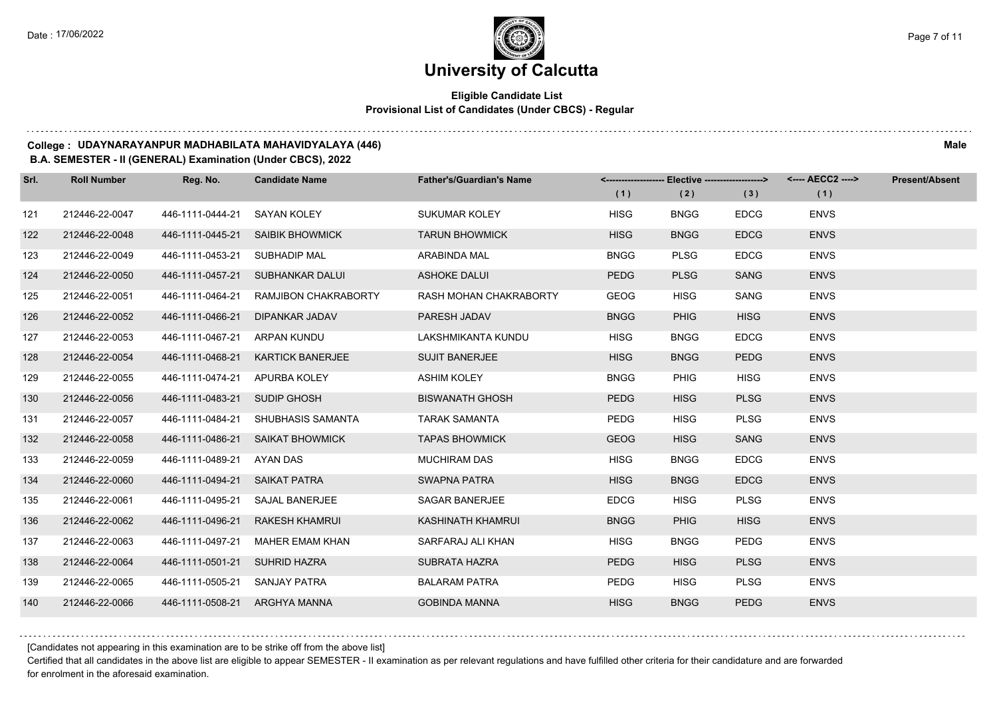## **Eligible Candidate List Provisional List of Candidates (Under CBCS) - Regular**

#### **College : UDAYNARAYANPUR MADHABILATA MAHAVIDYALAYA (446) Male**

#### **B.A. SEMESTER - II (GENERAL) Examination (Under CBCS), 2022**

| Srl. | <b>Roll Number</b> | Reg. No.                      | <b>Candidate Name</b>            | <b>Father's/Guardian's Name</b> |             | <-------------------- Elective -------------------> |             | <---- AECC2 ----> | <b>Present/Absent</b> |
|------|--------------------|-------------------------------|----------------------------------|---------------------------------|-------------|-----------------------------------------------------|-------------|-------------------|-----------------------|
|      |                    |                               |                                  |                                 | (1)         | (2)                                                 | (3)         | (1)               |                       |
| 121  | 212446-22-0047     | 446-1111-0444-21              | SAYAN KOLEY                      | SUKUMAR KOLEY                   | <b>HISG</b> | <b>BNGG</b>                                         | <b>EDCG</b> | <b>ENVS</b>       |                       |
| 122  | 212446-22-0048     | 446-1111-0445-21              | <b>SAIBIK BHOWMICK</b>           | <b>TARUN BHOWMICK</b>           | <b>HISG</b> | <b>BNGG</b>                                         | <b>EDCG</b> | <b>ENVS</b>       |                       |
| 123  | 212446-22-0049     | 446-1111-0453-21              | SUBHADIP MAL                     | ARABINDA MAL                    | <b>BNGG</b> | <b>PLSG</b>                                         | <b>EDCG</b> | <b>ENVS</b>       |                       |
| 124  | 212446-22-0050     |                               | 446-1111-0457-21 SUBHANKAR DALUI | <b>ASHOKE DALUI</b>             | <b>PEDG</b> | <b>PLSG</b>                                         | <b>SANG</b> | <b>ENVS</b>       |                       |
| 125  | 212446-22-0051     | 446-1111-0464-21              | RAMJIBON CHAKRABORTY             | RASH MOHAN CHAKRABORTY          | <b>GEOG</b> | <b>HISG</b>                                         | SANG        | <b>ENVS</b>       |                       |
| 126  | 212446-22-0052     | 446-1111-0466-21              | <b>DIPANKAR JADAV</b>            | PARESH JADAV                    | <b>BNGG</b> | <b>PHIG</b>                                         | <b>HISG</b> | <b>ENVS</b>       |                       |
| 127  | 212446-22-0053     | 446-1111-0467-21              | ARPAN KUNDU                      | LAKSHMIKANTA KUNDU              | <b>HISG</b> | <b>BNGG</b>                                         | <b>EDCG</b> | <b>ENVS</b>       |                       |
| 128  | 212446-22-0054     | 446-1111-0468-21              | <b>KARTICK BANERJEE</b>          | <b>SUJIT BANERJEE</b>           | <b>HISG</b> | <b>BNGG</b>                                         | <b>PEDG</b> | <b>ENVS</b>       |                       |
| 129  | 212446-22-0055     | 446-1111-0474-21              | APURBA KOLEY                     | <b>ASHIM KOLEY</b>              | <b>BNGG</b> | <b>PHIG</b>                                         | <b>HISG</b> | <b>ENVS</b>       |                       |
| 130  | 212446-22-0056     | 446-1111-0483-21              | SUDIP GHOSH                      | <b>BISWANATH GHOSH</b>          | <b>PEDG</b> | <b>HISG</b>                                         | <b>PLSG</b> | <b>ENVS</b>       |                       |
| 131  | 212446-22-0057     | 446-1111-0484-21              | SHUBHASIS SAMANTA                | <b>TARAK SAMANTA</b>            | <b>PEDG</b> | <b>HISG</b>                                         | <b>PLSG</b> | <b>ENVS</b>       |                       |
| 132  | 212446-22-0058     |                               | 446-1111-0486-21 SAIKAT BHOWMICK | <b>TAPAS BHOWMICK</b>           | <b>GEOG</b> | <b>HISG</b>                                         | <b>SANG</b> | <b>ENVS</b>       |                       |
| 133  | 212446-22-0059     | 446-1111-0489-21              | AYAN DAS                         | <b>MUCHIRAM DAS</b>             | <b>HISG</b> | <b>BNGG</b>                                         | <b>EDCG</b> | <b>ENVS</b>       |                       |
| 134  | 212446-22-0060     | 446-1111-0494-21 SAIKAT PATRA |                                  | <b>SWAPNA PATRA</b>             | <b>HISG</b> | <b>BNGG</b>                                         | <b>EDCG</b> | <b>ENVS</b>       |                       |
| 135  | 212446-22-0061     | 446-1111-0495-21              | SAJAL BANERJEE                   | <b>SAGAR BANERJEE</b>           | <b>EDCG</b> | <b>HISG</b>                                         | <b>PLSG</b> | <b>ENVS</b>       |                       |
| 136  | 212446-22-0062     | 446-1111-0496-21              | <b>RAKESH KHAMRUI</b>            | <b>KASHINATH KHAMRUI</b>        | <b>BNGG</b> | <b>PHIG</b>                                         | <b>HISG</b> | <b>ENVS</b>       |                       |
| 137  | 212446-22-0063     | 446-1111-0497-21              | <b>MAHER EMAM KHAN</b>           | SARFARAJ ALI KHAN               | <b>HISG</b> | <b>BNGG</b>                                         | <b>PEDG</b> | <b>ENVS</b>       |                       |
| 138  | 212446-22-0064     | 446-1111-0501-21 SUHRID HAZRA |                                  | <b>SUBRATA HAZRA</b>            | <b>PEDG</b> | <b>HISG</b>                                         | <b>PLSG</b> | <b>ENVS</b>       |                       |
| 139  | 212446-22-0065     | 446-1111-0505-21 SANJAY PATRA |                                  | <b>BALARAM PATRA</b>            | <b>PEDG</b> | <b>HISG</b>                                         | <b>PLSG</b> | <b>ENVS</b>       |                       |
| 140  | 212446-22-0066     | 446-1111-0508-21 ARGHYA MANNA |                                  | <b>GOBINDA MANNA</b>            | <b>HISG</b> | <b>BNGG</b>                                         | <b>PEDG</b> | <b>ENVS</b>       |                       |

[Candidates not appearing in this examination are to be strike off from the above list]

Certified that all candidates in the above list are eligible to appear SEMESTER - II examination as per relevant regulations and have fulfilled other criteria for their candidature and are forwarded for enrolment in the aforesaid examination.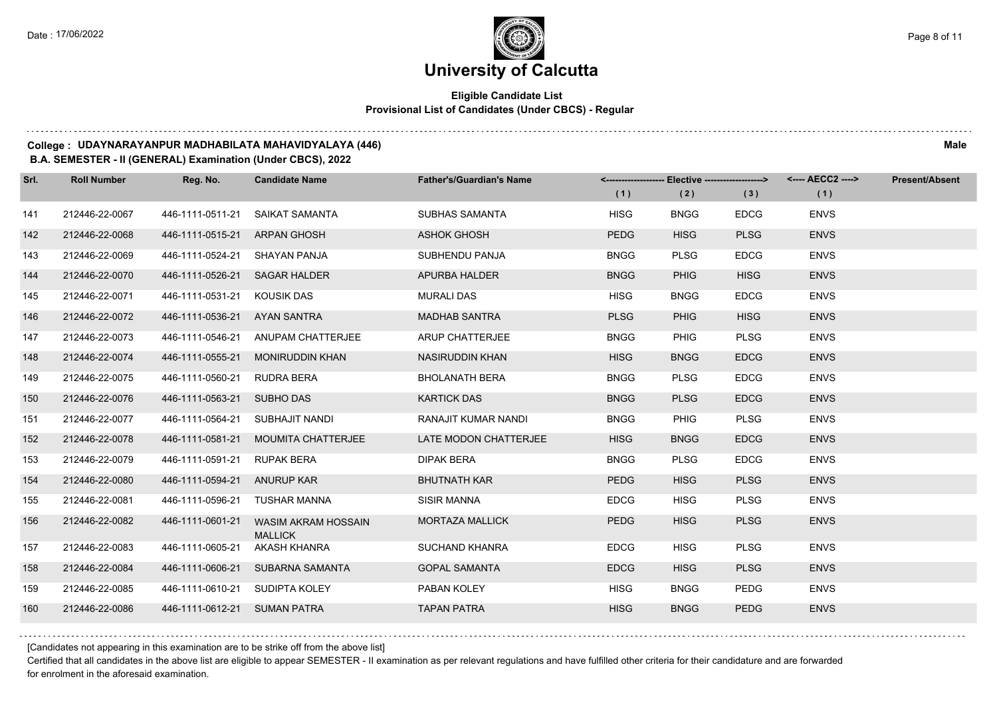## **Eligible Candidate List Provisional List of Candidates (Under CBCS) - Regular**

#### **College : UDAYNARAYANPUR MADHABILATA MAHAVIDYALAYA (446) Male**

### **B.A. SEMESTER - II (GENERAL) Examination (Under CBCS), 2022**

| Srl. | <b>Roll Number</b> | Reg. No.                       | <b>Candidate Name</b>                        | <b>Father's/Guardian's Name</b> | <------------------- Elective ------------------> |             |             | <---- AECC2 ----> | <b>Present/Absent</b> |
|------|--------------------|--------------------------------|----------------------------------------------|---------------------------------|---------------------------------------------------|-------------|-------------|-------------------|-----------------------|
|      |                    |                                |                                              |                                 | (1)                                               | (2)         | (3)         | (1)               |                       |
| 141  | 212446-22-0067     | 446-1111-0511-21               | SAIKAT SAMANTA                               | <b>SUBHAS SAMANTA</b>           | <b>HISG</b>                                       | <b>BNGG</b> | <b>EDCG</b> | <b>ENVS</b>       |                       |
| 142  | 212446-22-0068     | 446-1111-0515-21               | <b>ARPAN GHOSH</b>                           | <b>ASHOK GHOSH</b>              | <b>PEDG</b>                                       | <b>HISG</b> | <b>PLSG</b> | <b>ENVS</b>       |                       |
| 143  | 212446-22-0069     | 446-1111-0524-21 SHAYAN PANJA  |                                              | SUBHENDU PANJA                  | <b>BNGG</b>                                       | <b>PLSG</b> | <b>EDCG</b> | <b>ENVS</b>       |                       |
| 144  | 212446-22-0070     | 446-1111-0526-21 SAGAR HALDER  |                                              | APURBA HALDER                   | <b>BNGG</b>                                       | <b>PHIG</b> | <b>HISG</b> | <b>ENVS</b>       |                       |
| 145  | 212446-22-0071     | 446-1111-0531-21               | KOUSIK DAS                                   | <b>MURALI DAS</b>               | <b>HISG</b>                                       | <b>BNGG</b> | <b>EDCG</b> | <b>ENVS</b>       |                       |
| 146  | 212446-22-0072     | 446-1111-0536-21               | AYAN SANTRA                                  | <b>MADHAB SANTRA</b>            | <b>PLSG</b>                                       | <b>PHIG</b> | <b>HISG</b> | <b>ENVS</b>       |                       |
| 147  | 212446-22-0073     | 446-1111-0546-21               | ANUPAM CHATTERJEE                            | ARUP CHATTERJEE                 | <b>BNGG</b>                                       | <b>PHIG</b> | <b>PLSG</b> | <b>ENVS</b>       |                       |
| 148  | 212446-22-0074     | 446-1111-0555-21               | <b>MONIRUDDIN KHAN</b>                       | NASIRUDDIN KHAN                 | <b>HISG</b>                                       | <b>BNGG</b> | <b>EDCG</b> | <b>ENVS</b>       |                       |
| 149  | 212446-22-0075     | 446-1111-0560-21               | RUDRA BERA                                   | <b>BHOLANATH BERA</b>           | <b>BNGG</b>                                       | <b>PLSG</b> | <b>EDCG</b> | <b>ENVS</b>       |                       |
| 150  | 212446-22-0076     | 446-1111-0563-21               | SUBHO DAS                                    | <b>KARTICK DAS</b>              | <b>BNGG</b>                                       | <b>PLSG</b> | <b>EDCG</b> | <b>ENVS</b>       |                       |
| 151  | 212446-22-0077     | 446-1111-0564-21               | SUBHAJIT NANDI                               | RANAJIT KUMAR NANDI             | <b>BNGG</b>                                       | <b>PHIG</b> | <b>PLSG</b> | <b>ENVS</b>       |                       |
| 152  | 212446-22-0078     | 446-1111-0581-21               | <b>MOUMITA CHATTERJEE</b>                    | LATE MODON CHATTERJEE           | <b>HISG</b>                                       | <b>BNGG</b> | <b>EDCG</b> | <b>ENVS</b>       |                       |
| 153  | 212446-22-0079     | 446-1111-0591-21               | <b>RUPAK BERA</b>                            | <b>DIPAK BERA</b>               | <b>BNGG</b>                                       | <b>PLSG</b> | <b>EDCG</b> | <b>ENVS</b>       |                       |
| 154  | 212446-22-0080     | 446-1111-0594-21 ANURUP KAR    |                                              | <b>BHUTNATH KAR</b>             | <b>PEDG</b>                                       | <b>HISG</b> | <b>PLSG</b> | <b>ENVS</b>       |                       |
| 155  | 212446-22-0081     | 446-1111-0596-21               | TUSHAR MANNA                                 | <b>SISIR MANNA</b>              | <b>EDCG</b>                                       | <b>HISG</b> | <b>PLSG</b> | <b>ENVS</b>       |                       |
| 156  | 212446-22-0082     | 446-1111-0601-21               | <b>WASIM AKRAM HOSSAIN</b><br><b>MALLICK</b> | <b>MORTAZA MALLICK</b>          | <b>PEDG</b>                                       | <b>HISG</b> | <b>PLSG</b> | <b>ENVS</b>       |                       |
| 157  | 212446-22-0083     | 446-1111-0605-21               | AKASH KHANRA                                 | <b>SUCHAND KHANRA</b>           | <b>EDCG</b>                                       | <b>HISG</b> | <b>PLSG</b> | <b>ENVS</b>       |                       |
| 158  | 212446-22-0084     |                                | 446-1111-0606-21 SUBARNA SAMANTA             | <b>GOPAL SAMANTA</b>            | <b>EDCG</b>                                       | <b>HISG</b> | <b>PLSG</b> | <b>ENVS</b>       |                       |
| 159  | 212446-22-0085     | 446-1111-0610-21 SUDIPTA KOLEY |                                              | PABAN KOLEY                     | <b>HISG</b>                                       | <b>BNGG</b> | <b>PEDG</b> | <b>ENVS</b>       |                       |
| 160  | 212446-22-0086     | 446-1111-0612-21 SUMAN PATRA   |                                              | <b>TAPAN PATRA</b>              | <b>HISG</b>                                       | <b>BNGG</b> | <b>PEDG</b> | <b>ENVS</b>       |                       |

[Candidates not appearing in this examination are to be strike off from the above list]

Certified that all candidates in the above list are eligible to appear SEMESTER - II examination as per relevant regulations and have fulfilled other criteria for their candidature and are forwarded for enrolment in the aforesaid examination.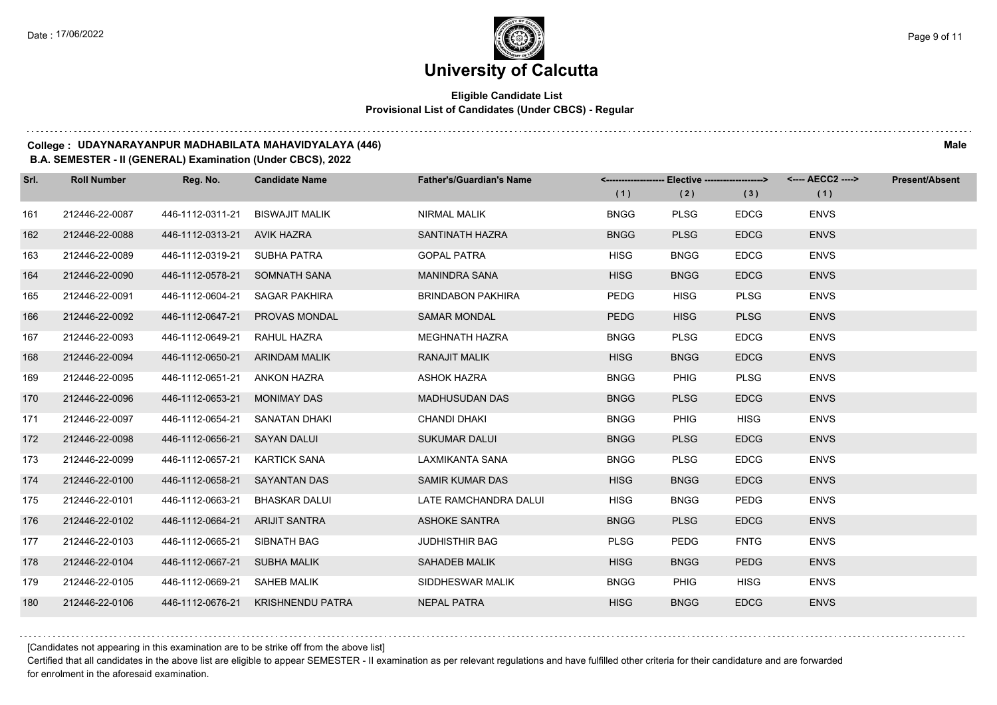## **Eligible Candidate List Provisional List of Candidates (Under CBCS) - Regular**

#### **College : UDAYNARAYANPUR MADHABILATA MAHAVIDYALAYA (446) Male**

#### **B.A. SEMESTER - II (GENERAL) Examination (Under CBCS), 2022**

| Srl. | <b>Roll Number</b> | Reg. No.                       | <b>Candidate Name</b>             | <b>Father's/Guardian's Name</b> |             | <------------------- Elective -------------------> |             | <---- AECC2 ----> | <b>Present/Absent</b> |
|------|--------------------|--------------------------------|-----------------------------------|---------------------------------|-------------|----------------------------------------------------|-------------|-------------------|-----------------------|
|      |                    |                                |                                   |                                 | (1)         | (2)                                                | (3)         | (1)               |                       |
| 161  | 212446-22-0087     | 446-1112-0311-21               | <b>BISWAJIT MALIK</b>             | NIRMAL MALIK                    | <b>BNGG</b> | <b>PLSG</b>                                        | <b>EDCG</b> | <b>ENVS</b>       |                       |
| 162  | 212446-22-0088     | 446-1112-0313-21               | AVIK HAZRA                        | SANTINATH HAZRA                 | <b>BNGG</b> | <b>PLSG</b>                                        | <b>EDCG</b> | <b>ENVS</b>       |                       |
| 163  | 212446-22-0089     | 446-1112-0319-21 SUBHA PATRA   |                                   | <b>GOPAL PATRA</b>              | <b>HISG</b> | <b>BNGG</b>                                        | <b>EDCG</b> | <b>ENVS</b>       |                       |
| 164  | 212446-22-0090     | 446-1112-0578-21 SOMNATH SANA  |                                   | <b>MANINDRA SANA</b>            | <b>HISG</b> | <b>BNGG</b>                                        | <b>EDCG</b> | <b>ENVS</b>       |                       |
| 165  | 212446-22-0091     | 446-1112-0604-21 SAGAR PAKHIRA |                                   | <b>BRINDABON PAKHIRA</b>        | <b>PEDG</b> | <b>HISG</b>                                        | <b>PLSG</b> | <b>ENVS</b>       |                       |
| 166  | 212446-22-0092     | 446-1112-0647-21               | <b>PROVAS MONDAL</b>              | <b>SAMAR MONDAL</b>             | <b>PEDG</b> | <b>HISG</b>                                        | <b>PLSG</b> | <b>ENVS</b>       |                       |
| 167  | 212446-22-0093     | 446-1112-0649-21               | RAHUL HAZRA                       | <b>MEGHNATH HAZRA</b>           | <b>BNGG</b> | <b>PLSG</b>                                        | <b>EDCG</b> | <b>ENVS</b>       |                       |
| 168  | 212446-22-0094     | 446-1112-0650-21 ARINDAM MALIK |                                   | <b>RANAJIT MALIK</b>            | <b>HISG</b> | <b>BNGG</b>                                        | <b>EDCG</b> | <b>ENVS</b>       |                       |
| 169  | 212446-22-0095     | 446-1112-0651-21 ANKON HAZRA   |                                   | <b>ASHOK HAZRA</b>              | <b>BNGG</b> | PHIG                                               | <b>PLSG</b> | <b>ENVS</b>       |                       |
| 170  | 212446-22-0096     | 446-1112-0653-21               | <b>MONIMAY DAS</b>                | <b>MADHUSUDAN DAS</b>           | <b>BNGG</b> | <b>PLSG</b>                                        | <b>EDCG</b> | <b>ENVS</b>       |                       |
| 171  | 212446-22-0097     | 446-1112-0654-21 SANATAN DHAKI |                                   | <b>CHANDI DHAKI</b>             | <b>BNGG</b> | <b>PHIG</b>                                        | <b>HISG</b> | <b>ENVS</b>       |                       |
| 172  | 212446-22-0098     | 446-1112-0656-21 SAYAN DALUI   |                                   | <b>SUKUMAR DALUI</b>            | <b>BNGG</b> | <b>PLSG</b>                                        | <b>EDCG</b> | <b>ENVS</b>       |                       |
| 173  | 212446-22-0099     | 446-1112-0657-21               | KARTICK SANA                      | LAXMIKANTA SANA                 | <b>BNGG</b> | <b>PLSG</b>                                        | <b>EDCG</b> | <b>ENVS</b>       |                       |
| 174  | 212446-22-0100     | 446-1112-0658-21 SAYANTAN DAS  |                                   | SAMIR KUMAR DAS                 | <b>HISG</b> | <b>BNGG</b>                                        | <b>EDCG</b> | <b>ENVS</b>       |                       |
| 175  | 212446-22-0101     | 446-1112-0663-21               | <b>BHASKAR DALUI</b>              | LATE RAMCHANDRA DALUI           | <b>HISG</b> | <b>BNGG</b>                                        | <b>PEDG</b> | <b>ENVS</b>       |                       |
| 176  | 212446-22-0102     | 446-1112-0664-21 ARIJIT SANTRA |                                   | ASHOKE SANTRA                   | <b>BNGG</b> | <b>PLSG</b>                                        | <b>EDCG</b> | <b>ENVS</b>       |                       |
| 177  | 212446-22-0103     | 446-1112-0665-21               | SIBNATH BAG                       | <b>JUDHISTHIR BAG</b>           | <b>PLSG</b> | <b>PEDG</b>                                        | <b>FNTG</b> | <b>ENVS</b>       |                       |
| 178  | 212446-22-0104     | 446-1112-0667-21 SUBHA MALIK   |                                   | SAHADEB MALIK                   | <b>HISG</b> | <b>BNGG</b>                                        | <b>PEDG</b> | <b>ENVS</b>       |                       |
| 179  | 212446-22-0105     | 446-1112-0669-21 SAHEB MALIK   |                                   | SIDDHESWAR MALIK                | <b>BNGG</b> | <b>PHIG</b>                                        | <b>HISG</b> | <b>ENVS</b>       |                       |
| 180  | 212446-22-0106     |                                | 446-1112-0676-21 KRISHNENDU PATRA | <b>NEPAL PATRA</b>              | <b>HISG</b> | <b>BNGG</b>                                        | <b>EDCG</b> | <b>ENVS</b>       |                       |

[Candidates not appearing in this examination are to be strike off from the above list]

Certified that all candidates in the above list are eligible to appear SEMESTER - II examination as per relevant regulations and have fulfilled other criteria for their candidature and are forwarded for enrolment in the aforesaid examination.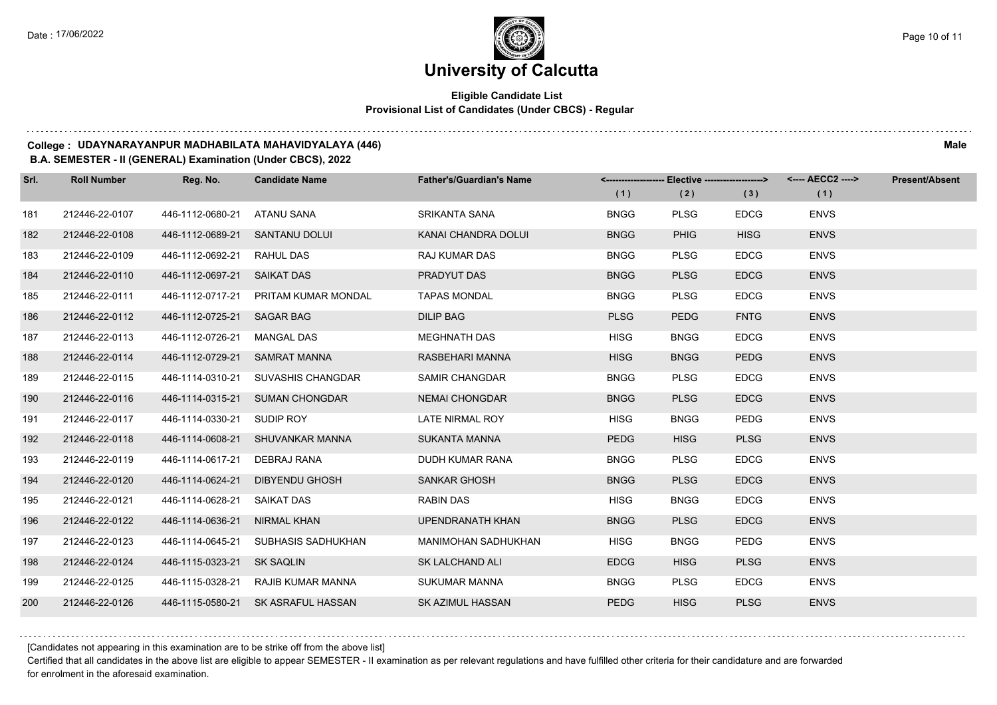## **Eligible Candidate List Provisional List of Candidates (Under CBCS) - Regular**

#### **College : UDAYNARAYANPUR MADHABILATA MAHAVIDYALAYA (446) Male**

### **B.A. SEMESTER - II (GENERAL) Examination (Under CBCS), 2022**

| Srl. | <b>Roll Number</b> | Reg. No.                      | <b>Candidate Name</b>                | <b>Father's/Guardian's Name</b> |             | <------------------- Elective ------------------> |             | <---- AECC2 ----> | <b>Present/Absent</b> |
|------|--------------------|-------------------------------|--------------------------------------|---------------------------------|-------------|---------------------------------------------------|-------------|-------------------|-----------------------|
|      |                    |                               |                                      |                                 | (1)         | (2)                                               | (3)         | (1)               |                       |
| 181  | 212446-22-0107     | 446-1112-0680-21              | ATANU SANA                           | <b>SRIKANTA SANA</b>            | <b>BNGG</b> | <b>PLSG</b>                                       | <b>EDCG</b> | <b>ENVS</b>       |                       |
| 182  | 212446-22-0108     | 446-1112-0689-21              | <b>SANTANU DOLUI</b>                 | KANAI CHANDRA DOLUI             | <b>BNGG</b> | <b>PHIG</b>                                       | <b>HISG</b> | <b>ENVS</b>       |                       |
| 183  | 212446-22-0109     | 446-1112-0692-21 RAHUL DAS    |                                      | <b>RAJ KUMAR DAS</b>            | <b>BNGG</b> | <b>PLSG</b>                                       | <b>EDCG</b> | <b>ENVS</b>       |                       |
| 184  | 212446-22-0110     | 446-1112-0697-21 SAIKAT DAS   |                                      | PRADYUT DAS                     | <b>BNGG</b> | <b>PLSG</b>                                       | <b>EDCG</b> | <b>ENVS</b>       |                       |
| 185  | 212446-22-0111     |                               | 446-1112-0717-21 PRITAM KUMAR MONDAL | <b>TAPAS MONDAL</b>             | <b>BNGG</b> | <b>PLSG</b>                                       | <b>EDCG</b> | <b>ENVS</b>       |                       |
| 186  | 212446-22-0112     | 446-1112-0725-21 SAGAR BAG    |                                      | <b>DILIP BAG</b>                | <b>PLSG</b> | <b>PEDG</b>                                       | <b>FNTG</b> | <b>ENVS</b>       |                       |
| 187  | 212446-22-0113     | 446-1112-0726-21 MANGAL DAS   |                                      | <b>MEGHNATH DAS</b>             | <b>HISG</b> | <b>BNGG</b>                                       | <b>EDCG</b> | <b>ENVS</b>       |                       |
| 188  | 212446-22-0114     | 446-1112-0729-21 SAMRAT MANNA |                                      | RASBEHARI MANNA                 | <b>HISG</b> | <b>BNGG</b>                                       | <b>PEDG</b> | <b>ENVS</b>       |                       |
| 189  | 212446-22-0115     | 446-1114-0310-21              | SUVASHIS CHANGDAR                    | <b>SAMIR CHANGDAR</b>           | <b>BNGG</b> | <b>PLSG</b>                                       | <b>EDCG</b> | <b>ENVS</b>       |                       |
| 190  | 212446-22-0116     |                               | 446-1114-0315-21 SUMAN CHONGDAR      | <b>NEMAI CHONGDAR</b>           | <b>BNGG</b> | <b>PLSG</b>                                       | <b>EDCG</b> | <b>ENVS</b>       |                       |
| 191  | 212446-22-0117     | 446-1114-0330-21 SUDIP ROY    |                                      | LATE NIRMAL ROY                 | <b>HISG</b> | <b>BNGG</b>                                       | <b>PEDG</b> | <b>ENVS</b>       |                       |
| 192  | 212446-22-0118     |                               | 446-1114-0608-21 SHUVANKAR MANNA     | <b>SUKANTA MANNA</b>            | <b>PEDG</b> | <b>HISG</b>                                       | <b>PLSG</b> | <b>ENVS</b>       |                       |
| 193  | 212446-22-0119     | 446-1114-0617-21              | DEBRAJ RANA                          | DUDH KUMAR RANA                 | <b>BNGG</b> | <b>PLSG</b>                                       | <b>EDCG</b> | <b>ENVS</b>       |                       |
| 194  | 212446-22-0120     | 446-1114-0624-21              | DIBYENDU GHOSH                       | <b>SANKAR GHOSH</b>             | <b>BNGG</b> | <b>PLSG</b>                                       | <b>EDCG</b> | <b>ENVS</b>       |                       |
| 195  | 212446-22-0121     | 446-1114-0628-21              | SAIKAT DAS                           | <b>RABIN DAS</b>                | <b>HISG</b> | <b>BNGG</b>                                       | <b>EDCG</b> | <b>ENVS</b>       |                       |
| 196  | 212446-22-0122     | 446-1114-0636-21              | NIRMAL KHAN                          | UPENDRANATH KHAN                | <b>BNGG</b> | <b>PLSG</b>                                       | <b>EDCG</b> | <b>ENVS</b>       |                       |
| 197  | 212446-22-0123     | 446-1114-0645-21              | SUBHASIS SADHUKHAN                   | MANIMOHAN SADHUKHAN             | <b>HISG</b> | <b>BNGG</b>                                       | <b>PEDG</b> | <b>ENVS</b>       |                       |
| 198  | 212446-22-0124     | 446-1115-0323-21 SK SAQLIN    |                                      | SK LALCHAND ALI                 | <b>EDCG</b> | <b>HISG</b>                                       | <b>PLSG</b> | <b>ENVS</b>       |                       |
| 199  | 212446-22-0125     |                               | 446-1115-0328-21 RAJIB KUMAR MANNA   | <b>SUKUMAR MANNA</b>            | <b>BNGG</b> | <b>PLSG</b>                                       | <b>EDCG</b> | <b>ENVS</b>       |                       |
| 200  | 212446-22-0126     |                               | 446-1115-0580-21 SK ASRAFUL HASSAN   | SK AZIMUL HASSAN                | <b>PEDG</b> | <b>HISG</b>                                       | <b>PLSG</b> | <b>ENVS</b>       |                       |

[Candidates not appearing in this examination are to be strike off from the above list]

Certified that all candidates in the above list are eligible to appear SEMESTER - II examination as per relevant regulations and have fulfilled other criteria for their candidature and are forwarded for enrolment in the aforesaid examination.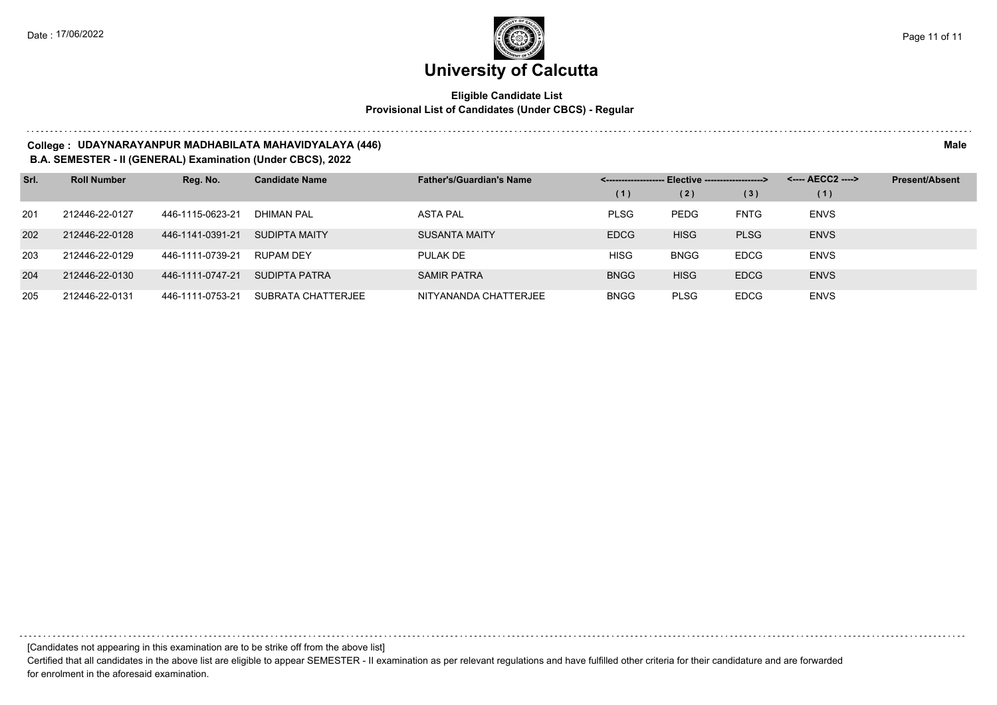### **Eligible Candidate List Provisional List of Candidates (Under CBCS) - Regular**

#### **College : UDAYNARAYANPUR MADHABILATA MAHAVIDYALAYA (446) Male**

#### **B.A. SEMESTER - II (GENERAL) Examination (Under CBCS), 2022**

| Srl. | <b>Roll Number</b> | Reg. No.         | <b>Candidate Name</b> | <b>Father's/Guardian's Name</b> |             | - Elective -------------------> |             | <---- AECC2 ----> | <b>Present/Absent</b> |
|------|--------------------|------------------|-----------------------|---------------------------------|-------------|---------------------------------|-------------|-------------------|-----------------------|
|      |                    |                  |                       |                                 | (1)         | (2)                             | (3)         | (1)               |                       |
| 201  | 212446-22-0127     | 446-1115-0623-21 | <b>DHIMAN PAL</b>     | <b>ASTA PAL</b>                 | <b>PLSG</b> | <b>PEDG</b>                     | <b>FNTG</b> | <b>ENVS</b>       |                       |
| 202  | 212446-22-0128     | 446-1141-0391-21 | SUDIPTA MAITY         | <b>SUSANTA MAITY</b>            | <b>EDCG</b> | <b>HISG</b>                     | <b>PLSG</b> | <b>ENVS</b>       |                       |
| 203  | 212446-22-0129     | 446-1111-0739-21 | RUPAM DEY             | PULAK DE                        | <b>HISG</b> | <b>BNGG</b>                     | <b>EDCG</b> | <b>ENVS</b>       |                       |
| 204  | 212446-22-0130     | 446-1111-0747-21 | SUDIPTA PATRA         | <b>SAMIR PATRA</b>              | <b>BNGG</b> | <b>HISG</b>                     | <b>EDCG</b> | <b>ENVS</b>       |                       |
| 205  | 212446-22-0131     | 446-1111-0753-21 | SUBRATA CHATTERJEE    | NITYANANDA CHATTERJEE           | <b>BNGG</b> | <b>PLSG</b>                     | <b>EDCG</b> | <b>ENVS</b>       |                       |

[Candidates not appearing in this examination are to be strike off from the above list]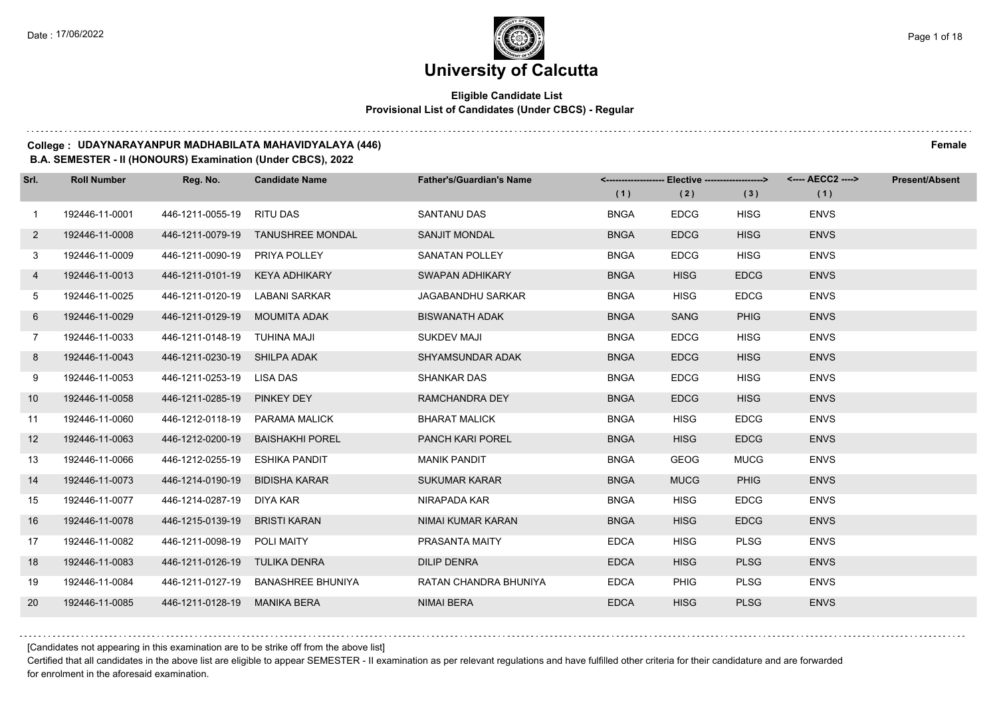## **Eligible Candidate List Provisional List of Candidates (Under CBCS) - Regular**

#### **College : UDAYNARAYANPUR MADHABILATA MAHAVIDYALAYA (446) Female**

#### **B.A. SEMESTER - II (HONOURS) Examination (Under CBCS), 2022**

| Srl.            | <b>Roll Number</b> | Reg. No.                       | <b>Candidate Name</b>              | <b>Father's/Guardian's Name</b> |             | <------------------- Elective -------------------> |             | <---- AECC2 ----> | <b>Present/Absent</b> |
|-----------------|--------------------|--------------------------------|------------------------------------|---------------------------------|-------------|----------------------------------------------------|-------------|-------------------|-----------------------|
|                 |                    |                                |                                    |                                 | (1)         | (2)                                                | (3)         | (1)               |                       |
| $\mathbf{1}$    | 192446-11-0001     | 446-1211-0055-19 RITU DAS      |                                    | SANTANU DAS                     | <b>BNGA</b> | <b>EDCG</b>                                        | <b>HISG</b> | <b>ENVS</b>       |                       |
| $\overline{2}$  | 192446-11-0008     |                                | 446-1211-0079-19 TANUSHREE MONDAL  | <b>SANJIT MONDAL</b>            | <b>BNGA</b> | <b>EDCG</b>                                        | <b>HISG</b> | <b>ENVS</b>       |                       |
| 3 <sup>1</sup>  | 192446-11-0009     | 446-1211-0090-19 PRIYA POLLEY  |                                    | <b>SANATAN POLLEY</b>           | <b>BNGA</b> | <b>EDCG</b>                                        | <b>HISG</b> | <b>ENVS</b>       |                       |
| 4               | 192446-11-0013     | 446-1211-0101-19 KEYA ADHIKARY |                                    | SWAPAN ADHIKARY                 | <b>BNGA</b> | <b>HISG</b>                                        | <b>EDCG</b> | <b>ENVS</b>       |                       |
| 5               | 192446-11-0025     | 446-1211-0120-19               | LABANI SARKAR                      | JAGABANDHU SARKAR               | <b>BNGA</b> | <b>HISG</b>                                        | <b>EDCG</b> | <b>ENVS</b>       |                       |
| 6               | 192446-11-0029     | 446-1211-0129-19 MOUMITA ADAK  |                                    | <b>BISWANATH ADAK</b>           | <b>BNGA</b> | <b>SANG</b>                                        | <b>PHIG</b> | <b>ENVS</b>       |                       |
| $\overline{7}$  | 192446-11-0033     | 446-1211-0148-19 TUHINA MAJI   |                                    | <b>SUKDEV MAJI</b>              | <b>BNGA</b> | <b>EDCG</b>                                        | <b>HISG</b> | <b>ENVS</b>       |                       |
| 8               | 192446-11-0043     | 446-1211-0230-19 SHILPA ADAK   |                                    | SHYAMSUNDAR ADAK                | <b>BNGA</b> | <b>EDCG</b>                                        | <b>HISG</b> | <b>ENVS</b>       |                       |
| 9               | 192446-11-0053     | 446-1211-0253-19               | LISA DAS                           | <b>SHANKAR DAS</b>              | <b>BNGA</b> | <b>EDCG</b>                                        | <b>HISG</b> | <b>ENVS</b>       |                       |
| 10 <sup>°</sup> | 192446-11-0058     | 446-1211-0285-19               | <b>PINKEY DEY</b>                  | RAMCHANDRA DEY                  | <b>BNGA</b> | <b>EDCG</b>                                        | <b>HISG</b> | <b>ENVS</b>       |                       |
| 11              | 192446-11-0060     |                                | 446-1212-0118-19 PARAMA MALICK     | <b>BHARAT MALICK</b>            | <b>BNGA</b> | <b>HISG</b>                                        | <b>EDCG</b> | <b>ENVS</b>       |                       |
| 12              | 192446-11-0063     |                                | 446-1212-0200-19 BAISHAKHI POREL   | PANCH KARI POREL                | <b>BNGA</b> | <b>HISG</b>                                        | <b>EDCG</b> | <b>ENVS</b>       |                       |
| 13              | 192446-11-0066     | 446-1212-0255-19 ESHIKA PANDIT |                                    | <b>MANIK PANDIT</b>             | <b>BNGA</b> | <b>GEOG</b>                                        | <b>MUCG</b> | <b>ENVS</b>       |                       |
| 14              | 192446-11-0073     | 446-1214-0190-19               | <b>BIDISHA KARAR</b>               | <b>SUKUMAR KARAR</b>            | <b>BNGA</b> | <b>MUCG</b>                                        | <b>PHIG</b> | <b>ENVS</b>       |                       |
| 15              | 192446-11-0077     | 446-1214-0287-19 DIYA KAR      |                                    | NIRAPADA KAR                    | <b>BNGA</b> | <b>HISG</b>                                        | <b>EDCG</b> | <b>ENVS</b>       |                       |
| 16              | 192446-11-0078     | 446-1215-0139-19               | BRISTI KARAN                       | NIMAI KUMAR KARAN               | <b>BNGA</b> | <b>HISG</b>                                        | <b>EDCG</b> | <b>ENVS</b>       |                       |
| 17              | 192446-11-0082     | 446-1211-0098-19               | POLI MAITY                         | PRASANTA MAITY                  | <b>EDCA</b> | <b>HISG</b>                                        | <b>PLSG</b> | <b>ENVS</b>       |                       |
| 18              | 192446-11-0083     | 446-1211-0126-19 TULIKA DENRA  |                                    | <b>DILIP DENRA</b>              | <b>EDCA</b> | <b>HISG</b>                                        | <b>PLSG</b> | <b>ENVS</b>       |                       |
| 19              | 192446-11-0084     |                                | 446-1211-0127-19 BANASHREE BHUNIYA | RATAN CHANDRA BHUNIYA           | <b>EDCA</b> | <b>PHIG</b>                                        | <b>PLSG</b> | <b>ENVS</b>       |                       |
| 20              | 192446-11-0085     | 446-1211-0128-19 MANIKA BERA   |                                    | <b>NIMAI BERA</b>               | <b>EDCA</b> | <b>HISG</b>                                        | <b>PLSG</b> | <b>ENVS</b>       |                       |

[Candidates not appearing in this examination are to be strike off from the above list]

Certified that all candidates in the above list are eligible to appear SEMESTER - II examination as per relevant regulations and have fulfilled other criteria for their candidature and are forwarded for enrolment in the aforesaid examination.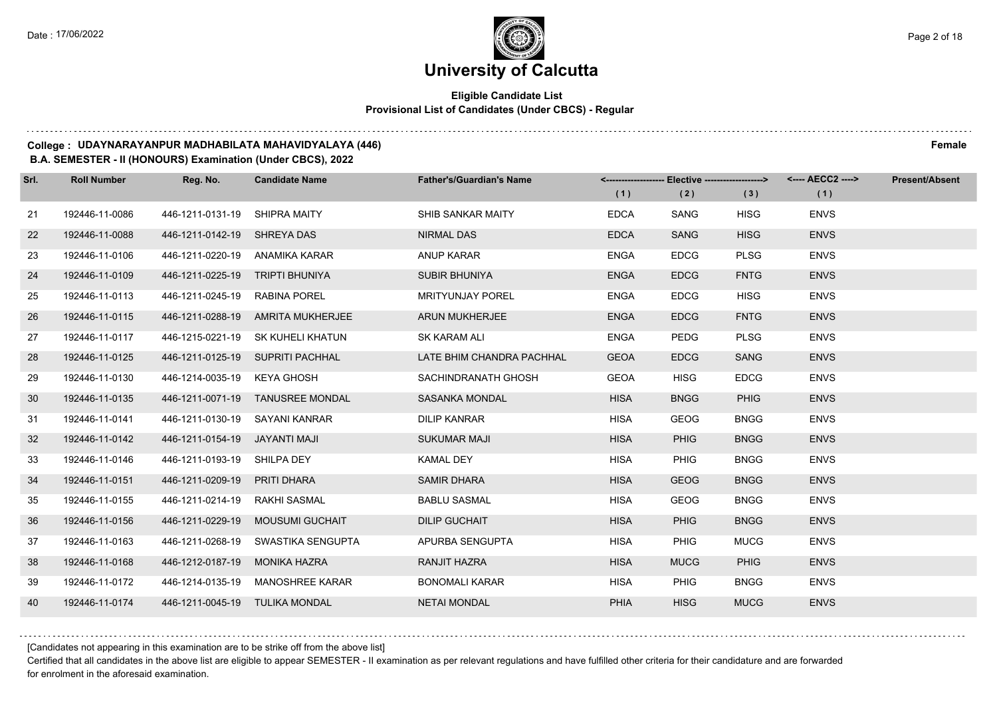## **Eligible Candidate List Provisional List of Candidates (Under CBCS) - Regular**

#### **College : UDAYNARAYANPUR MADHABILATA MAHAVIDYALAYA (446) Female**

#### **B.A. SEMESTER - II (HONOURS) Examination (Under CBCS), 2022**

| Srl. | <b>Roll Number</b> | Reg. No.                        | <b>Candidate Name</b>              | <b>Father's/Guardian's Name</b> |             | <------------------- Elective -------------------> |             | <---- AECC2 ----> | <b>Present/Absent</b> |
|------|--------------------|---------------------------------|------------------------------------|---------------------------------|-------------|----------------------------------------------------|-------------|-------------------|-----------------------|
|      |                    |                                 |                                    |                                 | (1)         | (2)                                                | (3)         | (1)               |                       |
| 21   | 192446-11-0086     | 446-1211-0131-19 SHIPRA MAITY   |                                    | SHIB SANKAR MAITY               | <b>EDCA</b> | SANG                                               | <b>HISG</b> | <b>ENVS</b>       |                       |
| 22   | 192446-11-0088     | 446-1211-0142-19 SHREYA DAS     |                                    | <b>NIRMAL DAS</b>               | <b>EDCA</b> | <b>SANG</b>                                        | <b>HISG</b> | <b>ENVS</b>       |                       |
| 23   | 192446-11-0106     | 446-1211-0220-19 ANAMIKA KARAR  |                                    | ANUP KARAR                      | <b>ENGA</b> | <b>EDCG</b>                                        | <b>PLSG</b> | <b>ENVS</b>       |                       |
| 24   | 192446-11-0109     | 446-1211-0225-19 TRIPTI BHUNIYA |                                    | <b>SUBIR BHUNIYA</b>            | <b>ENGA</b> | <b>EDCG</b>                                        | <b>FNTG</b> | <b>ENVS</b>       |                       |
| 25   | 192446-11-0113     | 446-1211-0245-19 RABINA POREL   |                                    | <b>MRITYUNJAY POREL</b>         | <b>ENGA</b> | <b>EDCG</b>                                        | <b>HISG</b> | <b>ENVS</b>       |                       |
| 26   | 192446-11-0115     | 446-1211-0288-19                | AMRITA MUKHERJEE                   | <b>ARUN MUKHERJEE</b>           | <b>ENGA</b> | <b>EDCG</b>                                        | <b>FNTG</b> | <b>ENVS</b>       |                       |
| 27   | 192446-11-0117     |                                 | 446-1215-0221-19 SK KUHELI KHATUN  | <b>SK KARAM ALI</b>             | <b>ENGA</b> | <b>PEDG</b>                                        | <b>PLSG</b> | <b>ENVS</b>       |                       |
| 28   | 192446-11-0125     |                                 | 446-1211-0125-19 SUPRITI PACHHAL   | LATE BHIM CHANDRA PACHHAL       | <b>GEOA</b> | <b>EDCG</b>                                        | <b>SANG</b> | <b>ENVS</b>       |                       |
| 29   | 192446-11-0130     | 446-1214-0035-19 KEYA GHOSH     |                                    | SACHINDRANATH GHOSH             | <b>GEOA</b> | <b>HISG</b>                                        | <b>EDCG</b> | <b>ENVS</b>       |                       |
| 30   | 192446-11-0135     |                                 | 446-1211-0071-19 TANUSREE MONDAL   | <b>SASANKA MONDAL</b>           | <b>HISA</b> | <b>BNGG</b>                                        | <b>PHIG</b> | <b>ENVS</b>       |                       |
| 31   | 192446-11-0141     | 446-1211-0130-19 SAYANI KANRAR  |                                    | <b>DILIP KANRAR</b>             | <b>HISA</b> | <b>GEOG</b>                                        | <b>BNGG</b> | <b>ENVS</b>       |                       |
| 32   | 192446-11-0142     | 446-1211-0154-19 JAYANTI MAJI   |                                    | <b>SUKUMAR MAJI</b>             | <b>HISA</b> | <b>PHIG</b>                                        | <b>BNGG</b> | <b>ENVS</b>       |                       |
| 33   | 192446-11-0146     | 446-1211-0193-19 SHILPA DEY     |                                    | <b>KAMAL DEY</b>                | <b>HISA</b> | <b>PHIG</b>                                        | <b>BNGG</b> | <b>ENVS</b>       |                       |
| 34   | 192446-11-0151     | 446-1211-0209-19 PRITI DHARA    |                                    | <b>SAMIR DHARA</b>              | <b>HISA</b> | <b>GEOG</b>                                        | <b>BNGG</b> | <b>ENVS</b>       |                       |
| 35   | 192446-11-0155     | 446-1211-0214-19 RAKHI SASMAL   |                                    | <b>BABLU SASMAL</b>             | <b>HISA</b> | <b>GEOG</b>                                        | <b>BNGG</b> | <b>ENVS</b>       |                       |
| 36   | 192446-11-0156     |                                 | 446-1211-0229-19 MOUSUMI GUCHAIT   | <b>DILIP GUCHAIT</b>            | <b>HISA</b> | <b>PHIG</b>                                        | <b>BNGG</b> | <b>ENVS</b>       |                       |
| 37   | 192446-11-0163     |                                 | 446-1211-0268-19 SWASTIKA SENGUPTA | APURBA SENGUPTA                 | <b>HISA</b> | <b>PHIG</b>                                        | <b>MUCG</b> | <b>ENVS</b>       |                       |
| 38   | 192446-11-0168     | 446-1212-0187-19 MONIKA HAZRA   |                                    | <b>RANJIT HAZRA</b>             | <b>HISA</b> | <b>MUCG</b>                                        | PHIG        | <b>ENVS</b>       |                       |
| 39   | 192446-11-0172     |                                 | 446-1214-0135-19 MANOSHREE KARAR   | <b>BONOMALI KARAR</b>           | <b>HISA</b> | <b>PHIG</b>                                        | <b>BNGG</b> | <b>ENVS</b>       |                       |
| 40   | 192446-11-0174     | 446-1211-0045-19 TULIKA MONDAL  |                                    | <b>NETAI MONDAL</b>             | PHIA        | <b>HISG</b>                                        | <b>MUCG</b> | <b>ENVS</b>       |                       |

[Candidates not appearing in this examination are to be strike off from the above list]

Certified that all candidates in the above list are eligible to appear SEMESTER - II examination as per relevant regulations and have fulfilled other criteria for their candidature and are forwarded for enrolment in the aforesaid examination.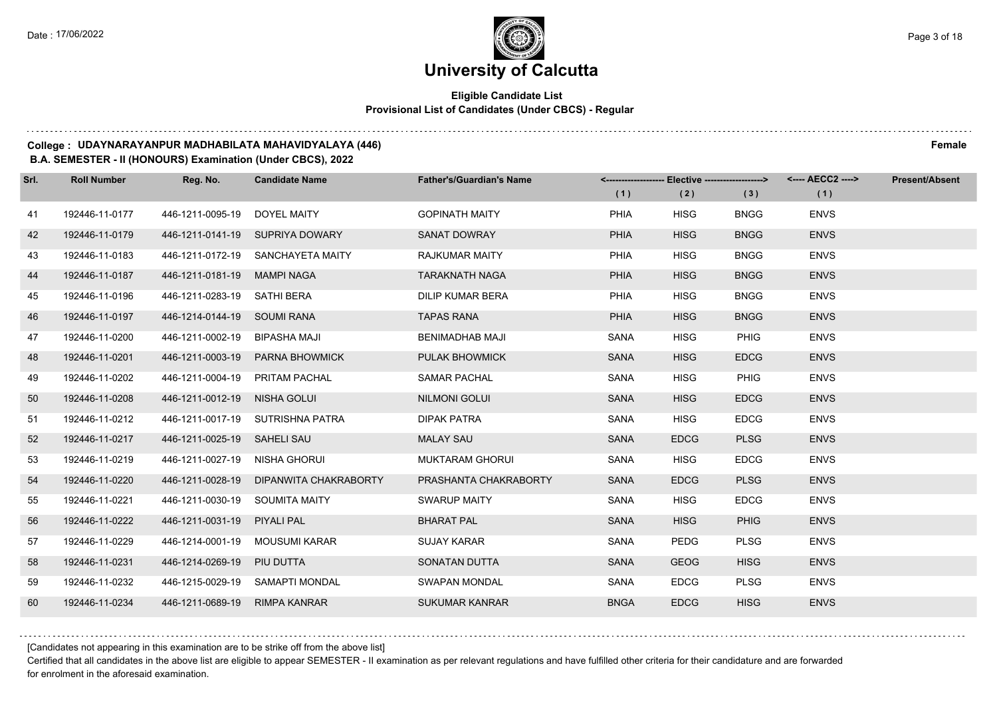## **Eligible Candidate List Provisional List of Candidates (Under CBCS) - Regular**

#### **College : UDAYNARAYANPUR MADHABILATA MAHAVIDYALAYA (446) Female**

**B.A. SEMESTER - II (HONOURS) Examination (Under CBCS), 2022**

| Srl. | <b>Roll Number</b> | Reg. No.                       | <b>Candidate Name</b>                  | <b>Father's/Guardian's Name</b> |             | <-------------------- Elective -------------------> |             | <---- AECC2 ----> | <b>Present/Absent</b> |
|------|--------------------|--------------------------------|----------------------------------------|---------------------------------|-------------|-----------------------------------------------------|-------------|-------------------|-----------------------|
|      |                    |                                |                                        |                                 | (1)         | (2)                                                 | (3)         | (1)               |                       |
| 41   | 192446-11-0177     | 446-1211-0095-19 DOYEL MAITY   |                                        | <b>GOPINATH MAITY</b>           | <b>PHIA</b> | <b>HISG</b>                                         | <b>BNGG</b> | <b>ENVS</b>       |                       |
| 42   | 192446-11-0179     |                                | 446-1211-0141-19 SUPRIYA DOWARY        | <b>SANAT DOWRAY</b>             | <b>PHIA</b> | <b>HISG</b>                                         | <b>BNGG</b> | <b>ENVS</b>       |                       |
| 43   | 192446-11-0183     |                                | 446-1211-0172-19 SANCHAYETA MAITY      | RAJKUMAR MAITY                  | PHIA        | <b>HISG</b>                                         | <b>BNGG</b> | <b>ENVS</b>       |                       |
| 44   | 192446-11-0187     | 446-1211-0181-19 MAMPI NAGA    |                                        | <b>TARAKNATH NAGA</b>           | <b>PHIA</b> | <b>HISG</b>                                         | <b>BNGG</b> | <b>ENVS</b>       |                       |
| 45   | 192446-11-0196     | 446-1211-0283-19 SATHI BERA    |                                        | <b>DILIP KUMAR BERA</b>         | <b>PHIA</b> | <b>HISG</b>                                         | <b>BNGG</b> | <b>ENVS</b>       |                       |
| 46   | 192446-11-0197     | 446-1214-0144-19 SOUMI RANA    |                                        | <b>TAPAS RANA</b>               | <b>PHIA</b> | <b>HISG</b>                                         | <b>BNGG</b> | <b>ENVS</b>       |                       |
| 47   | 192446-11-0200     | 446-1211-0002-19 BIPASHA MAJI  |                                        | <b>BENIMADHAB MAJI</b>          | <b>SANA</b> | <b>HISG</b>                                         | PHIG        | <b>ENVS</b>       |                       |
| 48   | 192446-11-0201     |                                | 446-1211-0003-19 PARNA BHOWMICK        | <b>PULAK BHOWMICK</b>           | <b>SANA</b> | <b>HISG</b>                                         | <b>EDCG</b> | <b>ENVS</b>       |                       |
| 49   | 192446-11-0202     | 446-1211-0004-19 PRITAM PACHAL |                                        | SAMAR PACHAL                    | <b>SANA</b> | <b>HISG</b>                                         | <b>PHIG</b> | <b>ENVS</b>       |                       |
| 50   | 192446-11-0208     | 446-1211-0012-19 NISHA GOLUI   |                                        | <b>NILMONI GOLUI</b>            | <b>SANA</b> | <b>HISG</b>                                         | <b>EDCG</b> | <b>ENVS</b>       |                       |
| 51   | 192446-11-0212     |                                | 446-1211-0017-19 SUTRISHNA PATRA       | <b>DIPAK PATRA</b>              | SANA        | <b>HISG</b>                                         | <b>EDCG</b> | <b>ENVS</b>       |                       |
| 52   | 192446-11-0217     | 446-1211-0025-19 SAHELI SAU    |                                        | <b>MALAY SAU</b>                | <b>SANA</b> | <b>EDCG</b>                                         | <b>PLSG</b> | <b>ENVS</b>       |                       |
| 53   | 192446-11-0219     | 446-1211-0027-19 NISHA GHORUI  |                                        | <b>MUKTARAM GHORUI</b>          | SANA        | <b>HISG</b>                                         | <b>EDCG</b> | <b>ENVS</b>       |                       |
| 54   | 192446-11-0220     |                                | 446-1211-0028-19 DIPANWITA CHAKRABORTY | PRASHANTA CHAKRABORTY           | <b>SANA</b> | <b>EDCG</b>                                         | <b>PLSG</b> | <b>ENVS</b>       |                       |
| 55   | 192446-11-0221     | 446-1211-0030-19 SOUMITA MAITY |                                        | <b>SWARUP MAITY</b>             | SANA        | <b>HISG</b>                                         | <b>EDCG</b> | <b>ENVS</b>       |                       |
| 56   | 192446-11-0222     | 446-1211-0031-19 PIYALI PAL    |                                        | <b>BHARAT PAL</b>               | <b>SANA</b> | <b>HISG</b>                                         | <b>PHIG</b> | <b>ENVS</b>       |                       |
| 57   | 192446-11-0229     |                                | 446-1214-0001-19 MOUSUMI KARAR         | <b>SUJAY KARAR</b>              | <b>SANA</b> | <b>PEDG</b>                                         | <b>PLSG</b> | <b>ENVS</b>       |                       |
| 58   | 192446-11-0231     | 446-1214-0269-19 PIU DUTTA     |                                        | SONATAN DUTTA                   | <b>SANA</b> | <b>GEOG</b>                                         | <b>HISG</b> | <b>ENVS</b>       |                       |
| 59   | 192446-11-0232     |                                | 446-1215-0029-19 SAMAPTI MONDAL        | <b>SWAPAN MONDAL</b>            | SANA        | <b>EDCG</b>                                         | <b>PLSG</b> | <b>ENVS</b>       |                       |
| 60   | 192446-11-0234     | 446-1211-0689-19 RIMPA KANRAR  |                                        | <b>SUKUMAR KANRAR</b>           | <b>BNGA</b> | <b>EDCG</b>                                         | <b>HISG</b> | <b>ENVS</b>       |                       |

[Candidates not appearing in this examination are to be strike off from the above list]

Certified that all candidates in the above list are eligible to appear SEMESTER - II examination as per relevant regulations and have fulfilled other criteria for their candidature and are forwarded for enrolment in the aforesaid examination.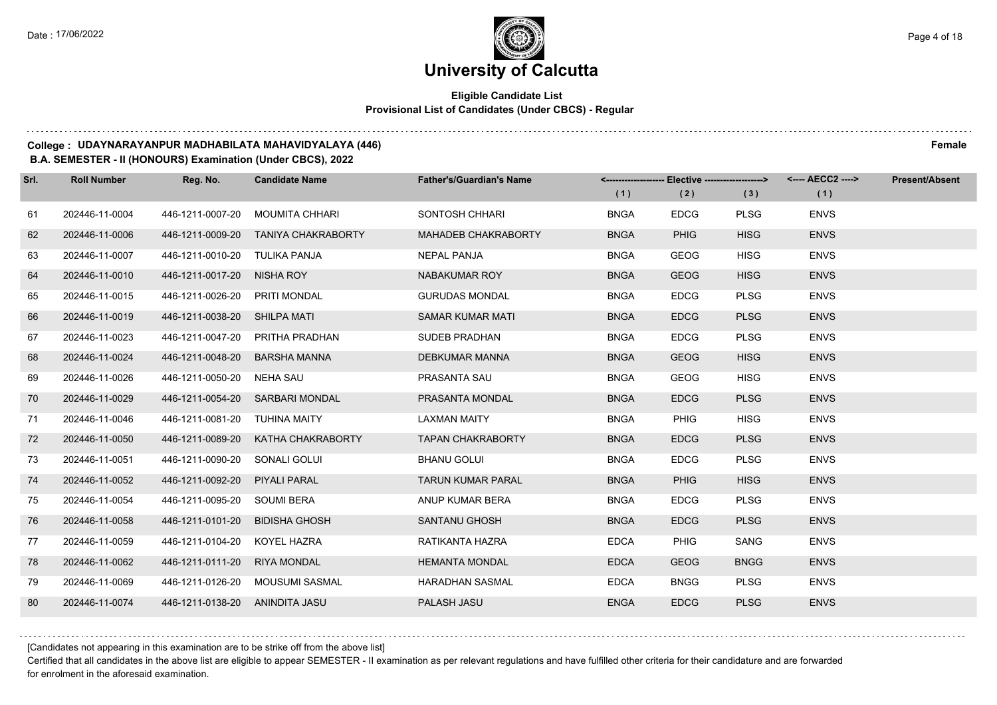## **Eligible Candidate List Provisional List of Candidates (Under CBCS) - Regular**

#### **College : UDAYNARAYANPUR MADHABILATA MAHAVIDYALAYA (446) Female**

**B.A. SEMESTER - II (HONOURS) Examination (Under CBCS), 2022**

| Srl. | <b>Roll Number</b> | Reg. No.                       | <b>Candidate Name</b>           | <b>Father's/Guardian's Name</b> |             | <------------------- Elective ------------------> |             | <---- AECC2 ----> | <b>Present/Absent</b> |
|------|--------------------|--------------------------------|---------------------------------|---------------------------------|-------------|---------------------------------------------------|-------------|-------------------|-----------------------|
|      |                    |                                |                                 |                                 | (1)         | (2)                                               | (3)         | (1)               |                       |
| 61   | 202446-11-0004     | 446-1211-0007-20               | MOUMITA CHHARI                  | SONTOSH CHHARI                  | <b>BNGA</b> | <b>EDCG</b>                                       | <b>PLSG</b> | <b>ENVS</b>       |                       |
| 62   | 202446-11-0006     | 446-1211-0009-20               | <b>TANIYA CHAKRABORTY</b>       | <b>MAHADEB CHAKRABORTY</b>      | <b>BNGA</b> | <b>PHIG</b>                                       | <b>HISG</b> | <b>ENVS</b>       |                       |
| 63   | 202446-11-0007     | 446-1211-0010-20               | TULIKA PANJA                    | <b>NEPAL PANJA</b>              | <b>BNGA</b> | <b>GEOG</b>                                       | <b>HISG</b> | <b>ENVS</b>       |                       |
| 64   | 202446-11-0010     | 446-1211-0017-20 NISHA ROY     |                                 | NABAKUMAR ROY                   | <b>BNGA</b> | <b>GEOG</b>                                       | <b>HISG</b> | <b>ENVS</b>       |                       |
| 65   | 202446-11-0015     | 446-1211-0026-20               | PRITI MONDAL                    | <b>GURUDAS MONDAL</b>           | <b>BNGA</b> | <b>EDCG</b>                                       | <b>PLSG</b> | <b>ENVS</b>       |                       |
| 66   | 202446-11-0019     | 446-1211-0038-20 SHILPA MATI   |                                 | <b>SAMAR KUMAR MATI</b>         | <b>BNGA</b> | <b>EDCG</b>                                       | <b>PLSG</b> | <b>ENVS</b>       |                       |
| 67   | 202446-11-0023     |                                | 446-1211-0047-20 PRITHA PRADHAN | SUDEB PRADHAN                   | <b>BNGA</b> | <b>EDCG</b>                                       | <b>PLSG</b> | <b>ENVS</b>       |                       |
| 68   | 202446-11-0024     | 446-1211-0048-20               | <b>BARSHA MANNA</b>             | <b>DEBKUMAR MANNA</b>           | <b>BNGA</b> | <b>GEOG</b>                                       | <b>HISG</b> | <b>ENVS</b>       |                       |
| 69   | 202446-11-0026     | 446-1211-0050-20               | NEHA SAU                        | PRASANTA SAU                    | <b>BNGA</b> | <b>GEOG</b>                                       | <b>HISG</b> | <b>ENVS</b>       |                       |
| 70   | 202446-11-0029     |                                | 446-1211-0054-20 SARBARI MONDAL | PRASANTA MONDAL                 | <b>BNGA</b> | <b>EDCG</b>                                       | <b>PLSG</b> | <b>ENVS</b>       |                       |
| 71   | 202446-11-0046     | 446-1211-0081-20 TUHINA MAITY  |                                 | <b>LAXMAN MAITY</b>             | <b>BNGA</b> | <b>PHIG</b>                                       | <b>HISG</b> | <b>ENVS</b>       |                       |
| 72   | 202446-11-0050     | 446-1211-0089-20               | KATHA CHAKRABORTY               | <b>TAPAN CHAKRABORTY</b>        | <b>BNGA</b> | <b>EDCG</b>                                       | <b>PLSG</b> | <b>ENVS</b>       |                       |
| 73   | 202446-11-0051     | 446-1211-0090-20               | SONALI GOLUI                    | <b>BHANU GOLUI</b>              | <b>BNGA</b> | <b>EDCG</b>                                       | <b>PLSG</b> | <b>ENVS</b>       |                       |
| 74   | 202446-11-0052     | 446-1211-0092-20               | PIYALI PARAL                    | <b>TARUN KUMAR PARAL</b>        | <b>BNGA</b> | <b>PHIG</b>                                       | <b>HISG</b> | <b>ENVS</b>       |                       |
| 75   | 202446-11-0054     | 446-1211-0095-20               | SOUMI BERA                      | ANUP KUMAR BERA                 | <b>BNGA</b> | <b>EDCG</b>                                       | <b>PLSG</b> | <b>ENVS</b>       |                       |
| 76   | 202446-11-0058     | 446-1211-0101-20               | <b>BIDISHA GHOSH</b>            | <b>SANTANU GHOSH</b>            | <b>BNGA</b> | <b>EDCG</b>                                       | <b>PLSG</b> | <b>ENVS</b>       |                       |
| 77   | 202446-11-0059     | 446-1211-0104-20               | KOYEL HAZRA                     | RATIKANTA HAZRA                 | <b>EDCA</b> | <b>PHIG</b>                                       | SANG        | <b>ENVS</b>       |                       |
| 78   | 202446-11-0062     | 446-1211-0111-20               | <b>RIYA MONDAL</b>              | <b>HEMANTA MONDAL</b>           | <b>EDCA</b> | <b>GEOG</b>                                       | <b>BNGG</b> | <b>ENVS</b>       |                       |
| 79   | 202446-11-0069     | 446-1211-0126-20               | MOUSUMI SASMAL                  | <b>HARADHAN SASMAL</b>          | <b>EDCA</b> | <b>BNGG</b>                                       | <b>PLSG</b> | <b>ENVS</b>       |                       |
| 80   | 202446-11-0074     | 446-1211-0138-20 ANINDITA JASU |                                 | PALASH JASU                     | <b>ENGA</b> | <b>EDCG</b>                                       | <b>PLSG</b> | <b>ENVS</b>       |                       |

[Candidates not appearing in this examination are to be strike off from the above list]

Certified that all candidates in the above list are eligible to appear SEMESTER - II examination as per relevant regulations and have fulfilled other criteria for their candidature and are forwarded for enrolment in the aforesaid examination.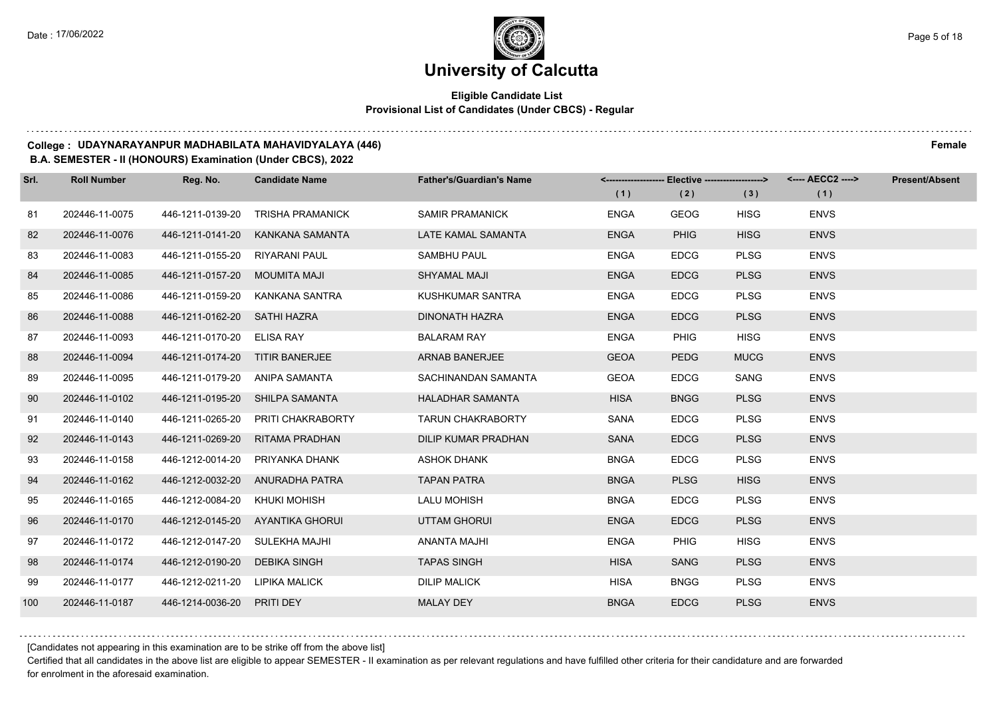## **Eligible Candidate List Provisional List of Candidates (Under CBCS) - Regular**

#### **College : UDAYNARAYANPUR MADHABILATA MAHAVIDYALAYA (446) Female**

#### **B.A. SEMESTER - II (HONOURS) Examination (Under CBCS), 2022**

| Srl. | <b>Roll Number</b> | Reg. No.                        | <b>Candidate Name</b>              | <b>Father's/Guardian's Name</b> |             | <------------------- Elective -------------------> |             | <---- AECC2 ----> | <b>Present/Absent</b> |
|------|--------------------|---------------------------------|------------------------------------|---------------------------------|-------------|----------------------------------------------------|-------------|-------------------|-----------------------|
|      |                    |                                 |                                    |                                 | (1)         | (2)                                                | (3)         | (1)               |                       |
| 81   | 202446-11-0075     | 446-1211-0139-20                | <b>TRISHA PRAMANICK</b>            | <b>SAMIR PRAMANICK</b>          | <b>ENGA</b> | <b>GEOG</b>                                        | <b>HISG</b> | <b>ENVS</b>       |                       |
| 82   | 202446-11-0076     | 446-1211-0141-20                | KANKANA SAMANTA                    | LATE KAMAL SAMANTA              | <b>ENGA</b> | <b>PHIG</b>                                        | <b>HISG</b> | <b>ENVS</b>       |                       |
| 83   | 202446-11-0083     | 446-1211-0155-20 RIYARANI PAUL  |                                    | <b>SAMBHU PAUL</b>              | <b>ENGA</b> | <b>EDCG</b>                                        | <b>PLSG</b> | <b>ENVS</b>       |                       |
| 84   | 202446-11-0085     | 446-1211-0157-20 MOUMITA MAJI   |                                    | <b>SHYAMAL MAJI</b>             | <b>ENGA</b> | <b>EDCG</b>                                        | <b>PLSG</b> | <b>ENVS</b>       |                       |
| 85   | 202446-11-0086     |                                 | 446-1211-0159-20 KANKANA SANTRA    | KUSHKUMAR SANTRA                | <b>ENGA</b> | <b>EDCG</b>                                        | <b>PLSG</b> | <b>ENVS</b>       |                       |
| 86   | 202446-11-0088     | 446-1211-0162-20                | SATHI HAZRA                        | <b>DINONATH HAZRA</b>           | <b>ENGA</b> | <b>EDCG</b>                                        | <b>PLSG</b> | <b>ENVS</b>       |                       |
| 87   | 202446-11-0093     | 446-1211-0170-20 ELISA RAY      |                                    | <b>BALARAM RAY</b>              | <b>ENGA</b> | <b>PHIG</b>                                        | <b>HISG</b> | <b>ENVS</b>       |                       |
| 88   | 202446-11-0094     | 446-1211-0174-20 TITIR BANERJEE |                                    | <b>ARNAB BANERJEE</b>           | <b>GEOA</b> | <b>PEDG</b>                                        | <b>MUCG</b> | <b>ENVS</b>       |                       |
| 89   | 202446-11-0095     | 446-1211-0179-20 ANIPA SAMANTA  |                                    | SACHINANDAN SAMANTA             | <b>GEOA</b> | <b>EDCG</b>                                        | SANG        | <b>ENVS</b>       |                       |
| 90   | 202446-11-0102     |                                 | 446-1211-0195-20 SHILPA SAMANTA    | <b>HALADHAR SAMANTA</b>         | <b>HISA</b> | <b>BNGG</b>                                        | <b>PLSG</b> | <b>ENVS</b>       |                       |
| 91   | 202446-11-0140     |                                 | 446-1211-0265-20 PRITI CHAKRABORTY | <b>TARUN CHAKRABORTY</b>        | <b>SANA</b> | <b>EDCG</b>                                        | <b>PLSG</b> | <b>ENVS</b>       |                       |
| 92   | 202446-11-0143     | 446-1211-0269-20                | RITAMA PRADHAN                     | DILIP KUMAR PRADHAN             | <b>SANA</b> | <b>EDCG</b>                                        | <b>PLSG</b> | <b>ENVS</b>       |                       |
| 93   | 202446-11-0158     | 446-1212-0014-20                | PRIYANKA DHANK                     | <b>ASHOK DHANK</b>              | <b>BNGA</b> | <b>EDCG</b>                                        | <b>PLSG</b> | <b>ENVS</b>       |                       |
| 94   | 202446-11-0162     |                                 | 446-1212-0032-20 ANURADHA PATRA    | <b>TAPAN PATRA</b>              | <b>BNGA</b> | <b>PLSG</b>                                        | <b>HISG</b> | <b>ENVS</b>       |                       |
| 95   | 202446-11-0165     | 446-1212-0084-20 KHUKI MOHISH   |                                    | <b>LALU MOHISH</b>              | <b>BNGA</b> | <b>EDCG</b>                                        | <b>PLSG</b> | <b>ENVS</b>       |                       |
| 96   | 202446-11-0170     |                                 | 446-1212-0145-20 AYANTIKA GHORUI   | <b>UTTAM GHORUI</b>             | <b>ENGA</b> | <b>EDCG</b>                                        | <b>PLSG</b> | <b>ENVS</b>       |                       |
| 97   | 202446-11-0172     | 446-1212-0147-20                | SULEKHA MAJHI                      | <b>ANANTA MAJHI</b>             | <b>ENGA</b> | <b>PHIG</b>                                        | <b>HISG</b> | <b>ENVS</b>       |                       |
| 98   | 202446-11-0174     | 446-1212-0190-20 DEBIKA SINGH   |                                    | <b>TAPAS SINGH</b>              | <b>HISA</b> | <b>SANG</b>                                        | <b>PLSG</b> | <b>ENVS</b>       |                       |
| 99   | 202446-11-0177     | 446-1212-0211-20 LIPIKA MALICK  |                                    | <b>DILIP MALICK</b>             | <b>HISA</b> | <b>BNGG</b>                                        | <b>PLSG</b> | <b>ENVS</b>       |                       |
| 100  | 202446-11-0187     | 446-1214-0036-20 PRITI DEY      |                                    | <b>MALAY DEY</b>                | <b>BNGA</b> | <b>EDCG</b>                                        | <b>PLSG</b> | <b>ENVS</b>       |                       |

[Candidates not appearing in this examination are to be strike off from the above list]

Certified that all candidates in the above list are eligible to appear SEMESTER - II examination as per relevant regulations and have fulfilled other criteria for their candidature and are forwarded for enrolment in the aforesaid examination.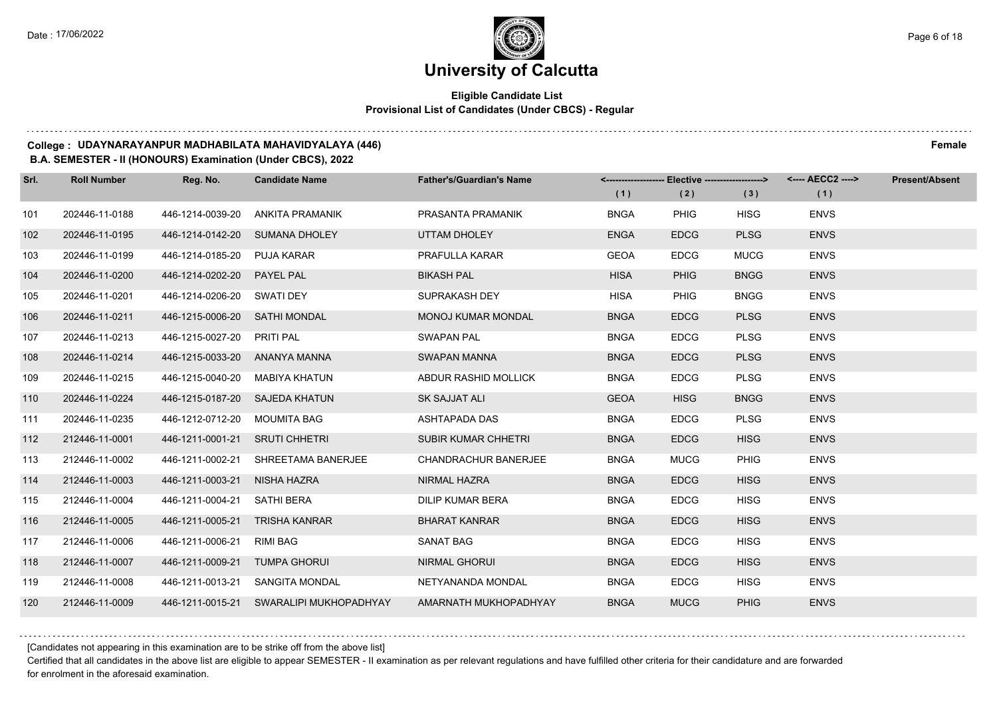## **Eligible Candidate List Provisional List of Candidates (Under CBCS) - Regular**

#### **College : UDAYNARAYANPUR MADHABILATA MAHAVIDYALAYA (446) Female**

**B.A. SEMESTER - II (HONOURS) Examination (Under CBCS), 2022**

| Srl. | <b>Roll Number</b> | Reg. No.                       | <b>Candidate Name</b>                   | <b>Father's/Guardian's Name</b> | (1)         | <-------------------- Elective -------------------><br>(2) | (3)         | <---- AECC2 ----><br>(1) | <b>Present/Absent</b> |
|------|--------------------|--------------------------------|-----------------------------------------|---------------------------------|-------------|------------------------------------------------------------|-------------|--------------------------|-----------------------|
| 101  | 202446-11-0188     | 446-1214-0039-20               | ANKITA PRAMANIK                         | PRASANTA PRAMANIK               | <b>BNGA</b> | <b>PHIG</b>                                                | <b>HISG</b> | <b>ENVS</b>              |                       |
| 102  | 202446-11-0195     |                                | 446-1214-0142-20 SUMANA DHOLEY          | UTTAM DHOLEY                    | <b>ENGA</b> | <b>EDCG</b>                                                | <b>PLSG</b> | <b>ENVS</b>              |                       |
| 103  | 202446-11-0199     | 446-1214-0185-20 PUJA KARAR    |                                         | PRAFULLA KARAR                  | <b>GEOA</b> | <b>EDCG</b>                                                | <b>MUCG</b> | <b>ENVS</b>              |                       |
| 104  | 202446-11-0200     | 446-1214-0202-20 PAYEL PAL     |                                         | <b>BIKASH PAL</b>               | <b>HISA</b> | <b>PHIG</b>                                                | <b>BNGG</b> | <b>ENVS</b>              |                       |
| 105  | 202446-11-0201     | 446-1214-0206-20 SWATI DEY     |                                         | SUPRAKASH DEY                   | <b>HISA</b> | <b>PHIG</b>                                                | <b>BNGG</b> | <b>ENVS</b>              |                       |
| 106  | 202446-11-0211     | 446-1215-0006-20 SATHI MONDAL  |                                         | <b>MONOJ KUMAR MONDAL</b>       | <b>BNGA</b> | <b>EDCG</b>                                                | <b>PLSG</b> | <b>ENVS</b>              |                       |
| 107  | 202446-11-0213     | 446-1215-0027-20 PRITI PAL     |                                         | <b>SWAPAN PAL</b>               | <b>BNGA</b> | <b>EDCG</b>                                                | <b>PLSG</b> | <b>ENVS</b>              |                       |
| 108  | 202446-11-0214     | 446-1215-0033-20 ANANYA MANNA  |                                         | SWAPAN MANNA                    | <b>BNGA</b> | <b>EDCG</b>                                                | <b>PLSG</b> | <b>ENVS</b>              |                       |
| 109  | 202446-11-0215     | 446-1215-0040-20               | MABIYA KHATUN                           | ABDUR RASHID MOLLICK            | <b>BNGA</b> | <b>EDCG</b>                                                | <b>PLSG</b> | <b>ENVS</b>              |                       |
| 110  | 202446-11-0224     | 446-1215-0187-20 SAJEDA KHATUN |                                         | SK SAJJAT ALI                   | <b>GEOA</b> | <b>HISG</b>                                                | <b>BNGG</b> | <b>ENVS</b>              |                       |
| 111  | 202446-11-0235     | 446-1212-0712-20 MOUMITA BAG   |                                         | ASHTAPADA DAS                   | <b>BNGA</b> | <b>EDCG</b>                                                | <b>PLSG</b> | <b>ENVS</b>              |                       |
| 112  | 212446-11-0001     | 446-1211-0001-21 SRUTI CHHETRI |                                         | <b>SUBIR KUMAR CHHETRI</b>      | <b>BNGA</b> | <b>EDCG</b>                                                | <b>HISG</b> | <b>ENVS</b>              |                       |
| 113  | 212446-11-0002     |                                | 446-1211-0002-21 SHREETAMA BANERJEE     | CHANDRACHUR BANERJEE            | <b>BNGA</b> | <b>MUCG</b>                                                | <b>PHIG</b> | <b>ENVS</b>              |                       |
| 114  | 212446-11-0003     | 446-1211-0003-21 NISHA HAZRA   |                                         | NIRMAL HAZRA                    | <b>BNGA</b> | <b>EDCG</b>                                                | <b>HISG</b> | <b>ENVS</b>              |                       |
| 115  | 212446-11-0004     | 446-1211-0004-21 SATHI BERA    |                                         | DILIP KUMAR BERA                | <b>BNGA</b> | <b>EDCG</b>                                                | <b>HISG</b> | <b>ENVS</b>              |                       |
| 116  | 212446-11-0005     | 446-1211-0005-21 TRISHA KANRAR |                                         | <b>BHARAT KANRAR</b>            | <b>BNGA</b> | <b>EDCG</b>                                                | <b>HISG</b> | <b>ENVS</b>              |                       |
| 117  | 212446-11-0006     | 446-1211-0006-21 RIMI BAG      |                                         | SANAT BAG                       | <b>BNGA</b> | <b>EDCG</b>                                                | <b>HISG</b> | <b>ENVS</b>              |                       |
| 118  | 212446-11-0007     | 446-1211-0009-21 TUMPA GHORUI  |                                         | <b>NIRMAL GHORUI</b>            | <b>BNGA</b> | <b>EDCG</b>                                                | <b>HISG</b> | <b>ENVS</b>              |                       |
| 119  | 212446-11-0008     |                                | 446-1211-0013-21 SANGITA MONDAL         | NETYANANDA MONDAL               | <b>BNGA</b> | <b>EDCG</b>                                                | <b>HISG</b> | <b>ENVS</b>              |                       |
| 120  | 212446-11-0009     |                                | 446-1211-0015-21 SWARALIPI MUKHOPADHYAY | AMARNATH MUKHOPADHYAY           | <b>BNGA</b> | <b>MUCG</b>                                                | <b>PHIG</b> | <b>ENVS</b>              |                       |

[Candidates not appearing in this examination are to be strike off from the above list]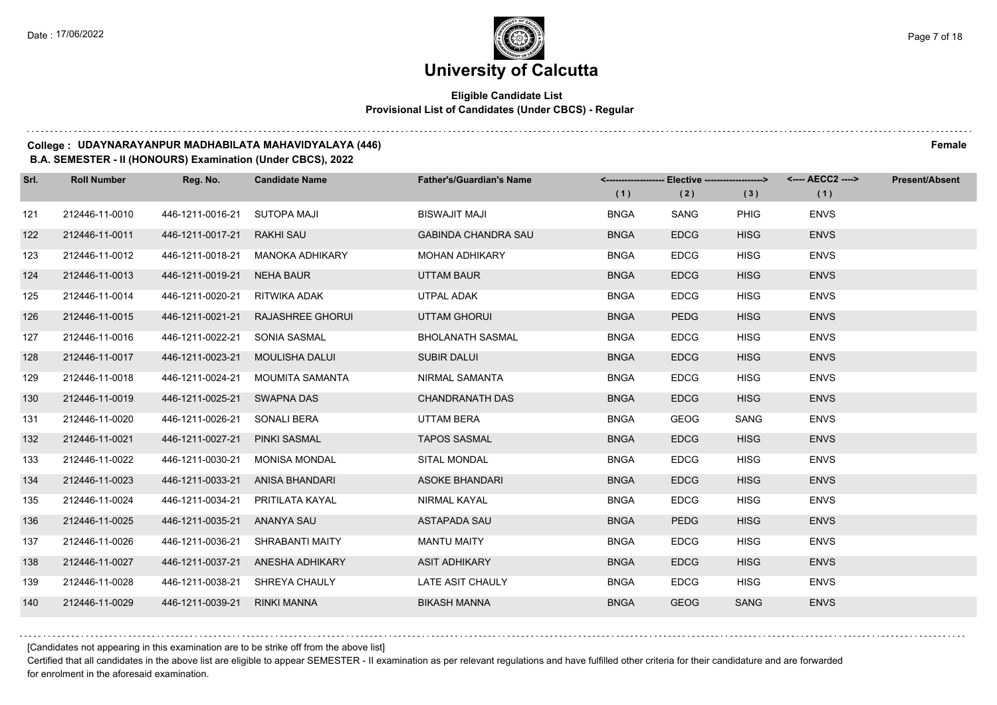## **Eligible Candidate List Provisional List of Candidates (Under CBCS) - Regular**

#### **College : UDAYNARAYANPUR MADHABILATA MAHAVIDYALAYA (446) Female**

#### **B.A. SEMESTER - II (HONOURS) Examination (Under CBCS), 2022**

| Srl. | <b>Roll Number</b> | Reg. No.                         | <b>Candidate Name</b>            | <b>Father's/Guardian's Name</b> |             | <------------------- Elective -------------------> |             | <---- AECC2 ----> | <b>Present/Absent</b> |
|------|--------------------|----------------------------------|----------------------------------|---------------------------------|-------------|----------------------------------------------------|-------------|-------------------|-----------------------|
|      |                    |                                  |                                  |                                 | (1)         | (2)                                                | (3)         | (1)               |                       |
| 121  | 212446-11-0010     | 446-1211-0016-21                 | SUTOPA MAJI                      | BISWAJIT MAJI                   | <b>BNGA</b> | SANG                                               | PHIG        | <b>ENVS</b>       |                       |
| 122  | 212446-11-0011     | 446-1211-0017-21                 | RAKHI SAU                        | <b>GABINDA CHANDRA SAU</b>      | <b>BNGA</b> | <b>EDCG</b>                                        | <b>HISG</b> | <b>ENVS</b>       |                       |
| 123  | 212446-11-0012     |                                  | 446-1211-0018-21 MANOKA ADHIKARY | <b>MOHAN ADHIKARY</b>           | <b>BNGA</b> | <b>EDCG</b>                                        | <b>HISG</b> | <b>ENVS</b>       |                       |
| 124  | 212446-11-0013     | 446-1211-0019-21 NEHA BAUR       |                                  | UTTAM BAUR                      | <b>BNGA</b> | <b>EDCG</b>                                        | <b>HISG</b> | <b>ENVS</b>       |                       |
| 125  | 212446-11-0014     | 446-1211-0020-21                 | RITWIKA ADAK                     | UTPAL ADAK                      | <b>BNGA</b> | <b>EDCG</b>                                        | <b>HISG</b> | <b>ENVS</b>       |                       |
| 126  | 212446-11-0015     | 446-1211-0021-21                 | <b>RAJASHREE GHORUI</b>          | <b>UTTAM GHORUI</b>             | <b>BNGA</b> | <b>PEDG</b>                                        | <b>HISG</b> | <b>ENVS</b>       |                       |
| 127  | 212446-11-0016     | 446-1211-0022-21                 | SONIA SASMAL                     | <b>BHOLANATH SASMAL</b>         | <b>BNGA</b> | <b>EDCG</b>                                        | <b>HISG</b> | <b>ENVS</b>       |                       |
| 128  | 212446-11-0017     | 446-1211-0023-21                 | MOULISHA DALUI                   | <b>SUBIR DALUI</b>              | <b>BNGA</b> | <b>EDCG</b>                                        | <b>HISG</b> | <b>ENVS</b>       |                       |
| 129  | 212446-11-0018     | 446-1211-0024-21                 | MOUMITA SAMANTA                  | NIRMAL SAMANTA                  | <b>BNGA</b> | <b>EDCG</b>                                        | <b>HISG</b> | <b>ENVS</b>       |                       |
| 130  | 212446-11-0019     | 446-1211-0025-21                 | SWAPNA DAS                       | <b>CHANDRANATH DAS</b>          | <b>BNGA</b> | <b>EDCG</b>                                        | <b>HISG</b> | <b>ENVS</b>       |                       |
| 131  | 212446-11-0020     | 446-1211-0026-21 SONALI BERA     |                                  | UTTAM BERA                      | <b>BNGA</b> | <b>GEOG</b>                                        | SANG        | <b>ENVS</b>       |                       |
| 132  | 212446-11-0021     | 446-1211-0027-21                 | PINKI SASMAL                     | <b>TAPOS SASMAL</b>             | <b>BNGA</b> | <b>EDCG</b>                                        | <b>HISG</b> | <b>ENVS</b>       |                       |
| 133  | 212446-11-0022     | 446-1211-0030-21                 | MONISA MONDAL                    | SITAL MONDAL                    | <b>BNGA</b> | <b>EDCG</b>                                        | <b>HISG</b> | <b>ENVS</b>       |                       |
| 134  | 212446-11-0023     | 446-1211-0033-21 ANISA BHANDARI  |                                  | <b>ASOKE BHANDARI</b>           | <b>BNGA</b> | <b>EDCG</b>                                        | <b>HISG</b> | <b>ENVS</b>       |                       |
| 135  | 212446-11-0024     | 446-1211-0034-21 PRITILATA KAYAL |                                  | NIRMAL KAYAL                    | <b>BNGA</b> | <b>EDCG</b>                                        | <b>HISG</b> | <b>ENVS</b>       |                       |
| 136  | 212446-11-0025     | 446-1211-0035-21 ANANYA SAU      |                                  | <b>ASTAPADA SAU</b>             | <b>BNGA</b> | <b>PEDG</b>                                        | <b>HISG</b> | <b>ENVS</b>       |                       |
| 137  | 212446-11-0026     | 446-1211-0036-21                 | SHRABANTI MAITY                  | <b>MANTU MAITY</b>              | <b>BNGA</b> | <b>EDCG</b>                                        | <b>HISG</b> | <b>ENVS</b>       |                       |
| 138  | 212446-11-0027     | 446-1211-0037-21                 | ANESHA ADHIKARY                  | <b>ASIT ADHIKARY</b>            | <b>BNGA</b> | <b>EDCG</b>                                        | <b>HISG</b> | <b>ENVS</b>       |                       |
| 139  | 212446-11-0028     | 446-1211-0038-21                 | SHREYA CHAULY                    | LATE ASIT CHAULY                | <b>BNGA</b> | <b>EDCG</b>                                        | <b>HISG</b> | <b>ENVS</b>       |                       |
| 140  | 212446-11-0029     | 446-1211-0039-21 RINKI MANNA     |                                  | <b>BIKASH MANNA</b>             | <b>BNGA</b> | <b>GEOG</b>                                        | <b>SANG</b> | <b>ENVS</b>       |                       |

[Candidates not appearing in this examination are to be strike off from the above list]

Certified that all candidates in the above list are eligible to appear SEMESTER - II examination as per relevant regulations and have fulfilled other criteria for their candidature and are forwarded for enrolment in the aforesaid examination.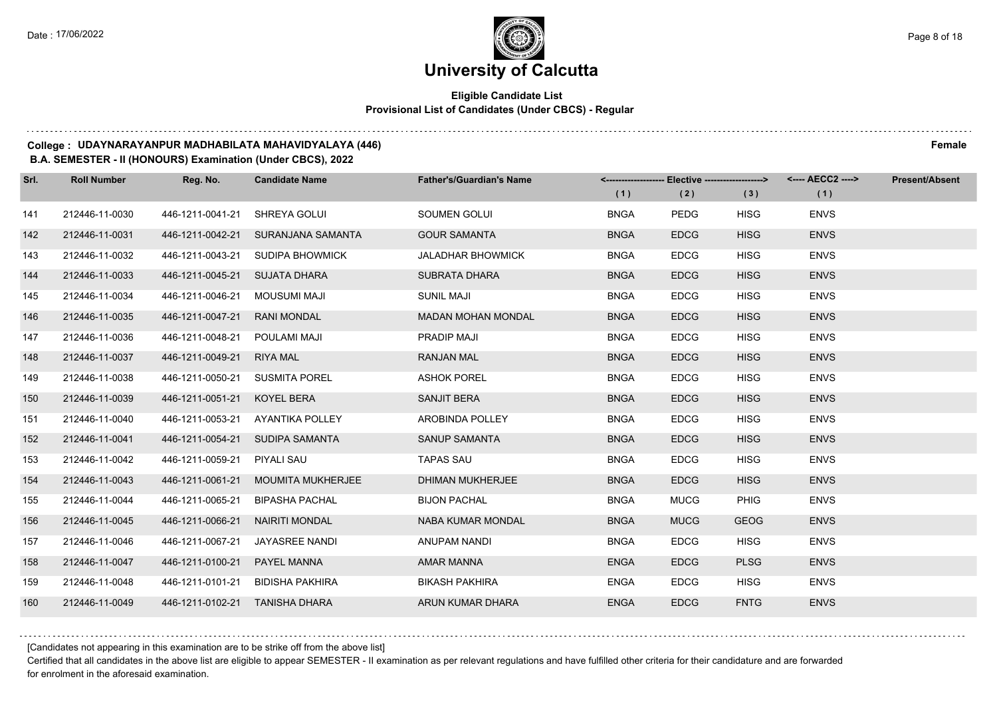## **Eligible Candidate List Provisional List of Candidates (Under CBCS) - Regular**

#### **College : UDAYNARAYANPUR MADHABILATA MAHAVIDYALAYA (446) Female**

**B.A. SEMESTER - II (HONOURS) Examination (Under CBCS), 2022**

| Srl. | <b>Roll Number</b> | Reg. No.                       | <b>Candidate Name</b>              | <b>Father's/Guardian's Name</b> |             | <-------------------- Elective ------------------> |             | <---- AECC2 ----> | <b>Present/Absent</b> |
|------|--------------------|--------------------------------|------------------------------------|---------------------------------|-------------|----------------------------------------------------|-------------|-------------------|-----------------------|
|      |                    |                                |                                    |                                 | (1)         | (2)                                                | (3)         | (1)               |                       |
| 141  | 212446-11-0030     | 446-1211-0041-21               | SHREYA GOLUI                       | SOUMEN GOLUI                    | <b>BNGA</b> | PEDG                                               | <b>HISG</b> | <b>ENVS</b>       |                       |
| 142  | 212446-11-0031     |                                | 446-1211-0042-21 SURANJANA SAMANTA | <b>GOUR SAMANTA</b>             | <b>BNGA</b> | <b>EDCG</b>                                        | <b>HISG</b> | <b>ENVS</b>       |                       |
| 143  | 212446-11-0032     |                                | 446-1211-0043-21 SUDIPA BHOWMICK   | <b>JALADHAR BHOWMICK</b>        | <b>BNGA</b> | <b>EDCG</b>                                        | <b>HISG</b> | <b>ENVS</b>       |                       |
| 144  | 212446-11-0033     | 446-1211-0045-21 SUJATA DHARA  |                                    | <b>SUBRATA DHARA</b>            | <b>BNGA</b> | <b>EDCG</b>                                        | <b>HISG</b> | <b>ENVS</b>       |                       |
| 145  | 212446-11-0034     | 446-1211-0046-21               | MOUSUMI MAJI                       | <b>SUNIL MAJI</b>               | <b>BNGA</b> | <b>EDCG</b>                                        | <b>HISG</b> | <b>ENVS</b>       |                       |
| 146  | 212446-11-0035     | 446-1211-0047-21               | <b>RANI MONDAL</b>                 | <b>MADAN MOHAN MONDAL</b>       | <b>BNGA</b> | <b>EDCG</b>                                        | <b>HISG</b> | <b>ENVS</b>       |                       |
| 147  | 212446-11-0036     | 446-1211-0048-21               | POULAMI MAJI                       | <b>PRADIP MAJI</b>              | <b>BNGA</b> | <b>EDCG</b>                                        | <b>HISG</b> | <b>ENVS</b>       |                       |
| 148  | 212446-11-0037     | 446-1211-0049-21 RIYA MAL      |                                    | <b>RANJAN MAL</b>               | <b>BNGA</b> | <b>EDCG</b>                                        | <b>HISG</b> | <b>ENVS</b>       |                       |
| 149  | 212446-11-0038     | 446-1211-0050-21 SUSMITA POREL |                                    | <b>ASHOK POREL</b>              | <b>BNGA</b> | <b>EDCG</b>                                        | <b>HISG</b> | <b>ENVS</b>       |                       |
| 150  | 212446-11-0039     | 446-1211-0051-21               | KOYEL BERA                         | SANJIT BERA                     | <b>BNGA</b> | <b>EDCG</b>                                        | <b>HISG</b> | <b>ENVS</b>       |                       |
| 151  | 212446-11-0040     |                                | 446-1211-0053-21 AYANTIKA POLLEY   | AROBINDA POLLEY                 | <b>BNGA</b> | <b>EDCG</b>                                        | <b>HISG</b> | <b>ENVS</b>       |                       |
| 152  | 212446-11-0041     |                                | 446-1211-0054-21 SUDIPA SAMANTA    | <b>SANUP SAMANTA</b>            | <b>BNGA</b> | <b>EDCG</b>                                        | <b>HISG</b> | <b>ENVS</b>       |                       |
| 153  | 212446-11-0042     | 446-1211-0059-21               | PIYALI SAU                         | <b>TAPAS SAU</b>                | <b>BNGA</b> | <b>EDCG</b>                                        | <b>HISG</b> | <b>ENVS</b>       |                       |
| 154  | 212446-11-0043     | 446-1211-0061-21               | <b>MOUMITA MUKHERJEE</b>           | <b>DHIMAN MUKHERJEE</b>         | <b>BNGA</b> | <b>EDCG</b>                                        | <b>HISG</b> | <b>ENVS</b>       |                       |
| 155  | 212446-11-0044     | 446-1211-0065-21               | <b>BIPASHA PACHAL</b>              | <b>BIJON PACHAL</b>             | <b>BNGA</b> | <b>MUCG</b>                                        | <b>PHIG</b> | <b>ENVS</b>       |                       |
| 156  | 212446-11-0045     | 446-1211-0066-21               | NAIRITI MONDAL                     | NABA KUMAR MONDAL               | <b>BNGA</b> | <b>MUCG</b>                                        | <b>GEOG</b> | <b>ENVS</b>       |                       |
| 157  | 212446-11-0046     | 446-1211-0067-21               | JAYASREE NANDI                     | <b>ANUPAM NANDI</b>             | <b>BNGA</b> | <b>EDCG</b>                                        | <b>HISG</b> | <b>ENVS</b>       |                       |
| 158  | 212446-11-0047     | 446-1211-0100-21               | PAYEL MANNA                        | <b>AMAR MANNA</b>               | <b>ENGA</b> | <b>EDCG</b>                                        | <b>PLSG</b> | <b>ENVS</b>       |                       |
| 159  | 212446-11-0048     | 446-1211-0101-21               | <b>BIDISHA PAKHIRA</b>             | <b>BIKASH PAKHIRA</b>           | <b>ENGA</b> | <b>EDCG</b>                                        | <b>HISG</b> | <b>ENVS</b>       |                       |
| 160  | 212446-11-0049     | 446-1211-0102-21 TANISHA DHARA |                                    | ARUN KUMAR DHARA                | <b>ENGA</b> | <b>EDCG</b>                                        | <b>FNTG</b> | <b>ENVS</b>       |                       |

[Candidates not appearing in this examination are to be strike off from the above list]

Certified that all candidates in the above list are eligible to appear SEMESTER - II examination as per relevant regulations and have fulfilled other criteria for their candidature and are forwarded for enrolment in the aforesaid examination.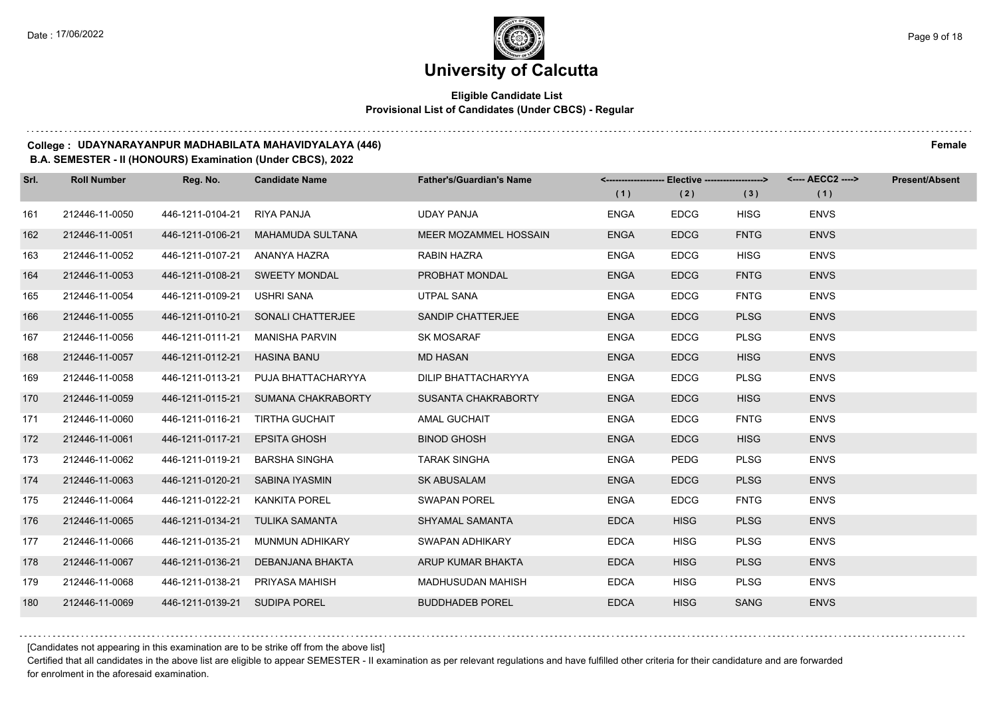## **Eligible Candidate List Provisional List of Candidates (Under CBCS) - Regular**

#### **College : UDAYNARAYANPUR MADHABILATA MAHAVIDYALAYA (446) Female**

#### **B.A. SEMESTER - II (HONOURS) Examination (Under CBCS), 2022**

| Srl. | <b>Roll Number</b> | Reg. No.                        | <b>Candidate Name</b>               | <b>Father's/Guardian's Name</b> | (1)         | <------------------- Elective ------------------><br>(2) | (3)         | <---- AECC2 ----><br>(1) | <b>Present/Absent</b> |
|------|--------------------|---------------------------------|-------------------------------------|---------------------------------|-------------|----------------------------------------------------------|-------------|--------------------------|-----------------------|
| 161  | 212446-11-0050     | 446-1211-0104-21                | RIYA PANJA                          | <b>UDAY PANJA</b>               | <b>ENGA</b> | <b>EDCG</b>                                              | <b>HISG</b> | <b>ENVS</b>              |                       |
| 162  | 212446-11-0051     | 446-1211-0106-21                | <b>MAHAMUDA SULTANA</b>             | MEER MOZAMMEL HOSSAIN           | <b>ENGA</b> | <b>EDCG</b>                                              | <b>FNTG</b> | <b>ENVS</b>              |                       |
| 163  | 212446-11-0052     | 446-1211-0107-21 ANANYA HAZRA   |                                     | RABIN HAZRA                     | <b>ENGA</b> | <b>EDCG</b>                                              | <b>HISG</b> | <b>ENVS</b>              |                       |
| 164  | 212446-11-0053     |                                 | 446-1211-0108-21 SWEETY MONDAL      | PROBHAT MONDAL                  | <b>ENGA</b> | <b>EDCG</b>                                              | <b>FNTG</b> | <b>ENVS</b>              |                       |
| 165  | 212446-11-0054     | 446-1211-0109-21                | USHRI SANA                          | <b>UTPAL SANA</b>               | <b>ENGA</b> | <b>EDCG</b>                                              | <b>FNTG</b> | <b>ENVS</b>              |                       |
| 166  | 212446-11-0055     |                                 | 446-1211-0110-21 SONALI CHATTERJEE  | SANDIP CHATTERJEE               | <b>ENGA</b> | <b>EDCG</b>                                              | <b>PLSG</b> | <b>ENVS</b>              |                       |
| 167  | 212446-11-0056     | 446-1211-0111-21                | MANISHA PARVIN                      | <b>SK MOSARAF</b>               | <b>ENGA</b> | <b>EDCG</b>                                              | <b>PLSG</b> | <b>ENVS</b>              |                       |
| 168  | 212446-11-0057     | 446-1211-0112-21 HASINA BANU    |                                     | <b>MD HASAN</b>                 | <b>ENGA</b> | <b>EDCG</b>                                              | <b>HISG</b> | <b>ENVS</b>              |                       |
| 169  | 212446-11-0058     | 446-1211-0113-21                | PUJA BHATTACHARYYA                  | DILIP BHATTACHARYYA             | <b>ENGA</b> | <b>EDCG</b>                                              | <b>PLSG</b> | <b>ENVS</b>              |                       |
| 170  | 212446-11-0059     |                                 | 446-1211-0115-21 SUMANA CHAKRABORTY | SUSANTA CHAKRABORTY             | <b>ENGA</b> | <b>EDCG</b>                                              | <b>HISG</b> | <b>ENVS</b>              |                       |
| 171  | 212446-11-0060     |                                 | 446-1211-0116-21 TIRTHA GUCHAIT     | <b>AMAL GUCHAIT</b>             | <b>ENGA</b> | <b>EDCG</b>                                              | <b>FNTG</b> | <b>ENVS</b>              |                       |
| 172  | 212446-11-0061     | 446-1211-0117-21 EPSITA GHOSH   |                                     | <b>BINOD GHOSH</b>              | <b>ENGA</b> | <b>EDCG</b>                                              | <b>HISG</b> | <b>ENVS</b>              |                       |
| 173  | 212446-11-0062     | 446-1211-0119-21                | <b>BARSHA SINGHA</b>                | <b>TARAK SINGHA</b>             | <b>ENGA</b> | <b>PEDG</b>                                              | <b>PLSG</b> | <b>ENVS</b>              |                       |
| 174  | 212446-11-0063     | 446-1211-0120-21 SABINA IYASMIN |                                     | <b>SK ABUSALAM</b>              | <b>ENGA</b> | <b>EDCG</b>                                              | <b>PLSG</b> | <b>ENVS</b>              |                       |
| 175  | 212446-11-0064     | 446-1211-0122-21                | <b>KANKITA POREL</b>                | SWAPAN POREL                    | <b>ENGA</b> | <b>EDCG</b>                                              | <b>FNTG</b> | <b>ENVS</b>              |                       |
| 176  | 212446-11-0065     |                                 | 446-1211-0134-21 TULIKA SAMANTA     | SHYAMAL SAMANTA                 | <b>EDCA</b> | <b>HISG</b>                                              | <b>PLSG</b> | <b>ENVS</b>              |                       |
| 177  | 212446-11-0066     | 446-1211-0135-21                | <b>MUNMUN ADHIKARY</b>              | <b>SWAPAN ADHIKARY</b>          | <b>EDCA</b> | <b>HISG</b>                                              | <b>PLSG</b> | <b>ENVS</b>              |                       |
| 178  | 212446-11-0067     | 446-1211-0136-21                | DEBANJANA BHAKTA                    | ARUP KUMAR BHAKTA               | <b>EDCA</b> | <b>HISG</b>                                              | <b>PLSG</b> | <b>ENVS</b>              |                       |
| 179  | 212446-11-0068     | 446-1211-0138-21                | PRIYASA MAHISH                      | <b>MADHUSUDAN MAHISH</b>        | <b>EDCA</b> | <b>HISG</b>                                              | <b>PLSG</b> | <b>ENVS</b>              |                       |
| 180  | 212446-11-0069     | 446-1211-0139-21 SUDIPA POREL   |                                     | <b>BUDDHADEB POREL</b>          | <b>EDCA</b> | <b>HISG</b>                                              | <b>SANG</b> | <b>ENVS</b>              |                       |

[Candidates not appearing in this examination are to be strike off from the above list]

Certified that all candidates in the above list are eligible to appear SEMESTER - II examination as per relevant regulations and have fulfilled other criteria for their candidature and are forwarded for enrolment in the aforesaid examination.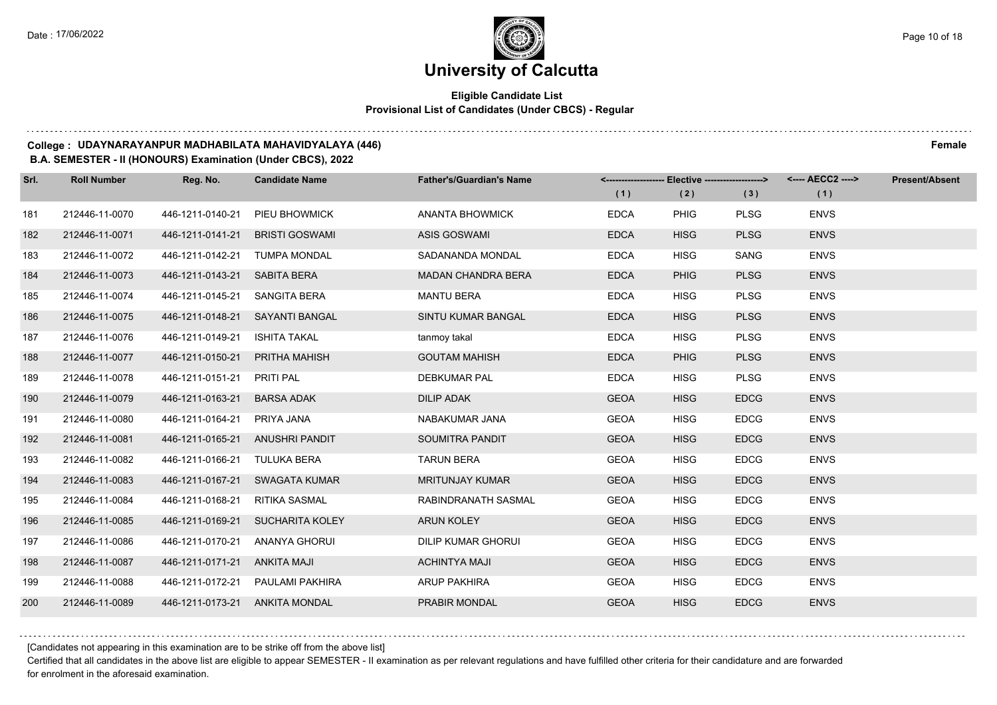## **Eligible Candidate List Provisional List of Candidates (Under CBCS) - Regular**

#### **College : UDAYNARAYANPUR MADHABILATA MAHAVIDYALAYA (446) Female**

#### **B.A. SEMESTER - II (HONOURS) Examination (Under CBCS), 2022**

| Srl. | <b>Roll Number</b> | Reg. No.                        | <b>Candidate Name</b>             | <b>Father's/Guardian's Name</b> | <------------------- Elective -------------------> |             |             | <---- AECC2 ----> | <b>Present/Absent</b> |
|------|--------------------|---------------------------------|-----------------------------------|---------------------------------|----------------------------------------------------|-------------|-------------|-------------------|-----------------------|
|      |                    |                                 |                                   |                                 | (1)                                                | (2)         | (3)         | (1)               |                       |
| 181  | 212446-11-0070     | 446-1211-0140-21                | PIEU BHOWMICK                     | ANANTA BHOWMICK                 | <b>EDCA</b>                                        | <b>PHIG</b> | <b>PLSG</b> | <b>ENVS</b>       |                       |
| 182  | 212446-11-0071     | 446-1211-0141-21                | <b>BRISTI GOSWAMI</b>             | <b>ASIS GOSWAMI</b>             | <b>EDCA</b>                                        | <b>HISG</b> | <b>PLSG</b> | <b>ENVS</b>       |                       |
| 183  | 212446-11-0072     | 446-1211-0142-21 TUMPA MONDAL   |                                   | SADANANDA MONDAL                | <b>EDCA</b>                                        | <b>HISG</b> | SANG        | <b>ENVS</b>       |                       |
| 184  | 212446-11-0073     | 446-1211-0143-21                | SABITA BERA                       | <b>MADAN CHANDRA BERA</b>       | <b>EDCA</b>                                        | <b>PHIG</b> | <b>PLSG</b> | <b>ENVS</b>       |                       |
| 185  | 212446-11-0074     | 446-1211-0145-21                | SANGITA BERA                      | <b>MANTU BERA</b>               | <b>EDCA</b>                                        | <b>HISG</b> | <b>PLSG</b> | <b>ENVS</b>       |                       |
| 186  | 212446-11-0075     | 446-1211-0148-21                | SAYANTI BANGAL                    | SINTU KUMAR BANGAL              | <b>EDCA</b>                                        | <b>HISG</b> | <b>PLSG</b> | <b>ENVS</b>       |                       |
| 187  | 212446-11-0076     | 446-1211-0149-21                | ISHITA TAKAL                      | tanmoy takal                    | <b>EDCA</b>                                        | <b>HISG</b> | <b>PLSG</b> | <b>ENVS</b>       |                       |
| 188  | 212446-11-0077     | 446-1211-0150-21                | PRITHA MAHISH                     | <b>GOUTAM MAHISH</b>            | <b>EDCA</b>                                        | <b>PHIG</b> | <b>PLSG</b> | <b>ENVS</b>       |                       |
| 189  | 212446-11-0078     | 446-1211-0151-21                | PRITI PAL                         | <b>DEBKUMAR PAL</b>             | <b>EDCA</b>                                        | <b>HISG</b> | <b>PLSG</b> | <b>ENVS</b>       |                       |
| 190  | 212446-11-0079     | 446-1211-0163-21                | <b>BARSA ADAK</b>                 | <b>DILIP ADAK</b>               | <b>GEOA</b>                                        | <b>HISG</b> | <b>EDCG</b> | <b>ENVS</b>       |                       |
| 191  | 212446-11-0080     | 446-1211-0164-21                | PRIYA JANA                        | NABAKUMAR JANA                  | <b>GEOA</b>                                        | <b>HISG</b> | <b>EDCG</b> | <b>ENVS</b>       |                       |
| 192  | 212446-11-0081     | 446-1211-0165-21 ANUSHRI PANDIT |                                   | SOUMITRA PANDIT                 | <b>GEOA</b>                                        | <b>HISG</b> | <b>EDCG</b> | <b>ENVS</b>       |                       |
| 193  | 212446-11-0082     | 446-1211-0166-21                | TULUKA BERA                       | <b>TARUN BERA</b>               | <b>GEOA</b>                                        | <b>HISG</b> | <b>EDCG</b> | <b>ENVS</b>       |                       |
| 194  | 212446-11-0083     | 446-1211-0167-21                | SWAGATA KUMAR                     | <b>MRITUNJAY KUMAR</b>          | <b>GEOA</b>                                        | <b>HISG</b> | <b>EDCG</b> | <b>ENVS</b>       |                       |
| 195  | 212446-11-0084     | 446-1211-0168-21                | RITIKA SASMAL                     | RABINDRANATH SASMAL             | <b>GEOA</b>                                        | <b>HISG</b> | <b>EDCG</b> | <b>ENVS</b>       |                       |
| 196  | 212446-11-0085     |                                 | 446-1211-0169-21 SUCHARITA KOLEY  | <b>ARUN KOLEY</b>               | <b>GEOA</b>                                        | <b>HISG</b> | <b>EDCG</b> | <b>ENVS</b>       |                       |
| 197  | 212446-11-0086     | 446-1211-0170-21                | ANANYA GHORUI                     | <b>DILIP KUMAR GHORUI</b>       | <b>GEOA</b>                                        | <b>HISG</b> | <b>EDCG</b> | <b>ENVS</b>       |                       |
| 198  | 212446-11-0087     | 446-1211-0171-21                | ANKITA MAJI                       | <b>ACHINTYA MAJI</b>            | <b>GEOA</b>                                        | <b>HISG</b> | <b>EDCG</b> | <b>ENVS</b>       |                       |
| 199  | 212446-11-0088     |                                 | 446-1211-0172-21  PAULAMI PAKHIRA | <b>ARUP PAKHIRA</b>             | <b>GEOA</b>                                        | <b>HISG</b> | <b>EDCG</b> | <b>ENVS</b>       |                       |
| 200  | 212446-11-0089     | 446-1211-0173-21 ANKITA MONDAL  |                                   | PRABIR MONDAL                   | <b>GEOA</b>                                        | <b>HISG</b> | <b>EDCG</b> | <b>ENVS</b>       |                       |

[Candidates not appearing in this examination are to be strike off from the above list]

Certified that all candidates in the above list are eligible to appear SEMESTER - II examination as per relevant regulations and have fulfilled other criteria for their candidature and are forwarded for enrolment in the aforesaid examination.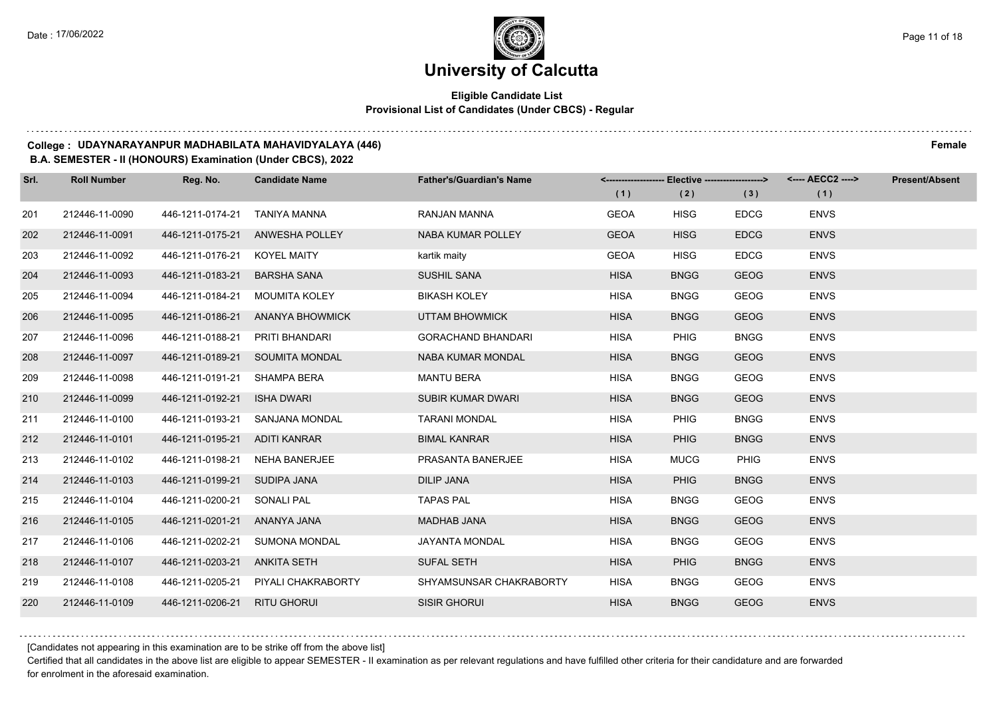## **Eligible Candidate List Provisional List of Candidates (Under CBCS) - Regular**

#### **College : UDAYNARAYANPUR MADHABILATA MAHAVIDYALAYA (446) Female**

**B.A. SEMESTER - II (HONOURS) Examination (Under CBCS), 2022**

| Srl. | <b>Roll Number</b> | Reg. No.                        | <b>Candidate Name</b>               | <b>Father's/Guardian's Name</b> | (1)         | <------------------- Elective ------------------><br>(2) | (3)         | (1)         | Present/Absent |
|------|--------------------|---------------------------------|-------------------------------------|---------------------------------|-------------|----------------------------------------------------------|-------------|-------------|----------------|
|      |                    |                                 |                                     |                                 |             |                                                          |             |             |                |
| 201  | 212446-11-0090     | 446-1211-0174-21                | TANIYA MANNA                        | <b>RANJAN MANNA</b>             | <b>GEOA</b> | <b>HISG</b>                                              | <b>EDCG</b> | <b>ENVS</b> |                |
| 202  | 212446-11-0091     | 446-1211-0175-21                | <b>ANWESHA POLLEY</b>               | NABA KUMAR POLLEY               | <b>GEOA</b> | <b>HISG</b>                                              | <b>EDCG</b> | <b>ENVS</b> |                |
| 203  | 212446-11-0092     | 446-1211-0176-21 KOYEL MAITY    |                                     | kartik maity                    | <b>GEOA</b> | <b>HISG</b>                                              | <b>EDCG</b> | <b>ENVS</b> |                |
| 204  | 212446-11-0093     | 446-1211-0183-21                | <b>BARSHA SANA</b>                  | <b>SUSHIL SANA</b>              | <b>HISA</b> | <b>BNGG</b>                                              | <b>GEOG</b> | <b>ENVS</b> |                |
| 205  | 212446-11-0094     | 446-1211-0184-21                | <b>MOUMITA KOLEY</b>                | <b>BIKASH KOLEY</b>             | <b>HISA</b> | <b>BNGG</b>                                              | <b>GEOG</b> | <b>ENVS</b> |                |
| 206  | 212446-11-0095     | 446-1211-0186-21                | ANANYA BHOWMICK                     | UTTAM BHOWMICK                  | <b>HISA</b> | <b>BNGG</b>                                              | <b>GEOG</b> | <b>ENVS</b> |                |
| 207  | 212446-11-0096     | 446-1211-0188-21 PRITI BHANDARI |                                     | <b>GORACHAND BHANDARI</b>       | <b>HISA</b> | <b>PHIG</b>                                              | <b>BNGG</b> | <b>ENVS</b> |                |
| 208  | 212446-11-0097     |                                 | 446-1211-0189-21 SOUMITA MONDAL     | NABA KUMAR MONDAL               | <b>HISA</b> | <b>BNGG</b>                                              | <b>GEOG</b> | <b>ENVS</b> |                |
| 209  | 212446-11-0098     | 446-1211-0191-21 SHAMPA BERA    |                                     | <b>MANTU BERA</b>               | <b>HISA</b> | <b>BNGG</b>                                              | <b>GEOG</b> | <b>ENVS</b> |                |
| 210  | 212446-11-0099     | 446-1211-0192-21                | ISHA DWARI                          | <b>SUBIR KUMAR DWARI</b>        | <b>HISA</b> | <b>BNGG</b>                                              | <b>GEOG</b> | <b>ENVS</b> |                |
| 211  | 212446-11-0100     |                                 | 446-1211-0193-21 SANJANA MONDAL     | <b>TARANI MONDAL</b>            | <b>HISA</b> | <b>PHIG</b>                                              | <b>BNGG</b> | <b>ENVS</b> |                |
| 212  | 212446-11-0101     | 446-1211-0195-21 ADITI KANRAR   |                                     | <b>BIMAL KANRAR</b>             | <b>HISA</b> | <b>PHIG</b>                                              | <b>BNGG</b> | <b>ENVS</b> |                |
| 213  | 212446-11-0102     |                                 | 446-1211-0198-21 NEHA BANERJEE      | PRASANTA BANERJEE               | <b>HISA</b> | <b>MUCG</b>                                              | <b>PHIG</b> | <b>ENVS</b> |                |
| 214  | 212446-11-0103     | 446-1211-0199-21 SUDIPA JANA    |                                     | <b>DILIP JANA</b>               | <b>HISA</b> | <b>PHIG</b>                                              | <b>BNGG</b> | <b>ENVS</b> |                |
| 215  | 212446-11-0104     | 446-1211-0200-21 SONALI PAL     |                                     | <b>TAPAS PAL</b>                | <b>HISA</b> | <b>BNGG</b>                                              | <b>GEOG</b> | <b>ENVS</b> |                |
| 216  | 212446-11-0105     | 446-1211-0201-21 ANANYA JANA    |                                     | MADHAB JANA                     | <b>HISA</b> | <b>BNGG</b>                                              | <b>GEOG</b> | <b>ENVS</b> |                |
| 217  | 212446-11-0106     | 446-1211-0202-21                | <b>SUMONA MONDAL</b>                | JAYANTA MONDAL                  | <b>HISA</b> | <b>BNGG</b>                                              | <b>GEOG</b> | <b>ENVS</b> |                |
| 218  | 212446-11-0107     | 446-1211-0203-21 ANKITA SETH    |                                     | <b>SUFAL SETH</b>               | <b>HISA</b> | <b>PHIG</b>                                              | <b>BNGG</b> | <b>ENVS</b> |                |
| 219  | 212446-11-0108     |                                 | 446-1211-0205-21 PIYALI CHAKRABORTY | SHYAMSUNSAR CHAKRABORTY         | <b>HISA</b> | <b>BNGG</b>                                              | GEOG        | <b>ENVS</b> |                |
| 220  | 212446-11-0109     | 446-1211-0206-21 RITU GHORUI    |                                     | <b>SISIR GHORUI</b>             | <b>HISA</b> | <b>BNGG</b>                                              | <b>GEOG</b> | <b>ENVS</b> |                |

[Candidates not appearing in this examination are to be strike off from the above list]

Certified that all candidates in the above list are eligible to appear SEMESTER - II examination as per relevant regulations and have fulfilled other criteria for their candidature and are forwarded for enrolment in the aforesaid examination.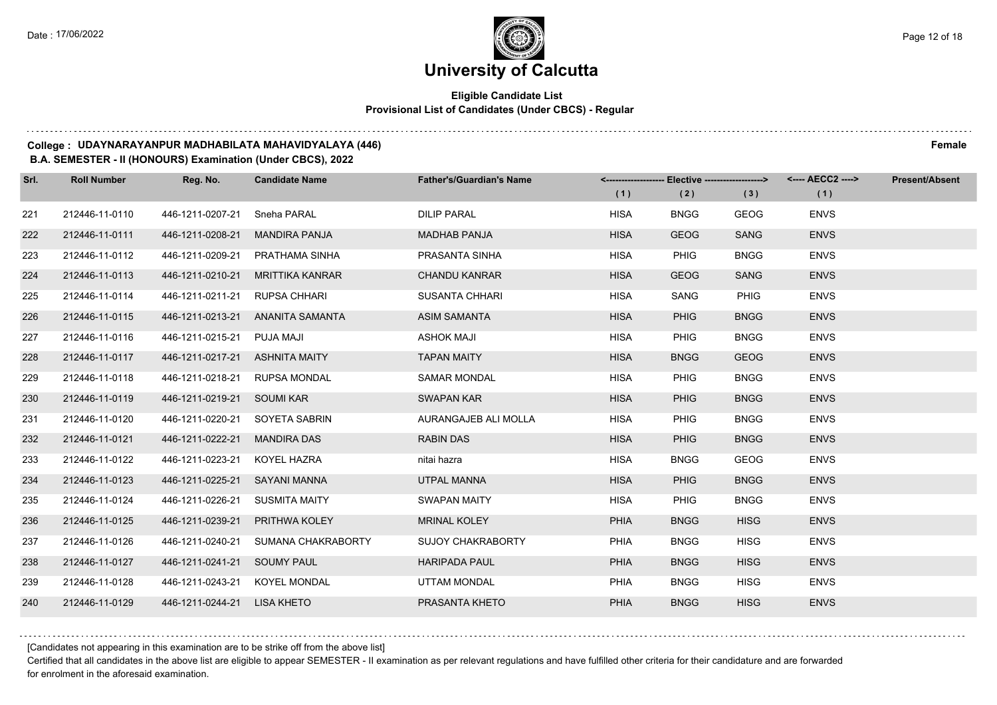## **Eligible Candidate List Provisional List of Candidates (Under CBCS) - Regular**

#### **College : UDAYNARAYANPUR MADHABILATA MAHAVIDYALAYA (446) Female**

#### **B.A. SEMESTER - II (HONOURS) Examination (Under CBCS), 2022**

| Srl. | <b>Roll Number</b> | Reg. No.                       | <b>Candidate Name</b>           | <b>Father's/Guardian's Name</b> |             | <------------------- Elective -------------------> |             | <---- AECC2 ----> | <b>Present/Absent</b> |
|------|--------------------|--------------------------------|---------------------------------|---------------------------------|-------------|----------------------------------------------------|-------------|-------------------|-----------------------|
|      |                    |                                |                                 |                                 | (1)         | (2)                                                | (3)         | (1)               |                       |
| 221  | 212446-11-0110     | 446-1211-0207-21               | Sneha PARAL                     | DILIP PARAL                     | <b>HISA</b> | <b>BNGG</b>                                        | <b>GEOG</b> | <b>ENVS</b>       |                       |
| 222  | 212446-11-0111     | 446-1211-0208-21               | <b>MANDIRA PANJA</b>            | <b>MADHAB PANJA</b>             | <b>HISA</b> | <b>GEOG</b>                                        | <b>SANG</b> | <b>ENVS</b>       |                       |
| 223  | 212446-11-0112     |                                | 446-1211-0209-21 PRATHAMA SINHA | PRASANTA SINHA                  | <b>HISA</b> | PHIG                                               | <b>BNGG</b> | <b>ENVS</b>       |                       |
| 224  | 212446-11-0113     | 446-1211-0210-21               | MRITTIKA KANRAR                 | <b>CHANDU KANRAR</b>            | <b>HISA</b> | <b>GEOG</b>                                        | SANG        | <b>ENVS</b>       |                       |
| 225  | 212446-11-0114     | 446-1211-0211-21 RUPSA CHHARI  |                                 | <b>SUSANTA CHHARI</b>           | <b>HISA</b> | SANG                                               | PHIG        | <b>ENVS</b>       |                       |
| 226  | 212446-11-0115     | 446-1211-0213-21               | ANANITA SAMANTA                 | <b>ASIM SAMANTA</b>             | <b>HISA</b> | <b>PHIG</b>                                        | <b>BNGG</b> | <b>ENVS</b>       |                       |
| 227  | 212446-11-0116     | 446-1211-0215-21 PUJA MAJI     |                                 | <b>ASHOK MAJI</b>               | <b>HISA</b> | <b>PHIG</b>                                        | <b>BNGG</b> | <b>ENVS</b>       |                       |
| 228  | 212446-11-0117     | 446-1211-0217-21 ASHNITA MAITY |                                 | <b>TAPAN MAITY</b>              | <b>HISA</b> | <b>BNGG</b>                                        | <b>GEOG</b> | <b>ENVS</b>       |                       |
| 229  | 212446-11-0118     | 446-1211-0218-21               | RUPSA MONDAL                    | <b>SAMAR MONDAL</b>             | <b>HISA</b> | PHIG                                               | <b>BNGG</b> | <b>ENVS</b>       |                       |
| 230  | 212446-11-0119     | 446-1211-0219-21 SOUMI KAR     |                                 | <b>SWAPAN KAR</b>               | <b>HISA</b> | <b>PHIG</b>                                        | <b>BNGG</b> | <b>ENVS</b>       |                       |
| 231  | 212446-11-0120     | 446-1211-0220-21 SOYETA SABRIN |                                 | AURANGAJEB ALI MOLLA            | <b>HISA</b> | <b>PHIG</b>                                        | <b>BNGG</b> | <b>ENVS</b>       |                       |
| 232  | 212446-11-0121     | 446-1211-0222-21               | <b>MANDIRA DAS</b>              | <b>RABIN DAS</b>                | <b>HISA</b> | <b>PHIG</b>                                        | <b>BNGG</b> | <b>ENVS</b>       |                       |
| 233  | 212446-11-0122     | 446-1211-0223-21               | KOYEL HAZRA                     | nitai hazra                     | <b>HISA</b> | <b>BNGG</b>                                        | <b>GEOG</b> | <b>ENVS</b>       |                       |
| 234  | 212446-11-0123     | 446-1211-0225-21 SAYANI MANNA  |                                 | <b>UTPAL MANNA</b>              | <b>HISA</b> | <b>PHIG</b>                                        | <b>BNGG</b> | <b>ENVS</b>       |                       |
| 235  | 212446-11-0124     | 446-1211-0226-21 SUSMITA MAITY |                                 | <b>SWAPAN MAITY</b>             | <b>HISA</b> | <b>PHIG</b>                                        | <b>BNGG</b> | <b>ENVS</b>       |                       |
| 236  | 212446-11-0125     | 446-1211-0239-21 PRITHWA KOLEY |                                 | <b>MRINAL KOLEY</b>             | <b>PHIA</b> | <b>BNGG</b>                                        | <b>HISG</b> | <b>ENVS</b>       |                       |
| 237  | 212446-11-0126     | 446-1211-0240-21               | SUMANA CHAKRABORTY              | <b>SUJOY CHAKRABORTY</b>        | PHIA        | <b>BNGG</b>                                        | <b>HISG</b> | <b>ENVS</b>       |                       |
| 238  | 212446-11-0127     | 446-1211-0241-21 SOUMY PAUL    |                                 | <b>HARIPADA PAUL</b>            | <b>PHIA</b> | <b>BNGG</b>                                        | <b>HISG</b> | <b>ENVS</b>       |                       |
| 239  | 212446-11-0128     | 446-1211-0243-21 KOYEL MONDAL  |                                 | UTTAM MONDAL                    | <b>PHIA</b> | <b>BNGG</b>                                        | <b>HISG</b> | <b>ENVS</b>       |                       |
| 240  | 212446-11-0129     | 446-1211-0244-21 LISA KHETO    |                                 | PRASANTA KHETO                  | <b>PHIA</b> | <b>BNGG</b>                                        | <b>HISG</b> | <b>ENVS</b>       |                       |

[Candidates not appearing in this examination are to be strike off from the above list]

Certified that all candidates in the above list are eligible to appear SEMESTER - II examination as per relevant regulations and have fulfilled other criteria for their candidature and are forwarded for enrolment in the aforesaid examination.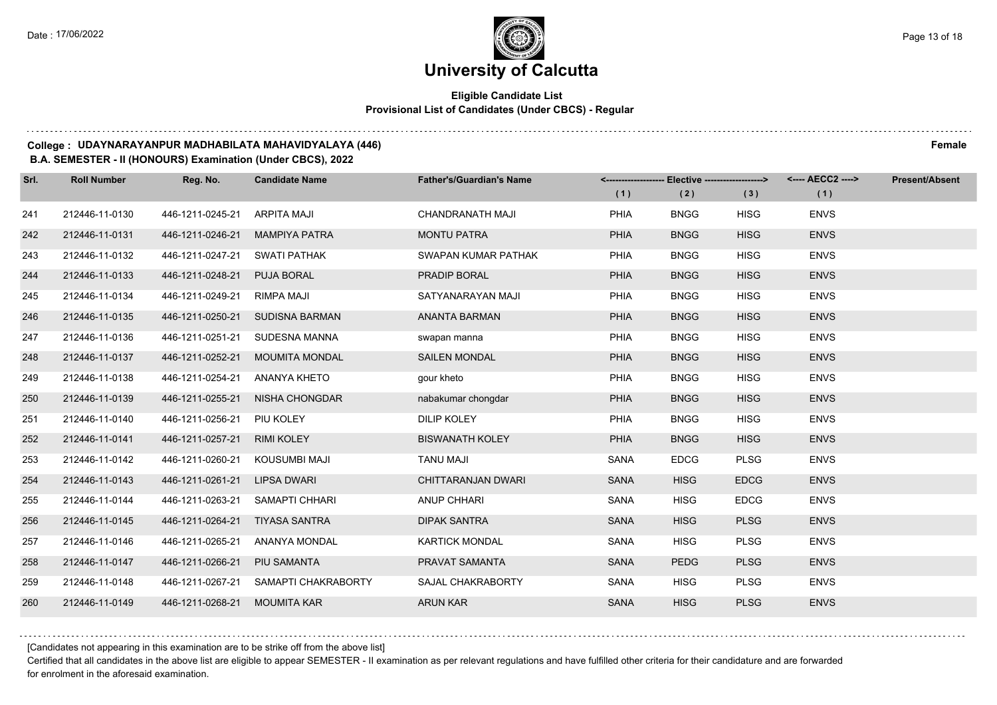## **Eligible Candidate List Provisional List of Candidates (Under CBCS) - Regular**

#### **College : UDAYNARAYANPUR MADHABILATA MAHAVIDYALAYA (446) Female**

#### **B.A. SEMESTER - II (HONOURS) Examination (Under CBCS), 2022**

| Srl. | <b>Roll Number</b> | Reg. No.         | <b>Candidate Name</b> | <b>Father's/Guardian's Name</b> | <------------------- | Elective -------------------> |             | <---- AECC2 ----> | <b>Present/Absent</b> |
|------|--------------------|------------------|-----------------------|---------------------------------|----------------------|-------------------------------|-------------|-------------------|-----------------------|
|      |                    |                  |                       |                                 | (1)                  | (2)                           | (3)         | (1)               |                       |
| 241  | 212446-11-0130     | 446-1211-0245-21 | ARPITA MAJI           | <b>CHANDRANATH MAJI</b>         | <b>PHIA</b>          | <b>BNGG</b>                   | <b>HISG</b> | <b>ENVS</b>       |                       |
| 242  | 212446-11-0131     | 446-1211-0246-21 | <b>MAMPIYA PATRA</b>  | <b>MONTU PATRA</b>              | <b>PHIA</b>          | <b>BNGG</b>                   | <b>HISG</b> | <b>ENVS</b>       |                       |
| 243  | 212446-11-0132     | 446-1211-0247-21 | <b>SWATI PATHAK</b>   | SWAPAN KUMAR PATHAK             | PHIA                 | <b>BNGG</b>                   | <b>HISG</b> | <b>ENVS</b>       |                       |
| 244  | 212446-11-0133     | 446-1211-0248-21 | <b>PUJA BORAL</b>     | PRADIP BORAL                    | <b>PHIA</b>          | <b>BNGG</b>                   | <b>HISG</b> | <b>ENVS</b>       |                       |
| 245  | 212446-11-0134     | 446-1211-0249-21 | RIMPA MAJI            | SATYANARAYAN MAJI               | PHIA                 | <b>BNGG</b>                   | <b>HISG</b> | <b>ENVS</b>       |                       |
| 246  | 212446-11-0135     | 446-1211-0250-21 | <b>SUDISNA BARMAN</b> | ANANTA BARMAN                   | <b>PHIA</b>          | <b>BNGG</b>                   | <b>HISG</b> | <b>ENVS</b>       |                       |
| 247  | 212446-11-0136     | 446-1211-0251-21 | SUDESNA MANNA         | swapan manna                    | PHIA                 | <b>BNGG</b>                   | <b>HISG</b> | <b>ENVS</b>       |                       |
| 248  | 212446-11-0137     | 446-1211-0252-21 | <b>MOUMITA MONDAL</b> | <b>SAILEN MONDAL</b>            | <b>PHIA</b>          | <b>BNGG</b>                   | <b>HISG</b> | <b>ENVS</b>       |                       |
| 249  | 212446-11-0138     | 446-1211-0254-21 | ANANYA KHETO          | gour kheto                      | PHIA                 | <b>BNGG</b>                   | <b>HISG</b> | <b>ENVS</b>       |                       |
| 250  | 212446-11-0139     | 446-1211-0255-21 | <b>NISHA CHONGDAR</b> | nabakumar chongdar              | <b>PHIA</b>          | <b>BNGG</b>                   | <b>HISG</b> | <b>ENVS</b>       |                       |
| 251  | 212446-11-0140     | 446-1211-0256-21 | PIU KOLEY             | <b>DILIP KOLEY</b>              | PHIA                 | <b>BNGG</b>                   | <b>HISG</b> | <b>ENVS</b>       |                       |
| 252  | 212446-11-0141     | 446-1211-0257-21 | <b>RIMI KOLEY</b>     | <b>BISWANATH KOLEY</b>          | <b>PHIA</b>          | <b>BNGG</b>                   | <b>HISG</b> | <b>ENVS</b>       |                       |
| 253  | 212446-11-0142     | 446-1211-0260-21 | KOUSUMBI MAJI         | <b>TANU MAJI</b>                | <b>SANA</b>          | <b>EDCG</b>                   | <b>PLSG</b> | <b>ENVS</b>       |                       |
| 254  | 212446-11-0143     | 446-1211-0261-21 | LIPSA DWARI           | CHITTARANJAN DWARI              | <b>SANA</b>          | <b>HISG</b>                   | <b>EDCG</b> | <b>ENVS</b>       |                       |
| 255  | 212446-11-0144     | 446-1211-0263-21 | SAMAPTI CHHARI        | <b>ANUP CHHARI</b>              | <b>SANA</b>          | <b>HISG</b>                   | <b>EDCG</b> | <b>ENVS</b>       |                       |
| 256  | 212446-11-0145     | 446-1211-0264-21 | <b>TIYASA SANTRA</b>  | <b>DIPAK SANTRA</b>             | <b>SANA</b>          | <b>HISG</b>                   | <b>PLSG</b> | <b>ENVS</b>       |                       |
| 257  | 212446-11-0146     | 446-1211-0265-21 | ANANYA MONDAL         | <b>KARTICK MONDAL</b>           | <b>SANA</b>          | <b>HISG</b>                   | <b>PLSG</b> | <b>ENVS</b>       |                       |
| 258  | 212446-11-0147     | 446-1211-0266-21 | <b>PIU SAMANTA</b>    | PRAVAT SAMANTA                  | <b>SANA</b>          | <b>PEDG</b>                   | <b>PLSG</b> | <b>ENVS</b>       |                       |
| 259  | 212446-11-0148     | 446-1211-0267-21 | SAMAPTI CHAKRABORTY   | SAJAL CHAKRABORTY               | SANA                 | <b>HISG</b>                   | <b>PLSG</b> | <b>ENVS</b>       |                       |
| 260  | 212446-11-0149     | 446-1211-0268-21 | <b>MOUMITA KAR</b>    | <b>ARUN KAR</b>                 | <b>SANA</b>          | <b>HISG</b>                   | <b>PLSG</b> | <b>ENVS</b>       |                       |

[Candidates not appearing in this examination are to be strike off from the above list]

Certified that all candidates in the above list are eligible to appear SEMESTER - II examination as per relevant regulations and have fulfilled other criteria for their candidature and are forwarded for enrolment in the aforesaid examination.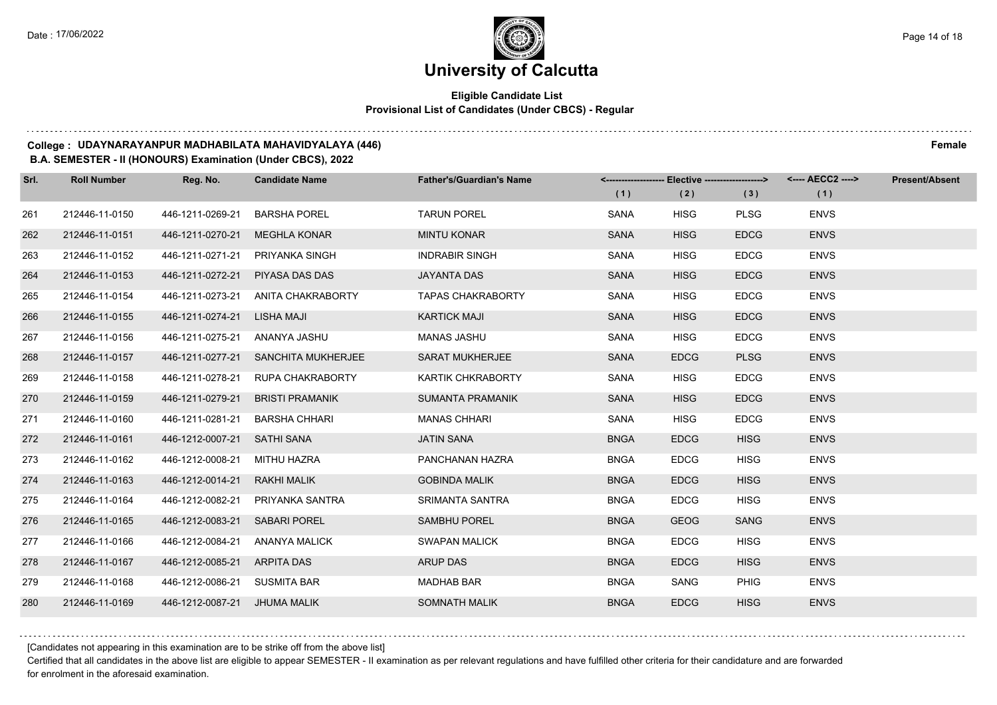## **Eligible Candidate List Provisional List of Candidates (Under CBCS) - Regular**

#### **College : UDAYNARAYANPUR MADHABILATA MAHAVIDYALAYA (446) Female**

#### **B.A. SEMESTER - II (HONOURS) Examination (Under CBCS), 2022**

| Srl. | <b>Roll Number</b> | Reg. No.                      | <b>Candidate Name</b>               | <b>Father's/Guardian's Name</b> |             | <------------------- Elective -------------------> |             | <---- AECC2 ----> | <b>Present/Absent</b> |
|------|--------------------|-------------------------------|-------------------------------------|---------------------------------|-------------|----------------------------------------------------|-------------|-------------------|-----------------------|
|      |                    |                               |                                     |                                 | (1)         | (2)                                                | (3)         | (1)               |                       |
| 261  | 212446-11-0150     | 446-1211-0269-21              | <b>BARSHA POREL</b>                 | <b>TARUN POREL</b>              | SANA        | <b>HISG</b>                                        | <b>PLSG</b> | <b>ENVS</b>       |                       |
| 262  | 212446-11-0151     | 446-1211-0270-21              | <b>MEGHLA KONAR</b>                 | <b>MINTU KONAR</b>              | <b>SANA</b> | <b>HISG</b>                                        | <b>EDCG</b> | <b>ENVS</b>       |                       |
| 263  | 212446-11-0152     | 446-1211-0271-21              | PRIYANKA SINGH                      | <b>INDRABIR SINGH</b>           | <b>SANA</b> | <b>HISG</b>                                        | <b>EDCG</b> | <b>ENVS</b>       |                       |
| 264  | 212446-11-0153     | 446-1211-0272-21              | PIYASA DAS DAS                      | <b>JAYANTA DAS</b>              | <b>SANA</b> | <b>HISG</b>                                        | <b>EDCG</b> | <b>ENVS</b>       |                       |
| 265  | 212446-11-0154     | 446-1211-0273-21              | ANITA CHAKRABORTY                   | <b>TAPAS CHAKRABORTY</b>        | <b>SANA</b> | <b>HISG</b>                                        | <b>EDCG</b> | <b>ENVS</b>       |                       |
| 266  | 212446-11-0155     | 446-1211-0274-21              | LISHA MAJI                          | <b>KARTICK MAJI</b>             | <b>SANA</b> | <b>HISG</b>                                        | <b>EDCG</b> | <b>ENVS</b>       |                       |
| 267  | 212446-11-0156     | 446-1211-0275-21 ANANYA JASHU |                                     | <b>MANAS JASHU</b>              | SANA        | <b>HISG</b>                                        | <b>EDCG</b> | <b>ENVS</b>       |                       |
| 268  | 212446-11-0157     |                               | 446-1211-0277-21 SANCHITA MUKHERJEE | <b>SARAT MUKHERJEE</b>          | <b>SANA</b> | <b>EDCG</b>                                        | <b>PLSG</b> | <b>ENVS</b>       |                       |
| 269  | 212446-11-0158     | 446-1211-0278-21              | RUPA CHAKRABORTY                    | <b>KARTIK CHKRABORTY</b>        | SANA        | <b>HISG</b>                                        | <b>EDCG</b> | <b>ENVS</b>       |                       |
| 270  | 212446-11-0159     | 446-1211-0279-21              | <b>BRISTI PRAMANIK</b>              | <b>SUMANTA PRAMANIK</b>         | <b>SANA</b> | <b>HISG</b>                                        | <b>EDCG</b> | <b>ENVS</b>       |                       |
| 271  | 212446-11-0160     | 446-1211-0281-21              | BARSHA CHHARI                       | <b>MANAS CHHARI</b>             | SANA        | <b>HISG</b>                                        | <b>EDCG</b> | <b>ENVS</b>       |                       |
| 272  | 212446-11-0161     | 446-1212-0007-21              | SATHI SANA                          | <b>JATIN SANA</b>               | <b>BNGA</b> | <b>EDCG</b>                                        | <b>HISG</b> | <b>ENVS</b>       |                       |
| 273  | 212446-11-0162     | 446-1212-0008-21              | MITHU HAZRA                         | PANCHANAN HAZRA                 | <b>BNGA</b> | <b>EDCG</b>                                        | <b>HISG</b> | <b>ENVS</b>       |                       |
| 274  | 212446-11-0163     | 446-1212-0014-21              | <b>RAKHI MALIK</b>                  | <b>GOBINDA MALIK</b>            | <b>BNGA</b> | <b>EDCG</b>                                        | <b>HISG</b> | <b>ENVS</b>       |                       |
| 275  | 212446-11-0164     | 446-1212-0082-21              | PRIYANKA SANTRA                     | <b>SRIMANTA SANTRA</b>          | <b>BNGA</b> | <b>EDCG</b>                                        | <b>HISG</b> | <b>ENVS</b>       |                       |
| 276  | 212446-11-0165     | 446-1212-0083-21              | <b>SABARI POREL</b>                 | <b>SAMBHU POREL</b>             | <b>BNGA</b> | <b>GEOG</b>                                        | <b>SANG</b> | <b>ENVS</b>       |                       |
| 277  | 212446-11-0166     | 446-1212-0084-21              | <b>ANANYA MALICK</b>                | <b>SWAPAN MALICK</b>            | <b>BNGA</b> | <b>EDCG</b>                                        | <b>HISG</b> | <b>ENVS</b>       |                       |
| 278  | 212446-11-0167     | 446-1212-0085-21 ARPITA DAS   |                                     | <b>ARUP DAS</b>                 | <b>BNGA</b> | <b>EDCG</b>                                        | <b>HISG</b> | <b>ENVS</b>       |                       |
| 279  | 212446-11-0168     | 446-1212-0086-21 SUSMITA BAR  |                                     | <b>MADHAB BAR</b>               | <b>BNGA</b> | SANG                                               | <b>PHIG</b> | <b>ENVS</b>       |                       |
| 280  | 212446-11-0169     | 446-1212-0087-21 JHUMA MALIK  |                                     | <b>SOMNATH MALIK</b>            | <b>BNGA</b> | <b>EDCG</b>                                        | <b>HISG</b> | <b>ENVS</b>       |                       |

[Candidates not appearing in this examination are to be strike off from the above list]

Certified that all candidates in the above list are eligible to appear SEMESTER - II examination as per relevant regulations and have fulfilled other criteria for their candidature and are forwarded for enrolment in the aforesaid examination.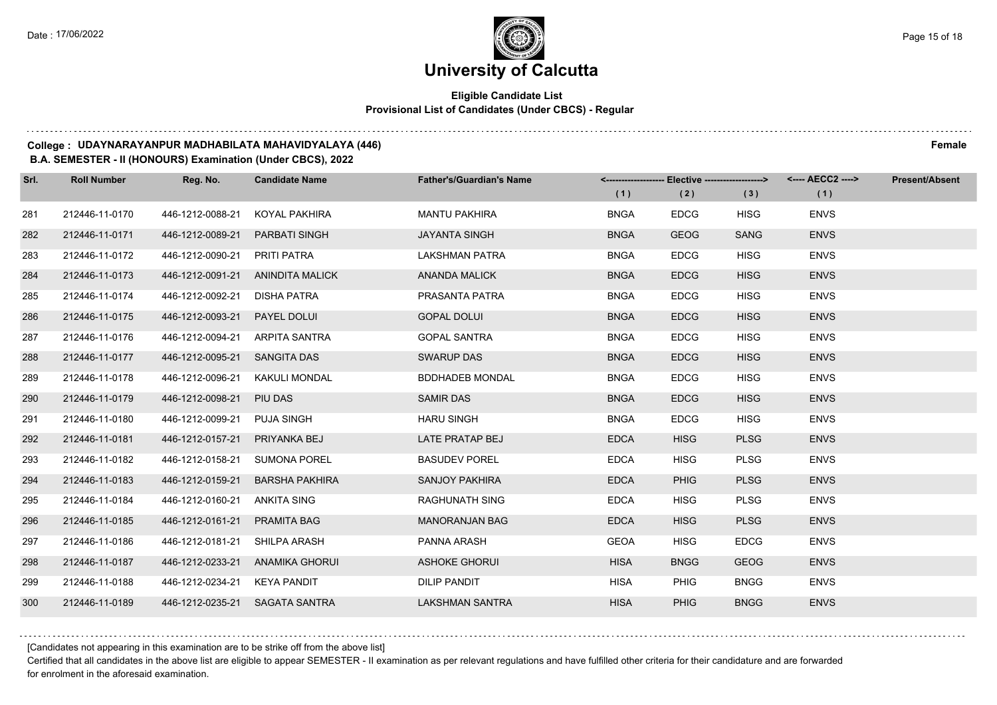## **Eligible Candidate List Provisional List of Candidates (Under CBCS) - Regular**

#### **College : UDAYNARAYANPUR MADHABILATA MAHAVIDYALAYA (446) Female**

#### **B.A. SEMESTER - II (HONOURS) Examination (Under CBCS), 2022**

| Srl. | <b>Roll Number</b> | Reg. No.                       | <b>Candidate Name</b>            | <b>Father's/Guardian's Name</b> |             | <------------------- Elective -------------------> |             | <---- AECC2 ----> | <b>Present/Absent</b> |
|------|--------------------|--------------------------------|----------------------------------|---------------------------------|-------------|----------------------------------------------------|-------------|-------------------|-----------------------|
|      |                    |                                |                                  |                                 | (1)         | (2)                                                | (3)         | (1)               |                       |
| 281  | 212446-11-0170     | 446-1212-0088-21               | KOYAL PAKHIRA                    | <b>MANTU PAKHIRA</b>            | <b>BNGA</b> | <b>EDCG</b>                                        | <b>HISG</b> | <b>ENVS</b>       |                       |
| 282  | 212446-11-0171     | 446-1212-0089-21               | <b>PARBATI SINGH</b>             | <b>JAYANTA SINGH</b>            | <b>BNGA</b> | <b>GEOG</b>                                        | <b>SANG</b> | <b>ENVS</b>       |                       |
| 283  | 212446-11-0172     | 446-1212-0090-21 PRITI PATRA   |                                  | <b>LAKSHMAN PATRA</b>           | <b>BNGA</b> | <b>EDCG</b>                                        | <b>HISG</b> | <b>ENVS</b>       |                       |
| 284  | 212446-11-0173     |                                | 446-1212-0091-21 ANINDITA MALICK | <b>ANANDA MALICK</b>            | <b>BNGA</b> | <b>EDCG</b>                                        | <b>HISG</b> | <b>ENVS</b>       |                       |
| 285  | 212446-11-0174     | 446-1212-0092-21               | DISHA PATRA                      | PRASANTA PATRA                  | <b>BNGA</b> | <b>EDCG</b>                                        | <b>HISG</b> | <b>ENVS</b>       |                       |
| 286  | 212446-11-0175     | 446-1212-0093-21               | PAYEL DOLUI                      | <b>GOPAL DOLUI</b>              | <b>BNGA</b> | <b>EDCG</b>                                        | <b>HISG</b> | <b>ENVS</b>       |                       |
| 287  | 212446-11-0176     | 446-1212-0094-21 ARPITA SANTRA |                                  | <b>GOPAL SANTRA</b>             | <b>BNGA</b> | <b>EDCG</b>                                        | <b>HISG</b> | <b>ENVS</b>       |                       |
| 288  | 212446-11-0177     | 446-1212-0095-21 SANGITA DAS   |                                  | <b>SWARUP DAS</b>               | <b>BNGA</b> | <b>EDCG</b>                                        | <b>HISG</b> | <b>ENVS</b>       |                       |
| 289  | 212446-11-0178     | 446-1212-0096-21               | KAKULI MONDAL                    | <b>BDDHADEB MONDAL</b>          | <b>BNGA</b> | <b>EDCG</b>                                        | <b>HISG</b> | <b>ENVS</b>       |                       |
| 290  | 212446-11-0179     | 446-1212-0098-21               | PIU DAS                          | <b>SAMIR DAS</b>                | <b>BNGA</b> | <b>EDCG</b>                                        | <b>HISG</b> | <b>ENVS</b>       |                       |
| 291  | 212446-11-0180     | 446-1212-0099-21               | PUJA SINGH                       | <b>HARU SINGH</b>               | <b>BNGA</b> | <b>EDCG</b>                                        | <b>HISG</b> | <b>ENVS</b>       |                       |
| 292  | 212446-11-0181     | 446-1212-0157-21               | PRIYANKA BEJ                     | LATE PRATAP BEJ                 | <b>EDCA</b> | <b>HISG</b>                                        | <b>PLSG</b> | <b>ENVS</b>       |                       |
| 293  | 212446-11-0182     | 446-1212-0158-21 SUMONA POREL  |                                  | <b>BASUDEV POREL</b>            | <b>EDCA</b> | <b>HISG</b>                                        | <b>PLSG</b> | <b>ENVS</b>       |                       |
| 294  | 212446-11-0183     | 446-1212-0159-21               | <b>BARSHA PAKHIRA</b>            | <b>SANJOY PAKHIRA</b>           | <b>EDCA</b> | <b>PHIG</b>                                        | <b>PLSG</b> | <b>ENVS</b>       |                       |
| 295  | 212446-11-0184     | 446-1212-0160-21               | ANKITA SING                      | <b>RAGHUNATH SING</b>           | <b>EDCA</b> | <b>HISG</b>                                        | <b>PLSG</b> | <b>ENVS</b>       |                       |
| 296  | 212446-11-0185     | 446-1212-0161-21               | PRAMITA BAG                      | <b>MANORANJAN BAG</b>           | <b>EDCA</b> | <b>HISG</b>                                        | <b>PLSG</b> | <b>ENVS</b>       |                       |
| 297  | 212446-11-0186     | 446-1212-0181-21 SHILPA ARASH  |                                  | PANNA ARASH                     | <b>GEOA</b> | <b>HISG</b>                                        | <b>EDCG</b> | <b>ENVS</b>       |                       |
| 298  | 212446-11-0187     |                                | 446-1212-0233-21 ANAMIKA GHORUI  | <b>ASHOKE GHORUI</b>            | <b>HISA</b> | <b>BNGG</b>                                        | <b>GEOG</b> | <b>ENVS</b>       |                       |
| 299  | 212446-11-0188     | 446-1212-0234-21 KEYA PANDIT   |                                  | <b>DILIP PANDIT</b>             | <b>HISA</b> | <b>PHIG</b>                                        | <b>BNGG</b> | <b>ENVS</b>       |                       |
| 300  | 212446-11-0189     | 446-1212-0235-21 SAGATA SANTRA |                                  | <b>LAKSHMAN SANTRA</b>          | <b>HISA</b> | <b>PHIG</b>                                        | <b>BNGG</b> | <b>ENVS</b>       |                       |

[Candidates not appearing in this examination are to be strike off from the above list]

Certified that all candidates in the above list are eligible to appear SEMESTER - II examination as per relevant regulations and have fulfilled other criteria for their candidature and are forwarded for enrolment in the aforesaid examination.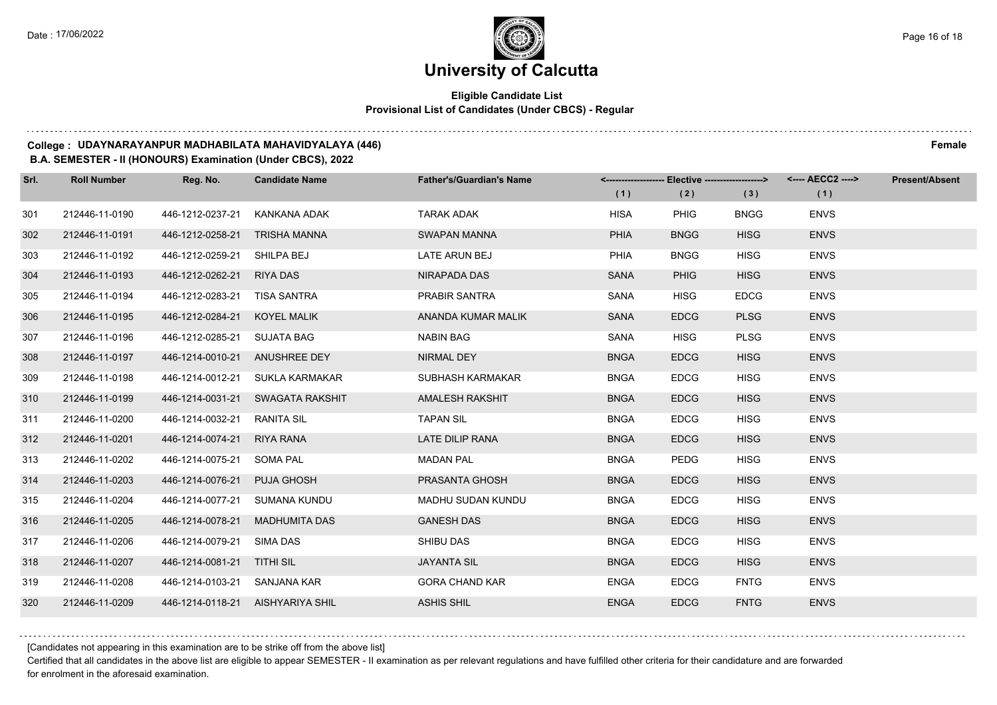## **Eligible Candidate List Provisional List of Candidates (Under CBCS) - Regular**

#### **College : UDAYNARAYANPUR MADHABILATA MAHAVIDYALAYA (446) Female**

**B.A. SEMESTER - II (HONOURS) Examination (Under CBCS), 2022**

| Srl. | <b>Roll Number</b> | Reg. No.                      | <b>Candidate Name</b>            | <b>Father's/Guardian's Name</b> |             | <------------------- Elective ------------------> |             |             | <b>Present/Absent</b> |
|------|--------------------|-------------------------------|----------------------------------|---------------------------------|-------------|---------------------------------------------------|-------------|-------------|-----------------------|
|      |                    |                               |                                  |                                 | (1)         | (2)                                               | (3)         | (1)         |                       |
| 301  | 212446-11-0190     | 446-1212-0237-21              | KANKANA ADAK                     | <b>TARAK ADAK</b>               | <b>HISA</b> | <b>PHIG</b>                                       | <b>BNGG</b> | <b>ENVS</b> |                       |
| 302  | 212446-11-0191     | 446-1212-0258-21 TRISHA MANNA |                                  | <b>SWAPAN MANNA</b>             | <b>PHIA</b> | <b>BNGG</b>                                       | <b>HISG</b> | <b>ENVS</b> |                       |
| 303  | 212446-11-0192     | 446-1212-0259-21 SHILPA BEJ   |                                  | LATE ARUN BEJ                   | PHIA        | <b>BNGG</b>                                       | <b>HISG</b> | <b>ENVS</b> |                       |
| 304  | 212446-11-0193     | 446-1212-0262-21 RIYA DAS     |                                  | NIRAPADA DAS                    | <b>SANA</b> | <b>PHIG</b>                                       | <b>HISG</b> | <b>ENVS</b> |                       |
| 305  | 212446-11-0194     | 446-1212-0283-21 TISA SANTRA  |                                  | <b>PRABIR SANTRA</b>            | <b>SANA</b> | <b>HISG</b>                                       | <b>EDCG</b> | <b>ENVS</b> |                       |
| 306  | 212446-11-0195     | 446-1212-0284-21 KOYEL MALIK  |                                  | ANANDA KUMAR MALIK              | <b>SANA</b> | <b>EDCG</b>                                       | <b>PLSG</b> | <b>ENVS</b> |                       |
| 307  | 212446-11-0196     | 446-1212-0285-21 SUJATA BAG   |                                  | <b>NABIN BAG</b>                | SANA        | <b>HISG</b>                                       | <b>PLSG</b> | <b>ENVS</b> |                       |
| 308  | 212446-11-0197     | 446-1214-0010-21 ANUSHREE DEY |                                  | NIRMAL DEY                      | <b>BNGA</b> | <b>EDCG</b>                                       | <b>HISG</b> | <b>ENVS</b> |                       |
| 309  | 212446-11-0198     |                               | 446-1214-0012-21 SUKLA KARMAKAR  | SUBHASH KARMAKAR                | <b>BNGA</b> | <b>EDCG</b>                                       | <b>HISG</b> | <b>ENVS</b> |                       |
| 310  | 212446-11-0199     |                               | 446-1214-0031-21 SWAGATA RAKSHIT | AMALESH RAKSHIT                 | <b>BNGA</b> | <b>EDCG</b>                                       | <b>HISG</b> | <b>ENVS</b> |                       |
| 311  | 212446-11-0200     | 446-1214-0032-21 RANITA SIL   |                                  | <b>TAPAN SIL</b>                | <b>BNGA</b> | <b>EDCG</b>                                       | <b>HISG</b> | <b>ENVS</b> |                       |
| 312  | 212446-11-0201     | 446-1214-0074-21 RIYA RANA    |                                  | LATE DILIP RANA                 | <b>BNGA</b> | <b>EDCG</b>                                       | <b>HISG</b> | <b>ENVS</b> |                       |
| 313  | 212446-11-0202     | 446-1214-0075-21 SOMA PAL     |                                  | <b>MADAN PAL</b>                | <b>BNGA</b> | <b>PEDG</b>                                       | <b>HISG</b> | <b>ENVS</b> |                       |
| 314  | 212446-11-0203     | 446-1214-0076-21 PUJA GHOSH   |                                  | PRASANTA GHOSH                  | <b>BNGA</b> | <b>EDCG</b>                                       | <b>HISG</b> | <b>ENVS</b> |                       |
| 315  | 212446-11-0204     | 446-1214-0077-21 SUMANA KUNDU |                                  | MADHU SUDAN KUNDU               | <b>BNGA</b> | <b>EDCG</b>                                       | <b>HISG</b> | <b>ENVS</b> |                       |
| 316  | 212446-11-0205     |                               | 446-1214-0078-21 MADHUMITA DAS   | <b>GANESH DAS</b>               | <b>BNGA</b> | <b>EDCG</b>                                       | <b>HISG</b> | <b>ENVS</b> |                       |
| 317  | 212446-11-0206     | 446-1214-0079-21              | SIMA DAS                         | <b>SHIBU DAS</b>                | <b>BNGA</b> | <b>EDCG</b>                                       | <b>HISG</b> | <b>ENVS</b> |                       |
| 318  | 212446-11-0207     | 446-1214-0081-21 TITHI SIL    |                                  | <b>JAYANTA SIL</b>              | <b>BNGA</b> | <b>EDCG</b>                                       | <b>HISG</b> | <b>ENVS</b> |                       |
| 319  | 212446-11-0208     | 446-1214-0103-21 SANJANA KAR  |                                  | <b>GORA CHAND KAR</b>           | <b>ENGA</b> | <b>EDCG</b>                                       | <b>FNTG</b> | <b>ENVS</b> |                       |
| 320  | 212446-11-0209     |                               | 446-1214-0118-21 AISHYARIYA SHIL | <b>ASHIS SHIL</b>               | <b>ENGA</b> | <b>EDCG</b>                                       | <b>FNTG</b> | <b>ENVS</b> |                       |

[Candidates not appearing in this examination are to be strike off from the above list]

Certified that all candidates in the above list are eligible to appear SEMESTER - II examination as per relevant regulations and have fulfilled other criteria for their candidature and are forwarded for enrolment in the aforesaid examination.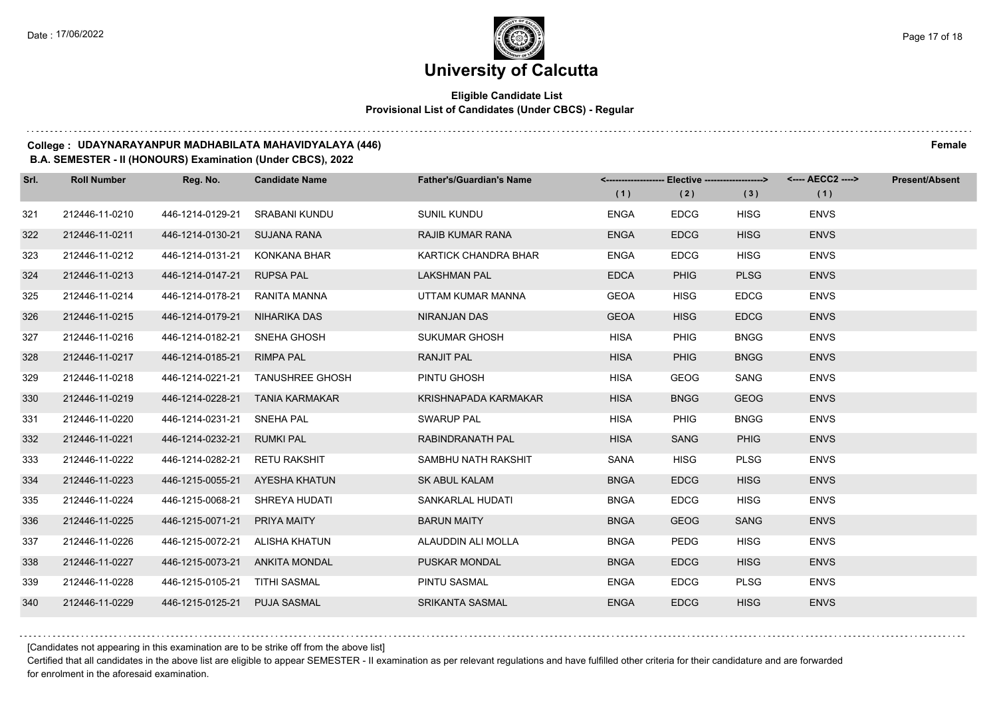## **Eligible Candidate List Provisional List of Candidates (Under CBCS) - Regular**

#### **College : UDAYNARAYANPUR MADHABILATA MAHAVIDYALAYA (446) Female**

#### **B.A. SEMESTER - II (HONOURS) Examination (Under CBCS), 2022**

| Srl. | <b>Roll Number</b> | Reg. No.                       | <b>Candidate Name</b>            | <b>Father's/Guardian's Name</b> | (1)         | <-------------------- Elective -------------------><br>(2) | (3)         | <---- AECC2 ----><br>(1) | <b>Present/Absent</b> |
|------|--------------------|--------------------------------|----------------------------------|---------------------------------|-------------|------------------------------------------------------------|-------------|--------------------------|-----------------------|
| 321  | 212446-11-0210     | 446-1214-0129-21               | SRABANI KUNDU                    | SUNIL KUNDU                     | <b>ENGA</b> | <b>EDCG</b>                                                | <b>HISG</b> | <b>ENVS</b>              |                       |
| 322  | 212446-11-0211     | 446-1214-0130-21               | <b>SUJANA RANA</b>               | <b>RAJIB KUMAR RANA</b>         | <b>ENGA</b> | <b>EDCG</b>                                                | <b>HISG</b> | <b>ENVS</b>              |                       |
| 323  | 212446-11-0212     | 446-1214-0131-21 KONKANA BHAR  |                                  | KARTICK CHANDRA BHAR            | <b>ENGA</b> | <b>EDCG</b>                                                | <b>HISG</b> | <b>ENVS</b>              |                       |
| 324  | 212446-11-0213     | 446-1214-0147-21 RUPSA PAL     |                                  | <b>LAKSHMAN PAL</b>             | <b>EDCA</b> | <b>PHIG</b>                                                | <b>PLSG</b> | <b>ENVS</b>              |                       |
| 325  | 212446-11-0214     | 446-1214-0178-21               | RANITA MANNA                     | UTTAM KUMAR MANNA               | <b>GEOA</b> | <b>HISG</b>                                                | <b>EDCG</b> | <b>ENVS</b>              |                       |
| 326  | 212446-11-0215     | 446-1214-0179-21               | NIHARIKA DAS                     | NIRANJAN DAS                    | <b>GEOA</b> | <b>HISG</b>                                                | <b>EDCG</b> | <b>ENVS</b>              |                       |
| 327  | 212446-11-0216     | 446-1214-0182-21 SNEHA GHOSH   |                                  | SUKUMAR GHOSH                   | <b>HISA</b> | PHIG                                                       | <b>BNGG</b> | <b>ENVS</b>              |                       |
| 328  | 212446-11-0217     | 446-1214-0185-21 RIMPA PAL     |                                  | RANJIT PAL                      | <b>HISA</b> | <b>PHIG</b>                                                | <b>BNGG</b> | <b>ENVS</b>              |                       |
| 329  | 212446-11-0218     |                                | 446-1214-0221-21 TANUSHREE GHOSH | PINTU GHOSH                     | <b>HISA</b> | <b>GEOG</b>                                                | SANG        | <b>ENVS</b>              |                       |
| 330  | 212446-11-0219     |                                | 446-1214-0228-21 TANIA KARMAKAR  | KRISHNAPADA KARMAKAR            | <b>HISA</b> | <b>BNGG</b>                                                | <b>GEOG</b> | <b>ENVS</b>              |                       |
| 331  | 212446-11-0220     | 446-1214-0231-21 SNEHA PAL     |                                  | <b>SWARUP PAL</b>               | <b>HISA</b> | <b>PHIG</b>                                                | <b>BNGG</b> | <b>ENVS</b>              |                       |
| 332  | 212446-11-0221     | 446-1214-0232-21 RUMKI PAL     |                                  | RABINDRANATH PAL                | <b>HISA</b> | <b>SANG</b>                                                | <b>PHIG</b> | <b>ENVS</b>              |                       |
| 333  | 212446-11-0222     | 446-1214-0282-21 RETU RAKSHIT  |                                  | SAMBHU NATH RAKSHIT             | SANA        | <b>HISG</b>                                                | <b>PLSG</b> | <b>ENVS</b>              |                       |
| 334  | 212446-11-0223     | 446-1215-0055-21 AYESHA KHATUN |                                  | <b>SK ABUL KALAM</b>            | <b>BNGA</b> | <b>EDCG</b>                                                | <b>HISG</b> | <b>ENVS</b>              |                       |
| 335  | 212446-11-0224     | 446-1215-0068-21 SHREYA HUDATI |                                  | SANKARLAL HUDATI                | <b>BNGA</b> | <b>EDCG</b>                                                | <b>HISG</b> | <b>ENVS</b>              |                       |
| 336  | 212446-11-0225     | 446-1215-0071-21 PRIYA MAITY   |                                  | <b>BARUN MAITY</b>              | <b>BNGA</b> | <b>GEOG</b>                                                | <b>SANG</b> | <b>ENVS</b>              |                       |
| 337  | 212446-11-0226     | 446-1215-0072-21 ALISHA KHATUN |                                  | ALAUDDIN ALI MOLLA              | <b>BNGA</b> | <b>PEDG</b>                                                | <b>HISG</b> | <b>ENVS</b>              |                       |
| 338  | 212446-11-0227     | 446-1215-0073-21 ANKITA MONDAL |                                  | <b>PUSKAR MONDAL</b>            | <b>BNGA</b> | <b>EDCG</b>                                                | <b>HISG</b> | <b>ENVS</b>              |                       |
| 339  | 212446-11-0228     | 446-1215-0105-21 TITHI SASMAL  |                                  | PINTU SASMAL                    | <b>ENGA</b> | <b>EDCG</b>                                                | <b>PLSG</b> | <b>ENVS</b>              |                       |
| 340  | 212446-11-0229     | 446-1215-0125-21 PUJA SASMAL   |                                  | <b>SRIKANTA SASMAL</b>          | <b>ENGA</b> | <b>EDCG</b>                                                | <b>HISG</b> | <b>ENVS</b>              |                       |

[Candidates not appearing in this examination are to be strike off from the above list]

Certified that all candidates in the above list are eligible to appear SEMESTER - II examination as per relevant regulations and have fulfilled other criteria for their candidature and are forwarded for enrolment in the aforesaid examination.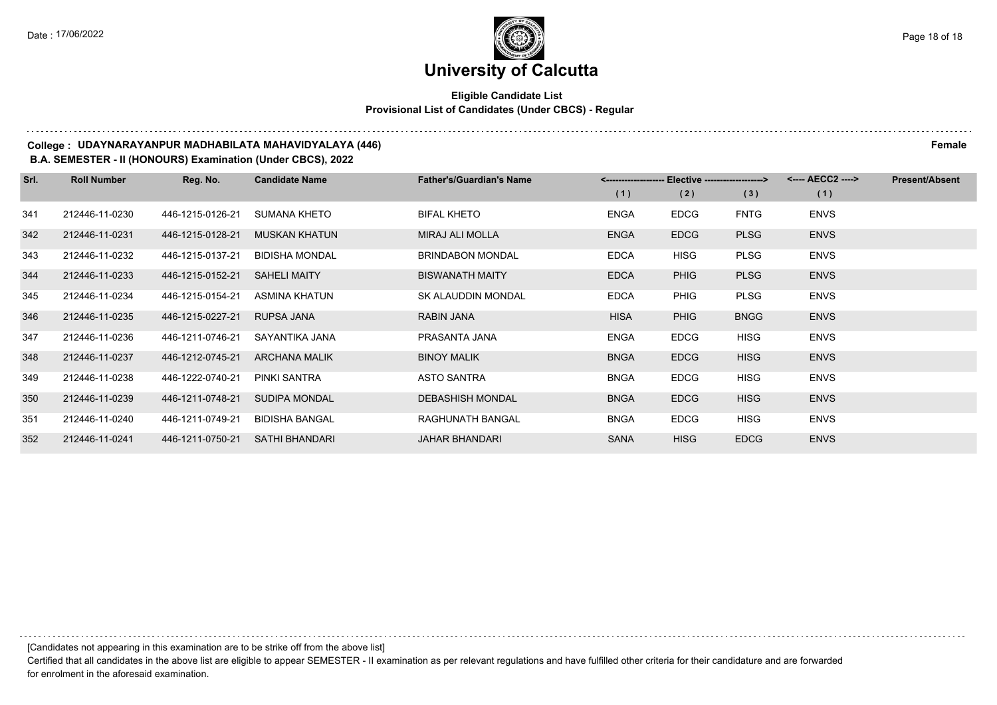## **Eligible Candidate List Provisional List of Candidates (Under CBCS) - Regular**

#### **College : UDAYNARAYANPUR MADHABILATA MAHAVIDYALAYA (446) Female**

#### **B.A. SEMESTER - II (HONOURS) Examination (Under CBCS), 2022**

| Srl. | <b>Roll Number</b> | Reg. No.         | <b>Candidate Name</b> | <b>Father's/Guardian's Name</b> | <-------------------- Elective -------------------> |             |             | <---- AECC2 ----> | <b>Present/Absent</b> |
|------|--------------------|------------------|-----------------------|---------------------------------|-----------------------------------------------------|-------------|-------------|-------------------|-----------------------|
|      |                    |                  |                       |                                 | (1)                                                 | (2)         | (3)         | (1)               |                       |
| 341  | 212446-11-0230     | 446-1215-0126-21 | SUMANA KHETO          | <b>BIFAL KHETO</b>              | <b>ENGA</b>                                         | <b>EDCG</b> | <b>FNTG</b> | <b>ENVS</b>       |                       |
| 342  | 212446-11-0231     | 446-1215-0128-21 | <b>MUSKAN KHATUN</b>  | MIRAJ ALI MOLLA                 | <b>ENGA</b>                                         | <b>EDCG</b> | <b>PLSG</b> | <b>ENVS</b>       |                       |
| 343  | 212446-11-0232     | 446-1215-0137-21 | <b>BIDISHA MONDAL</b> | <b>BRINDABON MONDAL</b>         | <b>EDCA</b>                                         | <b>HISG</b> | <b>PLSG</b> | <b>ENVS</b>       |                       |
| 344  | 212446-11-0233     | 446-1215-0152-21 | <b>SAHELI MAITY</b>   | <b>BISWANATH MAITY</b>          | <b>EDCA</b>                                         | <b>PHIG</b> | <b>PLSG</b> | <b>ENVS</b>       |                       |
| 345  | 212446-11-0234     | 446-1215-0154-21 | ASMINA KHATUN         | SK ALAUDDIN MONDAL              | <b>EDCA</b>                                         | <b>PHIG</b> | <b>PLSG</b> | <b>ENVS</b>       |                       |
| 346  | 212446-11-0235     | 446-1215-0227-21 | RUPSA JANA            | <b>RABIN JANA</b>               | <b>HISA</b>                                         | <b>PHIG</b> | <b>BNGG</b> | <b>ENVS</b>       |                       |
| 347  | 212446-11-0236     | 446-1211-0746-21 | SAYANTIKA JANA        | PRASANTA JANA                   | <b>ENGA</b>                                         | <b>EDCG</b> | <b>HISG</b> | <b>ENVS</b>       |                       |
| 348  | 212446-11-0237     | 446-1212-0745-21 | <b>ARCHANA MALIK</b>  | <b>BINOY MALIK</b>              | <b>BNGA</b>                                         | <b>EDCG</b> | <b>HISG</b> | <b>ENVS</b>       |                       |
| 349  | 212446-11-0238     | 446-1222-0740-21 | PINKI SANTRA          | ASTO SANTRA                     | <b>BNGA</b>                                         | <b>EDCG</b> | <b>HISG</b> | <b>ENVS</b>       |                       |
| 350  | 212446-11-0239     | 446-1211-0748-21 | <b>SUDIPA MONDAL</b>  | <b>DEBASHISH MONDAL</b>         | <b>BNGA</b>                                         | <b>EDCG</b> | <b>HISG</b> | <b>ENVS</b>       |                       |
| 351  | 212446-11-0240     | 446-1211-0749-21 | <b>BIDISHA BANGAL</b> | RAGHUNATH BANGAL                | <b>BNGA</b>                                         | <b>EDCG</b> | <b>HISG</b> | <b>ENVS</b>       |                       |
| 352  | 212446-11-0241     | 446-1211-0750-21 | <b>SATHI BHANDARI</b> | <b>JAHAR BHANDARI</b>           | <b>SANA</b>                                         | <b>HISG</b> | <b>EDCG</b> | <b>ENVS</b>       |                       |

[Candidates not appearing in this examination are to be strike off from the above list]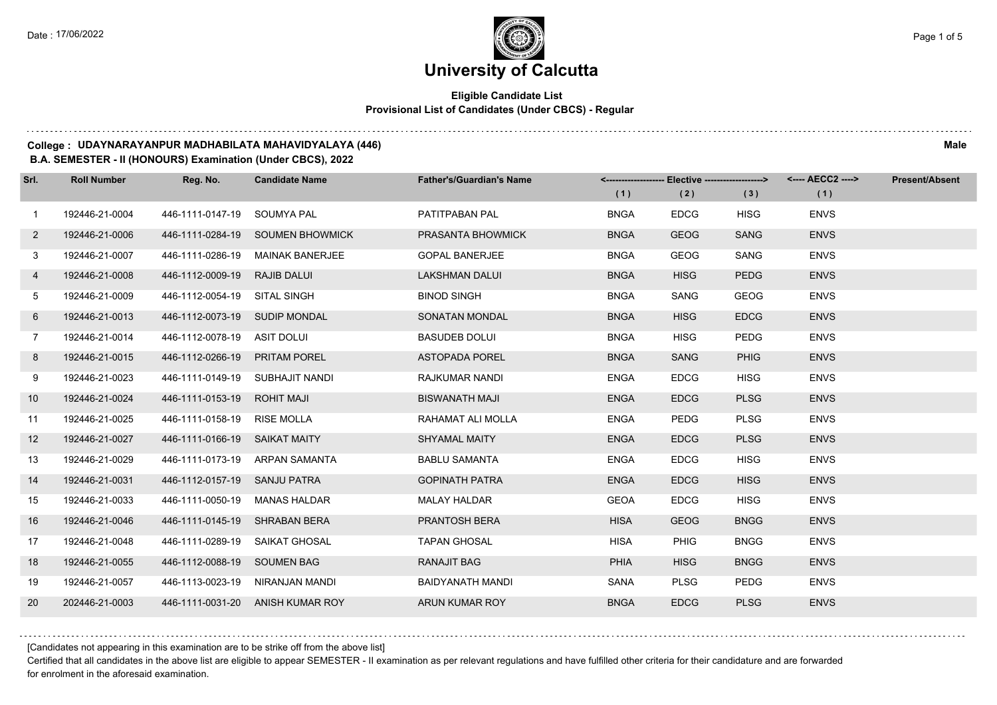## **Eligible Candidate List Provisional List of Candidates (Under CBCS) - Regular**

#### **College : UDAYNARAYANPUR MADHABILATA MAHAVIDYALAYA (446) Male**

**B.A. SEMESTER - II (HONOURS) Examination (Under CBCS), 2022**

| Srl.         | <b>Roll Number</b> | Reg. No.                        | <b>Candidate Name</b>            | <b>Father's/Guardian's Name</b> | (1)         | <-------------------- Elective -------------------><br>(2) | (3)         | (1)         | <b>Present/Absent</b> |
|--------------|--------------------|---------------------------------|----------------------------------|---------------------------------|-------------|------------------------------------------------------------|-------------|-------------|-----------------------|
| $\mathbf{1}$ | 192446-21-0004     | 446-1111-0147-19 SOUMYA PAL     |                                  | PATITPABAN PAL                  | <b>BNGA</b> | <b>EDCG</b>                                                | <b>HISG</b> | <b>ENVS</b> |                       |
| $\mathbf{2}$ | 192446-21-0006     |                                 | 446-1111-0284-19 SOUMEN BHOWMICK | PRASANTA BHOWMICK               | <b>BNGA</b> | <b>GEOG</b>                                                | <b>SANG</b> | <b>ENVS</b> |                       |
| 3            | 192446-21-0007     |                                 | 446-1111-0286-19 MAINAK BANERJEE | <b>GOPAL BANERJEE</b>           | <b>BNGA</b> | <b>GEOG</b>                                                | SANG        | <b>ENVS</b> |                       |
| 4            | 192446-21-0008     | 446-1112-0009-19 RAJIB DALUI    |                                  | LAKSHMAN DALUI                  | <b>BNGA</b> | <b>HISG</b>                                                | <b>PEDG</b> | <b>ENVS</b> |                       |
| 5            | 192446-21-0009     | 446-1112-0054-19 SITAL SINGH    |                                  | <b>BINOD SINGH</b>              | <b>BNGA</b> | SANG                                                       | <b>GEOG</b> | <b>ENVS</b> |                       |
| 6            | 192446-21-0013     | 446-1112-0073-19 SUDIP MONDAL   |                                  | SONATAN MONDAL                  | <b>BNGA</b> | <b>HISG</b>                                                | <b>EDCG</b> | <b>ENVS</b> |                       |
| $7^{\circ}$  | 192446-21-0014     | 446-1112-0078-19 ASIT DOLUI     |                                  | <b>BASUDEB DOLUI</b>            | <b>BNGA</b> | <b>HISG</b>                                                | <b>PEDG</b> | <b>ENVS</b> |                       |
| 8            | 192446-21-0015     | 446-1112-0266-19 PRITAM POREL   |                                  | <b>ASTOPADA POREL</b>           | <b>BNGA</b> | <b>SANG</b>                                                | <b>PHIG</b> | <b>ENVS</b> |                       |
| 9            | 192446-21-0023     | 446-1111-0149-19 SUBHAJIT NANDI |                                  | RAJKUMAR NANDI                  | <b>ENGA</b> | <b>EDCG</b>                                                | <b>HISG</b> | <b>ENVS</b> |                       |
| 10           | 192446-21-0024     | 446-1111-0153-19 ROHIT MAJI     |                                  | <b>BISWANATH MAJI</b>           | <b>ENGA</b> | <b>EDCG</b>                                                | <b>PLSG</b> | <b>ENVS</b> |                       |
| 11           | 192446-21-0025     | 446-1111-0158-19 RISE MOLLA     |                                  | RAHAMAT ALI MOLLA               | <b>ENGA</b> | <b>PEDG</b>                                                | <b>PLSG</b> | <b>ENVS</b> |                       |
| 12           | 192446-21-0027     | 446-1111-0166-19 SAIKAT MAITY   |                                  | <b>SHYAMAL MAITY</b>            | <b>ENGA</b> | <b>EDCG</b>                                                | <b>PLSG</b> | <b>ENVS</b> |                       |
| 13           | 192446-21-0029     |                                 | 446-1111-0173-19 ARPAN SAMANTA   | <b>BABLU SAMANTA</b>            | <b>ENGA</b> | <b>EDCG</b>                                                | <b>HISG</b> | <b>ENVS</b> |                       |
| 14           | 192446-21-0031     | 446-1112-0157-19 SANJU PATRA    |                                  | <b>GOPINATH PATRA</b>           | <b>ENGA</b> | <b>EDCG</b>                                                | <b>HISG</b> | <b>ENVS</b> |                       |
| 15           | 192446-21-0033     | 446-1111-0050-19 MANAS HALDAR   |                                  | <b>MALAY HALDAR</b>             | <b>GEOA</b> | <b>EDCG</b>                                                | <b>HISG</b> | <b>ENVS</b> |                       |
| 16           | 192446-21-0046     | 446-1111-0145-19 SHRABAN BERA   |                                  | PRANTOSH BERA                   | <b>HISA</b> | <b>GEOG</b>                                                | <b>BNGG</b> | <b>ENVS</b> |                       |
| 17           | 192446-21-0048     | 446-1111-0289-19 SAIKAT GHOSAL  |                                  | <b>TAPAN GHOSAL</b>             | <b>HISA</b> | <b>PHIG</b>                                                | <b>BNGG</b> | <b>ENVS</b> |                       |
| 18           | 192446-21-0055     | 446-1112-0088-19 SOUMEN BAG     |                                  | <b>RANAJIT BAG</b>              | <b>PHIA</b> | <b>HISG</b>                                                | <b>BNGG</b> | <b>ENVS</b> |                       |
| 19           | 192446-21-0057     |                                 | 446-1113-0023-19 NIRANJAN MANDI  | BAIDYANATH MANDI                | SANA        | <b>PLSG</b>                                                | <b>PEDG</b> | <b>ENVS</b> |                       |
| 20           | 202446-21-0003     |                                 | 446-1111-0031-20 ANISH KUMAR ROY | ARUN KUMAR ROY                  | <b>BNGA</b> | <b>EDCG</b>                                                | <b>PLSG</b> | <b>ENVS</b> |                       |

[Candidates not appearing in this examination are to be strike off from the above list]

Certified that all candidates in the above list are eligible to appear SEMESTER - II examination as per relevant regulations and have fulfilled other criteria for their candidature and are forwarded for enrolment in the aforesaid examination.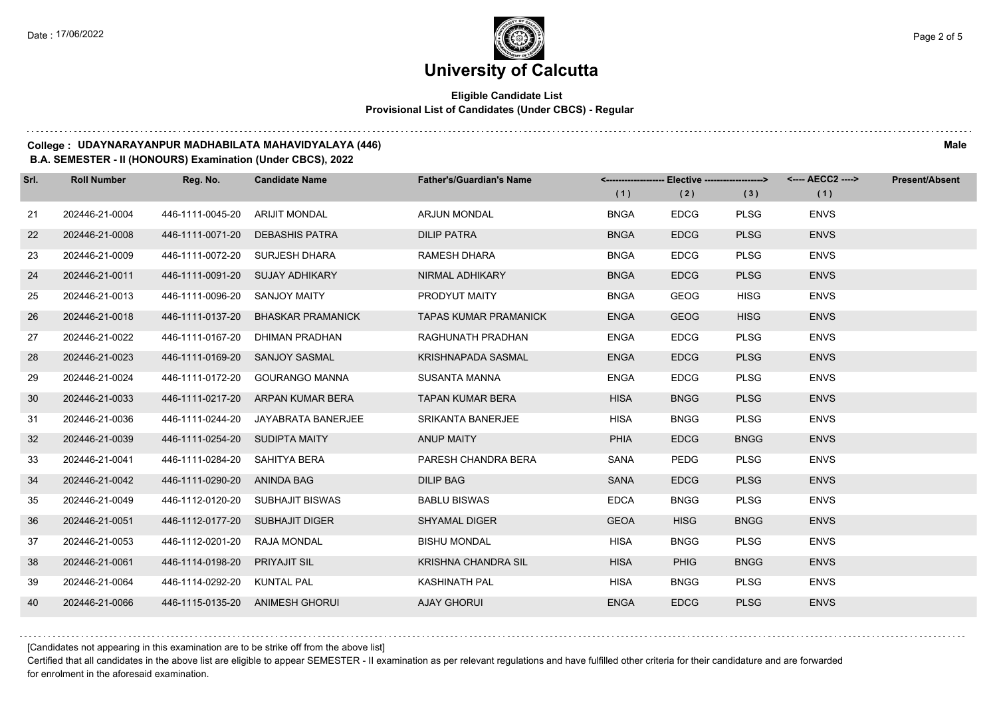## **Eligible Candidate List Provisional List of Candidates (Under CBCS) - Regular**

#### **College : UDAYNARAYANPUR MADHABILATA MAHAVIDYALAYA (446) Male**

#### **B.A. SEMESTER - II (HONOURS) Examination (Under CBCS), 2022**

| Srl. | <b>Roll Number</b> | Reg. No.                        | <b>Candidate Name</b>            | <b>Father's/Guardian's Name</b> | <-------------------- Elective -------------------> |             |             | <---- AECC2 ----> | <b>Present/Absent</b> |
|------|--------------------|---------------------------------|----------------------------------|---------------------------------|-----------------------------------------------------|-------------|-------------|-------------------|-----------------------|
|      |                    |                                 |                                  |                                 | (1)                                                 | (2)         | (3)         | (1)               |                       |
| 21   | 202446-21-0004     | 446-1111-0045-20                | <b>ARIJIT MONDAL</b>             | <b>ARJUN MONDAL</b>             | <b>BNGA</b>                                         | <b>EDCG</b> | <b>PLSG</b> | <b>ENVS</b>       |                       |
| 22   | 202446-21-0008     | 446-1111-0071-20                | <b>DEBASHIS PATRA</b>            | <b>DILIP PATRA</b>              | <b>BNGA</b>                                         | <b>EDCG</b> | <b>PLSG</b> | <b>ENVS</b>       |                       |
| 23   | 202446-21-0009     |                                 | 446-1111-0072-20 SURJESH DHARA   | <b>RAMESH DHARA</b>             | <b>BNGA</b>                                         | <b>EDCG</b> | <b>PLSG</b> | <b>ENVS</b>       |                       |
| 24   | 202446-21-0011     |                                 | 446-1111-0091-20 SUJAY ADHIKARY  | <b>NIRMAL ADHIKARY</b>          | <b>BNGA</b>                                         | <b>EDCG</b> | <b>PLSG</b> | <b>ENVS</b>       |                       |
| 25   | 202446-21-0013     | 446-1111-0096-20 SANJOY MAITY   |                                  | PRODYUT MAITY                   | <b>BNGA</b>                                         | <b>GEOG</b> | <b>HISG</b> | <b>ENVS</b>       |                       |
| 26   | 202446-21-0018     | 446-1111-0137-20                | <b>BHASKAR PRAMANICK</b>         | <b>TAPAS KUMAR PRAMANICK</b>    | <b>ENGA</b>                                         | <b>GEOG</b> | <b>HISG</b> | <b>ENVS</b>       |                       |
| 27   | 202446-21-0022     | 446-1111-0167-20                | DHIMAN PRADHAN                   | RAGHUNATH PRADHAN               | <b>ENGA</b>                                         | <b>EDCG</b> | <b>PLSG</b> | <b>ENVS</b>       |                       |
| 28   | 202446-21-0023     | 446-1111-0169-20                | <b>SANJOY SASMAL</b>             | KRISHNAPADA SASMAL              | <b>ENGA</b>                                         | <b>EDCG</b> | <b>PLSG</b> | <b>ENVS</b>       |                       |
| 29   | 202446-21-0024     | 446-1111-0172-20                | <b>GOURANGO MANNA</b>            | <b>SUSANTA MANNA</b>            | <b>ENGA</b>                                         | <b>EDCG</b> | <b>PLSG</b> | <b>ENVS</b>       |                       |
| 30   | 202446-21-0033     | 446-1111-0217-20                | ARPAN KUMAR BERA                 | <b>TAPAN KUMAR BERA</b>         | <b>HISA</b>                                         | <b>BNGG</b> | <b>PLSG</b> | <b>ENVS</b>       |                       |
| 31   | 202446-21-0036     | 446-1111-0244-20                | JAYABRATA BANERJEE               | <b>SRIKANTA BANERJEE</b>        | <b>HISA</b>                                         | <b>BNGG</b> | <b>PLSG</b> | <b>ENVS</b>       |                       |
| 32   | 202446-21-0039     | 446-1111-0254-20 SUDIPTA MAITY  |                                  | <b>ANUP MAITY</b>               | <b>PHIA</b>                                         | <b>EDCG</b> | <b>BNGG</b> | <b>ENVS</b>       |                       |
| 33   | 202446-21-0041     | 446-1111-0284-20                | SAHITYA BERA                     | PARESH CHANDRA BERA             | SANA                                                | <b>PEDG</b> | <b>PLSG</b> | <b>ENVS</b>       |                       |
| 34   | 202446-21-0042     | 446-1111-0290-20                | ANINDA BAG                       | <b>DILIP BAG</b>                | <b>SANA</b>                                         | <b>EDCG</b> | <b>PLSG</b> | <b>ENVS</b>       |                       |
| 35   | 202446-21-0049     |                                 | 446-1112-0120-20 SUBHAJIT BISWAS | <b>BABLU BISWAS</b>             | <b>EDCA</b>                                         | <b>BNGG</b> | <b>PLSG</b> | <b>ENVS</b>       |                       |
| 36   | 202446-21-0051     | 446-1112-0177-20 SUBHAJIT DIGER |                                  | <b>SHYAMAL DIGER</b>            | <b>GEOA</b>                                         | <b>HISG</b> | <b>BNGG</b> | <b>ENVS</b>       |                       |
| 37   | 202446-21-0053     | 446-1112-0201-20                | <b>RAJA MONDAL</b>               | <b>BISHU MONDAL</b>             | <b>HISA</b>                                         | <b>BNGG</b> | <b>PLSG</b> | <b>ENVS</b>       |                       |
| 38   | 202446-21-0061     | 446-1114-0198-20                | <b>PRIYAJIT SIL</b>              | <b>KRISHNA CHANDRA SIL</b>      | <b>HISA</b>                                         | <b>PHIG</b> | <b>BNGG</b> | <b>ENVS</b>       |                       |
| 39   | 202446-21-0064     | 446-1114-0292-20                | <b>KUNTAL PAL</b>                | <b>KASHINATH PAL</b>            | <b>HISA</b>                                         | <b>BNGG</b> | <b>PLSG</b> | <b>ENVS</b>       |                       |
| 40   | 202446-21-0066     |                                 | 446-1115-0135-20 ANIMESH GHORUI  | <b>AJAY GHORUI</b>              | <b>ENGA</b>                                         | <b>EDCG</b> | <b>PLSG</b> | <b>ENVS</b>       |                       |

[Candidates not appearing in this examination are to be strike off from the above list]

Certified that all candidates in the above list are eligible to appear SEMESTER - II examination as per relevant regulations and have fulfilled other criteria for their candidature and are forwarded for enrolment in the aforesaid examination.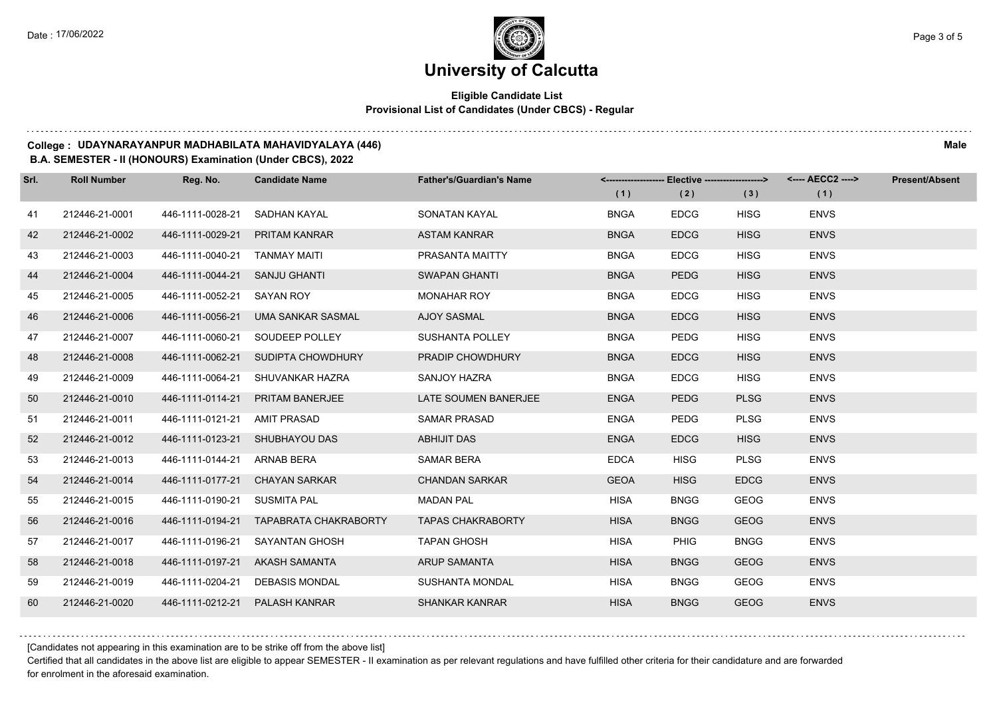## **Eligible Candidate List Provisional List of Candidates (Under CBCS) - Regular**

#### **College : UDAYNARAYANPUR MADHABILATA MAHAVIDYALAYA (446) Male**

#### **B.A. SEMESTER - II (HONOURS) Examination (Under CBCS), 2022**

| Srl. | <b>Roll Number</b> | Reg. No.         | <b>Candidate Name</b>        | <b>Father's/Guardian's Name</b> | <-------------------- Elective ------------------> |             |             | <---- AECC2 ----> | <b>Present/Absent</b> |
|------|--------------------|------------------|------------------------------|---------------------------------|----------------------------------------------------|-------------|-------------|-------------------|-----------------------|
|      |                    |                  |                              |                                 | (1)                                                | (2)         | (3)         | (1)               |                       |
| 41   | 212446-21-0001     | 446-1111-0028-21 | SADHAN KAYAL                 | SONATAN KAYAL                   | <b>BNGA</b>                                        | <b>EDCG</b> | <b>HISG</b> | <b>ENVS</b>       |                       |
| 42   | 212446-21-0002     | 446-1111-0029-21 | <b>PRITAM KANRAR</b>         | <b>ASTAM KANRAR</b>             | <b>BNGA</b>                                        | <b>EDCG</b> | <b>HISG</b> | <b>ENVS</b>       |                       |
| 43   | 212446-21-0003     | 446-1111-0040-21 | TANMAY MAITI                 | PRASANTA MAITTY                 | <b>BNGA</b>                                        | <b>EDCG</b> | <b>HISG</b> | <b>ENVS</b>       |                       |
| 44   | 212446-21-0004     | 446-1111-0044-21 | <b>SANJU GHANTI</b>          | <b>SWAPAN GHANTI</b>            | <b>BNGA</b>                                        | <b>PEDG</b> | <b>HISG</b> | <b>ENVS</b>       |                       |
| 45   | 212446-21-0005     | 446-1111-0052-21 | SAYAN ROY                    | <b>MONAHAR ROY</b>              | <b>BNGA</b>                                        | <b>EDCG</b> | <b>HISG</b> | <b>ENVS</b>       |                       |
| 46   | 212446-21-0006     | 446-1111-0056-21 | <b>UMA SANKAR SASMAL</b>     | <b>AJOY SASMAL</b>              | <b>BNGA</b>                                        | <b>EDCG</b> | <b>HISG</b> | <b>ENVS</b>       |                       |
| 47   | 212446-21-0007     | 446-1111-0060-21 | SOUDEEP POLLEY               | <b>SUSHANTA POLLEY</b>          | <b>BNGA</b>                                        | PEDG        | <b>HISG</b> | <b>ENVS</b>       |                       |
| 48   | 212446-21-0008     | 446-1111-0062-21 | SUDIPTA CHOWDHURY            | <b>PRADIP CHOWDHURY</b>         | <b>BNGA</b>                                        | <b>EDCG</b> | <b>HISG</b> | <b>ENVS</b>       |                       |
| 49   | 212446-21-0009     | 446-1111-0064-21 | SHUVANKAR HAZRA              | SANJOY HAZRA                    | <b>BNGA</b>                                        | <b>EDCG</b> | <b>HISG</b> | <b>ENVS</b>       |                       |
| 50   | 212446-21-0010     | 446-1111-0114-21 | <b>PRITAM BANERJEE</b>       | LATE SOUMEN BANERJEE            | <b>ENGA</b>                                        | <b>PEDG</b> | <b>PLSG</b> | <b>ENVS</b>       |                       |
| 51   | 212446-21-0011     | 446-1111-0121-21 | AMIT PRASAD                  | <b>SAMAR PRASAD</b>             | <b>ENGA</b>                                        | PEDG        | <b>PLSG</b> | <b>ENVS</b>       |                       |
| 52   | 212446-21-0012     | 446-1111-0123-21 | SHUBHAYOU DAS                | <b>ABHIJIT DAS</b>              | <b>ENGA</b>                                        | <b>EDCG</b> | <b>HISG</b> | <b>ENVS</b>       |                       |
| 53   | 212446-21-0013     | 446-1111-0144-21 | <b>ARNAB BERA</b>            | SAMAR BERA                      | <b>EDCA</b>                                        | <b>HISG</b> | <b>PLSG</b> | <b>ENVS</b>       |                       |
| 54   | 212446-21-0014     | 446-1111-0177-21 | <b>CHAYAN SARKAR</b>         | <b>CHANDAN SARKAR</b>           | <b>GEOA</b>                                        | <b>HISG</b> | <b>EDCG</b> | <b>ENVS</b>       |                       |
| 55   | 212446-21-0015     | 446-1111-0190-21 | <b>SUSMITA PAL</b>           | <b>MADAN PAL</b>                | <b>HISA</b>                                        | <b>BNGG</b> | <b>GEOG</b> | <b>ENVS</b>       |                       |
| 56   | 212446-21-0016     | 446-1111-0194-21 | <b>TAPABRATA CHAKRABORTY</b> | <b>TAPAS CHAKRABORTY</b>        | <b>HISA</b>                                        | <b>BNGG</b> | <b>GEOG</b> | <b>ENVS</b>       |                       |
| 57   | 212446-21-0017     | 446-1111-0196-21 | <b>SAYANTAN GHOSH</b>        | <b>TAPAN GHOSH</b>              | <b>HISA</b>                                        | <b>PHIG</b> | <b>BNGG</b> | <b>ENVS</b>       |                       |
| 58   | 212446-21-0018     | 446-1111-0197-21 | AKASH SAMANTA                | <b>ARUP SAMANTA</b>             | <b>HISA</b>                                        | <b>BNGG</b> | <b>GEOG</b> | <b>ENVS</b>       |                       |
| 59   | 212446-21-0019     | 446-1111-0204-21 | <b>DEBASIS MONDAL</b>        | <b>SUSHANTA MONDAL</b>          | <b>HISA</b>                                        | <b>BNGG</b> | <b>GEOG</b> | <b>ENVS</b>       |                       |
| 60   | 212446-21-0020     | 446-1111-0212-21 | PALASH KANRAR                | <b>SHANKAR KANRAR</b>           | <b>HISA</b>                                        | <b>BNGG</b> | <b>GEOG</b> | <b>ENVS</b>       |                       |

[Candidates not appearing in this examination are to be strike off from the above list]

Certified that all candidates in the above list are eligible to appear SEMESTER - II examination as per relevant regulations and have fulfilled other criteria for their candidature and are forwarded for enrolment in the aforesaid examination.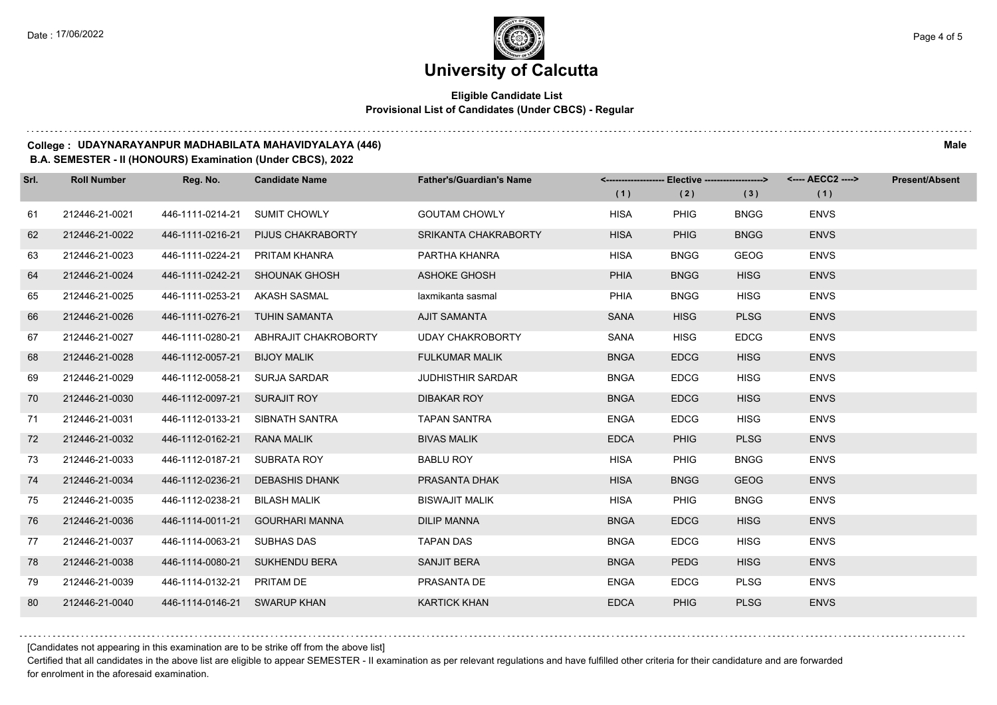## **Eligible Candidate List Provisional List of Candidates (Under CBCS) - Regular**

#### **College : UDAYNARAYANPUR MADHABILATA MAHAVIDYALAYA (446) Male**

#### **B.A. SEMESTER - II (HONOURS) Examination (Under CBCS), 2022**

| Srl. | <b>Roll Number</b> | Reg. No.                     | <b>Candidate Name</b>          | <b>Father's/Guardian's Name</b> |             | <------------------- Elective ------------------> |             | <---- AECC2 ----> | <b>Present/Absent</b> |
|------|--------------------|------------------------------|--------------------------------|---------------------------------|-------------|---------------------------------------------------|-------------|-------------------|-----------------------|
|      |                    |                              |                                |                                 | (1)         | (2)                                               | (3)         | (1)               |                       |
| 61   | 212446-21-0021     | 446-1111-0214-21             | <b>SUMIT CHOWLY</b>            | <b>GOUTAM CHOWLY</b>            | <b>HISA</b> | <b>PHIG</b>                                       | <b>BNGG</b> | <b>ENVS</b>       |                       |
| 62   | 212446-21-0022     | 446-1111-0216-21             | PIJUS CHAKRABORTY              | SRIKANTA CHAKRABORTY            | <b>HISA</b> | <b>PHIG</b>                                       | <b>BNGG</b> | <b>ENVS</b>       |                       |
| 63   | 212446-21-0023     | 446-1111-0224-21             | PRITAM KHANRA                  | PARTHA KHANRA                   | <b>HISA</b> | <b>BNGG</b>                                       | <b>GEOG</b> | <b>ENVS</b>       |                       |
| 64   | 212446-21-0024     |                              | 446-1111-0242-21 SHOUNAK GHOSH | <b>ASHOKE GHOSH</b>             | <b>PHIA</b> | <b>BNGG</b>                                       | <b>HISG</b> | <b>ENVS</b>       |                       |
| 65   | 212446-21-0025     | 446-1111-0253-21             | AKASH SASMAL                   | laxmikanta sasmal               | <b>PHIA</b> | <b>BNGG</b>                                       | <b>HISG</b> | <b>ENVS</b>       |                       |
| 66   | 212446-21-0026     | 446-1111-0276-21             | <b>TUHIN SAMANTA</b>           | <b>AJIT SAMANTA</b>             | <b>SANA</b> | <b>HISG</b>                                       | <b>PLSG</b> | <b>ENVS</b>       |                       |
| 67   | 212446-21-0027     | 446-1111-0280-21             | ABHRAJIT CHAKROBORTY           | <b>UDAY CHAKROBORTY</b>         | SANA        | <b>HISG</b>                                       | <b>EDCG</b> | <b>ENVS</b>       |                       |
| 68   | 212446-21-0028     | 446-1112-0057-21             | <b>BIJOY MALIK</b>             | <b>FULKUMAR MALIK</b>           | <b>BNGA</b> | <b>EDCG</b>                                       | <b>HISG</b> | <b>ENVS</b>       |                       |
| 69   | 212446-21-0029     | 446-1112-0058-21             | <b>SURJA SARDAR</b>            | <b>JUDHISTHIR SARDAR</b>        | <b>BNGA</b> | <b>EDCG</b>                                       | <b>HISG</b> | <b>ENVS</b>       |                       |
| 70   | 212446-21-0030     | 446-1112-0097-21             | <b>SURAJIT ROY</b>             | <b>DIBAKAR ROY</b>              | <b>BNGA</b> | <b>EDCG</b>                                       | <b>HISG</b> | <b>ENVS</b>       |                       |
| 71   | 212446-21-0031     | 446-1112-0133-21             | SIBNATH SANTRA                 | <b>TAPAN SANTRA</b>             | <b>ENGA</b> | <b>EDCG</b>                                       | <b>HISG</b> | <b>ENVS</b>       |                       |
| 72   | 212446-21-0032     | 446-1112-0162-21             | <b>RANA MALIK</b>              | <b>BIVAS MALIK</b>              | <b>EDCA</b> | <b>PHIG</b>                                       | <b>PLSG</b> | <b>ENVS</b>       |                       |
| 73   | 212446-21-0033     | 446-1112-0187-21             | SUBRATA ROY                    | <b>BABLU ROY</b>                | <b>HISA</b> | <b>PHIG</b>                                       | <b>BNGG</b> | <b>ENVS</b>       |                       |
| 74   | 212446-21-0034     | 446-1112-0236-21             | <b>DEBASHIS DHANK</b>          | PRASANTA DHAK                   | <b>HISA</b> | <b>BNGG</b>                                       | <b>GEOG</b> | <b>ENVS</b>       |                       |
| 75   | 212446-21-0035     | 446-1112-0238-21             | <b>BILASH MALIK</b>            | <b>BISWAJIT MALIK</b>           | <b>HISA</b> | <b>PHIG</b>                                       | <b>BNGG</b> | <b>ENVS</b>       |                       |
| 76   | 212446-21-0036     | 446-1114-0011-21             | <b>GOURHARI MANNA</b>          | <b>DILIP MANNA</b>              | <b>BNGA</b> | <b>EDCG</b>                                       | <b>HISG</b> | <b>ENVS</b>       |                       |
| 77   | 212446-21-0037     | 446-1114-0063-21             | <b>SUBHAS DAS</b>              | <b>TAPAN DAS</b>                | <b>BNGA</b> | <b>EDCG</b>                                       | <b>HISG</b> | <b>ENVS</b>       |                       |
| 78   | 212446-21-0038     | 446-1114-0080-21             | SUKHENDU BERA                  | <b>SANJIT BERA</b>              | <b>BNGA</b> | <b>PEDG</b>                                       | <b>HISG</b> | <b>ENVS</b>       |                       |
| 79   | 212446-21-0039     | 446-1114-0132-21             | PRITAM DE                      | PRASANTA DE                     | <b>ENGA</b> | <b>EDCG</b>                                       | <b>PLSG</b> | <b>ENVS</b>       |                       |
| 80   | 212446-21-0040     | 446-1114-0146-21 SWARUP KHAN |                                | <b>KARTICK KHAN</b>             | <b>EDCA</b> | <b>PHIG</b>                                       | <b>PLSG</b> | <b>ENVS</b>       |                       |

[Candidates not appearing in this examination are to be strike off from the above list]

Certified that all candidates in the above list are eligible to appear SEMESTER - II examination as per relevant regulations and have fulfilled other criteria for their candidature and are forwarded for enrolment in the aforesaid examination.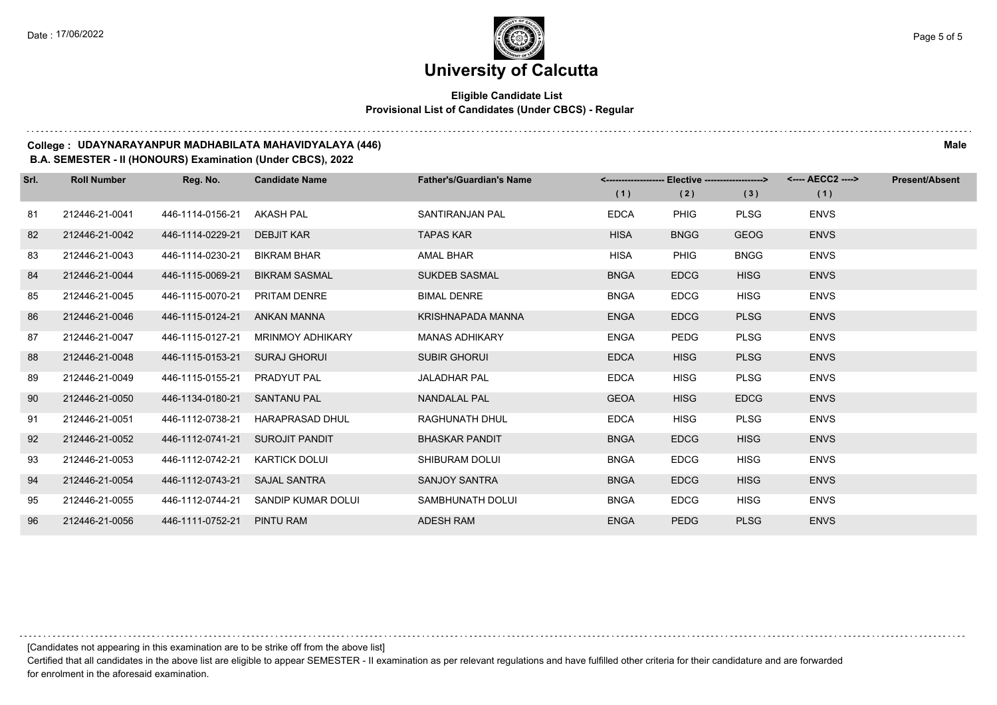## **Eligible Candidate List Provisional List of Candidates (Under CBCS) - Regular**

#### **College : UDAYNARAYANPUR MADHABILATA MAHAVIDYALAYA (446) Male**

#### **B.A. SEMESTER - II (HONOURS) Examination (Under CBCS), 2022**

| Srl. | <b>Roll Number</b> | Reg. No.         | <b>Candidate Name</b>   | <b>Father's/Guardian's Name</b> |             | Elective -------------------> |             | <---- AECC2 ----> | <b>Present/Absent</b> |
|------|--------------------|------------------|-------------------------|---------------------------------|-------------|-------------------------------|-------------|-------------------|-----------------------|
|      |                    |                  |                         |                                 | (1)         | (2)                           | (3)         | (1)               |                       |
| 81   | 212446-21-0041     | 446-1114-0156-21 | <b>AKASH PAL</b>        | SANTIRANJAN PAL                 | <b>EDCA</b> | <b>PHIG</b>                   | <b>PLSG</b> | <b>ENVS</b>       |                       |
| 82   | 212446-21-0042     | 446-1114-0229-21 | <b>DEBJIT KAR</b>       | <b>TAPAS KAR</b>                | <b>HISA</b> | <b>BNGG</b>                   | <b>GEOG</b> | <b>ENVS</b>       |                       |
| 83   | 212446-21-0043     | 446-1114-0230-21 | <b>BIKRAM BHAR</b>      | <b>AMAL BHAR</b>                | <b>HISA</b> | <b>PHIG</b>                   | <b>BNGG</b> | <b>ENVS</b>       |                       |
| 84   | 212446-21-0044     | 446-1115-0069-21 | <b>BIKRAM SASMAL</b>    | <b>SUKDEB SASMAL</b>            | <b>BNGA</b> | <b>EDCG</b>                   | <b>HISG</b> | <b>ENVS</b>       |                       |
| 85   | 212446-21-0045     | 446-1115-0070-21 | PRITAM DENRE            | <b>BIMAL DENRE</b>              | <b>BNGA</b> | <b>EDCG</b>                   | <b>HISG</b> | <b>ENVS</b>       |                       |
| 86   | 212446-21-0046     | 446-1115-0124-21 | ANKAN MANNA             | <b>KRISHNAPADA MANNA</b>        | <b>ENGA</b> | <b>EDCG</b>                   | <b>PLSG</b> | <b>ENVS</b>       |                       |
| 87   | 212446-21-0047     | 446-1115-0127-21 | <b>MRINMOY ADHIKARY</b> | <b>MANAS ADHIKARY</b>           | <b>ENGA</b> | <b>PEDG</b>                   | <b>PLSG</b> | <b>ENVS</b>       |                       |
| 88   | 212446-21-0048     | 446-1115-0153-21 | <b>SURAJ GHORUI</b>     | <b>SUBIR GHORUI</b>             | <b>EDCA</b> | <b>HISG</b>                   | <b>PLSG</b> | <b>ENVS</b>       |                       |
| 89   | 212446-21-0049     | 446-1115-0155-21 | PRADYUT PAL             | <b>JALADHAR PAL</b>             | <b>EDCA</b> | <b>HISG</b>                   | <b>PLSG</b> | <b>ENVS</b>       |                       |
| 90   | 212446-21-0050     | 446-1134-0180-21 | <b>SANTANU PAL</b>      | <b>NANDALAL PAL</b>             | <b>GEOA</b> | <b>HISG</b>                   | <b>EDCG</b> | <b>ENVS</b>       |                       |
| 91   | 212446-21-0051     | 446-1112-0738-21 | <b>HARAPRASAD DHUL</b>  | <b>RAGHUNATH DHUL</b>           | <b>EDCA</b> | <b>HISG</b>                   | <b>PLSG</b> | <b>ENVS</b>       |                       |
| 92   | 212446-21-0052     | 446-1112-0741-21 | <b>SUROJIT PANDIT</b>   | <b>BHASKAR PANDIT</b>           | <b>BNGA</b> | <b>EDCG</b>                   | <b>HISG</b> | <b>ENVS</b>       |                       |
| 93   | 212446-21-0053     | 446-1112-0742-21 | <b>KARTICK DOLUI</b>    | SHIBURAM DOLUI                  | <b>BNGA</b> | <b>EDCG</b>                   | <b>HISG</b> | <b>ENVS</b>       |                       |
| 94   | 212446-21-0054     | 446-1112-0743-21 | <b>SAJAL SANTRA</b>     | <b>SANJOY SANTRA</b>            | <b>BNGA</b> | <b>EDCG</b>                   | <b>HISG</b> | <b>ENVS</b>       |                       |
| 95   | 212446-21-0055     | 446-1112-0744-21 | SANDIP KUMAR DOLUI      | SAMBHUNATH DOLUI                | <b>BNGA</b> | <b>EDCG</b>                   | <b>HISG</b> | <b>ENVS</b>       |                       |
| 96   | 212446-21-0056     | 446-1111-0752-21 | <b>PINTU RAM</b>        | <b>ADESH RAM</b>                | <b>ENGA</b> | <b>PEDG</b>                   | <b>PLSG</b> | <b>ENVS</b>       |                       |

[Candidates not appearing in this examination are to be strike off from the above list]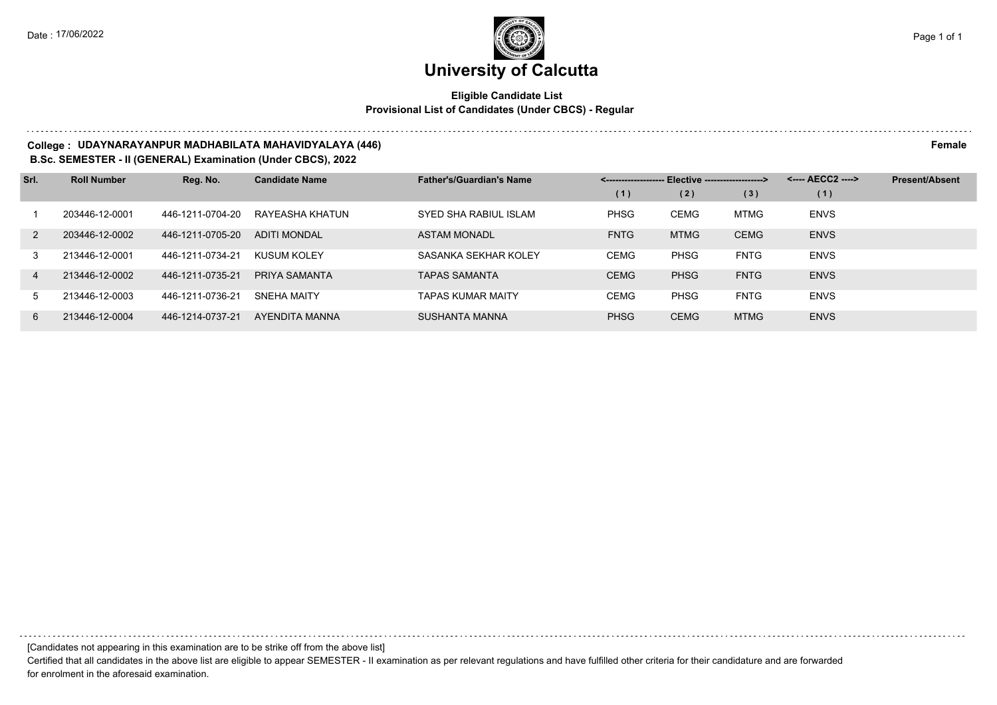## **Eligible Candidate List Provisional List of Candidates (Under CBCS) - Regular**

#### **College : UDAYNARAYANPUR MADHABILATA MAHAVIDYALAYA (446) Female**

**B.Sc. SEMESTER - II (GENERAL) Examination (Under CBCS), 2022**

| Srl.           | <b>Roll Number</b> | Reg. No.         | <b>Candidate Name</b> | <b>Father's/Guardian's Name</b> | <-------------------- Elective -------------------> |             |             | <---- AECC2 ----> | <b>Present/Absent</b> |
|----------------|--------------------|------------------|-----------------------|---------------------------------|-----------------------------------------------------|-------------|-------------|-------------------|-----------------------|
|                |                    |                  |                       |                                 | (1)                                                 | (2)         | (3)         | (1)               |                       |
|                | 203446-12-0001     | 446-1211-0704-20 | RAYEASHA KHATUN       | SYED SHA RABIUL ISLAM           | <b>PHSG</b>                                         | <b>CEMG</b> | <b>MTMG</b> | <b>ENVS</b>       |                       |
| 2              | 203446-12-0002     | 446-1211-0705-20 | <b>ADITI MONDAL</b>   | <b>ASTAM MONADL</b>             | <b>FNTG</b>                                         | <b>MTMG</b> | <b>CEMG</b> | <b>ENVS</b>       |                       |
| $\mathcal{S}$  | 213446-12-0001     | 446-1211-0734-21 | KUSUM KOLEY           | SASANKA SEKHAR KOLEY            | <b>CEMG</b>                                         | <b>PHSG</b> | <b>FNTG</b> | <b>ENVS</b>       |                       |
| $\overline{4}$ | 213446-12-0002     | 446-1211-0735-21 | PRIYA SAMANTA         | <b>TAPAS SAMANTA</b>            | <b>CEMG</b>                                         | <b>PHSG</b> | <b>FNTG</b> | <b>ENVS</b>       |                       |
| $5 -$          | 213446-12-0003     | 446-1211-0736-21 | <b>SNEHA MAITY</b>    | <b>TAPAS KUMAR MAITY</b>        | <b>CEMG</b>                                         | <b>PHSG</b> | <b>FNTG</b> | <b>ENVS</b>       |                       |
| 6              | 213446-12-0004     | 446-1214-0737-21 | AYENDITA MANNA        | SUSHANTA MANNA                  | <b>PHSG</b>                                         | <b>CEMG</b> | <b>MTMG</b> | <b>ENVS</b>       |                       |

[Candidates not appearing in this examination are to be strike off from the above list]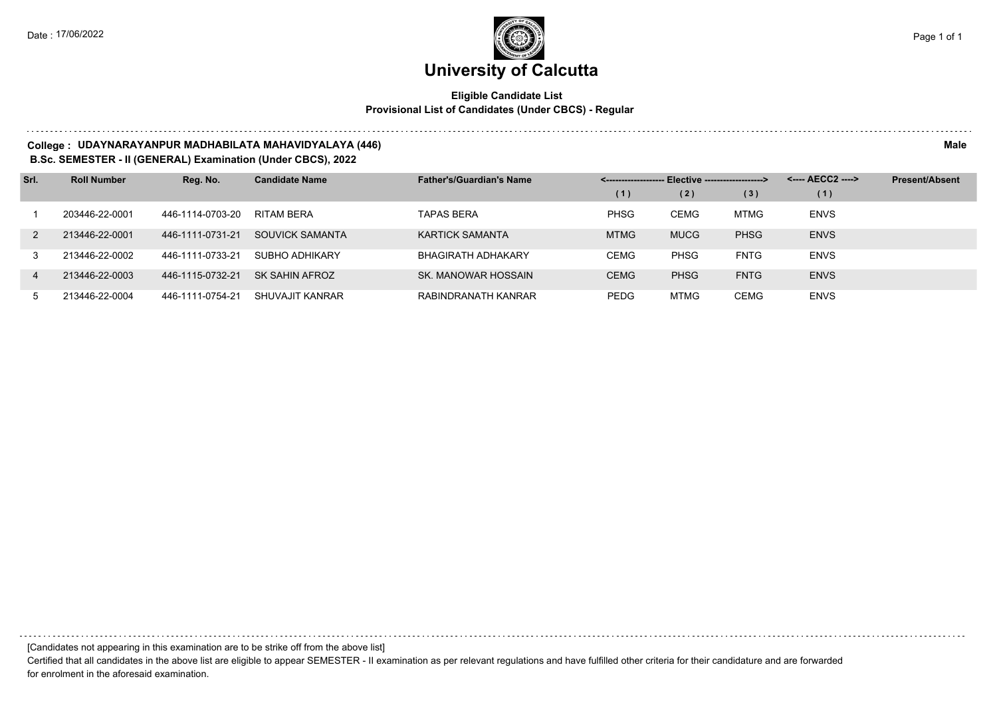## **Eligible Candidate List Provisional List of Candidates (Under CBCS) - Regular**

#### **College : UDAYNARAYANPUR MADHABILATA MAHAVIDYALAYA (446) Male**

#### **B.Sc. SEMESTER - II (GENERAL) Examination (Under CBCS), 2022**

| Srl.           | <b>Roll Number</b> | Reg. No.         | <b>Candidate Name</b> | <b>Father's/Guardian's Name</b> |             | <-------------------- Elective ------------------> |             | <---- AECC2 ----> | <b>Present/Absent</b> |
|----------------|--------------------|------------------|-----------------------|---------------------------------|-------------|----------------------------------------------------|-------------|-------------------|-----------------------|
|                |                    |                  |                       |                                 | (1)         | (2)                                                | (3)         | (1)               |                       |
|                | 203446-22-0001     | 446-1114-0703-20 | RITAM BERA            | <b>TAPAS BERA</b>               | <b>PHSG</b> | CEMG                                               | <b>MTMG</b> | <b>ENVS</b>       |                       |
| 2              | 213446-22-0001     | 446-1111-0731-21 | SOUVICK SAMANTA       | <b>KARTICK SAMANTA</b>          | <b>MTMG</b> | <b>MUCG</b>                                        | <b>PHSG</b> | <b>ENVS</b>       |                       |
| 3              | 213446-22-0002     | 446-1111-0733-21 | SUBHO ADHIKARY        | BHAGIRATH ADHAKARY              | <b>CEMG</b> | <b>PHSG</b>                                        | <b>FNTG</b> | <b>ENVS</b>       |                       |
| $\overline{4}$ | 213446-22-0003     | 446-1115-0732-21 | SK SAHIN AFROZ        | SK. MANOWAR HOSSAIN             | <b>CEMG</b> | <b>PHSG</b>                                        | <b>FNTG</b> | <b>ENVS</b>       |                       |
| 5              | 213446-22-0004     | 446-1111-0754-21 | SHUVAJIT KANRAR       | RABINDRANATH KANRAR             | <b>PEDG</b> | <b>MTMG</b>                                        | <b>CEMG</b> | <b>ENVS</b>       |                       |

[Candidates not appearing in this examination are to be strike off from the above list]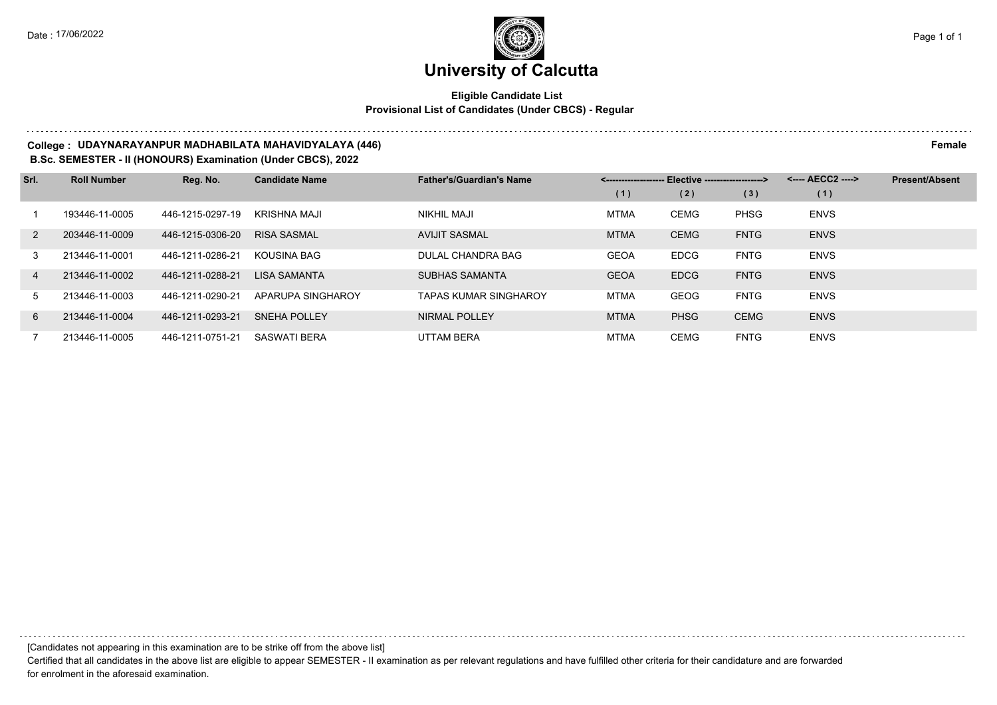## **Eligible Candidate List Provisional List of Candidates (Under CBCS) - Regular**

#### **College : UDAYNARAYANPUR MADHABILATA MAHAVIDYALAYA (446) Female**

**B.Sc. SEMESTER - II (HONOURS) Examination (Under CBCS), 2022**

| Srl.           | <b>Roll Number</b> | Reg. No.         | <b>Candidate Name</b> | <b>Father's/Guardian's Name</b> |             | Elective -------------------> |             | <---- AECC2 ----> | <b>Present/Absent</b> |
|----------------|--------------------|------------------|-----------------------|---------------------------------|-------------|-------------------------------|-------------|-------------------|-----------------------|
|                |                    |                  |                       |                                 | (1)         | (2)                           | (3)         | (1)               |                       |
|                | 193446-11-0005     | 446-1215-0297-19 | KRISHNA MAJI          | NIKHIL MAJI                     | <b>MTMA</b> | CEMG                          | <b>PHSG</b> | <b>ENVS</b>       |                       |
| $\mathcal{P}$  | 203446-11-0009     | 446-1215-0306-20 | <b>RISA SASMAL</b>    | <b>AVIJIT SASMAL</b>            | <b>MTMA</b> | <b>CEMG</b>                   | <b>FNTG</b> | <b>ENVS</b>       |                       |
| 3              | 213446-11-0001     | 446-1211-0286-21 | KOUSINA BAG           | DULAL CHANDRA BAG               | <b>GEOA</b> | <b>EDCG</b>                   | <b>FNTG</b> | <b>ENVS</b>       |                       |
| $\overline{4}$ | 213446-11-0002     | 446-1211-0288-21 | <b>LISA SAMANTA</b>   | <b>SUBHAS SAMANTA</b>           | <b>GEOA</b> | <b>EDCG</b>                   | <b>FNTG</b> | <b>ENVS</b>       |                       |
| .5             | 213446-11-0003     | 446-1211-0290-21 | APARUPA SINGHAROY     | <b>TAPAS KUMAR SINGHAROY</b>    | <b>MTMA</b> | GEOG                          | <b>FNTG</b> | <b>ENVS</b>       |                       |
| 6              | 213446-11-0004     | 446-1211-0293-21 | <b>SNEHA POLLEY</b>   | NIRMAL POLLEY                   | <b>MTMA</b> | <b>PHSG</b>                   | <b>CEMG</b> | <b>ENVS</b>       |                       |
|                | 213446-11-0005     | 446-1211-0751-21 | <b>SASWATI BERA</b>   | <b>UTTAM BERA</b>               | <b>MTMA</b> | CEMG                          | <b>FNTG</b> | <b>ENVS</b>       |                       |

[Candidates not appearing in this examination are to be strike off from the above list]